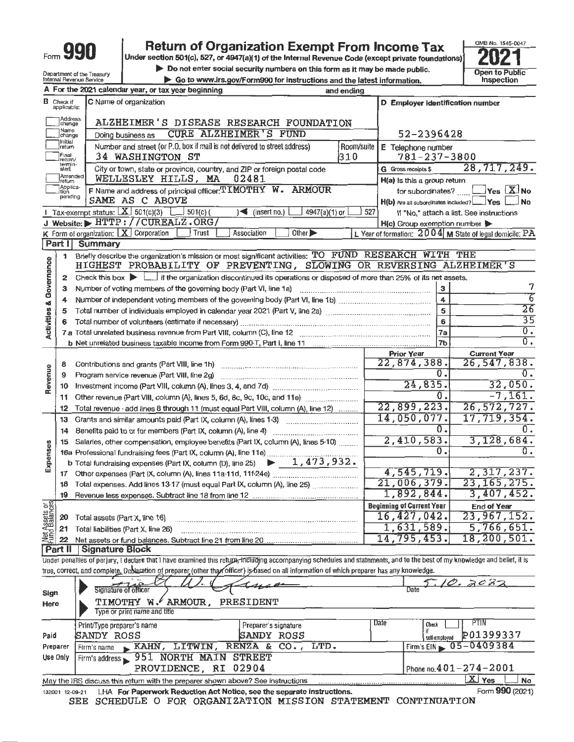

## Form  $990$  **Return of Organization Exempt From Income Tax**  $\frac{6000 \text{ Na} \cdot 1545 \cdot 0047}{2021}$ Form **990**<br> **Do not enter social security numbers on this form as it may be made public.**<br>
Do not enter social security numbers on this form as it may be made public.<br>
Internal Revenue Service  $\frac{1}{20}$ <br>
Do to www.irs.go

**Internal Revenue Service value 3 Forms** 60 to instructions and the latest information.

OMB No. 1545-0047

|                                                                                                        |                               | A For the 2021 calendar year, or tax year beginning                                                                                                                                                  | and ending                   |                                         |                                                           |  |  |  |  |  |
|--------------------------------------------------------------------------------------------------------|-------------------------------|------------------------------------------------------------------------------------------------------------------------------------------------------------------------------------------------------|------------------------------|-----------------------------------------|-----------------------------------------------------------|--|--|--|--|--|
|                                                                                                        | <b>B</b> Check if applicable: | C Name of organization                                                                                                                                                                               |                              | D Employer identification number        |                                                           |  |  |  |  |  |
|                                                                                                        | Address<br> change            | ALZHEIMER'S DISEASE RESEARCH FOUNDATION                                                                                                                                                              |                              |                                         |                                                           |  |  |  |  |  |
|                                                                                                        | Name<br>change                | <b>CURE ALZHEIMER'S FUND</b><br>Doing business as                                                                                                                                                    | 52-2396428                   |                                         |                                                           |  |  |  |  |  |
|                                                                                                        | Initial<br> return            | Number and street (or P.O. box if mail is not delivered to street address)                                                                                                                           | Room/suite                   | E Telephone number                      |                                                           |  |  |  |  |  |
|                                                                                                        | Final<br>return/              | <b>34 WASHINGTON ST</b><br>City or town, state or province, country, and ZIP or foreign postal code                                                                                                  | 310                          | $781 - 237 - 3800$                      |                                                           |  |  |  |  |  |
|                                                                                                        | termin-<br>ated               | 28,717,249.                                                                                                                                                                                          |                              |                                         |                                                           |  |  |  |  |  |
| Amended<br>02481<br>WELLESLEY HILLS, MA<br>H(a) Is this a group return<br>Ireturn<br>Applica-<br>Ition |                               |                                                                                                                                                                                                      |                              |                                         |                                                           |  |  |  |  |  |
|                                                                                                        | pending                       | F Name and address of principal officer: TIMOTHY W. ARMOUR<br>SAME AS C ABOVE                                                                                                                        |                              |                                         | for subordinates?  Pes X No<br>  No                       |  |  |  |  |  |
|                                                                                                        |                               | <b>F</b> Tax-exempt status: $X \ 501(c)(3)$ 501(c)(<br>$\sim$ (insert no.)<br>4947(a)(1) or $\lfloor$                                                                                                | 527                          | H(b) Are all subordinates included? Ves | If "No," attach a list. See instructions                  |  |  |  |  |  |
|                                                                                                        |                               | J Website: HTTP://CUREALZ.ORG/                                                                                                                                                                       |                              | H(c) Group exemption number             |                                                           |  |  |  |  |  |
|                                                                                                        |                               | Association<br>Other $\blacktriangleright$<br>$K$ Form of organization: $K$ Corporation<br>  Trust                                                                                                   |                              |                                         | L Year of formation: $2004$ M State of legal domicile: PA |  |  |  |  |  |
|                                                                                                        | Part 1                        | <b>Summary</b>                                                                                                                                                                                       |                              |                                         |                                                           |  |  |  |  |  |
|                                                                                                        | 1                             | Briefly describe the organization's mission or most significant activities: TO FUND RESEARCH WITH THE                                                                                                |                              |                                         |                                                           |  |  |  |  |  |
| Activities & Governance                                                                                |                               | HIGHEST PROBABILITY OF PREVENTING, SLOWING OR REVERSING ALZHEIMER'S                                                                                                                                  |                              |                                         |                                                           |  |  |  |  |  |
|                                                                                                        | 2                             | Check this box $\blacktriangleright$ $\blacksquare$ if the organization discontinued its operations or disposed of more than 25% of its net assets.                                                  |                              |                                         |                                                           |  |  |  |  |  |
|                                                                                                        | з                             | Number of voting members of the governing body (Part VI, line 1a)                                                                                                                                    |                              | 3                                       | 7<br>$\overline{6}$                                       |  |  |  |  |  |
|                                                                                                        | 4                             |                                                                                                                                                                                                      |                              | $\overline{\mathbf{4}}$                 | $\overline{26}$                                           |  |  |  |  |  |
|                                                                                                        | 5                             |                                                                                                                                                                                                      |                              | 5                                       | $\overline{35}$                                           |  |  |  |  |  |
|                                                                                                        |                               | 7 a Total unrelated business revenue from Part VIII, column (C), line 12 [11] [20] [20] [20] [20] [20] [20] [2                                                                                       |                              | 6<br>7a                                 | $\overline{0}$ .                                          |  |  |  |  |  |
|                                                                                                        |                               |                                                                                                                                                                                                      |                              | 7b                                      | $\overline{0}$ .                                          |  |  |  |  |  |
|                                                                                                        |                               |                                                                                                                                                                                                      |                              | <b>Prior Year</b>                       | <b>Current Year</b>                                       |  |  |  |  |  |
|                                                                                                        | 8                             |                                                                                                                                                                                                      |                              | 22,874,388.                             | 26, 547, 838.                                             |  |  |  |  |  |
| Revenue                                                                                                | 9                             | Program service revenue (Part VIII, line 2g)                                                                                                                                                         |                              | $\overline{0}$ .                        | $0$ .                                                     |  |  |  |  |  |
|                                                                                                        | 10                            |                                                                                                                                                                                                      |                              | 24,835.                                 | 32,050.                                                   |  |  |  |  |  |
|                                                                                                        | 11                            |                                                                                                                                                                                                      |                              | Ω.                                      | $-7, 161.$                                                |  |  |  |  |  |
|                                                                                                        | 12                            | Total revenue - add lines 8 through 11 (must equal Part VIII, column (A), line 12)                                                                                                                   |                              | $\overline{22,899,223.}$                | 26, 572, 727.                                             |  |  |  |  |  |
|                                                                                                        | 13                            | Grants and similar amounts paid (Part IX, column (A), lines 1-3)                                                                                                                                     |                              | 14,050,077.<br>0.                       | 17,719,354.<br>Ω.                                         |  |  |  |  |  |
|                                                                                                        | 14                            | Benefits paid to or for members (Part IX, column (A), line 4)                                                                                                                                        |                              | 2,410,583.                              | 3,128,684.                                                |  |  |  |  |  |
|                                                                                                        | 15                            | Salaries, other compensation, employee benefits (Part IX, column (A), lines 5-10)<br>16a Professional fundraising fees (Part IX, column (A), line 11e)                                               |                              | 0.                                      | 0.                                                        |  |  |  |  |  |
| Expenses                                                                                               |                               | b Total fundraising expenses (Part IX, column (D), line 25) $\rightarrow$ 1, 473, 932.                                                                                                               |                              |                                         |                                                           |  |  |  |  |  |
|                                                                                                        | 17                            |                                                                                                                                                                                                      |                              | 4,545,719.                              | 2,317,237.                                                |  |  |  |  |  |
|                                                                                                        | 18                            | Total expenses. Add lines 13-17 (must equal Part IX, column (A), line 25)                                                                                                                            | 21,006,379.<br>23, 165, 275. |                                         |                                                           |  |  |  |  |  |
|                                                                                                        | 19                            |                                                                                                                                                                                                      |                              | 1,892,844.                              | 3,407,452.                                                |  |  |  |  |  |
| ទន្លា                                                                                                  |                               |                                                                                                                                                                                                      |                              | <b>Beginning of Current Year</b>        | <b>End of Year</b>                                        |  |  |  |  |  |
| Net Assets o                                                                                           | 20                            | Total assets (Part X, line 16)                                                                                                                                                                       |                              | 16, 427, 042.                           | 23,967,152.                                               |  |  |  |  |  |
|                                                                                                        | 21                            | Total liabilities (Part X, line 26)                                                                                                                                                                  |                              | 1,631,589.                              | 5,766,651.                                                |  |  |  |  |  |
|                                                                                                        | 22                            | Net assets or fund balances. Subtract line 21 from line 20                                                                                                                                           |                              | 14,795,453.                             | 18, 200, 501.                                             |  |  |  |  |  |
|                                                                                                        | <b>Part II</b>                | <b>Signature Block</b><br>Under penalties of perjury, I declare that I have examined this return, including accompanying schedules and statements, and to the best of my knowledge and belief, it is |                              |                                         |                                                           |  |  |  |  |  |
|                                                                                                        |                               | true, correct, and complete. Deblaration of preparer (other than officer) is based on all information of which preparer has any knowledge.                                                           |                              |                                         |                                                           |  |  |  |  |  |
|                                                                                                        |                               |                                                                                                                                                                                                      |                              |                                         | 10.2027                                                   |  |  |  |  |  |
| Sign                                                                                                   |                               | -642<br>Signature of officer                                                                                                                                                                         |                              | Date                                    |                                                           |  |  |  |  |  |
| Here                                                                                                   |                               | <b>TIMOTHY W. ARMOUR,</b><br>PRESIDENT                                                                                                                                                               |                              |                                         |                                                           |  |  |  |  |  |
|                                                                                                        |                               | Type or print name and title                                                                                                                                                                         |                              |                                         |                                                           |  |  |  |  |  |
|                                                                                                        |                               | Preparer's signature<br>Print/Type preparer's name                                                                                                                                                   |                              | Date<br>Check                           | <b>PTIN</b>                                               |  |  |  |  |  |
| Paid                                                                                                   |                               | <b>SANDY ROSS</b><br>SANDY ROSS                                                                                                                                                                      |                              | self-employed                           | P01399337                                                 |  |  |  |  |  |
|                                                                                                        | Preparer                      | LTD.<br>LITWIN,<br>RENZA & $CO.$<br>$KAHN$ ,<br>Firm's name                                                                                                                                          |                              | Firm's $EIN$                            | 05-0409384                                                |  |  |  |  |  |
|                                                                                                        | Use Only                      | 951 NORTH MAIN STREET<br>Firm's address<br>PROVIDENCE, RI 02904                                                                                                                                      |                              |                                         | Phone no. $401 - 274 - 2001$                              |  |  |  |  |  |
|                                                                                                        |                               | May the IRS discuss this return with the preparer shown above? See instructions                                                                                                                      |                              |                                         | $X$ Yes<br>No                                             |  |  |  |  |  |
|                                                                                                        | 132001 12-09-21               | LHA For Paperwork Reduction Act Notice, see the separate instructions.                                                                                                                               |                              |                                         | Form 990 (2021)                                           |  |  |  |  |  |
|                                                                                                        |                               |                                                                                                                                                                                                      |                              |                                         |                                                           |  |  |  |  |  |

**SEE SCHEDULE** O **FOR ORGANIZATION MISSION STATEMENT CONTINUATION**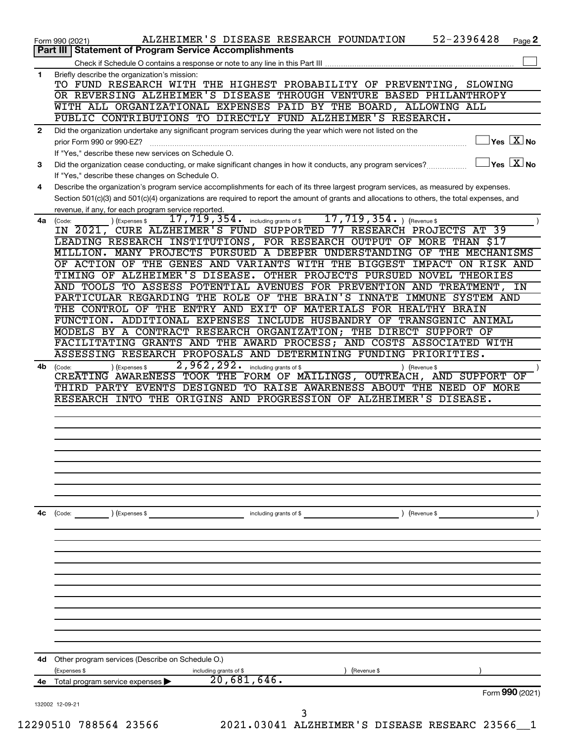| Briefly describe the organization's mission:<br>TO FUND RESEARCH WITH THE HIGHEST PROBABILITY OF PREVENTING, SLOWING<br>OR REVERSING ALZHEIMER'S DISEASE THROUGH VENTURE BASED PHILANTHROPY<br>WITH ALL ORGANIZATIONAL EXPENSES PAID BY THE BOARD, ALLOWING ALL<br>PUBLIC CONTRIBUTIONS TO DIRECTLY FUND ALZHEIMER'S RESEARCH.<br>Did the organization undertake any significant program services during the year which were not listed on the<br>$\sqrt{\mathsf{Yes}\ \mathbf{X}}$ No<br>prior Form 990 or 990-EZ?<br>If "Yes," describe these new services on Schedule O.<br>Did the organization cease conducting, or make significant changes in how it conducts, any program services?<br>If "Yes," describe these changes on Schedule O.<br>Describe the organization's program service accomplishments for each of its three largest program services, as measured by expenses.<br>Section 501(c)(3) and 501(c)(4) organizations are required to report the amount of grants and allocations to others, the total expenses, and<br>revenue, if any, for each program service reported.<br>17,719,354.<br>$17$ , $719$ , $354$ $\cdot$ including grants of \$<br>(Expenses \$<br>) (Revenue \$<br>(Code:<br>IN 2021, CURE ALZHEIMER'S FUND SUPPORTED 77 RESEARCH PROJECTS AT 39<br>LEADING RESEARCH INSTITUTIONS, FOR RESEARCH OUTPUT OF MORE THAN \$17<br>MILLION. MANY PROJECTS PURSUED A DEEPER UNDERSTANDING OF THE MECHANISMS<br>OF ACTION OF THE GENES AND VARIANTS WITH THE BIGGEST IMPACT ON RISK AND<br>TIMING OF ALZHEIMER'S DISEASE. OTHER PROJECTS PURSUED NOVEL THEORIES<br>AND TOOLS TO ASSESS POTENTIAL AVENUES FOR PREVENTION AND TREATMENT, IN<br>PARTICULAR REGARDING THE ROLE OF THE BRAIN'S INNATE IMMUNE SYSTEM AND<br>THE CONTROL OF THE ENTRY AND EXIT OF MATERIALS FOR HEALTHY BRAIN<br>FUNCTION. ADDITIONAL EXPENSES INCLUDE HUSBANDRY OF TRANSGENIC ANIMAL<br>MODELS BY A CONTRACT RESEARCH ORGANIZATION; THE DIRECT SUPPORT OF<br>FACILITATING GRANTS AND THE AWARD PROCESS; AND COSTS ASSOCIATED WITH<br>ASSESSING RESEARCH PROPOSALS AND DETERMINING FUNDING PRIORITIES.<br>2,962,292.<br>including grants of \$<br>(Code:<br>(Expenses \$<br>) (Revenue \$<br>CREATING AWARENESS TOOK THE FORM OF MAILINGS, OUTREACH, AND SUPPORT OF<br>THIRD PARTY EVENTS DESIGNED TO RAISE AWARENESS ABOUT THE NEED OF MORE<br>RESEARCH INTO THE ORIGINS AND PROGRESSION OF ALZHEIMER'S DISEASE.<br>including grants of \$<br>) (Revenue \$<br>(Code:<br>) (Expenses \$<br>Other program services (Describe on Schedule O.)<br>(Expenses \$<br>including grants of \$<br>(Revenue \$<br>20,681,646.<br>Total program service expenses |  | 52-2396428<br>ALZHEIMER'S DISEASE RESEARCH FOUNDATION<br>Page 2    |
|-------------------------------------------------------------------------------------------------------------------------------------------------------------------------------------------------------------------------------------------------------------------------------------------------------------------------------------------------------------------------------------------------------------------------------------------------------------------------------------------------------------------------------------------------------------------------------------------------------------------------------------------------------------------------------------------------------------------------------------------------------------------------------------------------------------------------------------------------------------------------------------------------------------------------------------------------------------------------------------------------------------------------------------------------------------------------------------------------------------------------------------------------------------------------------------------------------------------------------------------------------------------------------------------------------------------------------------------------------------------------------------------------------------------------------------------------------------------------------------------------------------------------------------------------------------------------------------------------------------------------------------------------------------------------------------------------------------------------------------------------------------------------------------------------------------------------------------------------------------------------------------------------------------------------------------------------------------------------------------------------------------------------------------------------------------------------------------------------------------------------------------------------------------------------------------------------------------------------------------------------------------------------------------------------------------------------------------------------------------------------------------------------------------------------------------------------------------------------------------------------------------------------------------------------------------------------------------------------------------------------------------------------------------|--|--------------------------------------------------------------------|
|                                                                                                                                                                                                                                                                                                                                                                                                                                                                                                                                                                                                                                                                                                                                                                                                                                                                                                                                                                                                                                                                                                                                                                                                                                                                                                                                                                                                                                                                                                                                                                                                                                                                                                                                                                                                                                                                                                                                                                                                                                                                                                                                                                                                                                                                                                                                                                                                                                                                                                                                                                                                                                                             |  |                                                                    |
|                                                                                                                                                                                                                                                                                                                                                                                                                                                                                                                                                                                                                                                                                                                                                                                                                                                                                                                                                                                                                                                                                                                                                                                                                                                                                                                                                                                                                                                                                                                                                                                                                                                                                                                                                                                                                                                                                                                                                                                                                                                                                                                                                                                                                                                                                                                                                                                                                                                                                                                                                                                                                                                             |  |                                                                    |
|                                                                                                                                                                                                                                                                                                                                                                                                                                                                                                                                                                                                                                                                                                                                                                                                                                                                                                                                                                                                                                                                                                                                                                                                                                                                                                                                                                                                                                                                                                                                                                                                                                                                                                                                                                                                                                                                                                                                                                                                                                                                                                                                                                                                                                                                                                                                                                                                                                                                                                                                                                                                                                                             |  |                                                                    |
|                                                                                                                                                                                                                                                                                                                                                                                                                                                                                                                                                                                                                                                                                                                                                                                                                                                                                                                                                                                                                                                                                                                                                                                                                                                                                                                                                                                                                                                                                                                                                                                                                                                                                                                                                                                                                                                                                                                                                                                                                                                                                                                                                                                                                                                                                                                                                                                                                                                                                                                                                                                                                                                             |  |                                                                    |
|                                                                                                                                                                                                                                                                                                                                                                                                                                                                                                                                                                                                                                                                                                                                                                                                                                                                                                                                                                                                                                                                                                                                                                                                                                                                                                                                                                                                                                                                                                                                                                                                                                                                                                                                                                                                                                                                                                                                                                                                                                                                                                                                                                                                                                                                                                                                                                                                                                                                                                                                                                                                                                                             |  |                                                                    |
|                                                                                                                                                                                                                                                                                                                                                                                                                                                                                                                                                                                                                                                                                                                                                                                                                                                                                                                                                                                                                                                                                                                                                                                                                                                                                                                                                                                                                                                                                                                                                                                                                                                                                                                                                                                                                                                                                                                                                                                                                                                                                                                                                                                                                                                                                                                                                                                                                                                                                                                                                                                                                                                             |  |                                                                    |
|                                                                                                                                                                                                                                                                                                                                                                                                                                                                                                                                                                                                                                                                                                                                                                                                                                                                                                                                                                                                                                                                                                                                                                                                                                                                                                                                                                                                                                                                                                                                                                                                                                                                                                                                                                                                                                                                                                                                                                                                                                                                                                                                                                                                                                                                                                                                                                                                                                                                                                                                                                                                                                                             |  |                                                                    |
| Form 990 (2021)<br>Part III   Statement of Program Service Accomplishments<br>1<br>$\mathbf{2}$<br>3<br>4<br>4a l<br>4b<br>4c<br>4d<br>4е                                                                                                                                                                                                                                                                                                                                                                                                                                                                                                                                                                                                                                                                                                                                                                                                                                                                                                                                                                                                                                                                                                                                                                                                                                                                                                                                                                                                                                                                                                                                                                                                                                                                                                                                                                                                                                                                                                                                                                                                                                                                                                                                                                                                                                                                                                                                                                                                                                                                                                                   |  |                                                                    |
|                                                                                                                                                                                                                                                                                                                                                                                                                                                                                                                                                                                                                                                                                                                                                                                                                                                                                                                                                                                                                                                                                                                                                                                                                                                                                                                                                                                                                                                                                                                                                                                                                                                                                                                                                                                                                                                                                                                                                                                                                                                                                                                                                                                                                                                                                                                                                                                                                                                                                                                                                                                                                                                             |  |                                                                    |
|                                                                                                                                                                                                                                                                                                                                                                                                                                                                                                                                                                                                                                                                                                                                                                                                                                                                                                                                                                                                                                                                                                                                                                                                                                                                                                                                                                                                                                                                                                                                                                                                                                                                                                                                                                                                                                                                                                                                                                                                                                                                                                                                                                                                                                                                                                                                                                                                                                                                                                                                                                                                                                                             |  | $\sqrt{\mathsf{Yes}\mathord{\;\mathbb{X}}\mathord{\;\mathsf{No}}}$ |
|                                                                                                                                                                                                                                                                                                                                                                                                                                                                                                                                                                                                                                                                                                                                                                                                                                                                                                                                                                                                                                                                                                                                                                                                                                                                                                                                                                                                                                                                                                                                                                                                                                                                                                                                                                                                                                                                                                                                                                                                                                                                                                                                                                                                                                                                                                                                                                                                                                                                                                                                                                                                                                                             |  |                                                                    |
|                                                                                                                                                                                                                                                                                                                                                                                                                                                                                                                                                                                                                                                                                                                                                                                                                                                                                                                                                                                                                                                                                                                                                                                                                                                                                                                                                                                                                                                                                                                                                                                                                                                                                                                                                                                                                                                                                                                                                                                                                                                                                                                                                                                                                                                                                                                                                                                                                                                                                                                                                                                                                                                             |  |                                                                    |
|                                                                                                                                                                                                                                                                                                                                                                                                                                                                                                                                                                                                                                                                                                                                                                                                                                                                                                                                                                                                                                                                                                                                                                                                                                                                                                                                                                                                                                                                                                                                                                                                                                                                                                                                                                                                                                                                                                                                                                                                                                                                                                                                                                                                                                                                                                                                                                                                                                                                                                                                                                                                                                                             |  |                                                                    |
|                                                                                                                                                                                                                                                                                                                                                                                                                                                                                                                                                                                                                                                                                                                                                                                                                                                                                                                                                                                                                                                                                                                                                                                                                                                                                                                                                                                                                                                                                                                                                                                                                                                                                                                                                                                                                                                                                                                                                                                                                                                                                                                                                                                                                                                                                                                                                                                                                                                                                                                                                                                                                                                             |  |                                                                    |
|                                                                                                                                                                                                                                                                                                                                                                                                                                                                                                                                                                                                                                                                                                                                                                                                                                                                                                                                                                                                                                                                                                                                                                                                                                                                                                                                                                                                                                                                                                                                                                                                                                                                                                                                                                                                                                                                                                                                                                                                                                                                                                                                                                                                                                                                                                                                                                                                                                                                                                                                                                                                                                                             |  |                                                                    |
|                                                                                                                                                                                                                                                                                                                                                                                                                                                                                                                                                                                                                                                                                                                                                                                                                                                                                                                                                                                                                                                                                                                                                                                                                                                                                                                                                                                                                                                                                                                                                                                                                                                                                                                                                                                                                                                                                                                                                                                                                                                                                                                                                                                                                                                                                                                                                                                                                                                                                                                                                                                                                                                             |  |                                                                    |
|                                                                                                                                                                                                                                                                                                                                                                                                                                                                                                                                                                                                                                                                                                                                                                                                                                                                                                                                                                                                                                                                                                                                                                                                                                                                                                                                                                                                                                                                                                                                                                                                                                                                                                                                                                                                                                                                                                                                                                                                                                                                                                                                                                                                                                                                                                                                                                                                                                                                                                                                                                                                                                                             |  |                                                                    |
|                                                                                                                                                                                                                                                                                                                                                                                                                                                                                                                                                                                                                                                                                                                                                                                                                                                                                                                                                                                                                                                                                                                                                                                                                                                                                                                                                                                                                                                                                                                                                                                                                                                                                                                                                                                                                                                                                                                                                                                                                                                                                                                                                                                                                                                                                                                                                                                                                                                                                                                                                                                                                                                             |  |                                                                    |
|                                                                                                                                                                                                                                                                                                                                                                                                                                                                                                                                                                                                                                                                                                                                                                                                                                                                                                                                                                                                                                                                                                                                                                                                                                                                                                                                                                                                                                                                                                                                                                                                                                                                                                                                                                                                                                                                                                                                                                                                                                                                                                                                                                                                                                                                                                                                                                                                                                                                                                                                                                                                                                                             |  |                                                                    |
|                                                                                                                                                                                                                                                                                                                                                                                                                                                                                                                                                                                                                                                                                                                                                                                                                                                                                                                                                                                                                                                                                                                                                                                                                                                                                                                                                                                                                                                                                                                                                                                                                                                                                                                                                                                                                                                                                                                                                                                                                                                                                                                                                                                                                                                                                                                                                                                                                                                                                                                                                                                                                                                             |  |                                                                    |
|                                                                                                                                                                                                                                                                                                                                                                                                                                                                                                                                                                                                                                                                                                                                                                                                                                                                                                                                                                                                                                                                                                                                                                                                                                                                                                                                                                                                                                                                                                                                                                                                                                                                                                                                                                                                                                                                                                                                                                                                                                                                                                                                                                                                                                                                                                                                                                                                                                                                                                                                                                                                                                                             |  |                                                                    |
|                                                                                                                                                                                                                                                                                                                                                                                                                                                                                                                                                                                                                                                                                                                                                                                                                                                                                                                                                                                                                                                                                                                                                                                                                                                                                                                                                                                                                                                                                                                                                                                                                                                                                                                                                                                                                                                                                                                                                                                                                                                                                                                                                                                                                                                                                                                                                                                                                                                                                                                                                                                                                                                             |  |                                                                    |
|                                                                                                                                                                                                                                                                                                                                                                                                                                                                                                                                                                                                                                                                                                                                                                                                                                                                                                                                                                                                                                                                                                                                                                                                                                                                                                                                                                                                                                                                                                                                                                                                                                                                                                                                                                                                                                                                                                                                                                                                                                                                                                                                                                                                                                                                                                                                                                                                                                                                                                                                                                                                                                                             |  |                                                                    |
|                                                                                                                                                                                                                                                                                                                                                                                                                                                                                                                                                                                                                                                                                                                                                                                                                                                                                                                                                                                                                                                                                                                                                                                                                                                                                                                                                                                                                                                                                                                                                                                                                                                                                                                                                                                                                                                                                                                                                                                                                                                                                                                                                                                                                                                                                                                                                                                                                                                                                                                                                                                                                                                             |  |                                                                    |
|                                                                                                                                                                                                                                                                                                                                                                                                                                                                                                                                                                                                                                                                                                                                                                                                                                                                                                                                                                                                                                                                                                                                                                                                                                                                                                                                                                                                                                                                                                                                                                                                                                                                                                                                                                                                                                                                                                                                                                                                                                                                                                                                                                                                                                                                                                                                                                                                                                                                                                                                                                                                                                                             |  |                                                                    |
|                                                                                                                                                                                                                                                                                                                                                                                                                                                                                                                                                                                                                                                                                                                                                                                                                                                                                                                                                                                                                                                                                                                                                                                                                                                                                                                                                                                                                                                                                                                                                                                                                                                                                                                                                                                                                                                                                                                                                                                                                                                                                                                                                                                                                                                                                                                                                                                                                                                                                                                                                                                                                                                             |  |                                                                    |
|                                                                                                                                                                                                                                                                                                                                                                                                                                                                                                                                                                                                                                                                                                                                                                                                                                                                                                                                                                                                                                                                                                                                                                                                                                                                                                                                                                                                                                                                                                                                                                                                                                                                                                                                                                                                                                                                                                                                                                                                                                                                                                                                                                                                                                                                                                                                                                                                                                                                                                                                                                                                                                                             |  |                                                                    |
|                                                                                                                                                                                                                                                                                                                                                                                                                                                                                                                                                                                                                                                                                                                                                                                                                                                                                                                                                                                                                                                                                                                                                                                                                                                                                                                                                                                                                                                                                                                                                                                                                                                                                                                                                                                                                                                                                                                                                                                                                                                                                                                                                                                                                                                                                                                                                                                                                                                                                                                                                                                                                                                             |  |                                                                    |
|                                                                                                                                                                                                                                                                                                                                                                                                                                                                                                                                                                                                                                                                                                                                                                                                                                                                                                                                                                                                                                                                                                                                                                                                                                                                                                                                                                                                                                                                                                                                                                                                                                                                                                                                                                                                                                                                                                                                                                                                                                                                                                                                                                                                                                                                                                                                                                                                                                                                                                                                                                                                                                                             |  |                                                                    |
|                                                                                                                                                                                                                                                                                                                                                                                                                                                                                                                                                                                                                                                                                                                                                                                                                                                                                                                                                                                                                                                                                                                                                                                                                                                                                                                                                                                                                                                                                                                                                                                                                                                                                                                                                                                                                                                                                                                                                                                                                                                                                                                                                                                                                                                                                                                                                                                                                                                                                                                                                                                                                                                             |  |                                                                    |
|                                                                                                                                                                                                                                                                                                                                                                                                                                                                                                                                                                                                                                                                                                                                                                                                                                                                                                                                                                                                                                                                                                                                                                                                                                                                                                                                                                                                                                                                                                                                                                                                                                                                                                                                                                                                                                                                                                                                                                                                                                                                                                                                                                                                                                                                                                                                                                                                                                                                                                                                                                                                                                                             |  |                                                                    |
|                                                                                                                                                                                                                                                                                                                                                                                                                                                                                                                                                                                                                                                                                                                                                                                                                                                                                                                                                                                                                                                                                                                                                                                                                                                                                                                                                                                                                                                                                                                                                                                                                                                                                                                                                                                                                                                                                                                                                                                                                                                                                                                                                                                                                                                                                                                                                                                                                                                                                                                                                                                                                                                             |  |                                                                    |
|                                                                                                                                                                                                                                                                                                                                                                                                                                                                                                                                                                                                                                                                                                                                                                                                                                                                                                                                                                                                                                                                                                                                                                                                                                                                                                                                                                                                                                                                                                                                                                                                                                                                                                                                                                                                                                                                                                                                                                                                                                                                                                                                                                                                                                                                                                                                                                                                                                                                                                                                                                                                                                                             |  |                                                                    |
|                                                                                                                                                                                                                                                                                                                                                                                                                                                                                                                                                                                                                                                                                                                                                                                                                                                                                                                                                                                                                                                                                                                                                                                                                                                                                                                                                                                                                                                                                                                                                                                                                                                                                                                                                                                                                                                                                                                                                                                                                                                                                                                                                                                                                                                                                                                                                                                                                                                                                                                                                                                                                                                             |  |                                                                    |
|                                                                                                                                                                                                                                                                                                                                                                                                                                                                                                                                                                                                                                                                                                                                                                                                                                                                                                                                                                                                                                                                                                                                                                                                                                                                                                                                                                                                                                                                                                                                                                                                                                                                                                                                                                                                                                                                                                                                                                                                                                                                                                                                                                                                                                                                                                                                                                                                                                                                                                                                                                                                                                                             |  |                                                                    |
|                                                                                                                                                                                                                                                                                                                                                                                                                                                                                                                                                                                                                                                                                                                                                                                                                                                                                                                                                                                                                                                                                                                                                                                                                                                                                                                                                                                                                                                                                                                                                                                                                                                                                                                                                                                                                                                                                                                                                                                                                                                                                                                                                                                                                                                                                                                                                                                                                                                                                                                                                                                                                                                             |  |                                                                    |
|                                                                                                                                                                                                                                                                                                                                                                                                                                                                                                                                                                                                                                                                                                                                                                                                                                                                                                                                                                                                                                                                                                                                                                                                                                                                                                                                                                                                                                                                                                                                                                                                                                                                                                                                                                                                                                                                                                                                                                                                                                                                                                                                                                                                                                                                                                                                                                                                                                                                                                                                                                                                                                                             |  |                                                                    |
|                                                                                                                                                                                                                                                                                                                                                                                                                                                                                                                                                                                                                                                                                                                                                                                                                                                                                                                                                                                                                                                                                                                                                                                                                                                                                                                                                                                                                                                                                                                                                                                                                                                                                                                                                                                                                                                                                                                                                                                                                                                                                                                                                                                                                                                                                                                                                                                                                                                                                                                                                                                                                                                             |  |                                                                    |
|                                                                                                                                                                                                                                                                                                                                                                                                                                                                                                                                                                                                                                                                                                                                                                                                                                                                                                                                                                                                                                                                                                                                                                                                                                                                                                                                                                                                                                                                                                                                                                                                                                                                                                                                                                                                                                                                                                                                                                                                                                                                                                                                                                                                                                                                                                                                                                                                                                                                                                                                                                                                                                                             |  |                                                                    |
|                                                                                                                                                                                                                                                                                                                                                                                                                                                                                                                                                                                                                                                                                                                                                                                                                                                                                                                                                                                                                                                                                                                                                                                                                                                                                                                                                                                                                                                                                                                                                                                                                                                                                                                                                                                                                                                                                                                                                                                                                                                                                                                                                                                                                                                                                                                                                                                                                                                                                                                                                                                                                                                             |  |                                                                    |
|                                                                                                                                                                                                                                                                                                                                                                                                                                                                                                                                                                                                                                                                                                                                                                                                                                                                                                                                                                                                                                                                                                                                                                                                                                                                                                                                                                                                                                                                                                                                                                                                                                                                                                                                                                                                                                                                                                                                                                                                                                                                                                                                                                                                                                                                                                                                                                                                                                                                                                                                                                                                                                                             |  |                                                                    |
|                                                                                                                                                                                                                                                                                                                                                                                                                                                                                                                                                                                                                                                                                                                                                                                                                                                                                                                                                                                                                                                                                                                                                                                                                                                                                                                                                                                                                                                                                                                                                                                                                                                                                                                                                                                                                                                                                                                                                                                                                                                                                                                                                                                                                                                                                                                                                                                                                                                                                                                                                                                                                                                             |  |                                                                    |
|                                                                                                                                                                                                                                                                                                                                                                                                                                                                                                                                                                                                                                                                                                                                                                                                                                                                                                                                                                                                                                                                                                                                                                                                                                                                                                                                                                                                                                                                                                                                                                                                                                                                                                                                                                                                                                                                                                                                                                                                                                                                                                                                                                                                                                                                                                                                                                                                                                                                                                                                                                                                                                                             |  |                                                                    |
|                                                                                                                                                                                                                                                                                                                                                                                                                                                                                                                                                                                                                                                                                                                                                                                                                                                                                                                                                                                                                                                                                                                                                                                                                                                                                                                                                                                                                                                                                                                                                                                                                                                                                                                                                                                                                                                                                                                                                                                                                                                                                                                                                                                                                                                                                                                                                                                                                                                                                                                                                                                                                                                             |  |                                                                    |
|                                                                                                                                                                                                                                                                                                                                                                                                                                                                                                                                                                                                                                                                                                                                                                                                                                                                                                                                                                                                                                                                                                                                                                                                                                                                                                                                                                                                                                                                                                                                                                                                                                                                                                                                                                                                                                                                                                                                                                                                                                                                                                                                                                                                                                                                                                                                                                                                                                                                                                                                                                                                                                                             |  |                                                                    |
|                                                                                                                                                                                                                                                                                                                                                                                                                                                                                                                                                                                                                                                                                                                                                                                                                                                                                                                                                                                                                                                                                                                                                                                                                                                                                                                                                                                                                                                                                                                                                                                                                                                                                                                                                                                                                                                                                                                                                                                                                                                                                                                                                                                                                                                                                                                                                                                                                                                                                                                                                                                                                                                             |  |                                                                    |
|                                                                                                                                                                                                                                                                                                                                                                                                                                                                                                                                                                                                                                                                                                                                                                                                                                                                                                                                                                                                                                                                                                                                                                                                                                                                                                                                                                                                                                                                                                                                                                                                                                                                                                                                                                                                                                                                                                                                                                                                                                                                                                                                                                                                                                                                                                                                                                                                                                                                                                                                                                                                                                                             |  |                                                                    |
|                                                                                                                                                                                                                                                                                                                                                                                                                                                                                                                                                                                                                                                                                                                                                                                                                                                                                                                                                                                                                                                                                                                                                                                                                                                                                                                                                                                                                                                                                                                                                                                                                                                                                                                                                                                                                                                                                                                                                                                                                                                                                                                                                                                                                                                                                                                                                                                                                                                                                                                                                                                                                                                             |  |                                                                    |
|                                                                                                                                                                                                                                                                                                                                                                                                                                                                                                                                                                                                                                                                                                                                                                                                                                                                                                                                                                                                                                                                                                                                                                                                                                                                                                                                                                                                                                                                                                                                                                                                                                                                                                                                                                                                                                                                                                                                                                                                                                                                                                                                                                                                                                                                                                                                                                                                                                                                                                                                                                                                                                                             |  |                                                                    |
|                                                                                                                                                                                                                                                                                                                                                                                                                                                                                                                                                                                                                                                                                                                                                                                                                                                                                                                                                                                                                                                                                                                                                                                                                                                                                                                                                                                                                                                                                                                                                                                                                                                                                                                                                                                                                                                                                                                                                                                                                                                                                                                                                                                                                                                                                                                                                                                                                                                                                                                                                                                                                                                             |  |                                                                    |
|                                                                                                                                                                                                                                                                                                                                                                                                                                                                                                                                                                                                                                                                                                                                                                                                                                                                                                                                                                                                                                                                                                                                                                                                                                                                                                                                                                                                                                                                                                                                                                                                                                                                                                                                                                                                                                                                                                                                                                                                                                                                                                                                                                                                                                                                                                                                                                                                                                                                                                                                                                                                                                                             |  |                                                                    |
|                                                                                                                                                                                                                                                                                                                                                                                                                                                                                                                                                                                                                                                                                                                                                                                                                                                                                                                                                                                                                                                                                                                                                                                                                                                                                                                                                                                                                                                                                                                                                                                                                                                                                                                                                                                                                                                                                                                                                                                                                                                                                                                                                                                                                                                                                                                                                                                                                                                                                                                                                                                                                                                             |  |                                                                    |
|                                                                                                                                                                                                                                                                                                                                                                                                                                                                                                                                                                                                                                                                                                                                                                                                                                                                                                                                                                                                                                                                                                                                                                                                                                                                                                                                                                                                                                                                                                                                                                                                                                                                                                                                                                                                                                                                                                                                                                                                                                                                                                                                                                                                                                                                                                                                                                                                                                                                                                                                                                                                                                                             |  |                                                                    |
|                                                                                                                                                                                                                                                                                                                                                                                                                                                                                                                                                                                                                                                                                                                                                                                                                                                                                                                                                                                                                                                                                                                                                                                                                                                                                                                                                                                                                                                                                                                                                                                                                                                                                                                                                                                                                                                                                                                                                                                                                                                                                                                                                                                                                                                                                                                                                                                                                                                                                                                                                                                                                                                             |  |                                                                    |
|                                                                                                                                                                                                                                                                                                                                                                                                                                                                                                                                                                                                                                                                                                                                                                                                                                                                                                                                                                                                                                                                                                                                                                                                                                                                                                                                                                                                                                                                                                                                                                                                                                                                                                                                                                                                                                                                                                                                                                                                                                                                                                                                                                                                                                                                                                                                                                                                                                                                                                                                                                                                                                                             |  | Form 990 (2021)                                                    |
| 132002 12-09-21                                                                                                                                                                                                                                                                                                                                                                                                                                                                                                                                                                                                                                                                                                                                                                                                                                                                                                                                                                                                                                                                                                                                                                                                                                                                                                                                                                                                                                                                                                                                                                                                                                                                                                                                                                                                                                                                                                                                                                                                                                                                                                                                                                                                                                                                                                                                                                                                                                                                                                                                                                                                                                             |  |                                                                    |
| 3<br>12290510 788564 23566                                                                                                                                                                                                                                                                                                                                                                                                                                                                                                                                                                                                                                                                                                                                                                                                                                                                                                                                                                                                                                                                                                                                                                                                                                                                                                                                                                                                                                                                                                                                                                                                                                                                                                                                                                                                                                                                                                                                                                                                                                                                                                                                                                                                                                                                                                                                                                                                                                                                                                                                                                                                                                  |  | 2021.03041 ALZHEIMER'S DISEASE RESEARC 23566_1                     |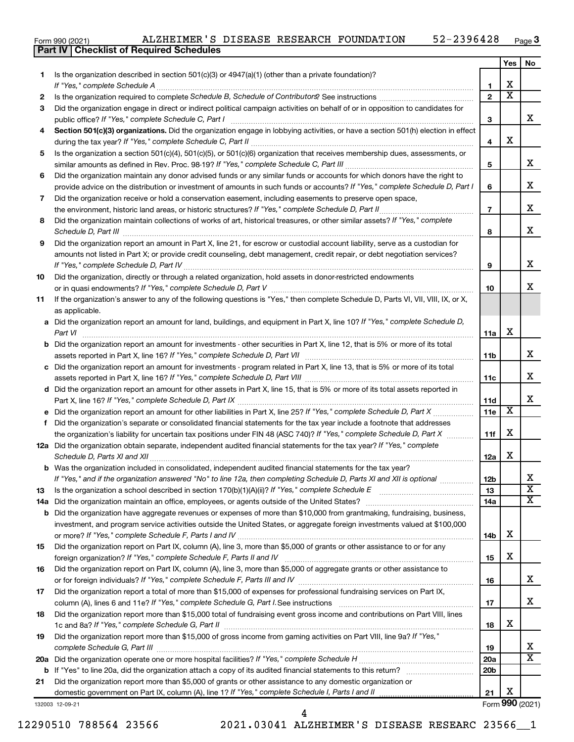Form 990 (2021) ALZHEIMER'S DISEASE RESEARCH FOUNDATION 52-2396428 <sub>Page</sub>

|    | Part IV   Checklist of Required Schedules                                                                                                                                                                                      |                               |                       |                         |
|----|--------------------------------------------------------------------------------------------------------------------------------------------------------------------------------------------------------------------------------|-------------------------------|-----------------------|-------------------------|
|    |                                                                                                                                                                                                                                |                               | Yes                   | No.                     |
| 1. | Is the organization described in section $501(c)(3)$ or $4947(a)(1)$ (other than a private foundation)?                                                                                                                        |                               |                       |                         |
|    |                                                                                                                                                                                                                                | 1                             | х                     |                         |
| 2  |                                                                                                                                                                                                                                | $\overline{2}$                | $\overline{\text{x}}$ |                         |
| 3  | Did the organization engage in direct or indirect political campaign activities on behalf of or in opposition to candidates for                                                                                                |                               |                       |                         |
|    |                                                                                                                                                                                                                                | 3                             |                       | x                       |
| 4  | Section 501(c)(3) organizations. Did the organization engage in lobbying activities, or have a section 501(h) election in effect                                                                                               |                               |                       |                         |
|    |                                                                                                                                                                                                                                | 4                             | х                     |                         |
| 5  | Is the organization a section 501(c)(4), 501(c)(5), or 501(c)(6) organization that receives membership dues, assessments, or                                                                                                   |                               |                       |                         |
|    |                                                                                                                                                                                                                                | 5                             |                       | x                       |
| 6  | Did the organization maintain any donor advised funds or any similar funds or accounts for which donors have the right to                                                                                                      |                               |                       |                         |
|    | provide advice on the distribution or investment of amounts in such funds or accounts? If "Yes," complete Schedule D, Part I                                                                                                   | 6                             |                       | х                       |
| 7  | Did the organization receive or hold a conservation easement, including easements to preserve open space,                                                                                                                      |                               |                       |                         |
|    |                                                                                                                                                                                                                                | $\overline{7}$                |                       | х                       |
| 8  | Did the organization maintain collections of works of art, historical treasures, or other similar assets? If "Yes," complete                                                                                                   |                               |                       |                         |
|    | Schedule D, Part III <b>Marting Commission Commission Commission</b> Commission Commission Commission Commission                                                                                                               | 8                             |                       | х                       |
| 9  | Did the organization report an amount in Part X, line 21, for escrow or custodial account liability, serve as a custodian for                                                                                                  |                               |                       |                         |
|    | amounts not listed in Part X; or provide credit counseling, debt management, credit repair, or debt negotiation services?                                                                                                      |                               |                       |                         |
|    | If "Yes," complete Schedule D, Part IV [[11] Marrior manufacture manufacture Schedule D, Part IV [[11] Marrior manufacture manufacture manufacture manufacture manufacture manufacture manufacture manufacture manufacture man | 9                             |                       | x                       |
| 10 | Did the organization, directly or through a related organization, hold assets in donor-restricted endowments                                                                                                                   |                               |                       |                         |
|    |                                                                                                                                                                                                                                | 10                            |                       | x                       |
| 11 | If the organization's answer to any of the following questions is "Yes," then complete Schedule D, Parts VI, VII, VIII, IX, or X,                                                                                              |                               |                       |                         |
|    | as applicable.                                                                                                                                                                                                                 |                               |                       |                         |
|    | a Did the organization report an amount for land, buildings, and equipment in Part X, line 10? If "Yes," complete Schedule D,                                                                                                  |                               |                       |                         |
|    | Part VI                                                                                                                                                                                                                        | 11a                           | х                     |                         |
|    | <b>b</b> Did the organization report an amount for investments - other securities in Part X, line 12, that is 5% or more of its total                                                                                          |                               |                       |                         |
|    |                                                                                                                                                                                                                                | 11b                           |                       | x                       |
|    | c Did the organization report an amount for investments - program related in Part X, line 13, that is 5% or more of its total                                                                                                  |                               |                       |                         |
|    |                                                                                                                                                                                                                                | 11c                           |                       | x                       |
|    | d Did the organization report an amount for other assets in Part X, line 15, that is 5% or more of its total assets reported in                                                                                                |                               |                       |                         |
|    |                                                                                                                                                                                                                                | <b>11d</b>                    |                       | х                       |
|    |                                                                                                                                                                                                                                | 11e                           | X                     |                         |
| f  | Did the organization's separate or consolidated financial statements for the tax year include a footnote that addresses                                                                                                        |                               |                       |                         |
|    | the organization's liability for uncertain tax positions under FIN 48 (ASC 740)? If "Yes," complete Schedule D, Part X                                                                                                         | 11f                           | х                     |                         |
|    | 12a Did the organization obtain separate, independent audited financial statements for the tax year? If "Yes," complete                                                                                                        |                               |                       |                         |
|    |                                                                                                                                                                                                                                | 12a                           | х                     |                         |
|    | <b>b</b> Was the organization included in consolidated, independent audited financial statements for the tax year?                                                                                                             |                               |                       |                         |
|    | If "Yes," and if the organization answered "No" to line 12a, then completing Schedule D, Parts XI and XII is optional                                                                                                          | 12b                           |                       | х                       |
| 13 | Is the organization a school described in section 170(b)(1)(A)(ii)? If "Yes," complete Schedule E manual content content of the organization a school described in section 170(b)(1)(A)(ii)? If "Yes," complete Schedule E     | 13                            |                       | $\overline{\text{x}}$   |
|    |                                                                                                                                                                                                                                | 14a                           |                       | $\overline{\mathbf{X}}$ |
| b  | Did the organization have aggregate revenues or expenses of more than \$10,000 from grantmaking, fundraising, business,                                                                                                        |                               |                       |                         |
|    | investment, and program service activities outside the United States, or aggregate foreign investments valued at \$100,000                                                                                                     |                               |                       |                         |
|    |                                                                                                                                                                                                                                | 14b                           | х                     |                         |
| 15 | Did the organization report on Part IX, column (A), line 3, more than \$5,000 of grants or other assistance to or for any                                                                                                      |                               |                       |                         |
|    |                                                                                                                                                                                                                                | 15                            | х                     |                         |
| 16 | Did the organization report on Part IX, column (A), line 3, more than \$5,000 of aggregate grants or other assistance to                                                                                                       |                               |                       | x                       |
|    |                                                                                                                                                                                                                                | 16                            |                       |                         |
| 17 | Did the organization report a total of more than \$15,000 of expenses for professional fundraising services on Part IX,                                                                                                        |                               |                       | x                       |
|    |                                                                                                                                                                                                                                | 17                            |                       |                         |
| 18 | Did the organization report more than \$15,000 total of fundraising event gross income and contributions on Part VIII, lines                                                                                                   |                               | х                     |                         |
|    | Did the organization report more than \$15,000 of gross income from gaming activities on Part VIII, line 9a? If "Yes,"                                                                                                         | 18                            |                       |                         |
| 19 |                                                                                                                                                                                                                                |                               |                       | x                       |
|    |                                                                                                                                                                                                                                | 19                            |                       | X                       |
|    |                                                                                                                                                                                                                                | <b>20a</b><br>20 <sub>b</sub> |                       |                         |
| b  | Did the organization report more than \$5,000 of grants or other assistance to any domestic organization or                                                                                                                    |                               |                       |                         |
| 21 | domestic government on Part IX, column (A), line 1? If "Yes," complete Schedule I, Parts I and II                                                                                                                              | 21                            | х                     |                         |
|    | 132003 12-09-21                                                                                                                                                                                                                |                               |                       | Form 990 (2021)         |
|    |                                                                                                                                                                                                                                |                               |                       |                         |

12290510 788564 23566 2021.03041 ALZHEIMER'S DISEASE RESEARC 23566\_\_1 4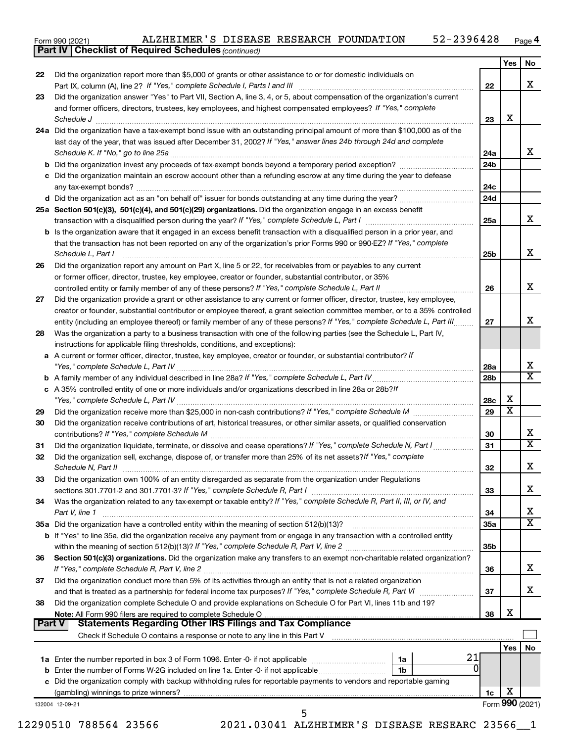$_{\rm Form}$ 990 $_{(2021)}$   $_{\rm ALZHEIMEK}$  is disease research foundation  $_{\rm 52-2396428}$   $_{\rm Page}$ **4** ALZHEIMER'S DISEASE RESEARCH FOUNDATION 52-2396428

*(continued)*

**Part IV Checklist of Required Schedules**

| Did the organization report more than \$5,000 of grants or other assistance to or for domestic individuals on<br>Did the organization answer "Yes" to Part VII, Section A, line 3, 4, or 5, about compensation of the organization's current<br>and former officers, directors, trustees, key employees, and highest compensated employees? If "Yes," complete | 22                                                                                                                                                                                                                                                                                                                                                                                                                                                                                                                                                                                                                                                                                                                                                                                                                                                                                                                                                                                                                                                                                                                                                                                                                                                                                                                                                                                                                                                                                                                                                                                                                                                                                               |                                                                                           | X                                        |
|----------------------------------------------------------------------------------------------------------------------------------------------------------------------------------------------------------------------------------------------------------------------------------------------------------------------------------------------------------------|--------------------------------------------------------------------------------------------------------------------------------------------------------------------------------------------------------------------------------------------------------------------------------------------------------------------------------------------------------------------------------------------------------------------------------------------------------------------------------------------------------------------------------------------------------------------------------------------------------------------------------------------------------------------------------------------------------------------------------------------------------------------------------------------------------------------------------------------------------------------------------------------------------------------------------------------------------------------------------------------------------------------------------------------------------------------------------------------------------------------------------------------------------------------------------------------------------------------------------------------------------------------------------------------------------------------------------------------------------------------------------------------------------------------------------------------------------------------------------------------------------------------------------------------------------------------------------------------------------------------------------------------------------------------------------------------------|-------------------------------------------------------------------------------------------|------------------------------------------|
|                                                                                                                                                                                                                                                                                                                                                                |                                                                                                                                                                                                                                                                                                                                                                                                                                                                                                                                                                                                                                                                                                                                                                                                                                                                                                                                                                                                                                                                                                                                                                                                                                                                                                                                                                                                                                                                                                                                                                                                                                                                                                  |                                                                                           |                                          |
|                                                                                                                                                                                                                                                                                                                                                                |                                                                                                                                                                                                                                                                                                                                                                                                                                                                                                                                                                                                                                                                                                                                                                                                                                                                                                                                                                                                                                                                                                                                                                                                                                                                                                                                                                                                                                                                                                                                                                                                                                                                                                  |                                                                                           |                                          |
|                                                                                                                                                                                                                                                                                                                                                                |                                                                                                                                                                                                                                                                                                                                                                                                                                                                                                                                                                                                                                                                                                                                                                                                                                                                                                                                                                                                                                                                                                                                                                                                                                                                                                                                                                                                                                                                                                                                                                                                                                                                                                  |                                                                                           |                                          |
|                                                                                                                                                                                                                                                                                                                                                                | 23                                                                                                                                                                                                                                                                                                                                                                                                                                                                                                                                                                                                                                                                                                                                                                                                                                                                                                                                                                                                                                                                                                                                                                                                                                                                                                                                                                                                                                                                                                                                                                                                                                                                                               | X                                                                                         |                                          |
| Schedule J <b>Martin Communication Communication</b> Contract of the Communication Communication Communication Communication<br>24a Did the organization have a tax-exempt bond issue with an outstanding principal amount of more than \$100,000 as of the                                                                                                    |                                                                                                                                                                                                                                                                                                                                                                                                                                                                                                                                                                                                                                                                                                                                                                                                                                                                                                                                                                                                                                                                                                                                                                                                                                                                                                                                                                                                                                                                                                                                                                                                                                                                                                  |                                                                                           |                                          |
| last day of the year, that was issued after December 31, 2002? If "Yes," answer lines 24b through 24d and complete                                                                                                                                                                                                                                             |                                                                                                                                                                                                                                                                                                                                                                                                                                                                                                                                                                                                                                                                                                                                                                                                                                                                                                                                                                                                                                                                                                                                                                                                                                                                                                                                                                                                                                                                                                                                                                                                                                                                                                  |                                                                                           |                                          |
|                                                                                                                                                                                                                                                                                                                                                                | 24a                                                                                                                                                                                                                                                                                                                                                                                                                                                                                                                                                                                                                                                                                                                                                                                                                                                                                                                                                                                                                                                                                                                                                                                                                                                                                                                                                                                                                                                                                                                                                                                                                                                                                              |                                                                                           |                                          |
| <b>b</b> Did the organization invest any proceeds of tax-exempt bonds beyond a temporary period exception?                                                                                                                                                                                                                                                     | 24b                                                                                                                                                                                                                                                                                                                                                                                                                                                                                                                                                                                                                                                                                                                                                                                                                                                                                                                                                                                                                                                                                                                                                                                                                                                                                                                                                                                                                                                                                                                                                                                                                                                                                              |                                                                                           |                                          |
| c Did the organization maintain an escrow account other than a refunding escrow at any time during the year to defease                                                                                                                                                                                                                                         |                                                                                                                                                                                                                                                                                                                                                                                                                                                                                                                                                                                                                                                                                                                                                                                                                                                                                                                                                                                                                                                                                                                                                                                                                                                                                                                                                                                                                                                                                                                                                                                                                                                                                                  |                                                                                           |                                          |
|                                                                                                                                                                                                                                                                                                                                                                | 24c                                                                                                                                                                                                                                                                                                                                                                                                                                                                                                                                                                                                                                                                                                                                                                                                                                                                                                                                                                                                                                                                                                                                                                                                                                                                                                                                                                                                                                                                                                                                                                                                                                                                                              |                                                                                           |                                          |
|                                                                                                                                                                                                                                                                                                                                                                |                                                                                                                                                                                                                                                                                                                                                                                                                                                                                                                                                                                                                                                                                                                                                                                                                                                                                                                                                                                                                                                                                                                                                                                                                                                                                                                                                                                                                                                                                                                                                                                                                                                                                                  |                                                                                           |                                          |
|                                                                                                                                                                                                                                                                                                                                                                |                                                                                                                                                                                                                                                                                                                                                                                                                                                                                                                                                                                                                                                                                                                                                                                                                                                                                                                                                                                                                                                                                                                                                                                                                                                                                                                                                                                                                                                                                                                                                                                                                                                                                                  |                                                                                           |                                          |
|                                                                                                                                                                                                                                                                                                                                                                |                                                                                                                                                                                                                                                                                                                                                                                                                                                                                                                                                                                                                                                                                                                                                                                                                                                                                                                                                                                                                                                                                                                                                                                                                                                                                                                                                                                                                                                                                                                                                                                                                                                                                                  |                                                                                           |                                          |
| that the transaction has not been reported on any of the organization's prior Forms 990 or 990-EZ? If "Yes," complete                                                                                                                                                                                                                                          |                                                                                                                                                                                                                                                                                                                                                                                                                                                                                                                                                                                                                                                                                                                                                                                                                                                                                                                                                                                                                                                                                                                                                                                                                                                                                                                                                                                                                                                                                                                                                                                                                                                                                                  |                                                                                           |                                          |
|                                                                                                                                                                                                                                                                                                                                                                |                                                                                                                                                                                                                                                                                                                                                                                                                                                                                                                                                                                                                                                                                                                                                                                                                                                                                                                                                                                                                                                                                                                                                                                                                                                                                                                                                                                                                                                                                                                                                                                                                                                                                                  |                                                                                           |                                          |
|                                                                                                                                                                                                                                                                                                                                                                |                                                                                                                                                                                                                                                                                                                                                                                                                                                                                                                                                                                                                                                                                                                                                                                                                                                                                                                                                                                                                                                                                                                                                                                                                                                                                                                                                                                                                                                                                                                                                                                                                                                                                                  |                                                                                           |                                          |
|                                                                                                                                                                                                                                                                                                                                                                |                                                                                                                                                                                                                                                                                                                                                                                                                                                                                                                                                                                                                                                                                                                                                                                                                                                                                                                                                                                                                                                                                                                                                                                                                                                                                                                                                                                                                                                                                                                                                                                                                                                                                                  |                                                                                           |                                          |
|                                                                                                                                                                                                                                                                                                                                                                |                                                                                                                                                                                                                                                                                                                                                                                                                                                                                                                                                                                                                                                                                                                                                                                                                                                                                                                                                                                                                                                                                                                                                                                                                                                                                                                                                                                                                                                                                                                                                                                                                                                                                                  |                                                                                           |                                          |
|                                                                                                                                                                                                                                                                                                                                                                |                                                                                                                                                                                                                                                                                                                                                                                                                                                                                                                                                                                                                                                                                                                                                                                                                                                                                                                                                                                                                                                                                                                                                                                                                                                                                                                                                                                                                                                                                                                                                                                                                                                                                                  |                                                                                           |                                          |
|                                                                                                                                                                                                                                                                                                                                                                | 27                                                                                                                                                                                                                                                                                                                                                                                                                                                                                                                                                                                                                                                                                                                                                                                                                                                                                                                                                                                                                                                                                                                                                                                                                                                                                                                                                                                                                                                                                                                                                                                                                                                                                               |                                                                                           |                                          |
| Was the organization a party to a business transaction with one of the following parties (see the Schedule L, Part IV,                                                                                                                                                                                                                                         |                                                                                                                                                                                                                                                                                                                                                                                                                                                                                                                                                                                                                                                                                                                                                                                                                                                                                                                                                                                                                                                                                                                                                                                                                                                                                                                                                                                                                                                                                                                                                                                                                                                                                                  |                                                                                           |                                          |
| instructions for applicable filing thresholds, conditions, and exceptions):                                                                                                                                                                                                                                                                                    |                                                                                                                                                                                                                                                                                                                                                                                                                                                                                                                                                                                                                                                                                                                                                                                                                                                                                                                                                                                                                                                                                                                                                                                                                                                                                                                                                                                                                                                                                                                                                                                                                                                                                                  |                                                                                           |                                          |
| a A current or former officer, director, trustee, key employee, creator or founder, or substantial contributor? If                                                                                                                                                                                                                                             |                                                                                                                                                                                                                                                                                                                                                                                                                                                                                                                                                                                                                                                                                                                                                                                                                                                                                                                                                                                                                                                                                                                                                                                                                                                                                                                                                                                                                                                                                                                                                                                                                                                                                                  |                                                                                           |                                          |
|                                                                                                                                                                                                                                                                                                                                                                | 28a                                                                                                                                                                                                                                                                                                                                                                                                                                                                                                                                                                                                                                                                                                                                                                                                                                                                                                                                                                                                                                                                                                                                                                                                                                                                                                                                                                                                                                                                                                                                                                                                                                                                                              |                                                                                           |                                          |
|                                                                                                                                                                                                                                                                                                                                                                | 28 <sub>b</sub>                                                                                                                                                                                                                                                                                                                                                                                                                                                                                                                                                                                                                                                                                                                                                                                                                                                                                                                                                                                                                                                                                                                                                                                                                                                                                                                                                                                                                                                                                                                                                                                                                                                                                  |                                                                                           |                                          |
| c A 35% controlled entity of one or more individuals and/or organizations described in line 28a or 28b?!f                                                                                                                                                                                                                                                      |                                                                                                                                                                                                                                                                                                                                                                                                                                                                                                                                                                                                                                                                                                                                                                                                                                                                                                                                                                                                                                                                                                                                                                                                                                                                                                                                                                                                                                                                                                                                                                                                                                                                                                  |                                                                                           |                                          |
|                                                                                                                                                                                                                                                                                                                                                                | 28c                                                                                                                                                                                                                                                                                                                                                                                                                                                                                                                                                                                                                                                                                                                                                                                                                                                                                                                                                                                                                                                                                                                                                                                                                                                                                                                                                                                                                                                                                                                                                                                                                                                                                              |                                                                                           |                                          |
|                                                                                                                                                                                                                                                                                                                                                                |                                                                                                                                                                                                                                                                                                                                                                                                                                                                                                                                                                                                                                                                                                                                                                                                                                                                                                                                                                                                                                                                                                                                                                                                                                                                                                                                                                                                                                                                                                                                                                                                                                                                                                  |                                                                                           |                                          |
|                                                                                                                                                                                                                                                                                                                                                                |                                                                                                                                                                                                                                                                                                                                                                                                                                                                                                                                                                                                                                                                                                                                                                                                                                                                                                                                                                                                                                                                                                                                                                                                                                                                                                                                                                                                                                                                                                                                                                                                                                                                                                  |                                                                                           |                                          |
|                                                                                                                                                                                                                                                                                                                                                                | 31                                                                                                                                                                                                                                                                                                                                                                                                                                                                                                                                                                                                                                                                                                                                                                                                                                                                                                                                                                                                                                                                                                                                                                                                                                                                                                                                                                                                                                                                                                                                                                                                                                                                                               |                                                                                           |                                          |
| Did the organization sell, exchange, dispose of, or transfer more than 25% of its net assets? If "Yes," complete                                                                                                                                                                                                                                               |                                                                                                                                                                                                                                                                                                                                                                                                                                                                                                                                                                                                                                                                                                                                                                                                                                                                                                                                                                                                                                                                                                                                                                                                                                                                                                                                                                                                                                                                                                                                                                                                                                                                                                  |                                                                                           |                                          |
|                                                                                                                                                                                                                                                                                                                                                                | 32                                                                                                                                                                                                                                                                                                                                                                                                                                                                                                                                                                                                                                                                                                                                                                                                                                                                                                                                                                                                                                                                                                                                                                                                                                                                                                                                                                                                                                                                                                                                                                                                                                                                                               |                                                                                           |                                          |
| Did the organization own 100% of an entity disregarded as separate from the organization under Regulations                                                                                                                                                                                                                                                     |                                                                                                                                                                                                                                                                                                                                                                                                                                                                                                                                                                                                                                                                                                                                                                                                                                                                                                                                                                                                                                                                                                                                                                                                                                                                                                                                                                                                                                                                                                                                                                                                                                                                                                  |                                                                                           |                                          |
|                                                                                                                                                                                                                                                                                                                                                                | 33                                                                                                                                                                                                                                                                                                                                                                                                                                                                                                                                                                                                                                                                                                                                                                                                                                                                                                                                                                                                                                                                                                                                                                                                                                                                                                                                                                                                                                                                                                                                                                                                                                                                                               |                                                                                           |                                          |
| Was the organization related to any tax-exempt or taxable entity? If "Yes," complete Schedule R, Part II, III, or IV, and                                                                                                                                                                                                                                      |                                                                                                                                                                                                                                                                                                                                                                                                                                                                                                                                                                                                                                                                                                                                                                                                                                                                                                                                                                                                                                                                                                                                                                                                                                                                                                                                                                                                                                                                                                                                                                                                                                                                                                  |                                                                                           |                                          |
| Part V, line 1                                                                                                                                                                                                                                                                                                                                                 | 34                                                                                                                                                                                                                                                                                                                                                                                                                                                                                                                                                                                                                                                                                                                                                                                                                                                                                                                                                                                                                                                                                                                                                                                                                                                                                                                                                                                                                                                                                                                                                                                                                                                                                               |                                                                                           |                                          |
| and a series of the contract of the contract of the contract of the contract of the contract of the contract o                                                                                                                                                                                                                                                 | 35a                                                                                                                                                                                                                                                                                                                                                                                                                                                                                                                                                                                                                                                                                                                                                                                                                                                                                                                                                                                                                                                                                                                                                                                                                                                                                                                                                                                                                                                                                                                                                                                                                                                                                              |                                                                                           |                                          |
|                                                                                                                                                                                                                                                                                                                                                                |                                                                                                                                                                                                                                                                                                                                                                                                                                                                                                                                                                                                                                                                                                                                                                                                                                                                                                                                                                                                                                                                                                                                                                                                                                                                                                                                                                                                                                                                                                                                                                                                                                                                                                  |                                                                                           |                                          |
|                                                                                                                                                                                                                                                                                                                                                                |                                                                                                                                                                                                                                                                                                                                                                                                                                                                                                                                                                                                                                                                                                                                                                                                                                                                                                                                                                                                                                                                                                                                                                                                                                                                                                                                                                                                                                                                                                                                                                                                                                                                                                  |                                                                                           |                                          |
|                                                                                                                                                                                                                                                                                                                                                                |                                                                                                                                                                                                                                                                                                                                                                                                                                                                                                                                                                                                                                                                                                                                                                                                                                                                                                                                                                                                                                                                                                                                                                                                                                                                                                                                                                                                                                                                                                                                                                                                                                                                                                  |                                                                                           |                                          |
|                                                                                                                                                                                                                                                                                                                                                                |                                                                                                                                                                                                                                                                                                                                                                                                                                                                                                                                                                                                                                                                                                                                                                                                                                                                                                                                                                                                                                                                                                                                                                                                                                                                                                                                                                                                                                                                                                                                                                                                                                                                                                  |                                                                                           |                                          |
|                                                                                                                                                                                                                                                                                                                                                                |                                                                                                                                                                                                                                                                                                                                                                                                                                                                                                                                                                                                                                                                                                                                                                                                                                                                                                                                                                                                                                                                                                                                                                                                                                                                                                                                                                                                                                                                                                                                                                                                                                                                                                  |                                                                                           |                                          |
|                                                                                                                                                                                                                                                                                                                                                                |                                                                                                                                                                                                                                                                                                                                                                                                                                                                                                                                                                                                                                                                                                                                                                                                                                                                                                                                                                                                                                                                                                                                                                                                                                                                                                                                                                                                                                                                                                                                                                                                                                                                                                  |                                                                                           |                                          |
|                                                                                                                                                                                                                                                                                                                                                                | 38                                                                                                                                                                                                                                                                                                                                                                                                                                                                                                                                                                                                                                                                                                                                                                                                                                                                                                                                                                                                                                                                                                                                                                                                                                                                                                                                                                                                                                                                                                                                                                                                                                                                                               | X                                                                                         |                                          |
| <b>Statements Regarding Other IRS Filings and Tax Compliance</b><br>Part V                                                                                                                                                                                                                                                                                     |                                                                                                                                                                                                                                                                                                                                                                                                                                                                                                                                                                                                                                                                                                                                                                                                                                                                                                                                                                                                                                                                                                                                                                                                                                                                                                                                                                                                                                                                                                                                                                                                                                                                                                  |                                                                                           |                                          |
|                                                                                                                                                                                                                                                                                                                                                                |                                                                                                                                                                                                                                                                                                                                                                                                                                                                                                                                                                                                                                                                                                                                                                                                                                                                                                                                                                                                                                                                                                                                                                                                                                                                                                                                                                                                                                                                                                                                                                                                                                                                                                  |                                                                                           |                                          |
| 1a                                                                                                                                                                                                                                                                                                                                                             |                                                                                                                                                                                                                                                                                                                                                                                                                                                                                                                                                                                                                                                                                                                                                                                                                                                                                                                                                                                                                                                                                                                                                                                                                                                                                                                                                                                                                                                                                                                                                                                                                                                                                                  |                                                                                           |                                          |
| 1b                                                                                                                                                                                                                                                                                                                                                             |                                                                                                                                                                                                                                                                                                                                                                                                                                                                                                                                                                                                                                                                                                                                                                                                                                                                                                                                                                                                                                                                                                                                                                                                                                                                                                                                                                                                                                                                                                                                                                                                                                                                                                  |                                                                                           |                                          |
| c Did the organization comply with backup withholding rules for reportable payments to vendors and reportable gaming                                                                                                                                                                                                                                           |                                                                                                                                                                                                                                                                                                                                                                                                                                                                                                                                                                                                                                                                                                                                                                                                                                                                                                                                                                                                                                                                                                                                                                                                                                                                                                                                                                                                                                                                                                                                                                                                                                                                                                  |                                                                                           |                                          |
|                                                                                                                                                                                                                                                                                                                                                                | 1c                                                                                                                                                                                                                                                                                                                                                                                                                                                                                                                                                                                                                                                                                                                                                                                                                                                                                                                                                                                                                                                                                                                                                                                                                                                                                                                                                                                                                                                                                                                                                                                                                                                                                               | х                                                                                         |                                          |
|                                                                                                                                                                                                                                                                                                                                                                | Form 990 (2021)                                                                                                                                                                                                                                                                                                                                                                                                                                                                                                                                                                                                                                                                                                                                                                                                                                                                                                                                                                                                                                                                                                                                                                                                                                                                                                                                                                                                                                                                                                                                                                                                                                                                                  |                                                                                           |                                          |
|                                                                                                                                                                                                                                                                                                                                                                | 25a Section 501(c)(3), 501(c)(4), and 501(c)(29) organizations. Did the organization engage in an excess benefit<br>b Is the organization aware that it engaged in an excess benefit transaction with a disqualified person in a prior year, and<br>Schedule L, Part I<br>Did the organization report any amount on Part X, line 5 or 22, for receivables from or payables to any current<br>or former officer, director, trustee, key employee, creator or founder, substantial contributor, or 35%<br>Did the organization provide a grant or other assistance to any current or former officer, director, trustee, key employee,<br>creator or founder, substantial contributor or employee thereof, a grant selection committee member, or to a 35% controlled<br>entity (including an employee thereof) or family member of any of these persons? If "Yes," complete Schedule L, Part III<br>Did the organization receive contributions of art, historical treasures, or other similar assets, or qualified conservation<br>35a Did the organization have a controlled entity within the meaning of section 512(b)(13)?<br>b If "Yes" to line 35a, did the organization receive any payment from or engage in any transaction with a controlled entity<br>Section 501(c)(3) organizations. Did the organization make any transfers to an exempt non-charitable related organization?<br>Did the organization conduct more than 5% of its activities through an entity that is not a related organization<br>Did the organization complete Schedule O and provide explanations on Schedule O for Part VI, lines 11b and 19?<br>Note: All Form 990 filers are required to complete Schedule O | 24d<br>25a<br>25 <sub>b</sub><br>26<br>29<br>30<br>35 <sub>b</sub><br>36<br>37<br>21<br>0 | х<br>$\overline{\text{x}}$<br><b>Yes</b> |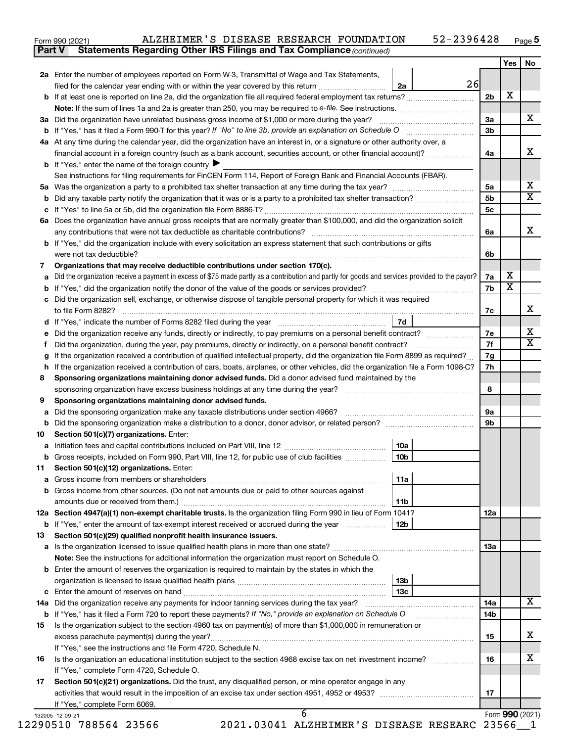| 52-2396428<br>ALZHEIMER'S DISEASE RESEARCH FOUNDATION<br>Form 990 (2021) | Page <b>ວ</b> |
|--------------------------------------------------------------------------|---------------|
|--------------------------------------------------------------------------|---------------|

**Part V** Statements Regarding Other IRS Filings and Tax Compliance (continued)

|     |                                                                                                                                                                                                                                                  |                 |    |                                  | Yes             | <b>No</b>               |  |  |  |  |
|-----|--------------------------------------------------------------------------------------------------------------------------------------------------------------------------------------------------------------------------------------------------|-----------------|----|----------------------------------|-----------------|-------------------------|--|--|--|--|
|     | 2a Enter the number of employees reported on Form W-3, Transmittal of Wage and Tax Statements,                                                                                                                                                   |                 | 26 |                                  |                 |                         |  |  |  |  |
|     | filed for the calendar year ending with or within the year covered by this return <i>manumumumum</i>                                                                                                                                             | 2a              |    |                                  |                 |                         |  |  |  |  |
|     |                                                                                                                                                                                                                                                  |                 |    | 2 <sub>b</sub>                   | х               |                         |  |  |  |  |
|     |                                                                                                                                                                                                                                                  |                 |    | 3a                               |                 | х                       |  |  |  |  |
|     | 3a Did the organization have unrelated business gross income of \$1,000 or more during the year?                                                                                                                                                 |                 |    |                                  |                 |                         |  |  |  |  |
| b   | 3 <sub>b</sub>                                                                                                                                                                                                                                   |                 |    |                                  |                 |                         |  |  |  |  |
|     | 4a At any time during the calendar year, did the organization have an interest in, or a signature or other authority over, a<br>financial account in a foreign country (such as a bank account, securities account, or other financial account)? |                 |    |                                  |                 |                         |  |  |  |  |
|     |                                                                                                                                                                                                                                                  |                 |    | 4a                               |                 | х                       |  |  |  |  |
|     | <b>b</b> If "Yes," enter the name of the foreign country $\blacktriangleright$                                                                                                                                                                   |                 |    |                                  |                 |                         |  |  |  |  |
|     | See instructions for filing requirements for FinCEN Form 114, Report of Foreign Bank and Financial Accounts (FBAR).                                                                                                                              |                 |    |                                  |                 | х                       |  |  |  |  |
|     |                                                                                                                                                                                                                                                  |                 |    | 5a                               |                 | $\overline{\texttt{x}}$ |  |  |  |  |
| b   |                                                                                                                                                                                                                                                  |                 |    | 5 <sub>b</sub><br>5 <sub>c</sub> |                 |                         |  |  |  |  |
|     |                                                                                                                                                                                                                                                  |                 |    |                                  |                 |                         |  |  |  |  |
|     | 6a Does the organization have annual gross receipts that are normally greater than \$100,000, and did the organization solicit                                                                                                                   |                 |    |                                  |                 | х                       |  |  |  |  |
|     |                                                                                                                                                                                                                                                  |                 |    | 6а                               |                 |                         |  |  |  |  |
|     | <b>b</b> If "Yes," did the organization include with every solicitation an express statement that such contributions or gifts<br>were not tax deductible?                                                                                        |                 |    | 6b                               |                 |                         |  |  |  |  |
| 7   | Organizations that may receive deductible contributions under section 170(c).                                                                                                                                                                    |                 |    |                                  |                 |                         |  |  |  |  |
| а   | Did the organization receive a payment in excess of \$75 made partly as a contribution and partly for goods and services provided to the payor?                                                                                                  |                 |    | 7a                               | х               |                         |  |  |  |  |
|     |                                                                                                                                                                                                                                                  |                 |    | 7b                               | X               |                         |  |  |  |  |
|     | c Did the organization sell, exchange, or otherwise dispose of tangible personal property for which it was required                                                                                                                              |                 |    |                                  |                 |                         |  |  |  |  |
|     |                                                                                                                                                                                                                                                  | 7d              |    | 7c                               |                 | x                       |  |  |  |  |
|     |                                                                                                                                                                                                                                                  |                 |    |                                  |                 | х                       |  |  |  |  |
| е   | Did the organization receive any funds, directly or indirectly, to pay premiums on a personal benefit contract?                                                                                                                                  |                 |    | 7e                               |                 | $\overline{\textbf{x}}$ |  |  |  |  |
| f.  |                                                                                                                                                                                                                                                  |                 |    | 7f                               |                 |                         |  |  |  |  |
| g   | If the organization received a contribution of qualified intellectual property, did the organization file Form 8899 as required?                                                                                                                 |                 |    | 7g                               |                 |                         |  |  |  |  |
|     | h If the organization received a contribution of cars, boats, airplanes, or other vehicles, did the organization file a Form 1098-C?                                                                                                             |                 |    | 7h                               |                 |                         |  |  |  |  |
| 8   | Sponsoring organizations maintaining donor advised funds. Did a donor advised fund maintained by the                                                                                                                                             |                 |    |                                  |                 |                         |  |  |  |  |
|     | sponsoring organization have excess business holdings at any time during the year?                                                                                                                                                               |                 |    | 8                                |                 |                         |  |  |  |  |
| 9   | Sponsoring organizations maintaining donor advised funds.                                                                                                                                                                                        |                 |    |                                  |                 |                         |  |  |  |  |
| а   | Did the sponsoring organization make any taxable distributions under section 4966?                                                                                                                                                               |                 |    | 9а                               |                 |                         |  |  |  |  |
| b   |                                                                                                                                                                                                                                                  |                 |    | 9b                               |                 |                         |  |  |  |  |
| 10  | Section 501(c)(7) organizations. Enter:                                                                                                                                                                                                          |                 |    |                                  |                 |                         |  |  |  |  |
| а   |                                                                                                                                                                                                                                                  | 10a             |    |                                  |                 |                         |  |  |  |  |
| b   | Gross receipts, included on Form 990, Part VIII, line 12, for public use of club facilities                                                                                                                                                      | 10 <sub>b</sub> |    |                                  |                 |                         |  |  |  |  |
| 11  | Section 501(c)(12) organizations. Enter:                                                                                                                                                                                                         |                 |    |                                  |                 |                         |  |  |  |  |
| а   | Gross income from members or shareholders                                                                                                                                                                                                        | 11a             |    |                                  |                 |                         |  |  |  |  |
|     | <b>b</b> Gross income from other sources. (Do not net amounts due or paid to other sources against                                                                                                                                               |                 |    |                                  |                 |                         |  |  |  |  |
|     |                                                                                                                                                                                                                                                  | 11b             |    |                                  |                 |                         |  |  |  |  |
|     | 12a Section 4947(a)(1) non-exempt charitable trusts. Is the organization filing Form 990 in lieu of Form 1041?                                                                                                                                   |                 |    | 12a                              |                 |                         |  |  |  |  |
|     |                                                                                                                                                                                                                                                  |                 |    |                                  |                 |                         |  |  |  |  |
| 13  | Section 501(c)(29) qualified nonprofit health insurance issuers.                                                                                                                                                                                 |                 |    |                                  |                 |                         |  |  |  |  |
|     | <b>a</b> Is the organization licensed to issue qualified health plans in more than one state?                                                                                                                                                    |                 |    | 13a                              |                 |                         |  |  |  |  |
|     | Note: See the instructions for additional information the organization must report on Schedule O.                                                                                                                                                |                 |    |                                  |                 |                         |  |  |  |  |
|     | <b>b</b> Enter the amount of reserves the organization is required to maintain by the states in which the                                                                                                                                        |                 |    |                                  |                 |                         |  |  |  |  |
|     |                                                                                                                                                                                                                                                  | 13b             |    |                                  |                 |                         |  |  |  |  |
|     |                                                                                                                                                                                                                                                  |                 |    |                                  |                 |                         |  |  |  |  |
| 14a |                                                                                                                                                                                                                                                  |                 |    | 14a                              |                 | X                       |  |  |  |  |
|     | b If "Yes," has it filed a Form 720 to report these payments? If "No," provide an explanation on Schedule O                                                                                                                                      |                 |    | 14 <sub>b</sub>                  |                 |                         |  |  |  |  |
| 15  | Is the organization subject to the section 4960 tax on payment(s) of more than \$1,000,000 in remuneration or                                                                                                                                    |                 |    |                                  |                 |                         |  |  |  |  |
|     |                                                                                                                                                                                                                                                  |                 |    | 15                               |                 | x                       |  |  |  |  |
|     | If "Yes," see the instructions and file Form 4720, Schedule N.                                                                                                                                                                                   |                 |    |                                  |                 |                         |  |  |  |  |
| 16  | Is the organization an educational institution subject to the section 4968 excise tax on net investment income?                                                                                                                                  |                 |    | 16                               |                 | x                       |  |  |  |  |
|     | If "Yes," complete Form 4720, Schedule O.                                                                                                                                                                                                        |                 |    |                                  |                 |                         |  |  |  |  |
|     | Section 501(c)(21) organizations. Did the trust, any disqualified person, or mine operator engage in any                                                                                                                                         |                 |    |                                  |                 |                         |  |  |  |  |
|     |                                                                                                                                                                                                                                                  |                 |    |                                  |                 |                         |  |  |  |  |
| 17  |                                                                                                                                                                                                                                                  |                 |    | 17                               |                 |                         |  |  |  |  |
|     | If "Yes," complete Form 6069.<br>6                                                                                                                                                                                                               |                 |    |                                  | Form 990 (2021) |                         |  |  |  |  |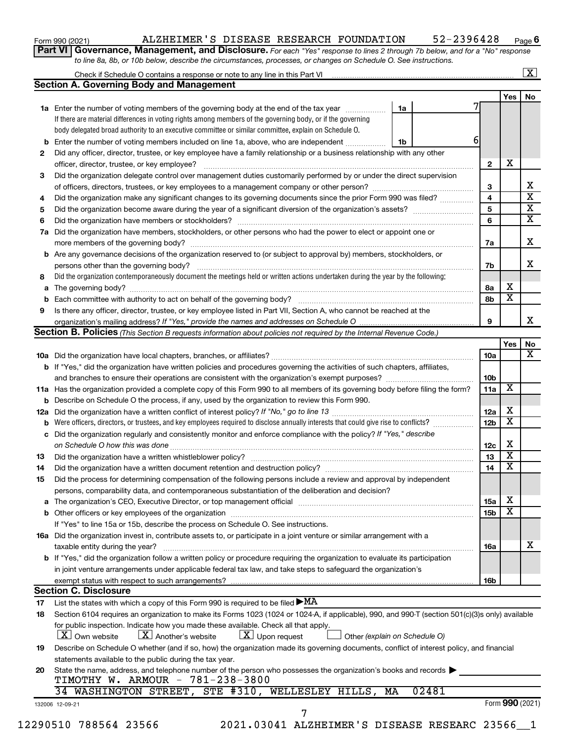| Form 990 (2021) |  |  |
|-----------------|--|--|
|-----------------|--|--|

## Form 990 (2021) ALZHEIMER'S DISEASE RESEARCH FOUNDATION 52-2396428 <sub>Page</sub>

52-2396428 Page 6

**Part VI** Governance, Management, and Disclosure. For each "Yes" response to lines 2 through 7b below, and for a "No" response *to line 8a, 8b, or 10b below, describe the circumstances, processes, or changes on Schedule O. See instructions.*

|                                                                                                                                                                               |    |       |                 | Yes | No                   |
|-------------------------------------------------------------------------------------------------------------------------------------------------------------------------------|----|-------|-----------------|-----|----------------------|
| <b>1a</b> Enter the number of voting members of the governing body at the end of the tax year                                                                                 | 1a |       |                 |     |                      |
| If there are material differences in voting rights among members of the governing body, or if the governing                                                                   |    |       |                 |     |                      |
| body delegated broad authority to an executive committee or similar committee, explain on Schedule O.                                                                         |    |       |                 |     |                      |
| Enter the number of voting members included on line 1a, above, who are independent                                                                                            | 1b |       | 6               |     |                      |
| Did any officer, director, trustee, or key employee have a family relationship or a business relationship with any other                                                      |    |       |                 |     |                      |
| officer, director, trustee, or key employee?                                                                                                                                  |    |       | $\mathbf{2}$    | X   |                      |
|                                                                                                                                                                               |    |       |                 |     |                      |
| Did the organization delegate control over management duties customarily performed by or under the direct supervision                                                         |    |       |                 |     |                      |
|                                                                                                                                                                               |    |       | 3               |     |                      |
| Did the organization make any significant changes to its governing documents since the prior Form 990 was filed?                                                              |    |       | 4               |     |                      |
|                                                                                                                                                                               |    |       | 5               |     |                      |
|                                                                                                                                                                               |    |       | 6               |     |                      |
| Did the organization have members, stockholders, or other persons who had the power to elect or appoint one or                                                                |    |       |                 |     |                      |
|                                                                                                                                                                               |    |       | 7a              |     |                      |
| <b>b</b> Are any governance decisions of the organization reserved to (or subject to approval by) members, stockholders, or                                                   |    |       |                 |     |                      |
|                                                                                                                                                                               |    |       | 7b              |     |                      |
| Did the organization contemporaneously document the meetings held or written actions undertaken during the year by the following:                                             |    |       |                 |     |                      |
|                                                                                                                                                                               |    |       | 8а              | х   |                      |
|                                                                                                                                                                               |    |       | 8b              | х   |                      |
| Is there any officer, director, trustee, or key employee listed in Part VII, Section A, who cannot be reached at the                                                          |    |       |                 |     |                      |
|                                                                                                                                                                               |    |       | 9               |     |                      |
|                                                                                                                                                                               |    |       |                 |     |                      |
| <b>Section B. Policies</b> (This Section B requests information about policies not required by the Internal Revenue Code.)                                                    |    |       |                 |     |                      |
|                                                                                                                                                                               |    |       |                 | Yes |                      |
|                                                                                                                                                                               |    |       | 10a             |     |                      |
| <b>b</b> If "Yes," did the organization have written policies and procedures governing the activities of such chapters, affiliates,                                           |    |       |                 |     |                      |
|                                                                                                                                                                               |    |       | 10 <sub>b</sub> |     |                      |
| 11a Has the organization provided a complete copy of this Form 990 to all members of its governing body before filing the form?                                               |    |       | 11a             | X   |                      |
| <b>b</b> Describe on Schedule O the process, if any, used by the organization to review this Form 990.                                                                        |    |       |                 |     |                      |
|                                                                                                                                                                               |    |       | 12a             | х   |                      |
| <b>b</b> Were officers, directors, or trustees, and key employees required to disclose annually interests that could give rise to conflicts?                                  |    |       | 12 <sub>b</sub> | X   |                      |
| c Did the organization regularly and consistently monitor and enforce compliance with the policy? If "Yes," describe                                                          |    |       |                 |     |                      |
|                                                                                                                                                                               |    |       | 12c             | х   |                      |
|                                                                                                                                                                               |    |       | 13              | X   |                      |
| Did the organization have a written document retention and destruction policy? [11] manufaction in the organization have a written document retention and destruction policy? |    |       | 14              | X   |                      |
|                                                                                                                                                                               |    |       |                 |     |                      |
| Did the process for determining compensation of the following persons include a review and approval by independent                                                            |    |       |                 |     |                      |
| persons, comparability data, and contemporaneous substantiation of the deliberation and decision?                                                                             |    |       |                 |     |                      |
|                                                                                                                                                                               |    |       | <b>15a</b>      | х   |                      |
|                                                                                                                                                                               |    |       | 15 <sub>b</sub> | X   |                      |
| If "Yes" to line 15a or 15b, describe the process on Schedule O. See instructions.                                                                                            |    |       |                 |     |                      |
| 16a Did the organization invest in, contribute assets to, or participate in a joint venture or similar arrangement with a                                                     |    |       |                 |     |                      |
| taxable entity during the year?                                                                                                                                               |    |       | 16a             |     |                      |
| b If "Yes," did the organization follow a written policy or procedure requiring the organization to evaluate its participation                                                |    |       |                 |     |                      |
| in joint venture arrangements under applicable federal tax law, and take steps to safeguard the organization's                                                                |    |       |                 |     |                      |
| exempt status with respect to such arrangements?                                                                                                                              |    |       | 16b             |     |                      |
| <b>Section C. Disclosure</b>                                                                                                                                                  |    |       |                 |     |                      |
| List the states with which a copy of this Form 990 is required to be filed $\blacktriangleright$ MA                                                                           |    |       |                 |     |                      |
| Section 6104 requires an organization to make its Forms 1023 (1024 or 1024-A, if applicable), 990, and 990-T (section 501(c)(3)s only) available                              |    |       |                 |     |                      |
|                                                                                                                                                                               |    |       |                 |     |                      |
| for public inspection. Indicate how you made these available. Check all that apply.                                                                                           |    |       |                 |     |                      |
| $\lfloor x \rfloor$ Another's website<br>$\lfloor x \rfloor$ Upon request<br>$ \mathbf{X} $ Own website<br>Other (explain on Schedule O)                                      |    |       |                 |     |                      |
| Describe on Schedule O whether (and if so, how) the organization made its governing documents, conflict of interest policy, and financial                                     |    |       |                 |     |                      |
| statements available to the public during the tax year.                                                                                                                       |    |       |                 |     |                      |
| State the name, address, and telephone number of the person who possesses the organization's books and records                                                                |    |       |                 |     |                      |
| TIMOTHY W. ARMOUR - 781-238-3800                                                                                                                                              |    |       |                 |     |                      |
| 34 WASHINGTON STREET, STE #310, WELLESLEY HILLS,                                                                                                                              |    | 02481 |                 |     |                      |
|                                                                                                                                                                               |    |       |                 |     |                      |
|                                                                                                                                                                               |    | MA    |                 |     | Form 990 (2021)<br>7 |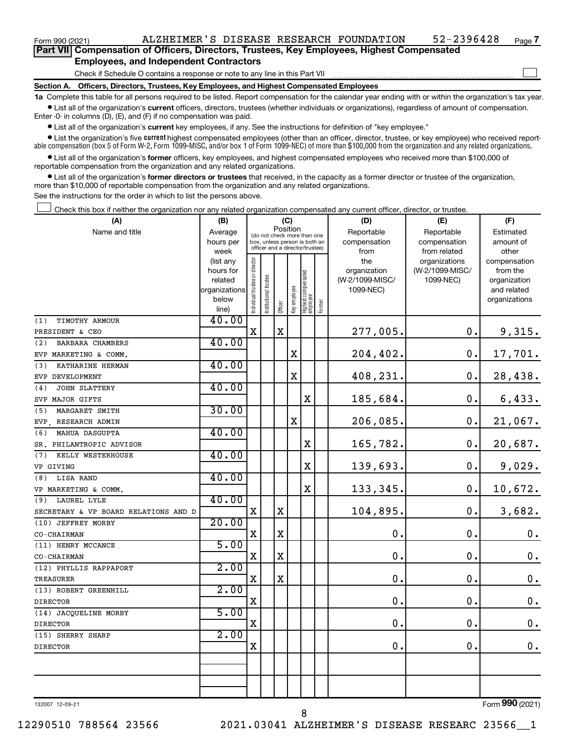Form 990 (2021) ALZHEIMER'S DISEASE RESEARCH FOUNDATION 52-2396428 <sub>Page</sub>

 $\Box$ 

| Part VII Compensation of Officers, Directors, Trustees, Key Employees, Highest Compensated |  |  |
|--------------------------------------------------------------------------------------------|--|--|
| <b>Employees, and Independent Contractors</b>                                              |  |  |

Check if Schedule O contains a response or note to any line in this Part VII

**Section A. Officers, Directors, Trustees, Key Employees, and Highest Compensated Employees**

**1a**  Complete this table for all persons required to be listed. Report compensation for the calendar year ending with or within the organization's tax year.  $\bullet$  List all of the organization's current officers, directors, trustees (whether individuals or organizations), regardless of amount of compensation.

Enter -0- in columns (D), (E), and (F) if no compensation was paid.

**•** List all of the organization's **current** key employees, if any. See the instructions for definition of "key employee."

• List the organization's five *current* highest compensated employees (other than an officer, director, trustee, or key employee) who received reportable compensation (box 5 of Form W-2, Form 1099-MISC, and/or box 1 of Form 1099-NEC) of more than \$100,000 from the organization and any related organizations.

 $\bullet$  List all of the organization's former officers, key employees, and highest compensated employees who received more than \$100,000 of reportable compensation from the organization and any related organizations.

**•** List all of the organization's former directors or trustees that received, in the capacity as a former director or trustee of the organization, more than \$10,000 of reportable compensation from the organization and any related organizations.

See the instructions for the order in which to list the persons above.

Check this box if neither the organization nor any related organization compensated any current officer, director, or trustee.  $\Box$ 

| (A)                                  | (B)                    |                                         |                                                                  | (C)         |              |                                   |        | (D)             | (E)                              | (F)                      |
|--------------------------------------|------------------------|-----------------------------------------|------------------------------------------------------------------|-------------|--------------|-----------------------------------|--------|-----------------|----------------------------------|--------------------------|
| Name and title                       | Average                | Position<br>(do not check more than one |                                                                  |             |              |                                   |        | Reportable      | Reportable                       | Estimated                |
|                                      | hours per              |                                         | box, unless person is both an<br>officer and a director/trustee) |             |              |                                   |        | compensation    | compensation                     | amount of                |
|                                      | week                   |                                         |                                                                  |             |              |                                   |        | from<br>the     | from related                     | other                    |
|                                      | (list any<br>hours for |                                         |                                                                  |             |              |                                   |        | organization    | organizations<br>(W-2/1099-MISC/ | compensation<br>from the |
|                                      | related                |                                         |                                                                  |             |              |                                   |        | (W-2/1099-MISC/ | 1099-NEC)                        | organization             |
|                                      | organizations          |                                         |                                                                  |             |              |                                   |        | 1099-NEC)       |                                  | and related              |
|                                      | below                  | Individual trustee or director          | Institutional trustee                                            |             | Key employee |                                   |        |                 |                                  | organizations            |
|                                      | line)                  |                                         |                                                                  | Officer     |              | Highest compensated<br>  employee | Former |                 |                                  |                          |
| (1)<br>TIMOTHY ARMOUR                | 40.00                  |                                         |                                                                  |             |              |                                   |        |                 |                                  |                          |
| PRESIDENT & CEO                      |                        | $\mathbf X$                             |                                                                  | $\mathbf X$ |              |                                   |        | 277,005.        | 0.                               | 9,315.                   |
| BARBARA CHAMBERS<br>(2)              | 40.00                  |                                         |                                                                  |             |              |                                   |        |                 |                                  |                          |
| EVP MARKETING & COMM.                |                        |                                         |                                                                  |             | X            |                                   |        | 204,402.        | 0.                               | 17,701.                  |
| (3)<br>KATHARINE HERMAN              | 40.00                  |                                         |                                                                  |             |              |                                   |        |                 |                                  |                          |
| EVP DEVELOPMENT                      |                        |                                         |                                                                  |             | $\mathbf X$  |                                   |        | 408,231.        | 0.                               | 28,438.                  |
| JOHN SLATTERY<br>(4)                 | 40.00                  |                                         |                                                                  |             |              |                                   |        |                 |                                  |                          |
| SVP MAJOR GIFTS                      |                        |                                         |                                                                  |             |              | X                                 |        | 185,684.        | 0.                               | 6,433.                   |
| (5)<br>MARGARET SMITH                | 30.00                  |                                         |                                                                  |             |              |                                   |        |                 |                                  |                          |
| EVP, RESEARCH ADMIN                  |                        |                                         |                                                                  |             | $\mathbf X$  |                                   |        | 206,085.        | 0.                               | 21,067.                  |
| (6)<br>MAHUA DASGUPTA                | 40.00                  |                                         |                                                                  |             |              |                                   |        |                 |                                  |                          |
| SR. PHILANTROPIC ADVISOR             |                        |                                         |                                                                  |             |              | X                                 |        | 165,782.        | 0.                               | 20,687.                  |
| (7)<br>KELLY WESTERHOUSE             | 40.00                  |                                         |                                                                  |             |              |                                   |        |                 |                                  |                          |
| VP GIVING                            |                        |                                         |                                                                  |             |              | X                                 |        | 139,693.        | 0.                               | 9,029.                   |
| LISA RAND<br>(8)                     | 40.00                  |                                         |                                                                  |             |              |                                   |        |                 |                                  |                          |
| VP MARKETING & COMM.                 |                        |                                         |                                                                  |             |              | X                                 |        | 133,345.        | 0.                               | 10,672.                  |
| (9) LAUREL LYLE                      | 40.00                  |                                         |                                                                  |             |              |                                   |        |                 |                                  |                          |
| SECRETARY & VP BOARD RELATIONS AND D |                        | $\mathbf X$                             |                                                                  | X           |              |                                   |        | 104,895.        | 0.                               | 3,682.                   |
| (10) JEFFREY MORBY                   | 20.00                  |                                         |                                                                  |             |              |                                   |        |                 |                                  |                          |
| CO-CHAIRMAN                          |                        | $\mathbf X$                             |                                                                  | X           |              |                                   |        | $\mathbf 0$ .   | $\mathbf 0$ .                    | $\mathbf 0$ .            |
| (11) HENRY MCCANCE                   | 5.00                   |                                         |                                                                  |             |              |                                   |        |                 |                                  |                          |
| CO-CHAIRMAN                          |                        | $\mathbf X$                             |                                                                  | X           |              |                                   |        | $\mathbf 0$ .   | 0.                               | $\mathbf 0$ .            |
| (12) PHYLLIS RAPPAPORT               | 2.00                   |                                         |                                                                  |             |              |                                   |        |                 |                                  |                          |
| TREASURER                            |                        | $\mathbf X$                             |                                                                  | X           |              |                                   |        | $\mathbf 0$ .   | 0.                               | $\mathbf 0$ .            |
| (13) ROBERT GREENHILL                | 2.00                   |                                         |                                                                  |             |              |                                   |        |                 |                                  |                          |
| <b>DIRECTOR</b>                      |                        | $\mathbf X$                             |                                                                  |             |              |                                   |        | $\mathbf 0$ .   | 0.                               | $\mathbf 0$ .            |
| (14) JACQUELINE MORBY                | 5.00                   |                                         |                                                                  |             |              |                                   |        |                 |                                  |                          |
| <b>DIRECTOR</b>                      |                        | $\mathbf X$                             |                                                                  |             |              |                                   |        | $\mathbf 0$ .   | $\mathbf 0$ .                    | $\mathbf 0$ .            |
| (15) SHERRY SHARP                    | 2.00                   |                                         |                                                                  |             |              |                                   |        |                 |                                  |                          |
| <b>DIRECTOR</b>                      |                        | $\mathbf X$                             |                                                                  |             |              |                                   |        | 0.              | 0.                               | $\mathbf 0$ .            |
|                                      |                        |                                         |                                                                  |             |              |                                   |        |                 |                                  |                          |
|                                      |                        |                                         |                                                                  |             |              |                                   |        |                 |                                  |                          |
|                                      |                        |                                         |                                                                  |             |              |                                   |        |                 |                                  |                          |
|                                      |                        |                                         |                                                                  |             |              |                                   |        |                 |                                  |                          |

132007 12-09-21

8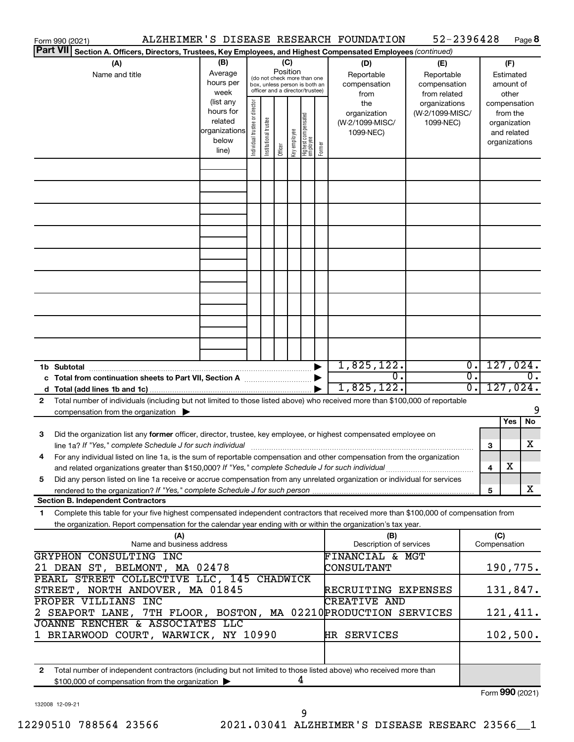|                                                                                                                           | Form 990 (2021)                                                                                                                             |                          |                             |                                 |  |  |   |     | ALZHEIMER'S DISEASE RESEARCH FOUNDATION | 52-2396428      |                  |                     | Page 8           |
|---------------------------------------------------------------------------------------------------------------------------|---------------------------------------------------------------------------------------------------------------------------------------------|--------------------------|-----------------------------|---------------------------------|--|--|---|-----|-----------------------------------------|-----------------|------------------|---------------------|------------------|
| <b>Part VII</b><br>Section A. Officers, Directors, Trustees, Key Employees, and Highest Compensated Employees (continued) |                                                                                                                                             |                          |                             |                                 |  |  |   |     |                                         |                 |                  |                     |                  |
| (B)<br>(A)<br>(C)<br>(D)<br>Position                                                                                      |                                                                                                                                             |                          |                             |                                 |  |  |   | (E) |                                         |                 | (F)              |                     |                  |
|                                                                                                                           | Name and title                                                                                                                              | Average                  | (do not check more than one |                                 |  |  |   |     | Reportable                              | Reportable      |                  | Estimated           |                  |
|                                                                                                                           |                                                                                                                                             | hours per                |                             | box, unless person is both an   |  |  |   |     | compensation                            | compensation    |                  |                     | amount of        |
|                                                                                                                           |                                                                                                                                             | week                     |                             | officer and a director/trustee) |  |  |   |     | from                                    | from related    |                  |                     | other            |
|                                                                                                                           |                                                                                                                                             | (list any                |                             |                                 |  |  |   |     | the                                     | organizations   |                  |                     | compensation     |
|                                                                                                                           |                                                                                                                                             | hours for                |                             |                                 |  |  |   |     | organization                            | (W-2/1099-MISC/ |                  | from the            |                  |
|                                                                                                                           |                                                                                                                                             | related<br>organizations |                             |                                 |  |  |   |     | (W-2/1099-MISC/                         | 1099-NEC)       |                  | organization        |                  |
|                                                                                                                           |                                                                                                                                             | below                    |                             |                                 |  |  |   |     | 1099-NEC)                               |                 |                  |                     | and related      |
|                                                                                                                           | ndividual trustee or director<br>  Highest compensated<br>  employee<br>Institutional trustee<br>Key employee<br>Former<br>Officer<br>line) |                          |                             |                                 |  |  |   |     |                                         |                 |                  | organizations       |                  |
|                                                                                                                           |                                                                                                                                             |                          |                             |                                 |  |  |   |     |                                         |                 |                  |                     |                  |
|                                                                                                                           |                                                                                                                                             |                          |                             |                                 |  |  |   |     |                                         |                 |                  |                     |                  |
|                                                                                                                           |                                                                                                                                             |                          |                             |                                 |  |  |   |     |                                         |                 |                  |                     |                  |
|                                                                                                                           |                                                                                                                                             |                          |                             |                                 |  |  |   |     |                                         |                 |                  |                     |                  |
|                                                                                                                           |                                                                                                                                             |                          |                             |                                 |  |  |   |     |                                         |                 |                  |                     |                  |
|                                                                                                                           |                                                                                                                                             |                          |                             |                                 |  |  |   |     |                                         |                 |                  |                     |                  |
|                                                                                                                           |                                                                                                                                             |                          |                             |                                 |  |  |   |     |                                         |                 |                  |                     |                  |
|                                                                                                                           |                                                                                                                                             |                          |                             |                                 |  |  |   |     |                                         |                 |                  |                     |                  |
|                                                                                                                           |                                                                                                                                             |                          |                             |                                 |  |  |   |     |                                         |                 |                  |                     |                  |
|                                                                                                                           |                                                                                                                                             |                          |                             |                                 |  |  |   |     |                                         |                 |                  |                     |                  |
|                                                                                                                           |                                                                                                                                             |                          |                             |                                 |  |  |   |     |                                         |                 |                  |                     |                  |
|                                                                                                                           |                                                                                                                                             |                          |                             |                                 |  |  |   |     |                                         |                 |                  |                     |                  |
|                                                                                                                           |                                                                                                                                             |                          |                             |                                 |  |  |   |     |                                         |                 |                  |                     |                  |
|                                                                                                                           |                                                                                                                                             |                          |                             |                                 |  |  |   |     |                                         |                 |                  |                     |                  |
|                                                                                                                           | 1b Subtotal                                                                                                                                 |                          |                             |                                 |  |  |   |     | 1,825,122.                              |                 | $\overline{0}$ . |                     | 127,024.         |
|                                                                                                                           |                                                                                                                                             |                          |                             |                                 |  |  |   |     | σ.                                      |                 | σ.               |                     | $\overline{0}$ . |
|                                                                                                                           |                                                                                                                                             |                          |                             |                                 |  |  |   |     | 1,825,122.                              |                 | $\overline{0}$ . |                     | 127,024.         |
| 2                                                                                                                         | Total number of individuals (including but not limited to those listed above) who received more than \$100,000 of reportable                |                          |                             |                                 |  |  |   |     |                                         |                 |                  |                     |                  |
|                                                                                                                           | compensation from the organization $\blacktriangleright$                                                                                    |                          |                             |                                 |  |  |   |     |                                         |                 |                  |                     | 9                |
|                                                                                                                           |                                                                                                                                             |                          |                             |                                 |  |  |   |     |                                         |                 |                  |                     | Yes<br>No        |
| 3                                                                                                                         | Did the organization list any former officer, director, trustee, key employee, or highest compensated employee on                           |                          |                             |                                 |  |  |   |     |                                         |                 |                  |                     |                  |
|                                                                                                                           | line 1a? If "Yes," complete Schedule J for such individual manufactured content to the successive complete schedule J for such individual   |                          |                             |                                 |  |  |   |     |                                         |                 |                  | 3                   | X                |
|                                                                                                                           | For any individual listed on line 1a, is the sum of reportable compensation and other compensation from the organization                    |                          |                             |                                 |  |  |   |     |                                         |                 |                  |                     |                  |
|                                                                                                                           | and related organizations greater than \$150,000? If "Yes," complete Schedule J for such individual                                         |                          |                             |                                 |  |  |   |     |                                         |                 |                  | 4                   | х                |
| 5                                                                                                                         | Did any person listed on line 1a receive or accrue compensation from any unrelated organization or individual for services                  |                          |                             |                                 |  |  |   |     |                                         |                 |                  |                     |                  |
|                                                                                                                           |                                                                                                                                             |                          |                             |                                 |  |  |   |     |                                         |                 |                  | 5                   | X                |
|                                                                                                                           | <b>Section B. Independent Contractors</b>                                                                                                   |                          |                             |                                 |  |  |   |     |                                         |                 |                  |                     |                  |
| 1                                                                                                                         | Complete this table for your five highest compensated independent contractors that received more than \$100,000 of compensation from        |                          |                             |                                 |  |  |   |     |                                         |                 |                  |                     |                  |
|                                                                                                                           | the organization. Report compensation for the calendar year ending with or within the organization's tax year.                              |                          |                             |                                 |  |  |   |     |                                         |                 |                  |                     |                  |
|                                                                                                                           | (A)<br>Name and business address                                                                                                            |                          |                             |                                 |  |  |   |     | (B)<br>Description of services          |                 |                  | (C)<br>Compensation |                  |
|                                                                                                                           | GRYPHON CONSULTING INC                                                                                                                      |                          |                             |                                 |  |  |   |     | FINANCIAL & MGT                         |                 |                  |                     |                  |
|                                                                                                                           | 21 DEAN ST, BELMONT, MA 02478                                                                                                               |                          |                             |                                 |  |  |   |     | CONSULTANT                              |                 |                  |                     | 190,775.         |
|                                                                                                                           | PEARL STREET COLLECTIVE LLC, 145 CHADWICK                                                                                                   |                          |                             |                                 |  |  |   |     |                                         |                 |                  |                     |                  |
|                                                                                                                           |                                                                                                                                             |                          |                             |                                 |  |  |   |     |                                         |                 |                  |                     |                  |
|                                                                                                                           | STREET, NORTH ANDOVER, MA 01845<br>RECRUITING EXPENSES                                                                                      |                          |                             |                                 |  |  |   |     |                                         |                 | 131,847.         |                     |                  |
|                                                                                                                           | PROPER VILLIANS INC<br><b>CREATIVE AND</b><br>2 SEAPORT LANE, 7TH FLOOR, BOSTON, MA 02210PRODUCTION SERVICES                                |                          |                             |                                 |  |  |   |     |                                         |                 |                  |                     |                  |
|                                                                                                                           |                                                                                                                                             |                          |                             |                                 |  |  |   |     |                                         |                 |                  |                     | 121,411.         |
|                                                                                                                           | JOANNE RENCHER & ASSOCIATES LLC                                                                                                             |                          |                             |                                 |  |  |   |     |                                         |                 |                  |                     |                  |
|                                                                                                                           | 1 BRIARWOOD COURT, WARWICK, NY 10990                                                                                                        |                          |                             |                                 |  |  |   |     | HR SERVICES                             |                 |                  |                     | 102,500.         |
|                                                                                                                           |                                                                                                                                             |                          |                             |                                 |  |  |   |     |                                         |                 |                  |                     |                  |
| $\mathbf{2}$                                                                                                              | Total number of independent contractors (including but not limited to those listed above) who received more than                            |                          |                             |                                 |  |  |   |     |                                         |                 |                  |                     |                  |
|                                                                                                                           | \$100,000 of compensation from the organization                                                                                             |                          |                             |                                 |  |  | 4 |     |                                         |                 |                  |                     | $000$ ( $001$ )  |

132008 12-09-21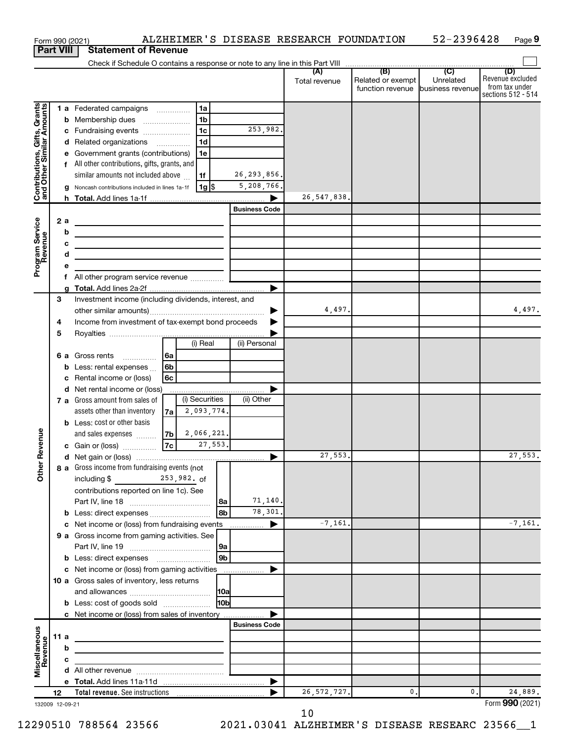|                                                           |                  |    | Form 990 (2021)                                                            |                |                      |               | ALZHEIMER'S DISEASE RESEARCH FOUNDATION |                                   | 52-2396428   | Page 9                                    |
|-----------------------------------------------------------|------------------|----|----------------------------------------------------------------------------|----------------|----------------------|---------------|-----------------------------------------|-----------------------------------|--------------|-------------------------------------------|
|                                                           | <b>Part VIII</b> |    | <b>Statement of Revenue</b>                                                |                |                      |               |                                         |                                   |              |                                           |
|                                                           |                  |    |                                                                            |                |                      |               |                                         |                                   |              |                                           |
|                                                           |                  |    |                                                                            |                |                      |               | Total revenue                           | Related or exempt                 | Unrelated    | (D)<br>Revenue excluded<br>from tax under |
|                                                           |                  |    |                                                                            |                |                      |               |                                         | function revenue business revenue |              | sections 512 - 514                        |
|                                                           |                  |    | 1 a Federated campaigns                                                    | 1a             |                      |               |                                         |                                   |              |                                           |
|                                                           |                  |    | <b>b</b> Membership dues                                                   | 1b             |                      |               |                                         |                                   |              |                                           |
|                                                           |                  |    | c Fundraising events                                                       | 1 <sub>c</sub> |                      | 253,982.      |                                         |                                   |              |                                           |
|                                                           |                  |    | d Related organizations                                                    | 1 <sub>d</sub> |                      |               |                                         |                                   |              |                                           |
| Contributions, Gifts, Grants<br>and Other Similar Amounts |                  |    | Government grants (contributions)                                          | 1е             |                      |               |                                         |                                   |              |                                           |
|                                                           |                  |    | f All other contributions, gifts, grants, and                              |                |                      |               |                                         |                                   |              |                                           |
|                                                           |                  |    | similar amounts not included above                                         | 1f             |                      | 26, 293, 856. |                                         |                                   |              |                                           |
|                                                           |                  |    | g Noncash contributions included in lines 1a-1f                            | 1g             |                      | 5,208,766.    |                                         |                                   |              |                                           |
|                                                           |                  |    |                                                                            |                |                      |               | 26, 547, 838.                           |                                   |              |                                           |
|                                                           |                  |    |                                                                            |                | <b>Business Code</b> |               |                                         |                                   |              |                                           |
|                                                           |                  | 2a |                                                                            |                |                      |               |                                         |                                   |              |                                           |
|                                                           |                  | b  | the control of the control of the control of the control of the control of |                |                      |               |                                         |                                   |              |                                           |
|                                                           |                  | c  | <u> 1989 - Johann Barbara, martxa alemaniar arg</u>                        |                |                      |               |                                         |                                   |              |                                           |
|                                                           |                  | d  | <u> 1989 - Johann Barbara, martxa alemaniar arg</u>                        |                |                      |               |                                         |                                   |              |                                           |
| Program Service<br>Revenue                                |                  | е  |                                                                            |                |                      |               |                                         |                                   |              |                                           |
|                                                           |                  | f  | All other program service revenue  [                                       |                |                      |               |                                         |                                   |              |                                           |
|                                                           |                  | a  |                                                                            |                |                      |               |                                         |                                   |              |                                           |
|                                                           | 3                |    | Investment income (including dividends, interest, and                      |                |                      |               |                                         |                                   |              |                                           |
|                                                           |                  |    |                                                                            |                |                      |               | 4,497.                                  |                                   |              | 4,497.                                    |
|                                                           | 4                |    | Income from investment of tax-exempt bond proceeds                         |                |                      |               |                                         |                                   |              |                                           |
|                                                           | 5                |    |                                                                            |                |                      |               |                                         |                                   |              |                                           |
|                                                           |                  |    |                                                                            | (i) Real       | (ii) Personal        |               |                                         |                                   |              |                                           |
|                                                           |                  |    | 6 a Gross rents<br>6a                                                      |                |                      |               |                                         |                                   |              |                                           |
|                                                           |                  |    | 6 <sub>b</sub><br>Less: rental expenses                                    |                |                      |               |                                         |                                   |              |                                           |
|                                                           |                  | c  | 6c<br>Rental income or (loss)                                              |                |                      |               |                                         |                                   |              |                                           |
|                                                           |                  |    | d Net rental income or (loss)                                              |                |                      |               |                                         |                                   |              |                                           |
|                                                           |                  |    | 7 a Gross amount from sales of                                             | (i) Securities | (ii) Other           |               |                                         |                                   |              |                                           |
|                                                           |                  |    | assets other than inventory<br>7a                                          | 2,093,774.     |                      |               |                                         |                                   |              |                                           |
|                                                           |                  |    | <b>b</b> Less: cost or other basis                                         |                |                      |               |                                         |                                   |              |                                           |
| evenue                                                    |                  |    | and sales expenses<br>7 <sub>b</sub>                                       | 2,066,221.     |                      |               |                                         |                                   |              |                                           |
|                                                           |                  |    | 7c<br>c Gain or (loss)                                                     | 27,553.        |                      |               |                                         |                                   |              |                                           |
|                                                           |                  |    |                                                                            |                |                      |               | 27,553.                                 |                                   |              | 27,553.                                   |
| Other <sub>R</sub>                                        |                  |    | 8 a Gross income from fundraising events (not                              |                |                      |               |                                         |                                   |              |                                           |
|                                                           |                  |    | including \$<br>$253,982.$ of                                              |                |                      |               |                                         |                                   |              |                                           |
|                                                           |                  |    | contributions reported on line 1c). See                                    |                |                      |               |                                         |                                   |              |                                           |
|                                                           |                  |    |                                                                            |                | 8a                   | 71,140.       |                                         |                                   |              |                                           |
|                                                           |                  |    | b Less: direct expenses                                                    |                | l 8b                 | 78,301.       |                                         |                                   |              |                                           |
|                                                           |                  | c  | Net income or (loss) from fundraising events                               |                |                      |               | $-7, 161.$                              |                                   |              | $-7, 161.$                                |
|                                                           |                  |    | 9 a Gross income from gaming activities. See                               |                |                      |               |                                         |                                   |              |                                           |
|                                                           |                  |    |                                                                            |                | 9a<br>9b             |               |                                         |                                   |              |                                           |
|                                                           |                  |    | c Net income or (loss) from gaming activities                              |                |                      |               |                                         |                                   |              |                                           |
|                                                           |                  |    | 10 a Gross sales of inventory, less returns                                |                |                      |               |                                         |                                   |              |                                           |
|                                                           |                  |    |                                                                            |                |                      |               |                                         |                                   |              |                                           |
|                                                           |                  |    | <b>b</b> Less: cost of goods sold                                          |                | 10 <sub>b</sub>      |               |                                         |                                   |              |                                           |
|                                                           |                  |    | <b>c</b> Net income or (loss) from sales of inventory                      |                |                      |               |                                         |                                   |              |                                           |
|                                                           |                  |    |                                                                            |                | <b>Business Code</b> |               |                                         |                                   |              |                                           |
| Miscellaneous<br>Revenue                                  | 11 a             |    |                                                                            |                |                      |               |                                         |                                   |              |                                           |
|                                                           |                  | b  |                                                                            |                |                      |               |                                         |                                   |              |                                           |
|                                                           |                  | c  |                                                                            |                |                      |               |                                         |                                   |              |                                           |
|                                                           |                  |    |                                                                            |                |                      |               |                                         |                                   |              |                                           |
|                                                           |                  |    |                                                                            |                |                      |               |                                         |                                   |              |                                           |
|                                                           | 12               |    |                                                                            |                |                      |               | 26, 572, 727.                           | 0.                                | $\mathbf{0}$ | 24,889.                                   |
| 132009 12-09-21                                           |                  |    |                                                                            |                |                      |               |                                         |                                   |              | Form 990 (2021)                           |

12-09-2

10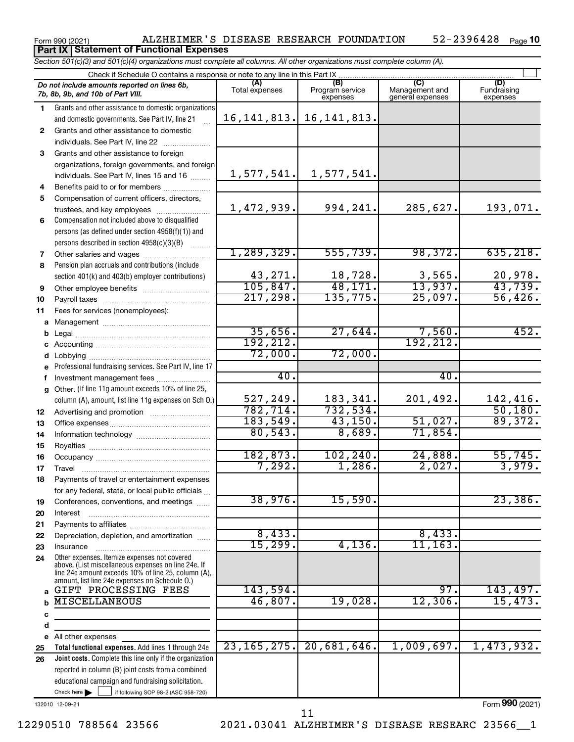### Form 990 (2021) ALZHEIMER'S DISEASE RESEARCH FOUNDATION 52-2396428 Page 52-2396428 Page 10 **Part IX Statement of Functional Expenses**

*Section 501(c)(3) and 501(c)(4) organizations must complete all columns. All other organizations must complete column (A).*

|              | Check if Schedule O contains a response or note to any line in this Part IX.                                                                                                                                 |                       |                             |                                    |                           |  |  |  |
|--------------|--------------------------------------------------------------------------------------------------------------------------------------------------------------------------------------------------------------|-----------------------|-----------------------------|------------------------------------|---------------------------|--|--|--|
|              | Do not include amounts reported on lines 6b,<br>7b, 8b, 9b, and 10b of Part VIII.                                                                                                                            | (A)<br>Total expenses | Program service<br>expenses | Management and<br>general expenses | Fundraising<br>expenses   |  |  |  |
| 1.           | Grants and other assistance to domestic organizations                                                                                                                                                        |                       |                             |                                    |                           |  |  |  |
|              | and domestic governments. See Part IV, line 21                                                                                                                                                               | 16, 141, 813.         | 16, 141, 813.               |                                    |                           |  |  |  |
| $\mathbf{2}$ | Grants and other assistance to domestic                                                                                                                                                                      |                       |                             |                                    |                           |  |  |  |
|              | individuals. See Part IV, line 22                                                                                                                                                                            |                       |                             |                                    |                           |  |  |  |
| 3            | Grants and other assistance to foreign                                                                                                                                                                       |                       |                             |                                    |                           |  |  |  |
|              | organizations, foreign governments, and foreign                                                                                                                                                              |                       |                             |                                    |                           |  |  |  |
|              | individuals. See Part IV, lines 15 and 16                                                                                                                                                                    | 1,577,541.            | 1,577,541.                  |                                    |                           |  |  |  |
| 4            |                                                                                                                                                                                                              |                       |                             |                                    |                           |  |  |  |
| 5            | Compensation of current officers, directors,                                                                                                                                                                 |                       |                             |                                    |                           |  |  |  |
|              | trustees, and key employees                                                                                                                                                                                  | 1,472,939.            | 994,241.                    | 285,627.                           | 193,071.                  |  |  |  |
| 6            | Compensation not included above to disqualified                                                                                                                                                              |                       |                             |                                    |                           |  |  |  |
|              | persons (as defined under section 4958(f)(1)) and                                                                                                                                                            |                       |                             |                                    |                           |  |  |  |
|              | persons described in section 4958(c)(3)(B)                                                                                                                                                                   |                       |                             |                                    |                           |  |  |  |
| 7            | Other salaries and wages                                                                                                                                                                                     | 1,289,329.            | 555,739.                    | 98,372.                            | 635, 218.                 |  |  |  |
| 8            | Pension plan accruals and contributions (include                                                                                                                                                             |                       |                             |                                    |                           |  |  |  |
|              | section 401(k) and 403(b) employer contributions)                                                                                                                                                            | 43,271.               | 18,728.                     | $\frac{3,565}{13,937}$             | $\frac{20,978.}{43,739.}$ |  |  |  |
| 9            | Other employee benefits                                                                                                                                                                                      | 105,847.              | 48,171.                     |                                    |                           |  |  |  |
| 10           |                                                                                                                                                                                                              | 217, 298.             | 135,775.                    | 25,097.                            | 56,426.                   |  |  |  |
| 11           | Fees for services (nonemployees):                                                                                                                                                                            |                       |                             |                                    |                           |  |  |  |
| a            |                                                                                                                                                                                                              |                       |                             |                                    |                           |  |  |  |
| b            |                                                                                                                                                                                                              | 35,656.<br>192,212.   | 27,644.                     | $\frac{7,560}{192,212}$            | 452.                      |  |  |  |
| c            |                                                                                                                                                                                                              | 72,000.               | 72,000.                     |                                    |                           |  |  |  |
|              | Lobbying                                                                                                                                                                                                     |                       |                             |                                    |                           |  |  |  |
| e            | Professional fundraising services. See Part IV, line 17                                                                                                                                                      | 40.                   |                             | 40.                                |                           |  |  |  |
| f            | Investment management fees                                                                                                                                                                                   |                       |                             |                                    |                           |  |  |  |
| $\mathbf{q}$ | Other. (If line 11g amount exceeds 10% of line 25,                                                                                                                                                           | 527,249.              | 183,341.                    | 201,492.                           | 142,416.                  |  |  |  |
|              | column (A), amount, list line 11g expenses on Sch O.)                                                                                                                                                        | 782,714.              | 732,534.                    |                                    | 50,180.                   |  |  |  |
| 12           |                                                                                                                                                                                                              | 183,549.              | 43,150.                     | 51,027.                            | 89,372.                   |  |  |  |
| 13<br>14     |                                                                                                                                                                                                              | 80,543.               | 8,689.                      | 71,854.                            |                           |  |  |  |
| 15           |                                                                                                                                                                                                              |                       |                             |                                    |                           |  |  |  |
| 16           |                                                                                                                                                                                                              | 182,873.              | 102, 240.                   | 24,888.                            | 55,745.                   |  |  |  |
| 17           |                                                                                                                                                                                                              | 7,292.                | 1,286.                      | 2,027.                             | 3,979.                    |  |  |  |
| 18           | Payments of travel or entertainment expenses                                                                                                                                                                 |                       |                             |                                    |                           |  |  |  |
|              | for any federal, state, or local public officials                                                                                                                                                            |                       |                             |                                    |                           |  |  |  |
| 19           | Conferences, conventions, and meetings                                                                                                                                                                       | 38,976.               | 15,590.                     |                                    | 23,386.                   |  |  |  |
| 20           | Interest                                                                                                                                                                                                     |                       |                             |                                    |                           |  |  |  |
| 21           |                                                                                                                                                                                                              |                       |                             |                                    |                           |  |  |  |
| 22           | Depreciation, depletion, and amortization                                                                                                                                                                    | 8,433.                |                             | 8,433.                             |                           |  |  |  |
| 23           | Insurance                                                                                                                                                                                                    | 15,299.               | 4,136.                      | 11, 163.                           |                           |  |  |  |
| 24           | Other expenses. Itemize expenses not covered<br>above. (List miscellaneous expenses on line 24e. If<br>line 24e amount exceeds 10% of line 25, column (A),<br>amount, list line 24e expenses on Schedule O.) |                       |                             |                                    |                           |  |  |  |
| a            | GIFT PROCESSING FEES                                                                                                                                                                                         | 143,594.              |                             | 97.                                | 143,497.                  |  |  |  |
|              | <b>MISCELLANEOUS</b>                                                                                                                                                                                         | 46,807.               | 19,028.                     | 12,306.                            | 15,473.                   |  |  |  |
| c            |                                                                                                                                                                                                              |                       |                             |                                    |                           |  |  |  |
| d            |                                                                                                                                                                                                              |                       |                             |                                    |                           |  |  |  |
| е            | All other expenses                                                                                                                                                                                           |                       |                             |                                    |                           |  |  |  |
| 25           | Total functional expenses. Add lines 1 through 24e                                                                                                                                                           | 23, 165, 275.         | 20,681,646.                 | 1,009,697.                         | 1,473,932.                |  |  |  |
| 26           | Joint costs. Complete this line only if the organization                                                                                                                                                     |                       |                             |                                    |                           |  |  |  |
|              | reported in column (B) joint costs from a combined                                                                                                                                                           |                       |                             |                                    |                           |  |  |  |
|              | educational campaign and fundraising solicitation.                                                                                                                                                           |                       |                             |                                    |                           |  |  |  |
|              | Check here $\blacktriangleright$<br>if following SOP 98-2 (ASC 958-720)                                                                                                                                      |                       |                             |                                    |                           |  |  |  |

132010 12-09-21

Form (2021) **990**

11

12290510 788564 23566 2021.03041 ALZHEIMER'S DISEASE RESEARC 23566\_\_1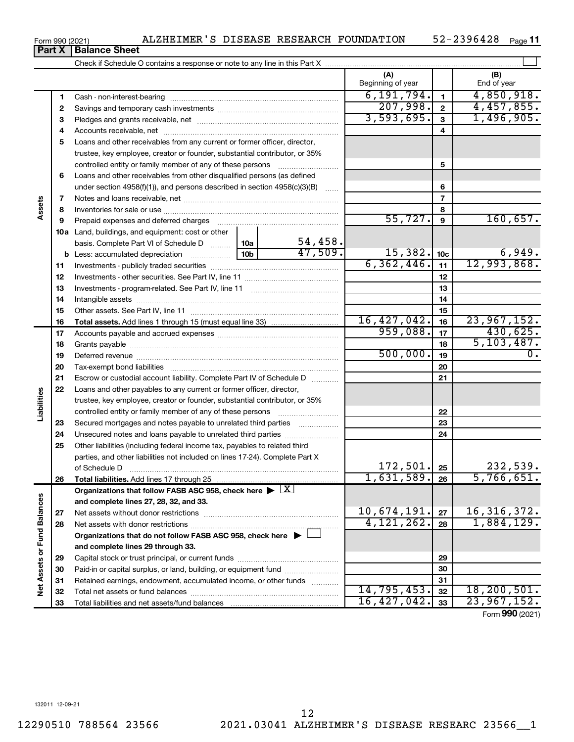**31 32 33**

Form 990 (2021) Page ALZHEIMER'S DISEASE RESEARCH FOUNDATION 52-2396428 52-2396428 Page 11

|                             | Part X | <b>Balance Sheet</b>                                                                                   |                  |                          |                 |                             |
|-----------------------------|--------|--------------------------------------------------------------------------------------------------------|------------------|--------------------------|-----------------|-----------------------------|
|                             |        |                                                                                                        |                  |                          |                 |                             |
|                             |        |                                                                                                        |                  | (A)<br>Beginning of year |                 | (B)<br>End of year          |
|                             | 1      |                                                                                                        | 6, 191, 794.     | $\mathbf{1}$             | 4,850,918.      |                             |
|                             | 2      |                                                                                                        |                  | 207,998.                 | $\mathbf{2}$    | 4,457,855.                  |
|                             | 3      |                                                                                                        |                  | 3,593,695.               | 3               | 1,496,905.                  |
|                             | 4      |                                                                                                        |                  |                          | 4               |                             |
|                             | 5      | Loans and other receivables from any current or former officer, director,                              |                  |                          |                 |                             |
|                             |        | trustee, key employee, creator or founder, substantial contributor, or 35%                             |                  |                          |                 |                             |
|                             |        | controlled entity or family member of any of these persons                                             |                  |                          | 5               |                             |
|                             | 6      | Loans and other receivables from other disqualified persons (as defined                                |                  |                          |                 |                             |
|                             |        | under section $4958(f)(1)$ , and persons described in section $4958(c)(3)(B)$                          | $\ldots$         |                          | 6               |                             |
|                             | 7      |                                                                                                        |                  |                          | $\overline{7}$  |                             |
| Assets                      | 8      |                                                                                                        |                  |                          | 8               |                             |
|                             | 9      | Prepaid expenses and deferred charges                                                                  |                  | 55,727.                  | 9               | 160,657.                    |
|                             |        | 10a Land, buildings, and equipment: cost or other                                                      |                  |                          |                 |                             |
|                             |        | basis. Complete Part VI of Schedule D                                                                  | 54,458.<br>10a   |                          |                 |                             |
|                             |        | <b>b</b> Less: accumulated depreciation                                                                | 47,509.<br>10b l | 15,382.                  | 10 <sub>c</sub> | $\frac{6,949}{12,993,868}$  |
|                             | 11     |                                                                                                        |                  | 6, 362, 446.             | 11              |                             |
|                             | 12     |                                                                                                        |                  |                          | 12              |                             |
|                             | 13     |                                                                                                        |                  |                          | 13              |                             |
|                             | 14     |                                                                                                        |                  | 14                       |                 |                             |
|                             | 15     |                                                                                                        |                  | 15                       |                 |                             |
|                             | 16     |                                                                                                        |                  | 16, 427, 042.            | 16              | 23,967,152.                 |
|                             | 17     |                                                                                                        | 959,088.         | 17                       | 430,625.        |                             |
|                             | 18     |                                                                                                        |                  |                          | 18              | 5, 103, 487.                |
|                             | 19     |                                                                                                        |                  | 500,000.                 | 19              | $\overline{0}$ .            |
|                             | 20     |                                                                                                        |                  |                          | 20              |                             |
|                             | 21     | Escrow or custodial account liability. Complete Part IV of Schedule D                                  |                  |                          | 21              |                             |
|                             | 22     | Loans and other payables to any current or former officer, director,                                   |                  |                          |                 |                             |
| Liabilities                 |        | trustee, key employee, creator or founder, substantial contributor, or 35%                             |                  |                          |                 |                             |
|                             |        |                                                                                                        |                  |                          | 22              |                             |
|                             | 23     | Secured mortgages and notes payable to unrelated third parties                                         |                  |                          | 23              |                             |
|                             | 24     | Unsecured notes and loans payable to unrelated third parties                                           |                  |                          | 24              |                             |
|                             | 25     | Other liabilities (including federal income tax, payables to related third                             |                  |                          |                 |                             |
|                             |        | parties, and other liabilities not included on lines 17-24). Complete Part X                           |                  |                          |                 |                             |
|                             |        | of Schedule D                                                                                          |                  | 172, 501.<br>1,631,589.  | 25              | 252,333.                    |
|                             | 26     | Total liabilities. Add lines 17 through 25                                                             |                  |                          | 26              | 5,766,651.                  |
|                             |        | Organizations that follow FASB ASC 958, check here $\blacktriangleright \lfloor \underline{X} \rfloor$ |                  |                          |                 |                             |
|                             |        | and complete lines 27, 28, 32, and 33.                                                                 |                  | 10,674,191.              |                 |                             |
|                             | 27     |                                                                                                        |                  | $\overline{4,121,262.}$  | 27              | 16, 316, 372.<br>1,884,129. |
|                             | 28     |                                                                                                        |                  |                          | 28              |                             |
|                             |        | Organizations that do not follow FASB ASC 958, check here $\blacktriangleright$                        |                  |                          |                 |                             |
|                             |        | and complete lines 29 through 33.                                                                      |                  |                          |                 |                             |
|                             | 29     |                                                                                                        |                  |                          | 29              |                             |
| Net Assets or Fund Balances | 30     | Paid-in or capital surplus, or land, building, or equipment fund                                       |                  |                          | 30              |                             |
|                             | 31     | Retained earnings, endowment, accumulated income, or other funds                                       |                  | 14,795,453.              | 31<br>32        | 18, 200, 501.               |
|                             | 32     |                                                                                                        |                  |                          |                 |                             |

Total net assets or fund balances ~~~~~~~~~~~~~~~~~~~~~~

Total liabilities and net assets/fund balances

Form (2021) **990**

**31 32 33**

14,795,453. 32 18,200,501. 16,427,042. 23,967,152.

|  | Form 990 (2021) |  |
|--|-----------------|--|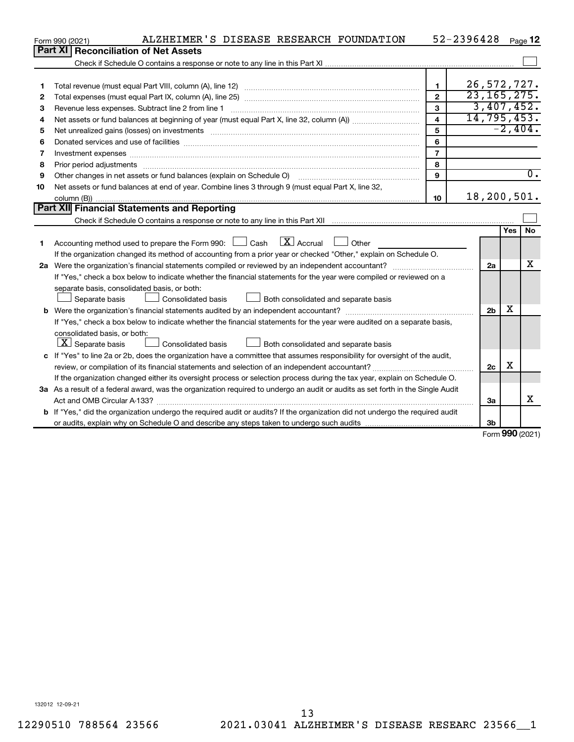|    | ALZHEIMER'S DISEASE RESEARCH FOUNDATION<br>Form 990 (2021)                                                                      |                         | 52-2396428     |            | Page 12          |
|----|---------------------------------------------------------------------------------------------------------------------------------|-------------------------|----------------|------------|------------------|
|    | Part XI   Reconciliation of Net Assets                                                                                          |                         |                |            |                  |
|    |                                                                                                                                 |                         |                |            |                  |
|    |                                                                                                                                 |                         |                |            |                  |
| 1  |                                                                                                                                 | $\mathbf{1}$            |                |            | 26,572,727.      |
| 2  |                                                                                                                                 | $\overline{2}$          |                |            | 23, 165, 275.    |
| З  | Revenue less expenses. Subtract line 2 from line 1                                                                              | 3                       |                |            | 3,407,452.       |
| 4  |                                                                                                                                 | $\overline{\mathbf{4}}$ |                |            | 14, 795, 453.    |
| 5  |                                                                                                                                 | 5                       |                |            | $-2,404.$        |
| 6  |                                                                                                                                 | 6                       |                |            |                  |
| 7  | Investment expenses www.communication.com/www.communication.com/www.communication.com/www.com                                   | $\overline{7}$          |                |            |                  |
| 8  | Prior period adjustments www.communication.communication.com/news/communication.com/news/communication.com/new                  | 8                       |                |            |                  |
| 9  |                                                                                                                                 | 9                       |                |            | $\overline{0}$ . |
| 10 | Net assets or fund balances at end of year. Combine lines 3 through 9 (must equal Part X, line 32,                              |                         |                |            |                  |
|    |                                                                                                                                 | 10                      |                |            | 18,200,501.      |
|    | <b>Part XII</b> Financial Statements and Reporting                                                                              |                         |                |            |                  |
|    |                                                                                                                                 |                         |                |            |                  |
|    |                                                                                                                                 |                         |                | <b>Yes</b> | <b>No</b>        |
| 1  | Accounting method used to prepare the Form 990: $\Box$ Cash $\Box$ Accrual $\Box$ Other                                         |                         |                |            |                  |
|    | If the organization changed its method of accounting from a prior year or checked "Other," explain on Schedule O.               |                         |                |            |                  |
|    |                                                                                                                                 |                         | 2a             |            | х                |
|    | If "Yes," check a box below to indicate whether the financial statements for the year were compiled or reviewed on a            |                         |                |            |                  |
|    | separate basis, consolidated basis, or both:                                                                                    |                         |                |            |                  |
|    | Separate basis<br>Consolidated basis<br>Both consolidated and separate basis                                                    |                         |                |            |                  |
|    |                                                                                                                                 |                         | 2 <sub>b</sub> | х          |                  |
|    | If "Yes," check a box below to indicate whether the financial statements for the year were audited on a separate basis,         |                         |                |            |                  |
|    | consolidated basis, or both:                                                                                                    |                         |                |            |                  |
|    | $\lfloor x \rfloor$ Separate basis<br>Consolidated basis<br>Both consolidated and separate basis                                |                         |                |            |                  |
|    | c If "Yes" to line 2a or 2b, does the organization have a committee that assumes responsibility for oversight of the audit,     |                         |                |            |                  |
|    |                                                                                                                                 |                         | 2c             | х          |                  |
|    | If the organization changed either its oversight process or selection process during the tax year, explain on Schedule O.       |                         |                |            |                  |
|    | 3a As a result of a federal award, was the organization required to undergo an audit or audits as set forth in the Single Audit |                         |                |            |                  |
|    |                                                                                                                                 |                         | За             |            | X                |
|    | b If "Yes," did the organization undergo the required audit or audits? If the organization did not undergo the required audit   |                         |                |            |                  |
|    |                                                                                                                                 |                         | 3 <sub>b</sub> |            |                  |

Form (2021) **990**

132012 12-09-21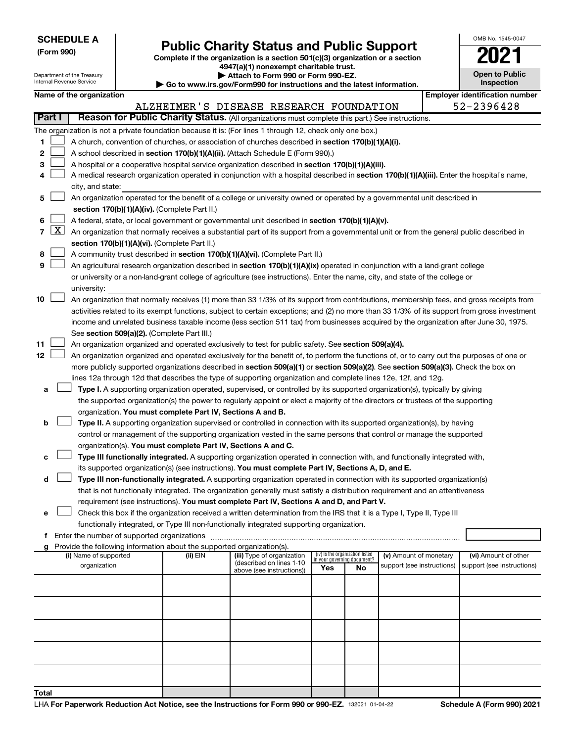Department of the Treasury

**Total**

# Form 990)<br>
Complete if the organization is a section 501(c)(3) organization or a section<br> **Public Charity Status and Public Support**

**4947(a)(1) nonexempt charitable trust. | Attach to Form 990 or Form 990-EZ.** 

|  | OMB No 1545-0047                    |
|--|-------------------------------------|
|  |                                     |
|  | <b>Open to Public</b><br>Inspection |

|        | Inspection<br>nternal Revenue Service<br>Go to www.irs.gov/Form990 for instructions and the latest information. |                          |  |                                                                        |                                                                                                                                                                                                                                                 |                                                                |    |                            |                                       |
|--------|-----------------------------------------------------------------------------------------------------------------|--------------------------|--|------------------------------------------------------------------------|-------------------------------------------------------------------------------------------------------------------------------------------------------------------------------------------------------------------------------------------------|----------------------------------------------------------------|----|----------------------------|---------------------------------------|
|        |                                                                                                                 | Name of the organization |  |                                                                        |                                                                                                                                                                                                                                                 |                                                                |    |                            | <b>Employer identification number</b> |
| Part I |                                                                                                                 |                          |  |                                                                        | ALZHEIMER'S DISEASE RESEARCH FOUNDATION<br>Reason for Public Charity Status. (All organizations must complete this part.) See instructions.                                                                                                     |                                                                |    |                            | 52-2396428                            |
|        |                                                                                                                 |                          |  |                                                                        |                                                                                                                                                                                                                                                 |                                                                |    |                            |                                       |
| 1.     |                                                                                                                 |                          |  |                                                                        | The organization is not a private foundation because it is: (For lines 1 through 12, check only one box.)                                                                                                                                       |                                                                |    |                            |                                       |
| 2      |                                                                                                                 |                          |  |                                                                        | A church, convention of churches, or association of churches described in section 170(b)(1)(A)(i).<br>A school described in section 170(b)(1)(A)(ii). (Attach Schedule E (Form 990).)                                                           |                                                                |    |                            |                                       |
| З      |                                                                                                                 |                          |  |                                                                        |                                                                                                                                                                                                                                                 |                                                                |    |                            |                                       |
| 4      |                                                                                                                 |                          |  |                                                                        | A hospital or a cooperative hospital service organization described in section 170(b)(1)(A)(iii).<br>A medical research organization operated in conjunction with a hospital described in section 170(b)(1)(A)(iii). Enter the hospital's name, |                                                                |    |                            |                                       |
|        |                                                                                                                 | city, and state:         |  |                                                                        |                                                                                                                                                                                                                                                 |                                                                |    |                            |                                       |
| 5.     |                                                                                                                 |                          |  |                                                                        | An organization operated for the benefit of a college or university owned or operated by a governmental unit described in                                                                                                                       |                                                                |    |                            |                                       |
|        |                                                                                                                 |                          |  | section 170(b)(1)(A)(iv). (Complete Part II.)                          |                                                                                                                                                                                                                                                 |                                                                |    |                            |                                       |
| 6      |                                                                                                                 |                          |  |                                                                        | A federal, state, or local government or governmental unit described in section 170(b)(1)(A)(v).                                                                                                                                                |                                                                |    |                            |                                       |
| 7      | $\lfloor x \rfloor$                                                                                             |                          |  |                                                                        | An organization that normally receives a substantial part of its support from a governmental unit or from the general public described in                                                                                                       |                                                                |    |                            |                                       |
|        |                                                                                                                 |                          |  | section 170(b)(1)(A)(vi). (Complete Part II.)                          |                                                                                                                                                                                                                                                 |                                                                |    |                            |                                       |
| 8      |                                                                                                                 |                          |  |                                                                        | A community trust described in section 170(b)(1)(A)(vi). (Complete Part II.)                                                                                                                                                                    |                                                                |    |                            |                                       |
| 9      |                                                                                                                 |                          |  |                                                                        | An agricultural research organization described in section 170(b)(1)(A)(ix) operated in conjunction with a land-grant college                                                                                                                   |                                                                |    |                            |                                       |
|        |                                                                                                                 |                          |  |                                                                        | or university or a non-land-grant college of agriculture (see instructions). Enter the name, city, and state of the college or                                                                                                                  |                                                                |    |                            |                                       |
|        |                                                                                                                 | university:              |  |                                                                        |                                                                                                                                                                                                                                                 |                                                                |    |                            |                                       |
| 10     |                                                                                                                 |                          |  |                                                                        | An organization that normally receives (1) more than 33 1/3% of its support from contributions, membership fees, and gross receipts from                                                                                                        |                                                                |    |                            |                                       |
|        |                                                                                                                 |                          |  |                                                                        | activities related to its exempt functions, subject to certain exceptions; and (2) no more than 33 1/3% of its support from gross investment                                                                                                    |                                                                |    |                            |                                       |
|        |                                                                                                                 |                          |  |                                                                        | income and unrelated business taxable income (less section 511 tax) from businesses acquired by the organization after June 30, 1975.                                                                                                           |                                                                |    |                            |                                       |
|        |                                                                                                                 |                          |  | See section 509(a)(2). (Complete Part III.)                            |                                                                                                                                                                                                                                                 |                                                                |    |                            |                                       |
| 11     |                                                                                                                 |                          |  |                                                                        | An organization organized and operated exclusively to test for public safety. See section 509(a)(4).                                                                                                                                            |                                                                |    |                            |                                       |
| 12     |                                                                                                                 |                          |  |                                                                        | An organization organized and operated exclusively for the benefit of, to perform the functions of, or to carry out the purposes of one or                                                                                                      |                                                                |    |                            |                                       |
|        |                                                                                                                 |                          |  |                                                                        | more publicly supported organizations described in section 509(a)(1) or section 509(a)(2). See section 509(a)(3). Check the box on                                                                                                              |                                                                |    |                            |                                       |
|        |                                                                                                                 |                          |  |                                                                        | lines 12a through 12d that describes the type of supporting organization and complete lines 12e, 12f, and 12g.                                                                                                                                  |                                                                |    |                            |                                       |
| а      |                                                                                                                 |                          |  |                                                                        | Type I. A supporting organization operated, supervised, or controlled by its supported organization(s), typically by giving                                                                                                                     |                                                                |    |                            |                                       |
|        |                                                                                                                 |                          |  |                                                                        | the supported organization(s) the power to regularly appoint or elect a majority of the directors or trustees of the supporting                                                                                                                 |                                                                |    |                            |                                       |
|        |                                                                                                                 |                          |  | organization. You must complete Part IV, Sections A and B.             |                                                                                                                                                                                                                                                 |                                                                |    |                            |                                       |
| b      |                                                                                                                 |                          |  |                                                                        | Type II. A supporting organization supervised or controlled in connection with its supported organization(s), by having                                                                                                                         |                                                                |    |                            |                                       |
|        |                                                                                                                 |                          |  |                                                                        | control or management of the supporting organization vested in the same persons that control or manage the supported                                                                                                                            |                                                                |    |                            |                                       |
|        |                                                                                                                 |                          |  | organization(s). You must complete Part IV, Sections A and C.          |                                                                                                                                                                                                                                                 |                                                                |    |                            |                                       |
|        |                                                                                                                 |                          |  |                                                                        | Type III functionally integrated. A supporting organization operated in connection with, and functionally integrated with,                                                                                                                      |                                                                |    |                            |                                       |
|        |                                                                                                                 |                          |  |                                                                        | its supported organization(s) (see instructions). You must complete Part IV, Sections A, D, and E.                                                                                                                                              |                                                                |    |                            |                                       |
| d      |                                                                                                                 |                          |  |                                                                        | Type III non-functionally integrated. A supporting organization operated in connection with its supported organization(s)                                                                                                                       |                                                                |    |                            |                                       |
|        |                                                                                                                 |                          |  |                                                                        | that is not functionally integrated. The organization generally must satisfy a distribution requirement and an attentiveness                                                                                                                    |                                                                |    |                            |                                       |
|        |                                                                                                                 |                          |  |                                                                        | requirement (see instructions). You must complete Part IV, Sections A and D, and Part V.<br>Check this box if the organization received a written determination from the IRS that it is a Type I, Type II, Type III                             |                                                                |    |                            |                                       |
| е      |                                                                                                                 |                          |  |                                                                        | functionally integrated, or Type III non-functionally integrated supporting organization.                                                                                                                                                       |                                                                |    |                            |                                       |
| f.     |                                                                                                                 |                          |  |                                                                        |                                                                                                                                                                                                                                                 |                                                                |    |                            |                                       |
|        |                                                                                                                 |                          |  | Provide the following information about the supported organization(s). |                                                                                                                                                                                                                                                 |                                                                |    |                            |                                       |
|        |                                                                                                                 | (i) Name of supported    |  | (ii) EIN                                                               | (iii) Type of organization                                                                                                                                                                                                                      | (iv) Is the organization listed<br>in your governing document? |    | (v) Amount of monetary     | (vi) Amount of other                  |
|        |                                                                                                                 | organization             |  |                                                                        | (described on lines 1-10<br>above (see instructions))                                                                                                                                                                                           | Yes                                                            | No | support (see instructions) | support (see instructions)            |
|        |                                                                                                                 |                          |  |                                                                        |                                                                                                                                                                                                                                                 |                                                                |    |                            |                                       |
|        |                                                                                                                 |                          |  |                                                                        |                                                                                                                                                                                                                                                 |                                                                |    |                            |                                       |
|        |                                                                                                                 |                          |  |                                                                        |                                                                                                                                                                                                                                                 |                                                                |    |                            |                                       |
|        |                                                                                                                 |                          |  |                                                                        |                                                                                                                                                                                                                                                 |                                                                |    |                            |                                       |
|        |                                                                                                                 |                          |  |                                                                        |                                                                                                                                                                                                                                                 |                                                                |    |                            |                                       |
|        |                                                                                                                 |                          |  |                                                                        |                                                                                                                                                                                                                                                 |                                                                |    |                            |                                       |
|        |                                                                                                                 |                          |  |                                                                        |                                                                                                                                                                                                                                                 |                                                                |    |                            |                                       |
|        |                                                                                                                 |                          |  |                                                                        |                                                                                                                                                                                                                                                 |                                                                |    |                            |                                       |
|        |                                                                                                                 |                          |  |                                                                        |                                                                                                                                                                                                                                                 |                                                                |    |                            |                                       |
|        |                                                                                                                 |                          |  |                                                                        |                                                                                                                                                                                                                                                 |                                                                |    |                            |                                       |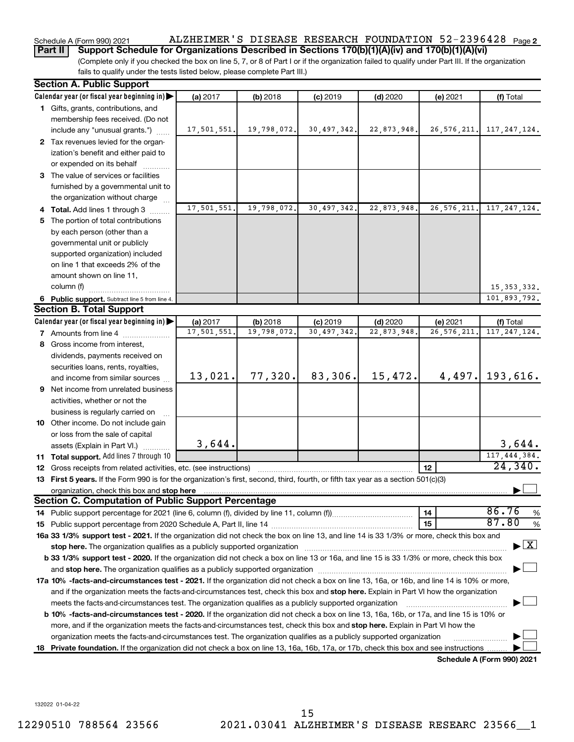## Schedule A (Form 990) 2021 ALZHEIMER'S DISEASE RESEARCH FOUNDATION 52-2396428 <sub>Page 2</sub>

**Part II Support Schedule for Organizations Described in Sections 170(b)(1)(A)(iv) and 170(b)(1)(A)(vi)**

(Complete only if you checked the box on line 5, 7, or 8 of Part I or if the organization failed to qualify under Part III. If the organization fails to qualify under the tests listed below, please complete Part III.)

| <b>Section A. Public Support</b>                                                                                                                                                                                               |                        |             |             |             |               |                                    |
|--------------------------------------------------------------------------------------------------------------------------------------------------------------------------------------------------------------------------------|------------------------|-------------|-------------|-------------|---------------|------------------------------------|
| Calendar year (or fiscal year beginning in)                                                                                                                                                                                    | (a) 2017               | (b) 2018    | $(c)$ 2019  | $(d)$ 2020  | (e) 2021      | (f) Total                          |
| 1 Gifts, grants, contributions, and                                                                                                                                                                                            |                        |             |             |             |               |                                    |
| membership fees received. (Do not                                                                                                                                                                                              |                        |             |             |             |               |                                    |
| include any "unusual grants.")                                                                                                                                                                                                 | 17,501,551.            | 19,798,072. | 30,497,342. | 22,873,948. | 26, 576, 211. | 117, 247, 124.                     |
| 2 Tax revenues levied for the organ-                                                                                                                                                                                           |                        |             |             |             |               |                                    |
| ization's benefit and either paid to                                                                                                                                                                                           |                        |             |             |             |               |                                    |
| or expended on its behalf                                                                                                                                                                                                      |                        |             |             |             |               |                                    |
| 3 The value of services or facilities                                                                                                                                                                                          |                        |             |             |             |               |                                    |
| furnished by a governmental unit to                                                                                                                                                                                            |                        |             |             |             |               |                                    |
| the organization without charge                                                                                                                                                                                                |                        |             |             |             |               |                                    |
| 4 Total. Add lines 1 through 3                                                                                                                                                                                                 | 17,501,551.            | 19,798,072. | 30,497,342  | 22,873,948. | 26, 576, 211. | 117, 247, 124.                     |
| 5 The portion of total contributions                                                                                                                                                                                           |                        |             |             |             |               |                                    |
| by each person (other than a                                                                                                                                                                                                   |                        |             |             |             |               |                                    |
| governmental unit or publicly                                                                                                                                                                                                  |                        |             |             |             |               |                                    |
| supported organization) included                                                                                                                                                                                               |                        |             |             |             |               |                                    |
| on line 1 that exceeds 2% of the                                                                                                                                                                                               |                        |             |             |             |               |                                    |
| amount shown on line 11,                                                                                                                                                                                                       |                        |             |             |             |               |                                    |
| column (f)                                                                                                                                                                                                                     |                        |             |             |             |               | 15, 353, 332.                      |
| 6 Public support. Subtract line 5 from line 4.                                                                                                                                                                                 |                        |             |             |             |               | 101,893,792.                       |
| <b>Section B. Total Support</b>                                                                                                                                                                                                |                        |             |             |             |               |                                    |
| Calendar year (or fiscal year beginning in)                                                                                                                                                                                    | (a) 2017<br>17,501,551 | (b) 2018    | $(c)$ 2019  | $(d)$ 2020  | (e) 2021      | (f) Total                          |
| <b>7</b> Amounts from line 4                                                                                                                                                                                                   |                        | 19,798,072  | 30,497,342  | 22,873,948  | 26, 576, 211. | 117, 247, 124.                     |
| 8 Gross income from interest,                                                                                                                                                                                                  |                        |             |             |             |               |                                    |
| dividends, payments received on                                                                                                                                                                                                |                        |             |             |             |               |                                    |
| securities loans, rents, royalties,                                                                                                                                                                                            | 13,021.                | 77,320.     | 83,306.     | 15,472.     | 4,497.        | 193,616.                           |
| and income from similar sources                                                                                                                                                                                                |                        |             |             |             |               |                                    |
| 9 Net income from unrelated business                                                                                                                                                                                           |                        |             |             |             |               |                                    |
| activities, whether or not the                                                                                                                                                                                                 |                        |             |             |             |               |                                    |
| business is regularly carried on                                                                                                                                                                                               |                        |             |             |             |               |                                    |
| 10 Other income. Do not include gain                                                                                                                                                                                           |                        |             |             |             |               |                                    |
| or loss from the sale of capital                                                                                                                                                                                               | 3,644.                 |             |             |             |               | 3,644.                             |
| assets (Explain in Part VI.)<br>11 Total support. Add lines 7 through 10                                                                                                                                                       |                        |             |             |             |               | 117,444,384.                       |
| <b>12</b> Gross receipts from related activities, etc. (see instructions)                                                                                                                                                      |                        |             |             |             | 12            | 24,340.                            |
| 13 First 5 years. If the Form 990 is for the organization's first, second, third, fourth, or fifth tax year as a section 501(c)(3)                                                                                             |                        |             |             |             |               |                                    |
| organization, check this box and stop here Mathematical and the content of the state of the state of the content of the content of the content of the content of the content of the content of the content of the content of t |                        |             |             |             |               |                                    |
| Section C. Computation of Public Support Percentage                                                                                                                                                                            |                        |             |             |             |               |                                    |
|                                                                                                                                                                                                                                |                        |             |             |             | 14            | 86.76<br>%                         |
|                                                                                                                                                                                                                                |                        |             |             |             | 15            | 87.80<br>%                         |
| 16a 33 1/3% support test - 2021. If the organization did not check the box on line 13, and line 14 is 33 1/3% or more, check this box and                                                                                      |                        |             |             |             |               |                                    |
| stop here. The organization qualifies as a publicly supported organization manufaction manufacture or the organization manufacture or the organization manufacture or the organization manufacture or the state of the state o |                        |             |             |             |               | $\blacktriangleright$ $\mathbf{X}$ |
| b 33 1/3% support test - 2020. If the organization did not check a box on line 13 or 16a, and line 15 is 33 1/3% or more, check this box                                                                                       |                        |             |             |             |               |                                    |
|                                                                                                                                                                                                                                |                        |             |             |             |               |                                    |
| 17a 10% -facts-and-circumstances test - 2021. If the organization did not check a box on line 13, 16a, or 16b, and line 14 is 10% or more,                                                                                     |                        |             |             |             |               |                                    |
| and if the organization meets the facts-and-circumstances test, check this box and stop here. Explain in Part VI how the organization                                                                                          |                        |             |             |             |               |                                    |
| meets the facts-and-circumstances test. The organization qualifies as a publicly supported organization                                                                                                                        |                        |             |             |             |               |                                    |
| <b>b 10%</b> -facts-and-circumstances test - 2020. If the organization did not check a box on line 13, 16a, 16b, or 17a, and line 15 is 10% or                                                                                 |                        |             |             |             |               |                                    |
| more, and if the organization meets the facts-and-circumstances test, check this box and stop here. Explain in Part VI how the                                                                                                 |                        |             |             |             |               |                                    |
| organization meets the facts-and-circumstances test. The organization qualifies as a publicly supported organization                                                                                                           |                        |             |             |             |               |                                    |
| 18 Private foundation. If the organization did not check a box on line 13, 16a, 16b, 17a, or 17b, check this box and see instructions.                                                                                         |                        |             |             |             |               |                                    |
|                                                                                                                                                                                                                                |                        |             |             |             |               | Schedule A (Form 990) 2021         |

132022 01-04-22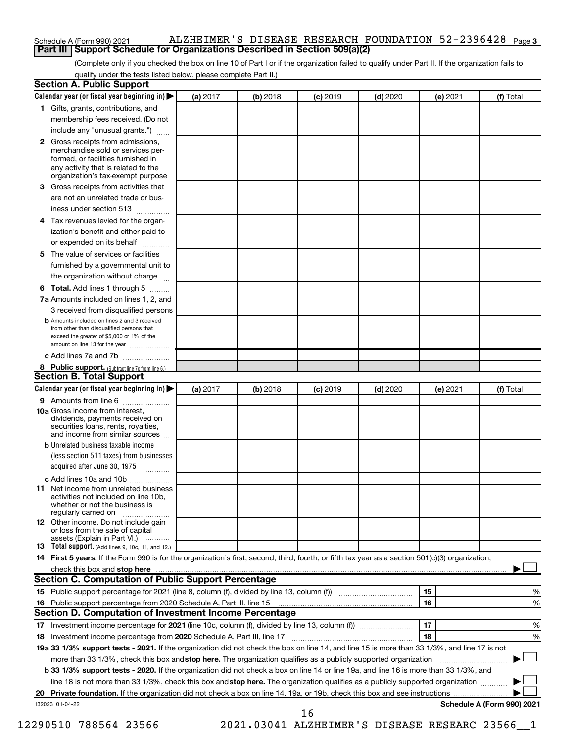## Schedule A (Form 990) 2021 ALZHEIMER 'S DISEASE RESEARCH FOUNDATION 52-2396428 <sub>Page 3</sub> **Part III** | Schedule A (Form 990) 2021 **ALZHEIMER'S DISEASE RESEARCH F**<br>| **Part III** | Support Schedule for Organizations Described in Section 509(a)(2)

(Complete only if you checked the box on line 10 of Part I or if the organization failed to qualify under Part II. If the organization fails to qualify under the tests listed below, please complete Part II.)

| <b>Section A. Public Support</b>                                                                                                                                                 |          |          |            |            |          |                            |
|----------------------------------------------------------------------------------------------------------------------------------------------------------------------------------|----------|----------|------------|------------|----------|----------------------------|
| Calendar year (or fiscal year beginning in)                                                                                                                                      | (a) 2017 | (b) 2018 | $(c)$ 2019 | $(d)$ 2020 | (e) 2021 | (f) Total                  |
| 1 Gifts, grants, contributions, and                                                                                                                                              |          |          |            |            |          |                            |
| membership fees received. (Do not                                                                                                                                                |          |          |            |            |          |                            |
| include any "unusual grants.")                                                                                                                                                   |          |          |            |            |          |                            |
| 2 Gross receipts from admissions,<br>merchandise sold or services per-<br>formed, or facilities furnished in<br>any activity that is related to the                              |          |          |            |            |          |                            |
| organization's tax-exempt purpose                                                                                                                                                |          |          |            |            |          |                            |
| <b>3</b> Gross receipts from activities that                                                                                                                                     |          |          |            |            |          |                            |
| are not an unrelated trade or bus-                                                                                                                                               |          |          |            |            |          |                            |
| iness under section 513                                                                                                                                                          |          |          |            |            |          |                            |
| 4 Tax revenues levied for the organ-<br>ization's benefit and either paid to                                                                                                     |          |          |            |            |          |                            |
| or expended on its behalf                                                                                                                                                        |          |          |            |            |          |                            |
| 5 The value of services or facilities                                                                                                                                            |          |          |            |            |          |                            |
| furnished by a governmental unit to                                                                                                                                              |          |          |            |            |          |                            |
| the organization without charge                                                                                                                                                  |          |          |            |            |          |                            |
| <b>6 Total.</b> Add lines 1 through 5                                                                                                                                            |          |          |            |            |          |                            |
| 7a Amounts included on lines 1, 2, and                                                                                                                                           |          |          |            |            |          |                            |
| 3 received from disqualified persons                                                                                                                                             |          |          |            |            |          |                            |
| <b>b</b> Amounts included on lines 2 and 3 received<br>from other than disqualified persons that<br>exceed the greater of \$5,000 or 1% of the<br>amount on line 13 for the year |          |          |            |            |          |                            |
| c Add lines 7a and 7b                                                                                                                                                            |          |          |            |            |          |                            |
| 8 Public support. (Subtract line 7c from line 6.)                                                                                                                                |          |          |            |            |          |                            |
| <b>Section B. Total Support</b>                                                                                                                                                  |          |          |            |            |          |                            |
| Calendar year (or fiscal year beginning in)                                                                                                                                      | (a) 2017 | (b) 2018 | $(c)$ 2019 | $(d)$ 2020 | (e) 2021 | (f) Total                  |
| <b>9</b> Amounts from line 6                                                                                                                                                     |          |          |            |            |          |                            |
| <b>10a</b> Gross income from interest,<br>dividends, payments received on<br>securities loans, rents, royalties,<br>and income from similar sources                              |          |          |            |            |          |                            |
| <b>b</b> Unrelated business taxable income                                                                                                                                       |          |          |            |            |          |                            |
| (less section 511 taxes) from businesses<br>acquired after June 30, 1975<br>$\overline{\phantom{a}}$                                                                             |          |          |            |            |          |                            |
| c Add lines 10a and 10b                                                                                                                                                          |          |          |            |            |          |                            |
| <b>11</b> Net income from unrelated business<br>activities not included on line 10b,<br>whether or not the business is<br>regularly carried on                                   |          |          |            |            |          |                            |
| <b>12</b> Other income. Do not include gain<br>or loss from the sale of capital<br>assets (Explain in Part VI.)                                                                  |          |          |            |            |          |                            |
| <b>13</b> Total support. (Add lines 9, 10c, 11, and 12.)                                                                                                                         |          |          |            |            |          |                            |
| 14 First 5 years. If the Form 990 is for the organization's first, second, third, fourth, or fifth tax year as a section 501(c)(3) organization,                                 |          |          |            |            |          |                            |
| check this box and stop here                                                                                                                                                     |          |          |            |            |          |                            |
| <b>Section C. Computation of Public Support Percentage</b>                                                                                                                       |          |          |            |            |          |                            |
| 15 Public support percentage for 2021 (line 8, column (f), divided by line 13, column (f) <i></i>                                                                                |          |          |            |            | 15       | ℅                          |
| 16 Public support percentage from 2020 Schedule A, Part III, line 15                                                                                                             |          |          |            |            | 16       | %                          |
| Section D. Computation of Investment Income Percentage                                                                                                                           |          |          |            |            |          |                            |
|                                                                                                                                                                                  |          |          |            |            | 17       | %                          |
| 18 Investment income percentage from 2020 Schedule A, Part III, line 17                                                                                                          |          |          |            |            | 18       | %                          |
| 19a 33 1/3% support tests - 2021. If the organization did not check the box on line 14, and line 15 is more than 33 1/3%, and line 17 is not                                     |          |          |            |            |          |                            |
| more than 33 1/3%, check this box and stop here. The organization qualifies as a publicly supported organization                                                                 |          |          |            |            |          |                            |
| b 33 1/3% support tests - 2020. If the organization did not check a box on line 14 or line 19a, and line 16 is more than 33 1/3%, and                                            |          |          |            |            |          |                            |
| line 18 is not more than 33 1/3%, check this box and stop here. The organization qualifies as a publicly supported organization                                                  |          |          |            |            |          |                            |
|                                                                                                                                                                                  |          |          |            |            |          |                            |
| 132023 01-04-22                                                                                                                                                                  |          |          |            |            |          | Schedule A (Form 990) 2021 |
|                                                                                                                                                                                  |          |          | 16         |            |          |                            |

12290510 788564 23566 2021.03041 ALZHEIMER'S DISEASE RESEARC 23566\_\_1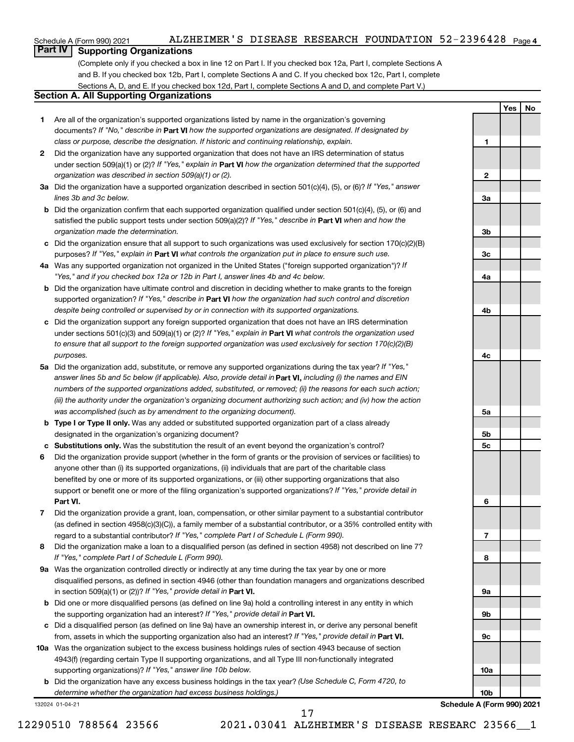## **Part IV Supporting Organizations**

(Complete only if you checked a box in line 12 on Part I. If you checked box 12a, Part I, complete Sections A and B. If you checked box 12b, Part I, complete Sections A and C. If you checked box 12c, Part I, complete Sections A, D, and E. If you checked box 12d, Part I, complete Sections A and D, and complete Part V.)

## **Section A. All Supporting Organizations**

- **1** Are all of the organization's supported organizations listed by name in the organization's governing documents? If "No," describe in Part VI how the supported organizations are designated. If designated by *class or purpose, describe the designation. If historic and continuing relationship, explain.*
- **2** Did the organization have any supported organization that does not have an IRS determination of status under section 509(a)(1) or (2)? If "Yes," explain in Part **VI** how the organization determined that the supported *organization was described in section 509(a)(1) or (2).*
- **3a** Did the organization have a supported organization described in section 501(c)(4), (5), or (6)? If "Yes," answer *lines 3b and 3c below.*
- **b** Did the organization confirm that each supported organization qualified under section 501(c)(4), (5), or (6) and satisfied the public support tests under section 509(a)(2)? If "Yes," describe in Part VI when and how the *organization made the determination.*
- **c** Did the organization ensure that all support to such organizations was used exclusively for section 170(c)(2)(B) purposes? If "Yes," explain in Part VI what controls the organization put in place to ensure such use.
- **4 a** *If* Was any supported organization not organized in the United States ("foreign supported organization")? *"Yes," and if you checked box 12a or 12b in Part I, answer lines 4b and 4c below.*
- **b** Did the organization have ultimate control and discretion in deciding whether to make grants to the foreign supported organization? If "Yes," describe in Part VI how the organization had such control and discretion *despite being controlled or supervised by or in connection with its supported organizations.*
- **c** Did the organization support any foreign supported organization that does not have an IRS determination under sections 501(c)(3) and 509(a)(1) or (2)? If "Yes," explain in Part VI what controls the organization used *to ensure that all support to the foreign supported organization was used exclusively for section 170(c)(2)(B) purposes.*
- **5a** Did the organization add, substitute, or remove any supported organizations during the tax year? If "Yes," answer lines 5b and 5c below (if applicable). Also, provide detail in **Part VI,** including (i) the names and EIN *numbers of the supported organizations added, substituted, or removed; (ii) the reasons for each such action; (iii) the authority under the organization's organizing document authorizing such action; and (iv) how the action was accomplished (such as by amendment to the organizing document).*
- **b** Type I or Type II only. Was any added or substituted supported organization part of a class already designated in the organization's organizing document?
- **c Substitutions only.**  Was the substitution the result of an event beyond the organization's control?
- **6** Did the organization provide support (whether in the form of grants or the provision of services or facilities) to **Part VI.** support or benefit one or more of the filing organization's supported organizations? If "Yes," provide detail in anyone other than (i) its supported organizations, (ii) individuals that are part of the charitable class benefited by one or more of its supported organizations, or (iii) other supporting organizations that also
- **7** Did the organization provide a grant, loan, compensation, or other similar payment to a substantial contributor regard to a substantial contributor? If "Yes," complete Part I of Schedule L (Form 990). (as defined in section 4958(c)(3)(C)), a family member of a substantial contributor, or a 35% controlled entity with
- **8** Did the organization make a loan to a disqualified person (as defined in section 4958) not described on line 7? *If "Yes," complete Part I of Schedule L (Form 990).*
- **9 a** Was the organization controlled directly or indirectly at any time during the tax year by one or more in section 509(a)(1) or (2))? If "Yes," provide detail in **Part VI.** disqualified persons, as defined in section 4946 (other than foundation managers and organizations described
- **b** Did one or more disqualified persons (as defined on line 9a) hold a controlling interest in any entity in which the supporting organization had an interest? If "Yes," provide detail in Part VI.
- **c** Did a disqualified person (as defined on line 9a) have an ownership interest in, or derive any personal benefit from, assets in which the supporting organization also had an interest? If "Yes," provide detail in Part VI.
- **10 a** Was the organization subject to the excess business holdings rules of section 4943 because of section supporting organizations)? If "Yes," answer line 10b below. 4943(f) (regarding certain Type II supporting organizations, and all Type III non-functionally integrated
	- **b** Did the organization have any excess business holdings in the tax year? (Use Schedule C, Form 4720, to *determine whether the organization had excess business holdings.)*

132024 01-04-21

12290510 788564 23566 2021.03041 ALZHEIMER'S DISEASE RESEARC 23566\_\_1 17

**3b 3c 4a 4b 4c 5a 5b 5c 6 7 8 9a 9b 9c 10a 10b Schedule A (Form 990) 2021**

**Yes No**

**1**

**2**

**3a**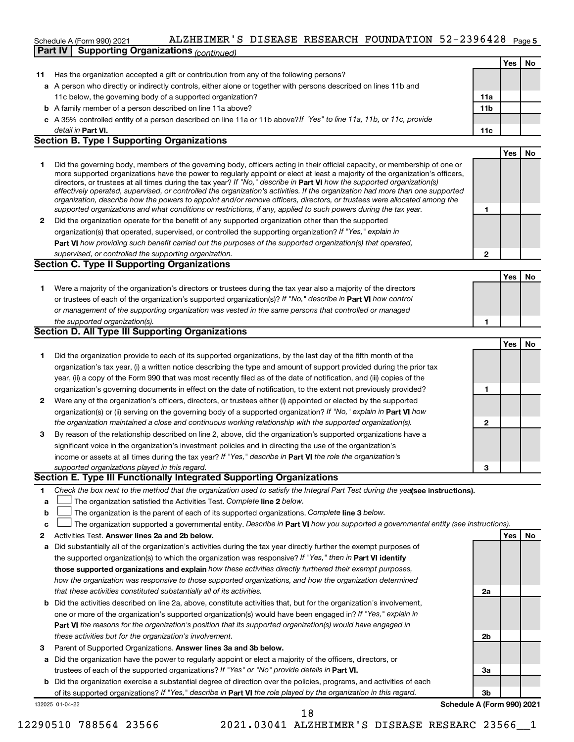## Schedule A (Form 990) 2021 ALZHEIMER 'S DISEASE RESEARCH FOUNDATION 52-2396428 <sub>Page 5</sub>

|    | <b>Supporting Organizations (continued)</b><br>Part IV                                                                                                                                                                                                                                                                                                                                                                                                                                                                                                                                                                                                                                                                                                                   |                 |     |    |
|----|--------------------------------------------------------------------------------------------------------------------------------------------------------------------------------------------------------------------------------------------------------------------------------------------------------------------------------------------------------------------------------------------------------------------------------------------------------------------------------------------------------------------------------------------------------------------------------------------------------------------------------------------------------------------------------------------------------------------------------------------------------------------------|-----------------|-----|----|
|    |                                                                                                                                                                                                                                                                                                                                                                                                                                                                                                                                                                                                                                                                                                                                                                          |                 | Yes | No |
| 11 | Has the organization accepted a gift or contribution from any of the following persons?                                                                                                                                                                                                                                                                                                                                                                                                                                                                                                                                                                                                                                                                                  |                 |     |    |
|    | a A person who directly or indirectly controls, either alone or together with persons described on lines 11b and                                                                                                                                                                                                                                                                                                                                                                                                                                                                                                                                                                                                                                                         |                 |     |    |
|    | 11c below, the governing body of a supported organization?                                                                                                                                                                                                                                                                                                                                                                                                                                                                                                                                                                                                                                                                                                               | 11a             |     |    |
|    | <b>b</b> A family member of a person described on line 11a above?                                                                                                                                                                                                                                                                                                                                                                                                                                                                                                                                                                                                                                                                                                        | 11 <sub>b</sub> |     |    |
|    | c A 35% controlled entity of a person described on line 11a or 11b above?If "Yes" to line 11a, 11b, or 11c, provide                                                                                                                                                                                                                                                                                                                                                                                                                                                                                                                                                                                                                                                      |                 |     |    |
|    | detail in Part VI.                                                                                                                                                                                                                                                                                                                                                                                                                                                                                                                                                                                                                                                                                                                                                       | 11c             |     |    |
|    | <b>Section B. Type I Supporting Organizations</b>                                                                                                                                                                                                                                                                                                                                                                                                                                                                                                                                                                                                                                                                                                                        |                 |     |    |
|    |                                                                                                                                                                                                                                                                                                                                                                                                                                                                                                                                                                                                                                                                                                                                                                          |                 | Yes | No |
| 1  | Did the governing body, members of the governing body, officers acting in their official capacity, or membership of one or<br>more supported organizations have the power to regularly appoint or elect at least a majority of the organization's officers,<br>directors, or trustees at all times during the tax year? If "No," describe in Part VI how the supported organization(s)<br>effectively operated, supervised, or controlled the organization's activities. If the organization had more than one supported<br>organization, describe how the powers to appoint and/or remove officers, directors, or trustees were allocated among the<br>supported organizations and what conditions or restrictions, if any, applied to such powers during the tax year. | 1               |     |    |
| 2  | Did the organization operate for the benefit of any supported organization other than the supported                                                                                                                                                                                                                                                                                                                                                                                                                                                                                                                                                                                                                                                                      |                 |     |    |
|    | organization(s) that operated, supervised, or controlled the supporting organization? If "Yes," explain in                                                                                                                                                                                                                                                                                                                                                                                                                                                                                                                                                                                                                                                               |                 |     |    |
|    | Part VI how providing such benefit carried out the purposes of the supported organization(s) that operated,                                                                                                                                                                                                                                                                                                                                                                                                                                                                                                                                                                                                                                                              |                 |     |    |
|    | supervised, or controlled the supporting organization.                                                                                                                                                                                                                                                                                                                                                                                                                                                                                                                                                                                                                                                                                                                   | $\mathbf{2}$    |     |    |
|    | <b>Section C. Type II Supporting Organizations</b>                                                                                                                                                                                                                                                                                                                                                                                                                                                                                                                                                                                                                                                                                                                       |                 |     |    |
|    |                                                                                                                                                                                                                                                                                                                                                                                                                                                                                                                                                                                                                                                                                                                                                                          |                 | Yes | No |
| 1. | Were a majority of the organization's directors or trustees during the tax year also a majority of the directors                                                                                                                                                                                                                                                                                                                                                                                                                                                                                                                                                                                                                                                         |                 |     |    |
|    | or trustees of each of the organization's supported organization(s)? If "No," describe in Part VI how control                                                                                                                                                                                                                                                                                                                                                                                                                                                                                                                                                                                                                                                            |                 |     |    |
|    | or management of the supporting organization was vested in the same persons that controlled or managed                                                                                                                                                                                                                                                                                                                                                                                                                                                                                                                                                                                                                                                                   |                 |     |    |
|    | the supported organization(s).                                                                                                                                                                                                                                                                                                                                                                                                                                                                                                                                                                                                                                                                                                                                           | 1               |     |    |
|    | <b>Section D. All Type III Supporting Organizations</b>                                                                                                                                                                                                                                                                                                                                                                                                                                                                                                                                                                                                                                                                                                                  |                 |     |    |
|    |                                                                                                                                                                                                                                                                                                                                                                                                                                                                                                                                                                                                                                                                                                                                                                          |                 | Yes | No |
| 1  | Did the organization provide to each of its supported organizations, by the last day of the fifth month of the                                                                                                                                                                                                                                                                                                                                                                                                                                                                                                                                                                                                                                                           |                 |     |    |
|    | organization's tax year, (i) a written notice describing the type and amount of support provided during the prior tax                                                                                                                                                                                                                                                                                                                                                                                                                                                                                                                                                                                                                                                    |                 |     |    |
|    | year, (ii) a copy of the Form 990 that was most recently filed as of the date of notification, and (iii) copies of the                                                                                                                                                                                                                                                                                                                                                                                                                                                                                                                                                                                                                                                   |                 |     |    |
|    | organization's governing documents in effect on the date of notification, to the extent not previously provided?                                                                                                                                                                                                                                                                                                                                                                                                                                                                                                                                                                                                                                                         | 1               |     |    |
| 2  | Were any of the organization's officers, directors, or trustees either (i) appointed or elected by the supported                                                                                                                                                                                                                                                                                                                                                                                                                                                                                                                                                                                                                                                         |                 |     |    |
|    | organization(s) or (ii) serving on the governing body of a supported organization? If "No," explain in Part VI how                                                                                                                                                                                                                                                                                                                                                                                                                                                                                                                                                                                                                                                       |                 |     |    |
|    | the organization maintained a close and continuous working relationship with the supported organization(s).                                                                                                                                                                                                                                                                                                                                                                                                                                                                                                                                                                                                                                                              | 2               |     |    |
| 3  | By reason of the relationship described on line 2, above, did the organization's supported organizations have a                                                                                                                                                                                                                                                                                                                                                                                                                                                                                                                                                                                                                                                          |                 |     |    |
|    | significant voice in the organization's investment policies and in directing the use of the organization's                                                                                                                                                                                                                                                                                                                                                                                                                                                                                                                                                                                                                                                               |                 |     |    |
|    | income or assets at all times during the tax year? If "Yes," describe in Part VI the role the organization's                                                                                                                                                                                                                                                                                                                                                                                                                                                                                                                                                                                                                                                             |                 |     |    |
|    | supported organizations played in this regard.                                                                                                                                                                                                                                                                                                                                                                                                                                                                                                                                                                                                                                                                                                                           |                 |     |    |
|    | Section E. Type III Functionally Integrated Supporting Organizations                                                                                                                                                                                                                                                                                                                                                                                                                                                                                                                                                                                                                                                                                                     |                 |     |    |
| 1  | Check the box next to the method that the organization used to satisfy the Integral Part Test during the yealsee instructions).                                                                                                                                                                                                                                                                                                                                                                                                                                                                                                                                                                                                                                          |                 |     |    |
| а  | The organization satisfied the Activities Test. Complete line 2 below.                                                                                                                                                                                                                                                                                                                                                                                                                                                                                                                                                                                                                                                                                                   |                 |     |    |
| b  | The organization is the parent of each of its supported organizations. Complete line 3 below.                                                                                                                                                                                                                                                                                                                                                                                                                                                                                                                                                                                                                                                                            |                 |     |    |
| c  | The organization supported a governmental entity. Describe in Part VI how you supported a governmental entity (see instructions).                                                                                                                                                                                                                                                                                                                                                                                                                                                                                                                                                                                                                                        |                 |     |    |
| 2  | Activities Test. Answer lines 2a and 2b below.                                                                                                                                                                                                                                                                                                                                                                                                                                                                                                                                                                                                                                                                                                                           |                 | Yes | No |
| а  | Did substantially all of the organization's activities during the tax year directly further the exempt purposes of                                                                                                                                                                                                                                                                                                                                                                                                                                                                                                                                                                                                                                                       |                 |     |    |
|    | the supported organization(s) to which the organization was responsive? If "Yes," then in Part VI identify                                                                                                                                                                                                                                                                                                                                                                                                                                                                                                                                                                                                                                                               |                 |     |    |
|    | those supported organizations and explain how these activities directly furthered their exempt purposes,                                                                                                                                                                                                                                                                                                                                                                                                                                                                                                                                                                                                                                                                 |                 |     |    |
|    | how the organization was responsive to those supported organizations, and how the organization determined                                                                                                                                                                                                                                                                                                                                                                                                                                                                                                                                                                                                                                                                |                 |     |    |

- *that these activities constituted substantially all of its activities.*
- **b** Did the activities described on line 2a, above, constitute activities that, but for the organization's involvement, **Part VI**  *the reasons for the organization's position that its supported organization(s) would have engaged in* one or more of the organization's supported organization(s) would have been engaged in? If "Yes," explain in *these activities but for the organization's involvement.*
- 3 Parent of Supported Organizations. Answer lines 3a and 3b below.
- **a** Did the organization have the power to regularly appoint or elect a majority of the officers, directors, or trustees of each of the supported organizations? If "Yes" or "No" provide details in Part VI.
- **b** Did the organization exercise a substantial degree of direction over the policies, programs, and activities of each of its supported organizations? If "Yes," describe in Part VI the role played by the organization in this regard.

132025 01-04-22

**3b Schedule A (Form 990) 2021**

**2a**

**2b**

**3a**

18

12290510 788564 23566 2021.03041 ALZHEIMER'S DISEASE RESEARC 23566\_\_1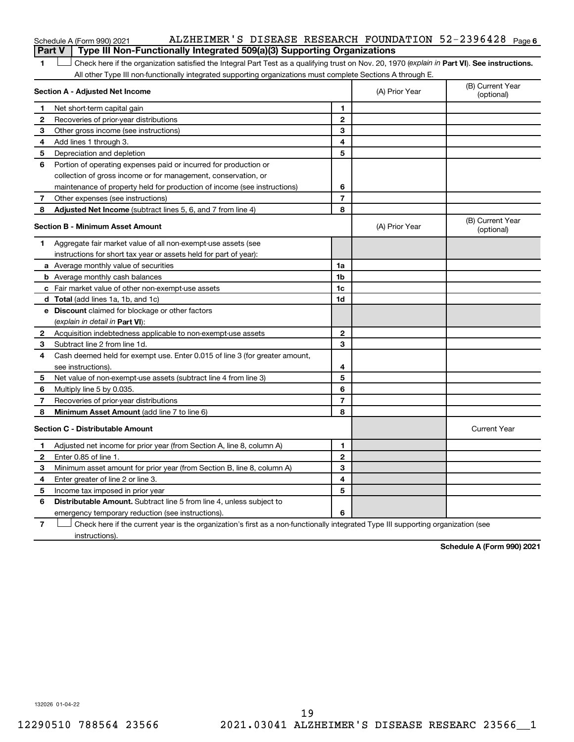## **6** Schedule A (Form 990) 2021 Page ALZHEIMER'S DISEASE RESEARCH FOUNDATION 52-2396428 **Part V Type III Non-Functionally Integrated 509(a)(3) Supporting Organizations**

1 **Letter See instructions.** Check here if the organization satisfied the Integral Part Test as a qualifying trust on Nov. 20, 1970 (*explain in* Part **VI**). See instructions. All other Type III non-functionally integrated supporting organizations must complete Sections A through E.

|              | Section A - Adjusted Net Income                                             | (A) Prior Year | (B) Current Year<br>(optional) |                                |
|--------------|-----------------------------------------------------------------------------|----------------|--------------------------------|--------------------------------|
| 1            | Net short-term capital gain                                                 | 1              |                                |                                |
| $\mathbf{2}$ | Recoveries of prior-year distributions                                      | $\mathbf{2}$   |                                |                                |
| З            | Other gross income (see instructions)                                       | 3              |                                |                                |
| 4            | Add lines 1 through 3.                                                      | 4              |                                |                                |
| 5            | Depreciation and depletion                                                  | 5              |                                |                                |
| 6            | Portion of operating expenses paid or incurred for production or            |                |                                |                                |
|              | collection of gross income or for management, conservation, or              |                |                                |                                |
|              | maintenance of property held for production of income (see instructions)    | 6              |                                |                                |
| 7            | Other expenses (see instructions)                                           | $\overline{7}$ |                                |                                |
| 8            | Adjusted Net Income (subtract lines 5, 6, and 7 from line 4)                | 8              |                                |                                |
|              | <b>Section B - Minimum Asset Amount</b>                                     |                | (A) Prior Year                 | (B) Current Year<br>(optional) |
| 1            | Aggregate fair market value of all non-exempt-use assets (see               |                |                                |                                |
|              | instructions for short tax year or assets held for part of year):           |                |                                |                                |
|              | a Average monthly value of securities                                       | 1a             |                                |                                |
|              | <b>b</b> Average monthly cash balances                                      | 1b             |                                |                                |
|              | c Fair market value of other non-exempt-use assets                          | 1c             |                                |                                |
|              | d Total (add lines 1a, 1b, and 1c)                                          | 1 <sub>d</sub> |                                |                                |
|              | e Discount claimed for blockage or other factors                            |                |                                |                                |
|              | (explain in detail in Part VI):                                             |                |                                |                                |
| 2            | Acquisition indebtedness applicable to non-exempt-use assets                | $\mathbf{2}$   |                                |                                |
| 3            | Subtract line 2 from line 1d.                                               | 3              |                                |                                |
| 4            | Cash deemed held for exempt use. Enter 0.015 of line 3 (for greater amount, |                |                                |                                |
|              | see instructions).                                                          | 4              |                                |                                |
| 5            | Net value of non-exempt-use assets (subtract line 4 from line 3)            | 5              |                                |                                |
| 6            | Multiply line 5 by 0.035.                                                   | 6              |                                |                                |
| 7            | Recoveries of prior-year distributions                                      | $\overline{7}$ |                                |                                |
| 8            | Minimum Asset Amount (add line 7 to line 6)                                 | 8              |                                |                                |
|              | <b>Section C - Distributable Amount</b>                                     |                |                                | <b>Current Year</b>            |
| 1            | Adjusted net income for prior year (from Section A, line 8, column A)       | 1              |                                |                                |
| 2            | Enter 0.85 of line 1.                                                       | $\mathbf{2}$   |                                |                                |
| 3            | Minimum asset amount for prior year (from Section B, line 8, column A)      | 3              |                                |                                |
| 4            | Enter greater of line 2 or line 3.                                          | 4              |                                |                                |
| 5            | Income tax imposed in prior year                                            | 5              |                                |                                |
| 6            | <b>Distributable Amount.</b> Subtract line 5 from line 4, unless subject to |                |                                |                                |
|              | emergency temporary reduction (see instructions).                           | 6              |                                |                                |
|              |                                                                             |                |                                |                                |

**7** Check here if the current year is the organization's first as a non-functionally integrated Type III supporting organization (see † instructions).

**Schedule A (Form 990) 2021**

132026 01-04-22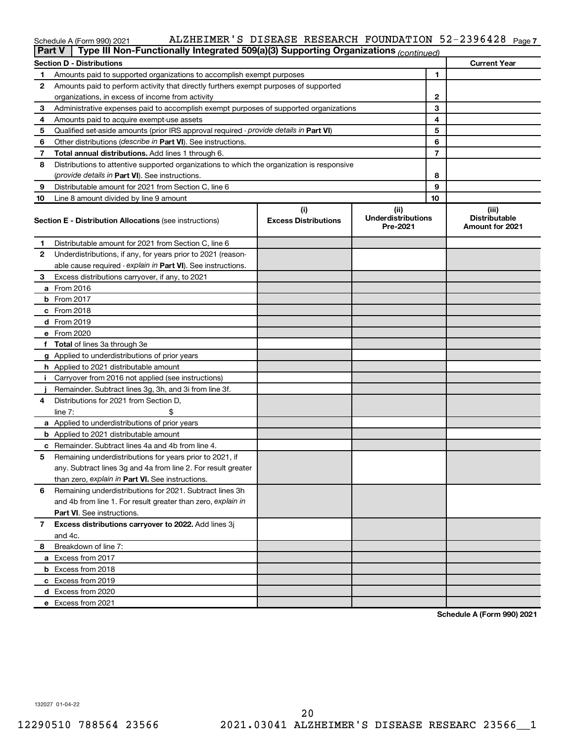## Schedule A (Form 990) 2021 ALZHEIMER 'S DISEASE RESEARCH FOUNDATION 52-2396428 <sub>Page 7</sub>

|    | Type III Non-Functionally Integrated 509(a)(3) Supporting Organizations (continued)<br><b>Part V</b> |                                    |                                               |                                                         |
|----|------------------------------------------------------------------------------------------------------|------------------------------------|-----------------------------------------------|---------------------------------------------------------|
|    | <b>Section D - Distributions</b>                                                                     |                                    |                                               | <b>Current Year</b>                                     |
| 1  | Amounts paid to supported organizations to accomplish exempt purposes                                | 1                                  |                                               |                                                         |
| 2  | Amounts paid to perform activity that directly furthers exempt purposes of supported                 |                                    |                                               |                                                         |
|    | organizations, in excess of income from activity                                                     |                                    | 2                                             |                                                         |
| 3  | Administrative expenses paid to accomplish exempt purposes of supported organizations                |                                    | 3                                             |                                                         |
| 4  | Amounts paid to acquire exempt-use assets                                                            |                                    | 4                                             |                                                         |
| 5  | Qualified set-aside amounts (prior IRS approval required - provide details in Part VI)               |                                    | 5                                             |                                                         |
| 6  | Other distributions (describe in Part VI). See instructions.                                         |                                    | 6                                             |                                                         |
| 7  | Total annual distributions. Add lines 1 through 6.                                                   |                                    | 7                                             |                                                         |
| 8  | Distributions to attentive supported organizations to which the organization is responsive           |                                    |                                               |                                                         |
|    | (provide details in Part VI). See instructions.                                                      |                                    | 8                                             |                                                         |
| 9  | Distributable amount for 2021 from Section C, line 6                                                 |                                    | 9                                             |                                                         |
| 10 | Line 8 amount divided by line 9 amount                                                               |                                    | 10                                            |                                                         |
|    | <b>Section E - Distribution Allocations (see instructions)</b>                                       | (i)<br><b>Excess Distributions</b> | (ii)<br><b>Underdistributions</b><br>Pre-2021 | (iii)<br><b>Distributable</b><br><b>Amount for 2021</b> |
| 1  | Distributable amount for 2021 from Section C, line 6                                                 |                                    |                                               |                                                         |
| 2  | Underdistributions, if any, for years prior to 2021 (reason-                                         |                                    |                                               |                                                         |
|    | able cause required - explain in Part VI). See instructions.                                         |                                    |                                               |                                                         |
| 3  | Excess distributions carryover, if any, to 2021                                                      |                                    |                                               |                                                         |
|    | a From 2016                                                                                          |                                    |                                               |                                                         |
|    | <b>b</b> From 2017                                                                                   |                                    |                                               |                                                         |
|    | c From 2018                                                                                          |                                    |                                               |                                                         |
|    | d From 2019                                                                                          |                                    |                                               |                                                         |
|    | e From 2020                                                                                          |                                    |                                               |                                                         |
|    | f Total of lines 3a through 3e                                                                       |                                    |                                               |                                                         |
|    | g Applied to underdistributions of prior years                                                       |                                    |                                               |                                                         |
|    | <b>h</b> Applied to 2021 distributable amount                                                        |                                    |                                               |                                                         |
| Ť. | Carryover from 2016 not applied (see instructions)                                                   |                                    |                                               |                                                         |
|    | Remainder. Subtract lines 3g, 3h, and 3i from line 3f.                                               |                                    |                                               |                                                         |
| 4  | Distributions for 2021 from Section D,                                                               |                                    |                                               |                                                         |
|    | line $7:$                                                                                            |                                    |                                               |                                                         |
|    | a Applied to underdistributions of prior years                                                       |                                    |                                               |                                                         |
|    | <b>b</b> Applied to 2021 distributable amount                                                        |                                    |                                               |                                                         |
|    | c Remainder. Subtract lines 4a and 4b from line 4.                                                   |                                    |                                               |                                                         |
| 5  | Remaining underdistributions for years prior to 2021, if                                             |                                    |                                               |                                                         |
|    | any. Subtract lines 3g and 4a from line 2. For result greater                                        |                                    |                                               |                                                         |
|    | than zero, explain in Part VI. See instructions.                                                     |                                    |                                               |                                                         |
| 6  | Remaining underdistributions for 2021. Subtract lines 3h                                             |                                    |                                               |                                                         |
|    | and 4b from line 1. For result greater than zero, explain in                                         |                                    |                                               |                                                         |
|    | <b>Part VI.</b> See instructions.                                                                    |                                    |                                               |                                                         |
| 7  | Excess distributions carryover to 2022. Add lines 3j                                                 |                                    |                                               |                                                         |
|    | and 4c.                                                                                              |                                    |                                               |                                                         |
| 8  | Breakdown of line 7:                                                                                 |                                    |                                               |                                                         |
|    | a Excess from 2017                                                                                   |                                    |                                               |                                                         |
|    | <b>b</b> Excess from 2018                                                                            |                                    |                                               |                                                         |
|    | c Excess from 2019                                                                                   |                                    |                                               |                                                         |
|    | d Excess from 2020                                                                                   |                                    |                                               |                                                         |
|    | e Excess from 2021                                                                                   |                                    |                                               |                                                         |

**Schedule A (Form 990) 2021**

132027 01-04-22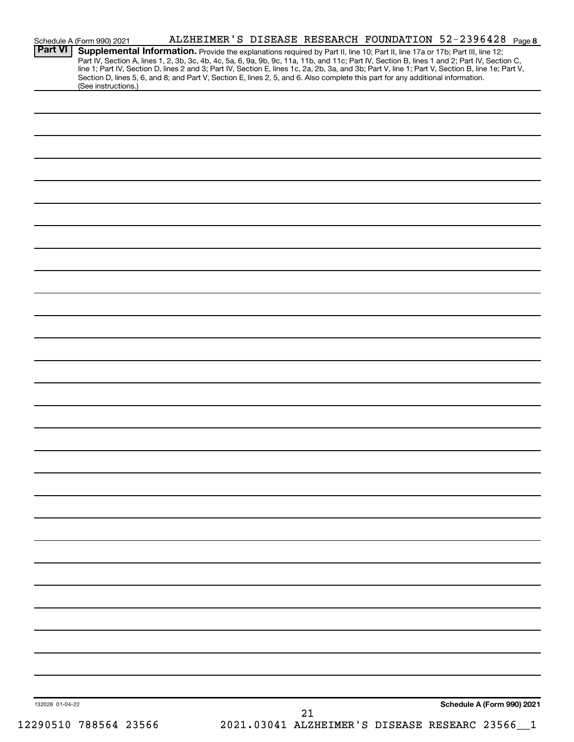| Part VI         | Schedule A (Form 990) 2021 |  |                                                                                                                                 | ALZHEIMER'S DISEASE RESEARCH FOUNDATION 52-2396428 Page8                                                                                         |
|-----------------|----------------------------|--|---------------------------------------------------------------------------------------------------------------------------------|--------------------------------------------------------------------------------------------------------------------------------------------------|
|                 |                            |  | Supplemental Information. Provide the explanations required by Part II, line 10; Part II, line 17a or 17b; Part III, line 12;   | Part IV, Section A, lines 1, 2, 3b, 3c, 4b, 4c, 5a, 6, 9a, 9b, 9c, 11a, 11b, and 11c; Part IV, Section B, lines 1 and 2; Part IV, Section C,     |
|                 |                            |  |                                                                                                                                 | line 1; Part IV, Section D, lines 2 and 3; Part IV, Section E, lines 1c, 2a, 2b, 3a, and 3b; Part V, line 1; Part V, Section B, line 1e; Part V, |
|                 |                            |  | Section D, lines 5, 6, and 8; and Part V, Section E, lines 2, 5, and 6. Also complete this part for any additional information. |                                                                                                                                                  |
|                 | (See instructions.)        |  |                                                                                                                                 |                                                                                                                                                  |
|                 |                            |  |                                                                                                                                 |                                                                                                                                                  |
|                 |                            |  |                                                                                                                                 |                                                                                                                                                  |
|                 |                            |  |                                                                                                                                 |                                                                                                                                                  |
|                 |                            |  |                                                                                                                                 |                                                                                                                                                  |
|                 |                            |  |                                                                                                                                 |                                                                                                                                                  |
|                 |                            |  |                                                                                                                                 |                                                                                                                                                  |
|                 |                            |  |                                                                                                                                 |                                                                                                                                                  |
|                 |                            |  |                                                                                                                                 |                                                                                                                                                  |
|                 |                            |  |                                                                                                                                 |                                                                                                                                                  |
|                 |                            |  |                                                                                                                                 |                                                                                                                                                  |
|                 |                            |  |                                                                                                                                 |                                                                                                                                                  |
|                 |                            |  |                                                                                                                                 |                                                                                                                                                  |
|                 |                            |  |                                                                                                                                 |                                                                                                                                                  |
|                 |                            |  |                                                                                                                                 |                                                                                                                                                  |
|                 |                            |  |                                                                                                                                 |                                                                                                                                                  |
|                 |                            |  |                                                                                                                                 |                                                                                                                                                  |
|                 |                            |  |                                                                                                                                 |                                                                                                                                                  |
|                 |                            |  |                                                                                                                                 |                                                                                                                                                  |
|                 |                            |  |                                                                                                                                 |                                                                                                                                                  |
|                 |                            |  |                                                                                                                                 |                                                                                                                                                  |
|                 |                            |  |                                                                                                                                 |                                                                                                                                                  |
|                 |                            |  |                                                                                                                                 |                                                                                                                                                  |
|                 |                            |  |                                                                                                                                 |                                                                                                                                                  |
|                 |                            |  |                                                                                                                                 |                                                                                                                                                  |
|                 |                            |  |                                                                                                                                 |                                                                                                                                                  |
|                 |                            |  |                                                                                                                                 |                                                                                                                                                  |
|                 |                            |  |                                                                                                                                 |                                                                                                                                                  |
|                 |                            |  |                                                                                                                                 |                                                                                                                                                  |
|                 |                            |  |                                                                                                                                 |                                                                                                                                                  |
|                 |                            |  |                                                                                                                                 |                                                                                                                                                  |
|                 |                            |  |                                                                                                                                 |                                                                                                                                                  |
|                 |                            |  |                                                                                                                                 |                                                                                                                                                  |
|                 |                            |  |                                                                                                                                 |                                                                                                                                                  |
|                 |                            |  |                                                                                                                                 |                                                                                                                                                  |
|                 |                            |  |                                                                                                                                 |                                                                                                                                                  |
|                 |                            |  |                                                                                                                                 |                                                                                                                                                  |
|                 |                            |  |                                                                                                                                 |                                                                                                                                                  |
|                 |                            |  |                                                                                                                                 |                                                                                                                                                  |
|                 |                            |  |                                                                                                                                 |                                                                                                                                                  |
|                 |                            |  |                                                                                                                                 |                                                                                                                                                  |
|                 |                            |  |                                                                                                                                 |                                                                                                                                                  |
|                 |                            |  |                                                                                                                                 |                                                                                                                                                  |
|                 |                            |  |                                                                                                                                 |                                                                                                                                                  |
|                 |                            |  |                                                                                                                                 |                                                                                                                                                  |
|                 |                            |  |                                                                                                                                 |                                                                                                                                                  |
|                 |                            |  |                                                                                                                                 |                                                                                                                                                  |
|                 |                            |  |                                                                                                                                 |                                                                                                                                                  |
|                 |                            |  |                                                                                                                                 |                                                                                                                                                  |
|                 |                            |  |                                                                                                                                 |                                                                                                                                                  |
|                 |                            |  |                                                                                                                                 |                                                                                                                                                  |
|                 |                            |  |                                                                                                                                 |                                                                                                                                                  |
|                 |                            |  |                                                                                                                                 |                                                                                                                                                  |
|                 |                            |  |                                                                                                                                 |                                                                                                                                                  |
|                 |                            |  |                                                                                                                                 |                                                                                                                                                  |
|                 |                            |  |                                                                                                                                 |                                                                                                                                                  |
|                 |                            |  |                                                                                                                                 |                                                                                                                                                  |
| 132028 01-04-22 |                            |  | 21                                                                                                                              | Schedule A (Form 990) 2021                                                                                                                       |
|                 | 12290510 788564 23566      |  |                                                                                                                                 | 2021.03041 ALZHEIMER'S DISEASE RESEARC 23566                                                                                                     |
|                 |                            |  |                                                                                                                                 |                                                                                                                                                  |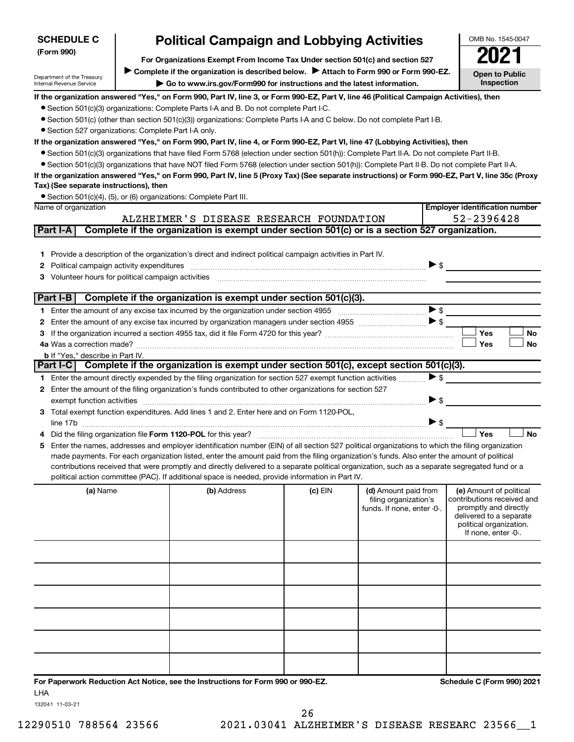| <b>SCHEDULE C</b>                                      | OMB No. 1545-0047                                                                                                                                                                                                                                                                              |         |                                                     |                                                     |
|--------------------------------------------------------|------------------------------------------------------------------------------------------------------------------------------------------------------------------------------------------------------------------------------------------------------------------------------------------------|---------|-----------------------------------------------------|-----------------------------------------------------|
| (Form 990)                                             | For Organizations Exempt From Income Tax Under section 501(c) and section 527                                                                                                                                                                                                                  |         |                                                     |                                                     |
| Department of the Treasury                             | Complete if the organization is described below. > Attach to Form 990 or Form 990-EZ.                                                                                                                                                                                                          |         |                                                     | <b>Open to Public</b>                               |
| Internal Revenue Service                               | Go to www.irs.gov/Form990 for instructions and the latest information.                                                                                                                                                                                                                         |         |                                                     | Inspection                                          |
|                                                        | If the organization answered "Yes," on Form 990, Part IV, line 3, or Form 990-EZ, Part V, line 46 (Political Campaign Activities), then                                                                                                                                                        |         |                                                     |                                                     |
|                                                        | • Section 501(c)(3) organizations: Complete Parts I-A and B. Do not complete Part I-C.                                                                                                                                                                                                         |         |                                                     |                                                     |
|                                                        | • Section 501(c) (other than section 501(c)(3)) organizations: Complete Parts I-A and C below. Do not complete Part I-B.                                                                                                                                                                       |         |                                                     |                                                     |
| • Section 527 organizations: Complete Part I-A only.   |                                                                                                                                                                                                                                                                                                |         |                                                     |                                                     |
|                                                        | If the organization answered "Yes," on Form 990, Part IV, line 4, or Form 990-EZ, Part VI, line 47 (Lobbying Activities), then                                                                                                                                                                 |         |                                                     |                                                     |
|                                                        | • Section 501(c)(3) organizations that have filed Form 5768 (election under section 501(h)): Complete Part II-A. Do not complete Part II-B.<br>• Section 501(c)(3) organizations that have NOT filed Form 5768 (election under section 501(h)): Complete Part II-B. Do not complete Part II-A. |         |                                                     |                                                     |
|                                                        | If the organization answered "Yes," on Form 990, Part IV, line 5 (Proxy Tax) (See separate instructions) or Form 990-EZ, Part V, line 35c (Proxy                                                                                                                                               |         |                                                     |                                                     |
| Tax) (See separate instructions), then                 |                                                                                                                                                                                                                                                                                                |         |                                                     |                                                     |
|                                                        | • Section 501(c)(4), (5), or (6) organizations: Complete Part III.                                                                                                                                                                                                                             |         |                                                     |                                                     |
| Name of organization                                   |                                                                                                                                                                                                                                                                                                |         |                                                     | <b>Employer identification number</b>               |
|                                                        | ALZHEIMER'S DISEASE RESEARCH FOUNDATION                                                                                                                                                                                                                                                        |         |                                                     | 52-2396428                                          |
| Part I-A                                               | Complete if the organization is exempt under section 501(c) or is a section 527 organization.                                                                                                                                                                                                  |         |                                                     |                                                     |
|                                                        |                                                                                                                                                                                                                                                                                                |         |                                                     |                                                     |
| 1.                                                     | Provide a description of the organization's direct and indirect political campaign activities in Part IV.                                                                                                                                                                                      |         |                                                     |                                                     |
| Political campaign activity expenditures<br>2          |                                                                                                                                                                                                                                                                                                |         | $\triangleright$ \$                                 |                                                     |
| Volunteer hours for political campaign activities<br>З |                                                                                                                                                                                                                                                                                                |         |                                                     |                                                     |
| Part I-B                                               | Complete if the organization is exempt under section 501(c)(3).                                                                                                                                                                                                                                |         |                                                     |                                                     |
|                                                        | 1 Enter the amount of any excise tax incurred by the organization under section 4955                                                                                                                                                                                                           |         | $\blacktriangleright$ \$                            |                                                     |
| 2                                                      |                                                                                                                                                                                                                                                                                                |         | $\blacktriangleright$ \$                            |                                                     |
| 3                                                      |                                                                                                                                                                                                                                                                                                |         |                                                     | Yes<br>No                                           |
|                                                        |                                                                                                                                                                                                                                                                                                |         |                                                     | <b>Yes</b><br>No                                    |
| <b>b</b> If "Yes," describe in Part IV.                |                                                                                                                                                                                                                                                                                                |         |                                                     |                                                     |
| Part I-C                                               | Complete if the organization is exempt under section 501(c), except section 501(c)(3).                                                                                                                                                                                                         |         |                                                     |                                                     |
|                                                        | 1 Enter the amount directly expended by the filing organization for section 527 exempt function activities                                                                                                                                                                                     |         | $\blacktriangleright$ \$                            |                                                     |
| 2                                                      | Enter the amount of the filing organization's funds contributed to other organizations for section 527                                                                                                                                                                                         |         | $\blacktriangleright$ \$                            |                                                     |
| exempt function activities                             | 3 Total exempt function expenditures. Add lines 1 and 2. Enter here and on Form 1120-POL,                                                                                                                                                                                                      |         |                                                     |                                                     |
|                                                        |                                                                                                                                                                                                                                                                                                |         | $\blacktriangleright$ \$                            |                                                     |
|                                                        | Did the filing organization file Form 1120-POL for this year?                                                                                                                                                                                                                                  |         |                                                     | <b>No</b><br>Yes                                    |
| 5.                                                     | Enter the names, addresses and employer identification number (EIN) of all section 527 political organizations to which the filing organization                                                                                                                                                |         |                                                     |                                                     |
|                                                        | made payments. For each organization listed, enter the amount paid from the filing organization's funds. Also enter the amount of political                                                                                                                                                    |         |                                                     |                                                     |
|                                                        | contributions received that were promptly and directly delivered to a separate political organization, such as a separate segregated fund or a                                                                                                                                                 |         |                                                     |                                                     |
|                                                        | political action committee (PAC). If additional space is needed, provide information in Part IV.                                                                                                                                                                                               |         |                                                     |                                                     |
| (a) Name                                               | (b) Address                                                                                                                                                                                                                                                                                    | (c) EIN | (d) Amount paid from                                | (e) Amount of political                             |
|                                                        |                                                                                                                                                                                                                                                                                                |         | filing organization's<br>funds. If none, enter -0-. | contributions received and<br>promptly and directly |
|                                                        |                                                                                                                                                                                                                                                                                                |         |                                                     | delivered to a separate                             |
|                                                        |                                                                                                                                                                                                                                                                                                |         |                                                     | political organization.<br>If none, enter -0-.      |
|                                                        |                                                                                                                                                                                                                                                                                                |         |                                                     |                                                     |
|                                                        |                                                                                                                                                                                                                                                                                                |         |                                                     |                                                     |
|                                                        |                                                                                                                                                                                                                                                                                                |         |                                                     |                                                     |
|                                                        |                                                                                                                                                                                                                                                                                                |         |                                                     |                                                     |
|                                                        |                                                                                                                                                                                                                                                                                                |         |                                                     |                                                     |
|                                                        |                                                                                                                                                                                                                                                                                                |         |                                                     |                                                     |
|                                                        |                                                                                                                                                                                                                                                                                                |         |                                                     |                                                     |
|                                                        |                                                                                                                                                                                                                                                                                                |         |                                                     |                                                     |
|                                                        |                                                                                                                                                                                                                                                                                                |         |                                                     |                                                     |
|                                                        |                                                                                                                                                                                                                                                                                                |         |                                                     |                                                     |
|                                                        |                                                                                                                                                                                                                                                                                                |         |                                                     |                                                     |
|                                                        | For Paperwork Reduction Act Notice, see the Instructions for Form 990 or 990-EZ.                                                                                                                                                                                                               |         |                                                     | Schedule C (Form 990) 2021                          |
| LHA                                                    |                                                                                                                                                                                                                                                                                                |         |                                                     |                                                     |

132041 11-03-21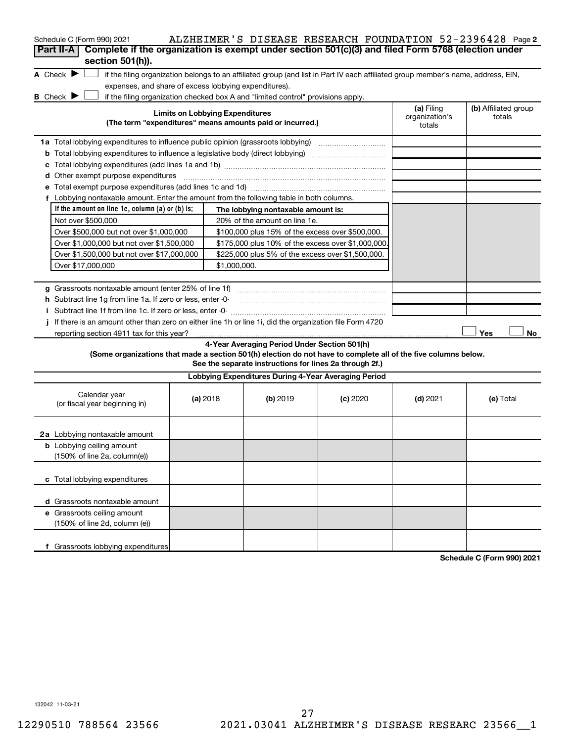| Schedule C (Form 990) 2021                                                                                        |              |                                        |                                                           | ALZHEIMER'S DISEASE RESEARCH FOUNDATION 52-2396428 Page2                                                                          |                              |                                |  |
|-------------------------------------------------------------------------------------------------------------------|--------------|----------------------------------------|-----------------------------------------------------------|-----------------------------------------------------------------------------------------------------------------------------------|------------------------------|--------------------------------|--|
| Complete if the organization is exempt under section 501(c)(3) and filed Form 5768 (election under<br>Part II-A   |              |                                        |                                                           |                                                                                                                                   |                              |                                |  |
| section 501(h)).                                                                                                  |              |                                        |                                                           |                                                                                                                                   |                              |                                |  |
| A Check $\blacktriangleright$                                                                                     |              |                                        |                                                           | if the filing organization belongs to an affiliated group (and list in Part IV each affiliated group member's name, address, EIN, |                              |                                |  |
| expenses, and share of excess lobbying expenditures).                                                             |              |                                        |                                                           |                                                                                                                                   |                              |                                |  |
| B Check $\blacktriangleright$<br>if the filing organization checked box A and "limited control" provisions apply. |              |                                        |                                                           |                                                                                                                                   |                              |                                |  |
|                                                                                                                   |              | <b>Limits on Lobbying Expenditures</b> |                                                           |                                                                                                                                   | (a) Filing<br>organization's | (b) Affiliated group<br>totals |  |
|                                                                                                                   |              |                                        | (The term "expenditures" means amounts paid or incurred.) |                                                                                                                                   | totals                       |                                |  |
| 1a Total lobbying expenditures to influence public opinion (grassroots lobbying) [[[[[[[[[[[[[[[[[[[[[[[[[[[[     |              |                                        |                                                           |                                                                                                                                   |                              |                                |  |
| <b>b</b> Total lobbying expenditures to influence a legislative body (direct lobbying) <i>manumumumumum</i>       |              |                                        |                                                           |                                                                                                                                   |                              |                                |  |
| c                                                                                                                 |              |                                        |                                                           |                                                                                                                                   |                              |                                |  |
| Other exempt purpose expenditures<br>d                                                                            |              |                                        |                                                           |                                                                                                                                   |                              |                                |  |
|                                                                                                                   |              |                                        |                                                           |                                                                                                                                   |                              |                                |  |
| f Lobbying nontaxable amount. Enter the amount from the following table in both columns.                          |              |                                        |                                                           |                                                                                                                                   |                              |                                |  |
| If the amount on line 1e, column (a) or (b) is:                                                                   |              |                                        | The lobbying nontaxable amount is:                        |                                                                                                                                   |                              |                                |  |
| Not over \$500,000                                                                                                |              |                                        | 20% of the amount on line 1e.                             |                                                                                                                                   |                              |                                |  |
| Over \$500,000 but not over \$1,000,000                                                                           |              |                                        | \$100,000 plus 15% of the excess over \$500,000.          |                                                                                                                                   |                              |                                |  |
| Over \$1,000,000 but not over \$1,500,000                                                                         |              |                                        | \$175,000 plus 10% of the excess over \$1,000,000         |                                                                                                                                   |                              |                                |  |
| Over \$1,500,000 but not over \$17,000,000                                                                        |              |                                        | \$225,000 plus 5% of the excess over \$1,500,000.         |                                                                                                                                   |                              |                                |  |
| Over \$17,000,000                                                                                                 | \$1,000,000. |                                        |                                                           |                                                                                                                                   |                              |                                |  |
|                                                                                                                   |              |                                        |                                                           |                                                                                                                                   |                              |                                |  |
| <b>g</b> Grassroots nontaxable amount (enter 25% of line 1f)                                                      |              |                                        |                                                           |                                                                                                                                   |                              |                                |  |
| h Subtract line 1g from line 1a. If zero or less, enter -0-                                                       |              |                                        |                                                           |                                                                                                                                   |                              |                                |  |
|                                                                                                                   |              |                                        |                                                           |                                                                                                                                   |                              |                                |  |
| If there is an amount other than zero on either line 1h or line 1i, did the organization file Form 4720           |              |                                        |                                                           |                                                                                                                                   |                              |                                |  |
| reporting section 4911 tax for this year?                                                                         |              |                                        |                                                           |                                                                                                                                   |                              | Yes<br>No                      |  |
|                                                                                                                   |              |                                        | 4-Year Averaging Period Under Section 501(h)              |                                                                                                                                   |                              |                                |  |
| (Some organizations that made a section 501(h) election do not have to complete all of the five columns below.    |              |                                        | See the separate instructions for lines 2a through 2f.)   |                                                                                                                                   |                              |                                |  |
|                                                                                                                   |              |                                        |                                                           |                                                                                                                                   |                              |                                |  |
|                                                                                                                   |              |                                        | Lobbying Expenditures During 4-Year Averaging Period      |                                                                                                                                   |                              |                                |  |
| Calendar year                                                                                                     |              | (a) 2018                               | (b) 2019                                                  | (c) 2020                                                                                                                          | $(d)$ 2021                   | (e) Total                      |  |
| (or fiscal year beginning in)                                                                                     |              |                                        |                                                           |                                                                                                                                   |                              |                                |  |
|                                                                                                                   |              |                                        |                                                           |                                                                                                                                   |                              |                                |  |
| 2a Lobbying nontaxable amount                                                                                     |              |                                        |                                                           |                                                                                                                                   |                              |                                |  |
| <b>b</b> Lobbying ceiling amount                                                                                  |              |                                        |                                                           |                                                                                                                                   |                              |                                |  |
| (150% of line 2a, column(e))                                                                                      |              |                                        |                                                           |                                                                                                                                   |                              |                                |  |
|                                                                                                                   |              |                                        |                                                           |                                                                                                                                   |                              |                                |  |
| c Total lobbying expenditures                                                                                     |              |                                        |                                                           |                                                                                                                                   |                              |                                |  |
|                                                                                                                   |              |                                        |                                                           |                                                                                                                                   |                              |                                |  |
| d Grassroots nontaxable amount                                                                                    |              |                                        |                                                           |                                                                                                                                   |                              |                                |  |
| e Grassroots ceiling amount                                                                                       |              |                                        |                                                           |                                                                                                                                   |                              |                                |  |
| (150% of line 2d, column (e))                                                                                     |              |                                        |                                                           |                                                                                                                                   |                              |                                |  |
|                                                                                                                   |              |                                        |                                                           |                                                                                                                                   |                              |                                |  |
| f Grassroots lobbying expenditures                                                                                |              |                                        |                                                           |                                                                                                                                   |                              |                                |  |
|                                                                                                                   |              |                                        |                                                           |                                                                                                                                   |                              | 0.001004                       |  |

**Schedule C (Form 990) 2021**

132042 11-03-21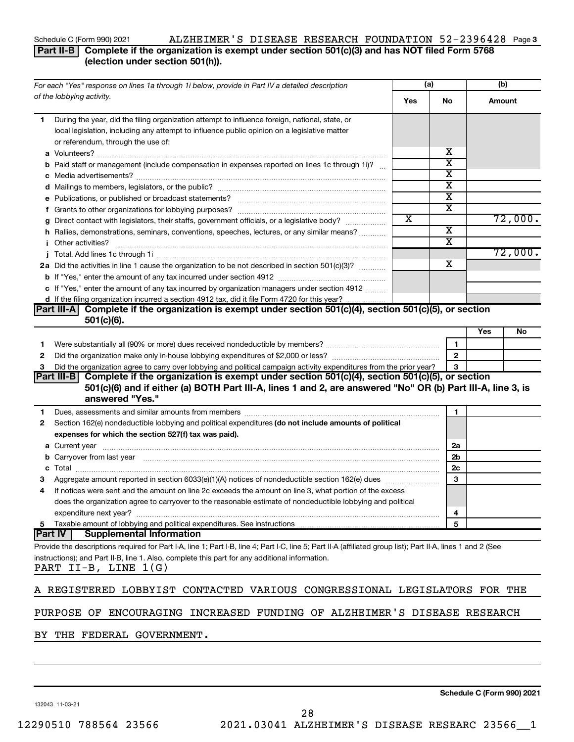## Schedule C (Form 990) 2021 ALZHEIMER'S DISEASE RESEARCH FOUNDATION 52-2396428 Page 3

**Part II-B Complete if the organization is exempt under section 501(c)(3) and has NOT filed Form 5768 (election under section 501(h)).**

| For each "Yes" response on lines 1a through 1i below, provide in Part IV a detailed description                                                                                                                                     | (a)                     |                         | (b)    |         |
|-------------------------------------------------------------------------------------------------------------------------------------------------------------------------------------------------------------------------------------|-------------------------|-------------------------|--------|---------|
| of the lobbying activity.                                                                                                                                                                                                           | Yes                     | No                      | Amount |         |
| During the year, did the filing organization attempt to influence foreign, national, state, or<br>1.                                                                                                                                |                         |                         |        |         |
| local legislation, including any attempt to influence public opinion on a legislative matter                                                                                                                                        |                         |                         |        |         |
| or referendum, through the use of:                                                                                                                                                                                                  |                         |                         |        |         |
|                                                                                                                                                                                                                                     |                         | х                       |        |         |
| <b>b</b> Paid staff or management (include compensation in expenses reported on lines 1c through 1i)?                                                                                                                               |                         | $\overline{\textbf{x}}$ |        |         |
|                                                                                                                                                                                                                                     |                         | X                       |        |         |
|                                                                                                                                                                                                                                     |                         | $\overline{\textbf{x}}$ |        |         |
|                                                                                                                                                                                                                                     |                         | $\overline{\textbf{x}}$ |        |         |
|                                                                                                                                                                                                                                     |                         | $\overline{\mathbf{X}}$ |        |         |
| g Direct contact with legislators, their staffs, government officials, or a legislative body?                                                                                                                                       | $\overline{\textbf{X}}$ |                         |        | 72,000. |
| h Rallies, demonstrations, seminars, conventions, speeches, lectures, or any similar means?                                                                                                                                         |                         | $\overline{\mathbf{X}}$ |        |         |
| <i>i</i> Other activities?                                                                                                                                                                                                          |                         | $\overline{\textbf{x}}$ |        |         |
|                                                                                                                                                                                                                                     |                         |                         |        | 72,000. |
| 2a Did the activities in line 1 cause the organization to be not described in section 501(c)(3)?                                                                                                                                    |                         | x                       |        |         |
|                                                                                                                                                                                                                                     |                         |                         |        |         |
| c If "Yes," enter the amount of any tax incurred by organization managers under section 4912                                                                                                                                        |                         |                         |        |         |
| d If the filing organization incurred a section 4912 tax, did it file Form 4720 for this year?                                                                                                                                      |                         |                         |        |         |
| Complete if the organization is exempt under section 501(c)(4), section 501(c)(5), or section<br> Part III-A                                                                                                                        |                         |                         |        |         |
| $501(c)(6)$ .                                                                                                                                                                                                                       |                         |                         |        |         |
|                                                                                                                                                                                                                                     |                         |                         | Yes    | No      |
| 1                                                                                                                                                                                                                                   |                         | 1                       |        |         |
| 2                                                                                                                                                                                                                                   |                         | $\mathbf{2}$            |        |         |
| Did the organization agree to carry over lobbying and political campaign activity expenditures from the prior year?<br>з                                                                                                            |                         | 3                       |        |         |
| Complete if the organization is exempt under section 501(c)(4), section 501(c)(5), or section<br><b>Part III-B</b>                                                                                                                  |                         |                         |        |         |
| 501(c)(6) and if either (a) BOTH Part III-A, lines 1 and 2, are answered "No" OR (b) Part III-A, line 3, is                                                                                                                         |                         |                         |        |         |
| answered "Yes."                                                                                                                                                                                                                     |                         |                         |        |         |
| Dues, assessments and similar amounts from members [111] Dues, assessments and similar amounts and similar amounts from members [111] Dues, assessments and similar amounts from members [11] Dues and Supply and Supply and S<br>1 |                         | 1                       |        |         |
| Section 162(e) nondeductible lobbying and political expenditures (do not include amounts of political<br>2                                                                                                                          |                         |                         |        |         |
| expenses for which the section 527(f) tax was paid).                                                                                                                                                                                |                         |                         |        |         |
|                                                                                                                                                                                                                                     |                         | 2a                      |        |         |
| b Carryover from last year manufactured and content to content the content of the content of the content of the content of the content of the content of the content of the content of the content of the content of the conte      |                         | 2 <sub>b</sub>          |        |         |
|                                                                                                                                                                                                                                     |                         | 2c                      |        |         |
| з                                                                                                                                                                                                                                   |                         | 3                       |        |         |
| If notices were sent and the amount on line 2c exceeds the amount on line 3, what portion of the excess<br>4                                                                                                                        |                         |                         |        |         |
| does the organization agree to carryover to the reasonable estimate of nondeductible lobbying and political                                                                                                                         |                         |                         |        |         |
|                                                                                                                                                                                                                                     |                         |                         |        |         |
| expenditure next year?<br>Taxable amount of lobbying and political expenditures. See instructions                                                                                                                                   |                         | 4<br>5                  |        |         |
| 5<br><b>Part IV</b><br><b>Supplemental Information</b>                                                                                                                                                                              |                         |                         |        |         |
|                                                                                                                                                                                                                                     |                         |                         |        |         |
| Provide the descriptions required for Part I-A, line 1; Part I-B, line 4; Part I-C, line 5; Part II-A (affiliated group list); Part II-A, lines 1 and 2 (See                                                                        |                         |                         |        |         |
| instructions); and Part II-B, line 1. Also, complete this part for any additional information.<br>PART II-B, LINE 1(G)                                                                                                              |                         |                         |        |         |
|                                                                                                                                                                                                                                     |                         |                         |        |         |
| A REGISTERED LOBBYIST CONTACTED VARIOUS CONGRESSIONAL LEGISLATORS FOR THE                                                                                                                                                           |                         |                         |        |         |
|                                                                                                                                                                                                                                     |                         |                         |        |         |
| PURPOSE OF ENCOURAGING INCREASED FUNDING OF ALZHEIMER'S DISEASE RESEARCH                                                                                                                                                            |                         |                         |        |         |
| <b>DEDITION TO CONTROLLER</b>                                                                                                                                                                                                       |                         |                         |        |         |

BY THE FEDERAL GOVERNMENT.

132043 11-03-21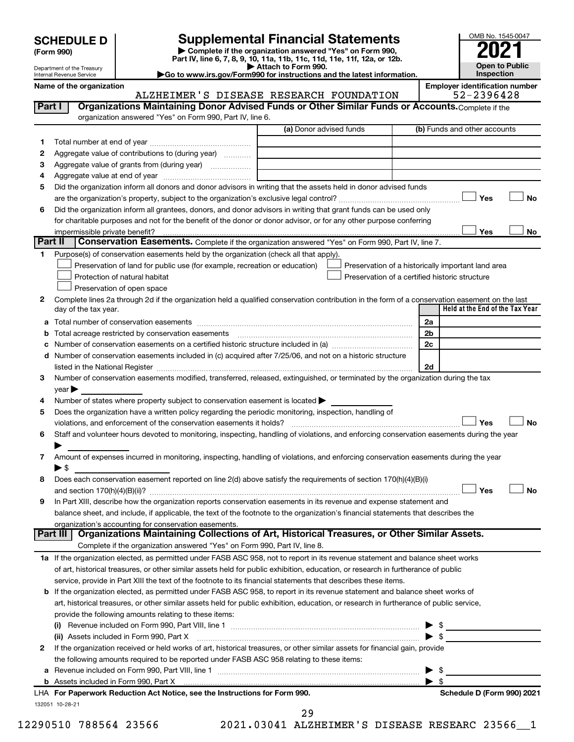| <b>SCHEDULE D</b> |  |
|-------------------|--|
|-------------------|--|

**| Complete if the organization answered "Yes" on Form 990, Part IV, line 6, 7, 8, 9, 10, 11a, 11b, 11c, 11d, 11e, 11f, 12a, or 12b. SCHEDULE D Supplemental Financial Statements**<br> **Form 990 Example 5 2021**<br>
Part IV. line 6, 7, 8, 9, 10, 11a, 11b, 11c, 11d, 11e, 11f, 12a, or 12b.

**| Attach to Form 990.**



Department of the Treasury Internal Revenue Service

**|Go to www.irs.gov/Form990 for instructions and the latest information.**

**Name of the organization Employer identification number**

|              | ALZHEIMER'S DISEASE RESEARCH FOUNDATION                                                                                                                                                                                       |                         | 52-2396428                                         |
|--------------|-------------------------------------------------------------------------------------------------------------------------------------------------------------------------------------------------------------------------------|-------------------------|----------------------------------------------------|
| Part I       | Organizations Maintaining Donor Advised Funds or Other Similar Funds or Accounts. Complete if the                                                                                                                             |                         |                                                    |
|              | organization answered "Yes" on Form 990, Part IV, line 6.                                                                                                                                                                     |                         |                                                    |
|              |                                                                                                                                                                                                                               | (a) Donor advised funds | (b) Funds and other accounts                       |
| 1.           |                                                                                                                                                                                                                               |                         |                                                    |
| 2            | Aggregate value of contributions to (during year)                                                                                                                                                                             |                         |                                                    |
| 3            | Aggregate value of grants from (during year)                                                                                                                                                                                  |                         |                                                    |
| 4            |                                                                                                                                                                                                                               |                         |                                                    |
| 5            | Did the organization inform all donors and donor advisors in writing that the assets held in donor advised funds                                                                                                              |                         |                                                    |
|              |                                                                                                                                                                                                                               |                         | Yes<br>No                                          |
| 6            | Did the organization inform all grantees, donors, and donor advisors in writing that grant funds can be used only                                                                                                             |                         |                                                    |
|              | for charitable purposes and not for the benefit of the donor or donor advisor, or for any other purpose conferring                                                                                                            |                         |                                                    |
|              |                                                                                                                                                                                                                               |                         | Yes<br>No                                          |
| Part II      | Conservation Easements. Complete if the organization answered "Yes" on Form 990, Part IV, line 7.                                                                                                                             |                         |                                                    |
| 1.           | Purpose(s) of conservation easements held by the organization (check all that apply).                                                                                                                                         |                         |                                                    |
|              | Preservation of land for public use (for example, recreation or education)                                                                                                                                                    |                         | Preservation of a historically important land area |
|              | Protection of natural habitat                                                                                                                                                                                                 |                         | Preservation of a certified historic structure     |
|              | Preservation of open space                                                                                                                                                                                                    |                         |                                                    |
| 2            | Complete lines 2a through 2d if the organization held a qualified conservation contribution in the form of a conservation easement on the last                                                                                |                         |                                                    |
|              | day of the tax year.                                                                                                                                                                                                          |                         | Held at the End of the Tax Year                    |
|              |                                                                                                                                                                                                                               |                         | 2a                                                 |
| b            |                                                                                                                                                                                                                               |                         | 2 <sub>b</sub>                                     |
| с            |                                                                                                                                                                                                                               |                         | 2c                                                 |
|              | d Number of conservation easements included in (c) acquired after 7/25/06, and not on a historic structure                                                                                                                    |                         |                                                    |
|              | listed in the National Register [111] [12] The Materian Register [12] Material Register [12] Material Register                                                                                                                |                         | 2d                                                 |
| 3            | Number of conservation easements modified, transferred, released, extinguished, or terminated by the organization during the tax                                                                                              |                         |                                                    |
|              | year                                                                                                                                                                                                                          |                         |                                                    |
| 4            | Number of states where property subject to conservation easement is located $\blacktriangleright$                                                                                                                             |                         |                                                    |
| 5            | Does the organization have a written policy regarding the periodic monitoring, inspection, handling of                                                                                                                        |                         |                                                    |
|              | violations, and enforcement of the conservation easements it holds?                                                                                                                                                           |                         | Yes<br><b>No</b>                                   |
| 6            | Staff and volunteer hours devoted to monitoring, inspecting, handling of violations, and enforcing conservation easements during the year                                                                                     |                         |                                                    |
|              |                                                                                                                                                                                                                               |                         |                                                    |
| 7            | Amount of expenses incurred in monitoring, inspecting, handling of violations, and enforcing conservation easements during the year                                                                                           |                         |                                                    |
|              | $\blacktriangleright$ \$                                                                                                                                                                                                      |                         |                                                    |
| 8            | Does each conservation easement reported on line 2(d) above satisfy the requirements of section 170(h)(4)(B)(i)                                                                                                               |                         |                                                    |
|              |                                                                                                                                                                                                                               |                         | Yes<br>No                                          |
| 9            | In Part XIII, describe how the organization reports conservation easements in its revenue and expense statement and                                                                                                           |                         |                                                    |
|              | balance sheet, and include, if applicable, the text of the footnote to the organization's financial statements that describes the                                                                                             |                         |                                                    |
|              | organization's accounting for conservation easements.                                                                                                                                                                         |                         |                                                    |
|              | Organizations Maintaining Collections of Art, Historical Treasures, or Other Similar Assets.<br>Part III                                                                                                                      |                         |                                                    |
|              | Complete if the organization answered "Yes" on Form 990, Part IV, line 8.                                                                                                                                                     |                         |                                                    |
|              | 1a If the organization elected, as permitted under FASB ASC 958, not to report in its revenue statement and balance sheet works                                                                                               |                         |                                                    |
|              | of art, historical treasures, or other similar assets held for public exhibition, education, or research in furtherance of public                                                                                             |                         |                                                    |
|              | service, provide in Part XIII the text of the footnote to its financial statements that describes these items.                                                                                                                |                         |                                                    |
|              | b If the organization elected, as permitted under FASB ASC 958, to report in its revenue statement and balance sheet works of                                                                                                 |                         |                                                    |
|              | art, historical treasures, or other similar assets held for public exhibition, education, or research in furtherance of public service,                                                                                       |                         |                                                    |
|              | provide the following amounts relating to these items:                                                                                                                                                                        |                         |                                                    |
|              |                                                                                                                                                                                                                               |                         | \$                                                 |
|              | (ii) Assets included in Form 990, Part X                                                                                                                                                                                      |                         | $\blacktriangleright$ \$                           |
| $\mathbf{2}$ | If the organization received or held works of art, historical treasures, or other similar assets for financial gain, provide                                                                                                  |                         |                                                    |
|              | the following amounts required to be reported under FASB ASC 958 relating to these items:                                                                                                                                     |                         |                                                    |
|              |                                                                                                                                                                                                                               |                         | -\$<br>▶                                           |
|              | b Assets included in Form 990, Part X [11, 12] Assets included in Form 990, Part X [2010] Assets included in Form 990, Part X [2010] Assets included in Form 990, Part X [2010] Assets in the state of the state of the state |                         | $\blacktriangleright$ s                            |
|              | LHA For Paperwork Reduction Act Notice, see the Instructions for Form 990.                                                                                                                                                    |                         | Schedule D (Form 990) 2021                         |
|              | 132051 10-28-21                                                                                                                                                                                                               |                         |                                                    |
|              |                                                                                                                                                                                                                               | 29                      |                                                    |

12290510 788564 23566 2021.03041 ALZHEIMER'S DISEASE RESEARC 23566\_\_1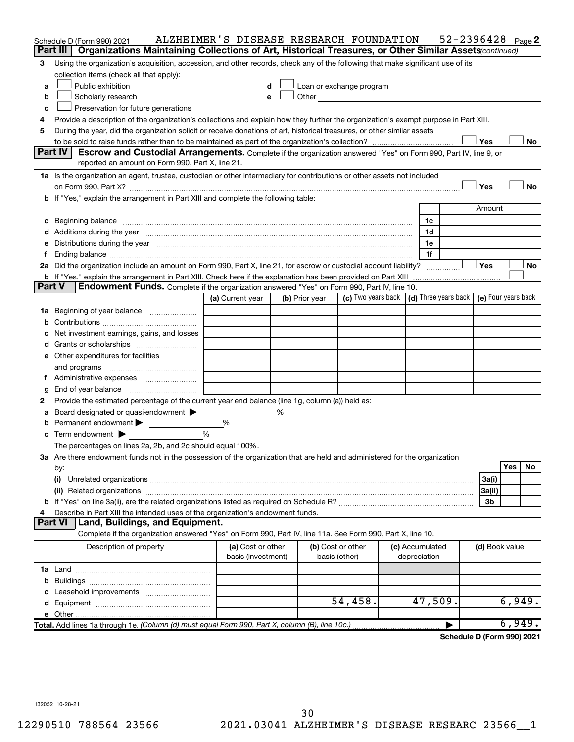| Organizations Maintaining Collections of Art, Historical Treasures, or Other Similar Assets (continued)<br>Using the organization's acquisition, accession, and other records, check any of the following that make significant use of its<br>3<br>collection items (check all that apply):<br>Public exhibition<br>Loan or exchange program<br>a<br>d<br>Scholarly research<br>Other and the control of the control of the control of the control of the control of the control of the control of the control of the control of the control of the control of the control of the control of the control of th<br>b<br>е<br>Preservation for future generations<br>c<br>Provide a description of the organization's collections and explain how they further the organization's exempt purpose in Part XIII.<br>4<br>During the year, did the organization solicit or receive donations of art, historical treasures, or other similar assets<br>5<br>Yes<br>No<br>Part IV<br>Escrow and Custodial Arrangements. Complete if the organization answered "Yes" on Form 990, Part IV, line 9, or<br>reported an amount on Form 990, Part X, line 21.<br>1a Is the organization an agent, trustee, custodian or other intermediary for contributions or other assets not included<br>Yes<br><b>No</b><br>b If "Yes," explain the arrangement in Part XIII and complete the following table:<br>Amount<br>1c<br>c Beginning balance measurements and the contract of the contract of the contract of the contract of the contract of the contract of the contract of the contract of the contract of the contract of the contract of the contr<br>1d<br>1e<br>e Distributions during the year manufactured and an account of the year manufactured and account of the year manufactured and account of the USA of the Distributions during the year<br>1f<br>Yes<br>2a Did the organization include an amount on Form 990, Part X, line 21, for escrow or custodial account liability?<br><b>No</b><br><b>b</b> If "Yes," explain the arrangement in Part XIII. Check here if the explanation has been provided on Part XIII<br>Part V<br><b>Endowment Funds.</b> Complete if the organization answered "Yes" on Form 990, Part IV, line 10.<br>(c) Two years back $\vert$ (d) Three years back $\vert$ (e) Four years back<br>(b) Prior year<br>(a) Current year<br>1a Beginning of year balance<br>Net investment earnings, gains, and losses<br>e Other expenditures for facilities<br>and programs<br>End of year balance<br>g<br>Provide the estimated percentage of the current year end balance (line 1g, column (a)) held as:<br>2<br>Board designated or quasi-endowment<br>%<br>а<br><b>b</b> Permanent endowment $\blacktriangleright$<br>%<br>%<br>c Term endowment $\blacktriangleright$<br>The percentages on lines 2a, 2b, and 2c should equal 100%.<br>3a Are there endowment funds not in the possession of the organization that are held and administered for the organization<br>Yes<br>No<br>by:<br>3a(i)<br>(i)<br>3a(ii)<br>3b<br>Describe in Part XIII the intended uses of the organization's endowment funds.<br>4<br><b>Part VI</b><br>Land, Buildings, and Equipment.<br>Complete if the organization answered "Yes" on Form 990, Part IV, line 11a. See Form 990, Part X, line 10.<br>(b) Cost or other<br>(d) Book value<br>Description of property<br>(a) Cost or other<br>(c) Accumulated<br>basis (investment)<br>basis (other)<br>depreciation<br>54,458.<br>47,509.<br>6,949. | Schedule D (Form 990) 2021<br>Part III | ALZHEIMER'S DISEASE RESEARCH FOUNDATION |  |  |   | 52-2396428 $_{Page}$ 2 |        |
|-------------------------------------------------------------------------------------------------------------------------------------------------------------------------------------------------------------------------------------------------------------------------------------------------------------------------------------------------------------------------------------------------------------------------------------------------------------------------------------------------------------------------------------------------------------------------------------------------------------------------------------------------------------------------------------------------------------------------------------------------------------------------------------------------------------------------------------------------------------------------------------------------------------------------------------------------------------------------------------------------------------------------------------------------------------------------------------------------------------------------------------------------------------------------------------------------------------------------------------------------------------------------------------------------------------------------------------------------------------------------------------------------------------------------------------------------------------------------------------------------------------------------------------------------------------------------------------------------------------------------------------------------------------------------------------------------------------------------------------------------------------------------------------------------------------------------------------------------------------------------------------------------------------------------------------------------------------------------------------------------------------------------------------------------------------------------------------------------------------------------------------------------------------------------------------------------------------------------------------------------------------------------------------------------------------------------------------------------------------------------------------------------------------------------------------------------------------------------------------------------------------------------------------------------------------------------------------------------------------------------------------------------------------------------------------------------------------------------------------------------------------------------------------------------------------------------------------------------------------------------------------------------------------------------------------------------------------------------------------------------------------------------------------------------------------------------------------------------------------------------------------------------------------------------------------------------------------------------------------------------------------------------------------------------------------------------------------------------------------------------------------------------------------------------------------------------------------------------------------------------------------|----------------------------------------|-----------------------------------------|--|--|---|------------------------|--------|
|                                                                                                                                                                                                                                                                                                                                                                                                                                                                                                                                                                                                                                                                                                                                                                                                                                                                                                                                                                                                                                                                                                                                                                                                                                                                                                                                                                                                                                                                                                                                                                                                                                                                                                                                                                                                                                                                                                                                                                                                                                                                                                                                                                                                                                                                                                                                                                                                                                                                                                                                                                                                                                                                                                                                                                                                                                                                                                                                                                                                                                                                                                                                                                                                                                                                                                                                                                                                                                                                                                             |                                        |                                         |  |  |   |                        |        |
|                                                                                                                                                                                                                                                                                                                                                                                                                                                                                                                                                                                                                                                                                                                                                                                                                                                                                                                                                                                                                                                                                                                                                                                                                                                                                                                                                                                                                                                                                                                                                                                                                                                                                                                                                                                                                                                                                                                                                                                                                                                                                                                                                                                                                                                                                                                                                                                                                                                                                                                                                                                                                                                                                                                                                                                                                                                                                                                                                                                                                                                                                                                                                                                                                                                                                                                                                                                                                                                                                                             |                                        |                                         |  |  |   |                        |        |
|                                                                                                                                                                                                                                                                                                                                                                                                                                                                                                                                                                                                                                                                                                                                                                                                                                                                                                                                                                                                                                                                                                                                                                                                                                                                                                                                                                                                                                                                                                                                                                                                                                                                                                                                                                                                                                                                                                                                                                                                                                                                                                                                                                                                                                                                                                                                                                                                                                                                                                                                                                                                                                                                                                                                                                                                                                                                                                                                                                                                                                                                                                                                                                                                                                                                                                                                                                                                                                                                                                             |                                        |                                         |  |  |   |                        |        |
|                                                                                                                                                                                                                                                                                                                                                                                                                                                                                                                                                                                                                                                                                                                                                                                                                                                                                                                                                                                                                                                                                                                                                                                                                                                                                                                                                                                                                                                                                                                                                                                                                                                                                                                                                                                                                                                                                                                                                                                                                                                                                                                                                                                                                                                                                                                                                                                                                                                                                                                                                                                                                                                                                                                                                                                                                                                                                                                                                                                                                                                                                                                                                                                                                                                                                                                                                                                                                                                                                                             |                                        |                                         |  |  |   |                        |        |
|                                                                                                                                                                                                                                                                                                                                                                                                                                                                                                                                                                                                                                                                                                                                                                                                                                                                                                                                                                                                                                                                                                                                                                                                                                                                                                                                                                                                                                                                                                                                                                                                                                                                                                                                                                                                                                                                                                                                                                                                                                                                                                                                                                                                                                                                                                                                                                                                                                                                                                                                                                                                                                                                                                                                                                                                                                                                                                                                                                                                                                                                                                                                                                                                                                                                                                                                                                                                                                                                                                             |                                        |                                         |  |  |   |                        |        |
|                                                                                                                                                                                                                                                                                                                                                                                                                                                                                                                                                                                                                                                                                                                                                                                                                                                                                                                                                                                                                                                                                                                                                                                                                                                                                                                                                                                                                                                                                                                                                                                                                                                                                                                                                                                                                                                                                                                                                                                                                                                                                                                                                                                                                                                                                                                                                                                                                                                                                                                                                                                                                                                                                                                                                                                                                                                                                                                                                                                                                                                                                                                                                                                                                                                                                                                                                                                                                                                                                                             |                                        |                                         |  |  |   |                        |        |
|                                                                                                                                                                                                                                                                                                                                                                                                                                                                                                                                                                                                                                                                                                                                                                                                                                                                                                                                                                                                                                                                                                                                                                                                                                                                                                                                                                                                                                                                                                                                                                                                                                                                                                                                                                                                                                                                                                                                                                                                                                                                                                                                                                                                                                                                                                                                                                                                                                                                                                                                                                                                                                                                                                                                                                                                                                                                                                                                                                                                                                                                                                                                                                                                                                                                                                                                                                                                                                                                                                             |                                        |                                         |  |  |   |                        |        |
|                                                                                                                                                                                                                                                                                                                                                                                                                                                                                                                                                                                                                                                                                                                                                                                                                                                                                                                                                                                                                                                                                                                                                                                                                                                                                                                                                                                                                                                                                                                                                                                                                                                                                                                                                                                                                                                                                                                                                                                                                                                                                                                                                                                                                                                                                                                                                                                                                                                                                                                                                                                                                                                                                                                                                                                                                                                                                                                                                                                                                                                                                                                                                                                                                                                                                                                                                                                                                                                                                                             |                                        |                                         |  |  |   |                        |        |
|                                                                                                                                                                                                                                                                                                                                                                                                                                                                                                                                                                                                                                                                                                                                                                                                                                                                                                                                                                                                                                                                                                                                                                                                                                                                                                                                                                                                                                                                                                                                                                                                                                                                                                                                                                                                                                                                                                                                                                                                                                                                                                                                                                                                                                                                                                                                                                                                                                                                                                                                                                                                                                                                                                                                                                                                                                                                                                                                                                                                                                                                                                                                                                                                                                                                                                                                                                                                                                                                                                             |                                        |                                         |  |  |   |                        |        |
|                                                                                                                                                                                                                                                                                                                                                                                                                                                                                                                                                                                                                                                                                                                                                                                                                                                                                                                                                                                                                                                                                                                                                                                                                                                                                                                                                                                                                                                                                                                                                                                                                                                                                                                                                                                                                                                                                                                                                                                                                                                                                                                                                                                                                                                                                                                                                                                                                                                                                                                                                                                                                                                                                                                                                                                                                                                                                                                                                                                                                                                                                                                                                                                                                                                                                                                                                                                                                                                                                                             |                                        |                                         |  |  |   |                        |        |
|                                                                                                                                                                                                                                                                                                                                                                                                                                                                                                                                                                                                                                                                                                                                                                                                                                                                                                                                                                                                                                                                                                                                                                                                                                                                                                                                                                                                                                                                                                                                                                                                                                                                                                                                                                                                                                                                                                                                                                                                                                                                                                                                                                                                                                                                                                                                                                                                                                                                                                                                                                                                                                                                                                                                                                                                                                                                                                                                                                                                                                                                                                                                                                                                                                                                                                                                                                                                                                                                                                             |                                        |                                         |  |  |   |                        |        |
|                                                                                                                                                                                                                                                                                                                                                                                                                                                                                                                                                                                                                                                                                                                                                                                                                                                                                                                                                                                                                                                                                                                                                                                                                                                                                                                                                                                                                                                                                                                                                                                                                                                                                                                                                                                                                                                                                                                                                                                                                                                                                                                                                                                                                                                                                                                                                                                                                                                                                                                                                                                                                                                                                                                                                                                                                                                                                                                                                                                                                                                                                                                                                                                                                                                                                                                                                                                                                                                                                                             |                                        |                                         |  |  |   |                        |        |
|                                                                                                                                                                                                                                                                                                                                                                                                                                                                                                                                                                                                                                                                                                                                                                                                                                                                                                                                                                                                                                                                                                                                                                                                                                                                                                                                                                                                                                                                                                                                                                                                                                                                                                                                                                                                                                                                                                                                                                                                                                                                                                                                                                                                                                                                                                                                                                                                                                                                                                                                                                                                                                                                                                                                                                                                                                                                                                                                                                                                                                                                                                                                                                                                                                                                                                                                                                                                                                                                                                             |                                        |                                         |  |  |   |                        |        |
|                                                                                                                                                                                                                                                                                                                                                                                                                                                                                                                                                                                                                                                                                                                                                                                                                                                                                                                                                                                                                                                                                                                                                                                                                                                                                                                                                                                                                                                                                                                                                                                                                                                                                                                                                                                                                                                                                                                                                                                                                                                                                                                                                                                                                                                                                                                                                                                                                                                                                                                                                                                                                                                                                                                                                                                                                                                                                                                                                                                                                                                                                                                                                                                                                                                                                                                                                                                                                                                                                                             |                                        |                                         |  |  |   |                        |        |
|                                                                                                                                                                                                                                                                                                                                                                                                                                                                                                                                                                                                                                                                                                                                                                                                                                                                                                                                                                                                                                                                                                                                                                                                                                                                                                                                                                                                                                                                                                                                                                                                                                                                                                                                                                                                                                                                                                                                                                                                                                                                                                                                                                                                                                                                                                                                                                                                                                                                                                                                                                                                                                                                                                                                                                                                                                                                                                                                                                                                                                                                                                                                                                                                                                                                                                                                                                                                                                                                                                             |                                        |                                         |  |  |   |                        |        |
|                                                                                                                                                                                                                                                                                                                                                                                                                                                                                                                                                                                                                                                                                                                                                                                                                                                                                                                                                                                                                                                                                                                                                                                                                                                                                                                                                                                                                                                                                                                                                                                                                                                                                                                                                                                                                                                                                                                                                                                                                                                                                                                                                                                                                                                                                                                                                                                                                                                                                                                                                                                                                                                                                                                                                                                                                                                                                                                                                                                                                                                                                                                                                                                                                                                                                                                                                                                                                                                                                                             |                                        |                                         |  |  |   |                        |        |
|                                                                                                                                                                                                                                                                                                                                                                                                                                                                                                                                                                                                                                                                                                                                                                                                                                                                                                                                                                                                                                                                                                                                                                                                                                                                                                                                                                                                                                                                                                                                                                                                                                                                                                                                                                                                                                                                                                                                                                                                                                                                                                                                                                                                                                                                                                                                                                                                                                                                                                                                                                                                                                                                                                                                                                                                                                                                                                                                                                                                                                                                                                                                                                                                                                                                                                                                                                                                                                                                                                             |                                        |                                         |  |  |   |                        |        |
|                                                                                                                                                                                                                                                                                                                                                                                                                                                                                                                                                                                                                                                                                                                                                                                                                                                                                                                                                                                                                                                                                                                                                                                                                                                                                                                                                                                                                                                                                                                                                                                                                                                                                                                                                                                                                                                                                                                                                                                                                                                                                                                                                                                                                                                                                                                                                                                                                                                                                                                                                                                                                                                                                                                                                                                                                                                                                                                                                                                                                                                                                                                                                                                                                                                                                                                                                                                                                                                                                                             |                                        |                                         |  |  |   |                        |        |
|                                                                                                                                                                                                                                                                                                                                                                                                                                                                                                                                                                                                                                                                                                                                                                                                                                                                                                                                                                                                                                                                                                                                                                                                                                                                                                                                                                                                                                                                                                                                                                                                                                                                                                                                                                                                                                                                                                                                                                                                                                                                                                                                                                                                                                                                                                                                                                                                                                                                                                                                                                                                                                                                                                                                                                                                                                                                                                                                                                                                                                                                                                                                                                                                                                                                                                                                                                                                                                                                                                             |                                        |                                         |  |  |   |                        |        |
|                                                                                                                                                                                                                                                                                                                                                                                                                                                                                                                                                                                                                                                                                                                                                                                                                                                                                                                                                                                                                                                                                                                                                                                                                                                                                                                                                                                                                                                                                                                                                                                                                                                                                                                                                                                                                                                                                                                                                                                                                                                                                                                                                                                                                                                                                                                                                                                                                                                                                                                                                                                                                                                                                                                                                                                                                                                                                                                                                                                                                                                                                                                                                                                                                                                                                                                                                                                                                                                                                                             |                                        |                                         |  |  |   |                        |        |
|                                                                                                                                                                                                                                                                                                                                                                                                                                                                                                                                                                                                                                                                                                                                                                                                                                                                                                                                                                                                                                                                                                                                                                                                                                                                                                                                                                                                                                                                                                                                                                                                                                                                                                                                                                                                                                                                                                                                                                                                                                                                                                                                                                                                                                                                                                                                                                                                                                                                                                                                                                                                                                                                                                                                                                                                                                                                                                                                                                                                                                                                                                                                                                                                                                                                                                                                                                                                                                                                                                             |                                        |                                         |  |  |   |                        |        |
|                                                                                                                                                                                                                                                                                                                                                                                                                                                                                                                                                                                                                                                                                                                                                                                                                                                                                                                                                                                                                                                                                                                                                                                                                                                                                                                                                                                                                                                                                                                                                                                                                                                                                                                                                                                                                                                                                                                                                                                                                                                                                                                                                                                                                                                                                                                                                                                                                                                                                                                                                                                                                                                                                                                                                                                                                                                                                                                                                                                                                                                                                                                                                                                                                                                                                                                                                                                                                                                                                                             |                                        |                                         |  |  |   |                        |        |
|                                                                                                                                                                                                                                                                                                                                                                                                                                                                                                                                                                                                                                                                                                                                                                                                                                                                                                                                                                                                                                                                                                                                                                                                                                                                                                                                                                                                                                                                                                                                                                                                                                                                                                                                                                                                                                                                                                                                                                                                                                                                                                                                                                                                                                                                                                                                                                                                                                                                                                                                                                                                                                                                                                                                                                                                                                                                                                                                                                                                                                                                                                                                                                                                                                                                                                                                                                                                                                                                                                             |                                        |                                         |  |  |   |                        |        |
|                                                                                                                                                                                                                                                                                                                                                                                                                                                                                                                                                                                                                                                                                                                                                                                                                                                                                                                                                                                                                                                                                                                                                                                                                                                                                                                                                                                                                                                                                                                                                                                                                                                                                                                                                                                                                                                                                                                                                                                                                                                                                                                                                                                                                                                                                                                                                                                                                                                                                                                                                                                                                                                                                                                                                                                                                                                                                                                                                                                                                                                                                                                                                                                                                                                                                                                                                                                                                                                                                                             |                                        |                                         |  |  |   |                        |        |
|                                                                                                                                                                                                                                                                                                                                                                                                                                                                                                                                                                                                                                                                                                                                                                                                                                                                                                                                                                                                                                                                                                                                                                                                                                                                                                                                                                                                                                                                                                                                                                                                                                                                                                                                                                                                                                                                                                                                                                                                                                                                                                                                                                                                                                                                                                                                                                                                                                                                                                                                                                                                                                                                                                                                                                                                                                                                                                                                                                                                                                                                                                                                                                                                                                                                                                                                                                                                                                                                                                             |                                        |                                         |  |  |   |                        |        |
|                                                                                                                                                                                                                                                                                                                                                                                                                                                                                                                                                                                                                                                                                                                                                                                                                                                                                                                                                                                                                                                                                                                                                                                                                                                                                                                                                                                                                                                                                                                                                                                                                                                                                                                                                                                                                                                                                                                                                                                                                                                                                                                                                                                                                                                                                                                                                                                                                                                                                                                                                                                                                                                                                                                                                                                                                                                                                                                                                                                                                                                                                                                                                                                                                                                                                                                                                                                                                                                                                                             |                                        |                                         |  |  |   |                        |        |
|                                                                                                                                                                                                                                                                                                                                                                                                                                                                                                                                                                                                                                                                                                                                                                                                                                                                                                                                                                                                                                                                                                                                                                                                                                                                                                                                                                                                                                                                                                                                                                                                                                                                                                                                                                                                                                                                                                                                                                                                                                                                                                                                                                                                                                                                                                                                                                                                                                                                                                                                                                                                                                                                                                                                                                                                                                                                                                                                                                                                                                                                                                                                                                                                                                                                                                                                                                                                                                                                                                             |                                        |                                         |  |  |   |                        |        |
|                                                                                                                                                                                                                                                                                                                                                                                                                                                                                                                                                                                                                                                                                                                                                                                                                                                                                                                                                                                                                                                                                                                                                                                                                                                                                                                                                                                                                                                                                                                                                                                                                                                                                                                                                                                                                                                                                                                                                                                                                                                                                                                                                                                                                                                                                                                                                                                                                                                                                                                                                                                                                                                                                                                                                                                                                                                                                                                                                                                                                                                                                                                                                                                                                                                                                                                                                                                                                                                                                                             |                                        |                                         |  |  |   |                        |        |
|                                                                                                                                                                                                                                                                                                                                                                                                                                                                                                                                                                                                                                                                                                                                                                                                                                                                                                                                                                                                                                                                                                                                                                                                                                                                                                                                                                                                                                                                                                                                                                                                                                                                                                                                                                                                                                                                                                                                                                                                                                                                                                                                                                                                                                                                                                                                                                                                                                                                                                                                                                                                                                                                                                                                                                                                                                                                                                                                                                                                                                                                                                                                                                                                                                                                                                                                                                                                                                                                                                             |                                        |                                         |  |  |   |                        |        |
|                                                                                                                                                                                                                                                                                                                                                                                                                                                                                                                                                                                                                                                                                                                                                                                                                                                                                                                                                                                                                                                                                                                                                                                                                                                                                                                                                                                                                                                                                                                                                                                                                                                                                                                                                                                                                                                                                                                                                                                                                                                                                                                                                                                                                                                                                                                                                                                                                                                                                                                                                                                                                                                                                                                                                                                                                                                                                                                                                                                                                                                                                                                                                                                                                                                                                                                                                                                                                                                                                                             |                                        |                                         |  |  |   |                        |        |
|                                                                                                                                                                                                                                                                                                                                                                                                                                                                                                                                                                                                                                                                                                                                                                                                                                                                                                                                                                                                                                                                                                                                                                                                                                                                                                                                                                                                                                                                                                                                                                                                                                                                                                                                                                                                                                                                                                                                                                                                                                                                                                                                                                                                                                                                                                                                                                                                                                                                                                                                                                                                                                                                                                                                                                                                                                                                                                                                                                                                                                                                                                                                                                                                                                                                                                                                                                                                                                                                                                             |                                        |                                         |  |  |   |                        |        |
|                                                                                                                                                                                                                                                                                                                                                                                                                                                                                                                                                                                                                                                                                                                                                                                                                                                                                                                                                                                                                                                                                                                                                                                                                                                                                                                                                                                                                                                                                                                                                                                                                                                                                                                                                                                                                                                                                                                                                                                                                                                                                                                                                                                                                                                                                                                                                                                                                                                                                                                                                                                                                                                                                                                                                                                                                                                                                                                                                                                                                                                                                                                                                                                                                                                                                                                                                                                                                                                                                                             |                                        |                                         |  |  |   |                        |        |
|                                                                                                                                                                                                                                                                                                                                                                                                                                                                                                                                                                                                                                                                                                                                                                                                                                                                                                                                                                                                                                                                                                                                                                                                                                                                                                                                                                                                                                                                                                                                                                                                                                                                                                                                                                                                                                                                                                                                                                                                                                                                                                                                                                                                                                                                                                                                                                                                                                                                                                                                                                                                                                                                                                                                                                                                                                                                                                                                                                                                                                                                                                                                                                                                                                                                                                                                                                                                                                                                                                             |                                        |                                         |  |  |   |                        |        |
|                                                                                                                                                                                                                                                                                                                                                                                                                                                                                                                                                                                                                                                                                                                                                                                                                                                                                                                                                                                                                                                                                                                                                                                                                                                                                                                                                                                                                                                                                                                                                                                                                                                                                                                                                                                                                                                                                                                                                                                                                                                                                                                                                                                                                                                                                                                                                                                                                                                                                                                                                                                                                                                                                                                                                                                                                                                                                                                                                                                                                                                                                                                                                                                                                                                                                                                                                                                                                                                                                                             |                                        |                                         |  |  |   |                        |        |
|                                                                                                                                                                                                                                                                                                                                                                                                                                                                                                                                                                                                                                                                                                                                                                                                                                                                                                                                                                                                                                                                                                                                                                                                                                                                                                                                                                                                                                                                                                                                                                                                                                                                                                                                                                                                                                                                                                                                                                                                                                                                                                                                                                                                                                                                                                                                                                                                                                                                                                                                                                                                                                                                                                                                                                                                                                                                                                                                                                                                                                                                                                                                                                                                                                                                                                                                                                                                                                                                                                             |                                        |                                         |  |  |   |                        |        |
|                                                                                                                                                                                                                                                                                                                                                                                                                                                                                                                                                                                                                                                                                                                                                                                                                                                                                                                                                                                                                                                                                                                                                                                                                                                                                                                                                                                                                                                                                                                                                                                                                                                                                                                                                                                                                                                                                                                                                                                                                                                                                                                                                                                                                                                                                                                                                                                                                                                                                                                                                                                                                                                                                                                                                                                                                                                                                                                                                                                                                                                                                                                                                                                                                                                                                                                                                                                                                                                                                                             |                                        |                                         |  |  |   |                        |        |
|                                                                                                                                                                                                                                                                                                                                                                                                                                                                                                                                                                                                                                                                                                                                                                                                                                                                                                                                                                                                                                                                                                                                                                                                                                                                                                                                                                                                                                                                                                                                                                                                                                                                                                                                                                                                                                                                                                                                                                                                                                                                                                                                                                                                                                                                                                                                                                                                                                                                                                                                                                                                                                                                                                                                                                                                                                                                                                                                                                                                                                                                                                                                                                                                                                                                                                                                                                                                                                                                                                             |                                        |                                         |  |  |   |                        |        |
|                                                                                                                                                                                                                                                                                                                                                                                                                                                                                                                                                                                                                                                                                                                                                                                                                                                                                                                                                                                                                                                                                                                                                                                                                                                                                                                                                                                                                                                                                                                                                                                                                                                                                                                                                                                                                                                                                                                                                                                                                                                                                                                                                                                                                                                                                                                                                                                                                                                                                                                                                                                                                                                                                                                                                                                                                                                                                                                                                                                                                                                                                                                                                                                                                                                                                                                                                                                                                                                                                                             |                                        |                                         |  |  |   |                        |        |
|                                                                                                                                                                                                                                                                                                                                                                                                                                                                                                                                                                                                                                                                                                                                                                                                                                                                                                                                                                                                                                                                                                                                                                                                                                                                                                                                                                                                                                                                                                                                                                                                                                                                                                                                                                                                                                                                                                                                                                                                                                                                                                                                                                                                                                                                                                                                                                                                                                                                                                                                                                                                                                                                                                                                                                                                                                                                                                                                                                                                                                                                                                                                                                                                                                                                                                                                                                                                                                                                                                             |                                        |                                         |  |  |   |                        |        |
|                                                                                                                                                                                                                                                                                                                                                                                                                                                                                                                                                                                                                                                                                                                                                                                                                                                                                                                                                                                                                                                                                                                                                                                                                                                                                                                                                                                                                                                                                                                                                                                                                                                                                                                                                                                                                                                                                                                                                                                                                                                                                                                                                                                                                                                                                                                                                                                                                                                                                                                                                                                                                                                                                                                                                                                                                                                                                                                                                                                                                                                                                                                                                                                                                                                                                                                                                                                                                                                                                                             |                                        |                                         |  |  |   |                        |        |
|                                                                                                                                                                                                                                                                                                                                                                                                                                                                                                                                                                                                                                                                                                                                                                                                                                                                                                                                                                                                                                                                                                                                                                                                                                                                                                                                                                                                                                                                                                                                                                                                                                                                                                                                                                                                                                                                                                                                                                                                                                                                                                                                                                                                                                                                                                                                                                                                                                                                                                                                                                                                                                                                                                                                                                                                                                                                                                                                                                                                                                                                                                                                                                                                                                                                                                                                                                                                                                                                                                             |                                        |                                         |  |  |   |                        |        |
|                                                                                                                                                                                                                                                                                                                                                                                                                                                                                                                                                                                                                                                                                                                                                                                                                                                                                                                                                                                                                                                                                                                                                                                                                                                                                                                                                                                                                                                                                                                                                                                                                                                                                                                                                                                                                                                                                                                                                                                                                                                                                                                                                                                                                                                                                                                                                                                                                                                                                                                                                                                                                                                                                                                                                                                                                                                                                                                                                                                                                                                                                                                                                                                                                                                                                                                                                                                                                                                                                                             |                                        |                                         |  |  |   |                        |        |
|                                                                                                                                                                                                                                                                                                                                                                                                                                                                                                                                                                                                                                                                                                                                                                                                                                                                                                                                                                                                                                                                                                                                                                                                                                                                                                                                                                                                                                                                                                                                                                                                                                                                                                                                                                                                                                                                                                                                                                                                                                                                                                                                                                                                                                                                                                                                                                                                                                                                                                                                                                                                                                                                                                                                                                                                                                                                                                                                                                                                                                                                                                                                                                                                                                                                                                                                                                                                                                                                                                             |                                        |                                         |  |  |   |                        |        |
|                                                                                                                                                                                                                                                                                                                                                                                                                                                                                                                                                                                                                                                                                                                                                                                                                                                                                                                                                                                                                                                                                                                                                                                                                                                                                                                                                                                                                                                                                                                                                                                                                                                                                                                                                                                                                                                                                                                                                                                                                                                                                                                                                                                                                                                                                                                                                                                                                                                                                                                                                                                                                                                                                                                                                                                                                                                                                                                                                                                                                                                                                                                                                                                                                                                                                                                                                                                                                                                                                                             |                                        |                                         |  |  |   |                        |        |
|                                                                                                                                                                                                                                                                                                                                                                                                                                                                                                                                                                                                                                                                                                                                                                                                                                                                                                                                                                                                                                                                                                                                                                                                                                                                                                                                                                                                                                                                                                                                                                                                                                                                                                                                                                                                                                                                                                                                                                                                                                                                                                                                                                                                                                                                                                                                                                                                                                                                                                                                                                                                                                                                                                                                                                                                                                                                                                                                                                                                                                                                                                                                                                                                                                                                                                                                                                                                                                                                                                             |                                        |                                         |  |  |   |                        |        |
|                                                                                                                                                                                                                                                                                                                                                                                                                                                                                                                                                                                                                                                                                                                                                                                                                                                                                                                                                                                                                                                                                                                                                                                                                                                                                                                                                                                                                                                                                                                                                                                                                                                                                                                                                                                                                                                                                                                                                                                                                                                                                                                                                                                                                                                                                                                                                                                                                                                                                                                                                                                                                                                                                                                                                                                                                                                                                                                                                                                                                                                                                                                                                                                                                                                                                                                                                                                                                                                                                                             |                                        |                                         |  |  |   |                        |        |
|                                                                                                                                                                                                                                                                                                                                                                                                                                                                                                                                                                                                                                                                                                                                                                                                                                                                                                                                                                                                                                                                                                                                                                                                                                                                                                                                                                                                                                                                                                                                                                                                                                                                                                                                                                                                                                                                                                                                                                                                                                                                                                                                                                                                                                                                                                                                                                                                                                                                                                                                                                                                                                                                                                                                                                                                                                                                                                                                                                                                                                                                                                                                                                                                                                                                                                                                                                                                                                                                                                             |                                        |                                         |  |  |   |                        |        |
|                                                                                                                                                                                                                                                                                                                                                                                                                                                                                                                                                                                                                                                                                                                                                                                                                                                                                                                                                                                                                                                                                                                                                                                                                                                                                                                                                                                                                                                                                                                                                                                                                                                                                                                                                                                                                                                                                                                                                                                                                                                                                                                                                                                                                                                                                                                                                                                                                                                                                                                                                                                                                                                                                                                                                                                                                                                                                                                                                                                                                                                                                                                                                                                                                                                                                                                                                                                                                                                                                                             |                                        |                                         |  |  |   |                        |        |
|                                                                                                                                                                                                                                                                                                                                                                                                                                                                                                                                                                                                                                                                                                                                                                                                                                                                                                                                                                                                                                                                                                                                                                                                                                                                                                                                                                                                                                                                                                                                                                                                                                                                                                                                                                                                                                                                                                                                                                                                                                                                                                                                                                                                                                                                                                                                                                                                                                                                                                                                                                                                                                                                                                                                                                                                                                                                                                                                                                                                                                                                                                                                                                                                                                                                                                                                                                                                                                                                                                             |                                        |                                         |  |  |   |                        |        |
|                                                                                                                                                                                                                                                                                                                                                                                                                                                                                                                                                                                                                                                                                                                                                                                                                                                                                                                                                                                                                                                                                                                                                                                                                                                                                                                                                                                                                                                                                                                                                                                                                                                                                                                                                                                                                                                                                                                                                                                                                                                                                                                                                                                                                                                                                                                                                                                                                                                                                                                                                                                                                                                                                                                                                                                                                                                                                                                                                                                                                                                                                                                                                                                                                                                                                                                                                                                                                                                                                                             |                                        |                                         |  |  |   |                        |        |
|                                                                                                                                                                                                                                                                                                                                                                                                                                                                                                                                                                                                                                                                                                                                                                                                                                                                                                                                                                                                                                                                                                                                                                                                                                                                                                                                                                                                                                                                                                                                                                                                                                                                                                                                                                                                                                                                                                                                                                                                                                                                                                                                                                                                                                                                                                                                                                                                                                                                                                                                                                                                                                                                                                                                                                                                                                                                                                                                                                                                                                                                                                                                                                                                                                                                                                                                                                                                                                                                                                             |                                        |                                         |  |  |   |                        |        |
|                                                                                                                                                                                                                                                                                                                                                                                                                                                                                                                                                                                                                                                                                                                                                                                                                                                                                                                                                                                                                                                                                                                                                                                                                                                                                                                                                                                                                                                                                                                                                                                                                                                                                                                                                                                                                                                                                                                                                                                                                                                                                                                                                                                                                                                                                                                                                                                                                                                                                                                                                                                                                                                                                                                                                                                                                                                                                                                                                                                                                                                                                                                                                                                                                                                                                                                                                                                                                                                                                                             |                                        |                                         |  |  |   |                        |        |
|                                                                                                                                                                                                                                                                                                                                                                                                                                                                                                                                                                                                                                                                                                                                                                                                                                                                                                                                                                                                                                                                                                                                                                                                                                                                                                                                                                                                                                                                                                                                                                                                                                                                                                                                                                                                                                                                                                                                                                                                                                                                                                                                                                                                                                                                                                                                                                                                                                                                                                                                                                                                                                                                                                                                                                                                                                                                                                                                                                                                                                                                                                                                                                                                                                                                                                                                                                                                                                                                                                             |                                        |                                         |  |  |   |                        |        |
|                                                                                                                                                                                                                                                                                                                                                                                                                                                                                                                                                                                                                                                                                                                                                                                                                                                                                                                                                                                                                                                                                                                                                                                                                                                                                                                                                                                                                                                                                                                                                                                                                                                                                                                                                                                                                                                                                                                                                                                                                                                                                                                                                                                                                                                                                                                                                                                                                                                                                                                                                                                                                                                                                                                                                                                                                                                                                                                                                                                                                                                                                                                                                                                                                                                                                                                                                                                                                                                                                                             |                                        |                                         |  |  |   |                        |        |
| Total. Add lines 1a through 1e. (Column (d) must equal Form 990, Part X, column (B), line 10c.).                                                                                                                                                                                                                                                                                                                                                                                                                                                                                                                                                                                                                                                                                                                                                                                                                                                                                                                                                                                                                                                                                                                                                                                                                                                                                                                                                                                                                                                                                                                                                                                                                                                                                                                                                                                                                                                                                                                                                                                                                                                                                                                                                                                                                                                                                                                                                                                                                                                                                                                                                                                                                                                                                                                                                                                                                                                                                                                                                                                                                                                                                                                                                                                                                                                                                                                                                                                                            |                                        |                                         |  |  | ▶ |                        | 6,949. |

**Schedule D (Form 990) 2021**

132052 10-28-21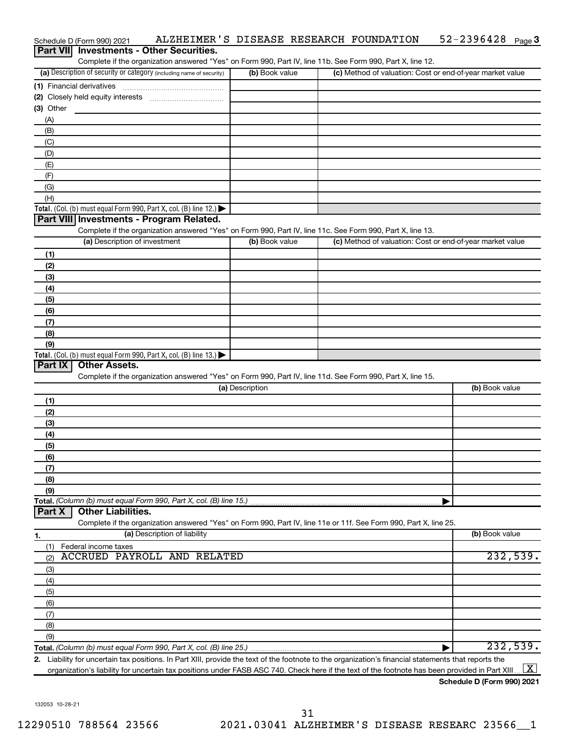| Schedule D (Form 990) 2021                                                                                                                           |                 | ALZHEIMER'S DISEASE RESEARCH FOUNDATION | $52 - 2396428$ Page 3                                     |
|------------------------------------------------------------------------------------------------------------------------------------------------------|-----------------|-----------------------------------------|-----------------------------------------------------------|
| <b>Investments - Other Securities.</b><br><b>Part VIII</b>                                                                                           |                 |                                         |                                                           |
| Complete if the organization answered "Yes" on Form 990, Part IV, line 11b. See Form 990, Part X, line 12.                                           |                 |                                         |                                                           |
| (a) Description of security or category (including name of security)                                                                                 | (b) Book value  |                                         | (c) Method of valuation: Cost or end-of-year market value |
|                                                                                                                                                      |                 |                                         |                                                           |
|                                                                                                                                                      |                 |                                         |                                                           |
| (3) Other                                                                                                                                            |                 |                                         |                                                           |
| (A)                                                                                                                                                  |                 |                                         |                                                           |
| (B)                                                                                                                                                  |                 |                                         |                                                           |
| (C)                                                                                                                                                  |                 |                                         |                                                           |
| (D)                                                                                                                                                  |                 |                                         |                                                           |
| (E)                                                                                                                                                  |                 |                                         |                                                           |
| (F)                                                                                                                                                  |                 |                                         |                                                           |
| (G)                                                                                                                                                  |                 |                                         |                                                           |
| (H)                                                                                                                                                  |                 |                                         |                                                           |
| Total. (Col. (b) must equal Form 990, Part X, col. (B) line 12.)                                                                                     |                 |                                         |                                                           |
| Part VIII Investments - Program Related.                                                                                                             |                 |                                         |                                                           |
| Complete if the organization answered "Yes" on Form 990, Part IV, line 11c. See Form 990, Part X, line 13.                                           |                 |                                         |                                                           |
| (a) Description of investment                                                                                                                        | (b) Book value  |                                         | (c) Method of valuation: Cost or end-of-year market value |
| (1)                                                                                                                                                  |                 |                                         |                                                           |
| (2)                                                                                                                                                  |                 |                                         |                                                           |
| (3)                                                                                                                                                  |                 |                                         |                                                           |
| (4)                                                                                                                                                  |                 |                                         |                                                           |
| (5)                                                                                                                                                  |                 |                                         |                                                           |
| (6)                                                                                                                                                  |                 |                                         |                                                           |
| (7)                                                                                                                                                  |                 |                                         |                                                           |
| (8)                                                                                                                                                  |                 |                                         |                                                           |
| (9)                                                                                                                                                  |                 |                                         |                                                           |
| Total. (Col. (b) must equal Form 990, Part X, col. (B) line 13.)                                                                                     |                 |                                         |                                                           |
| Part IX<br><b>Other Assets.</b>                                                                                                                      |                 |                                         |                                                           |
| Complete if the organization answered "Yes" on Form 990, Part IV, line 11d. See Form 990, Part X, line 15.                                           |                 |                                         |                                                           |
|                                                                                                                                                      | (a) Description |                                         | (b) Book value                                            |
| (1)                                                                                                                                                  |                 |                                         |                                                           |
| (2)                                                                                                                                                  |                 |                                         |                                                           |
| (3)                                                                                                                                                  |                 |                                         |                                                           |
|                                                                                                                                                      |                 |                                         |                                                           |
| (4)                                                                                                                                                  |                 |                                         |                                                           |
| (5)<br>(6)                                                                                                                                           |                 |                                         |                                                           |
|                                                                                                                                                      |                 |                                         |                                                           |
| (7)                                                                                                                                                  |                 |                                         |                                                           |
| (8)                                                                                                                                                  |                 |                                         |                                                           |
| (9)<br>Total. (Column (b) must equal Form 990, Part X, col. (B) line 15.)                                                                            |                 |                                         |                                                           |
| <b>Other Liabilities.</b><br>Part X                                                                                                                  |                 |                                         |                                                           |
| Complete if the organization answered "Yes" on Form 990, Part IV, line 11e or 11f. See Form 990, Part X, line 25.                                    |                 |                                         |                                                           |
| (a) Description of liability                                                                                                                         |                 |                                         | (b) Book value                                            |
| 1.                                                                                                                                                   |                 |                                         |                                                           |
| Federal income taxes<br>(1)<br><b>ACCRUED PAYROLL AND RELATED</b>                                                                                    |                 |                                         | 232,539.                                                  |
| (2)                                                                                                                                                  |                 |                                         |                                                           |
| (3)                                                                                                                                                  |                 |                                         |                                                           |
| (4)                                                                                                                                                  |                 |                                         |                                                           |
| (5)                                                                                                                                                  |                 |                                         |                                                           |
| (6)                                                                                                                                                  |                 |                                         |                                                           |
| (7)                                                                                                                                                  |                 |                                         |                                                           |
| (8)                                                                                                                                                  |                 |                                         |                                                           |
| (9)                                                                                                                                                  |                 |                                         |                                                           |
|                                                                                                                                                      |                 |                                         | 232,539.                                                  |
| 2. Liability for uncertain tax positions. In Part XIII, provide the text of the footnote to the organization's financial statements that reports the |                 |                                         |                                                           |
| organization's liability for uncertain tax positions under FASB ASC 740. Check here if the text of the footnote has been provided in Part XIII       |                 |                                         | $\lfloor x \rfloor$                                       |

**Schedule D (Form 990) 2021**

132053 10-28-21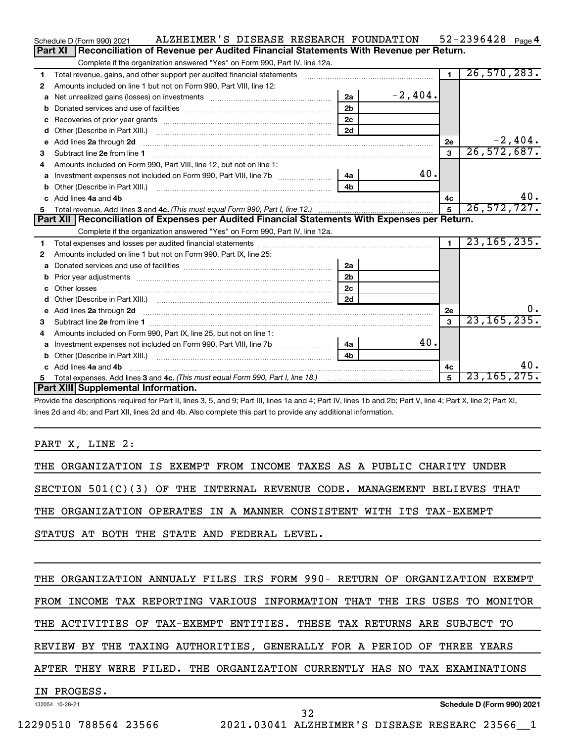|    | ALZHEIMER'S DISEASE RESEARCH FOUNDATION<br>Schedule D (Form 990) 2021                                                                                                                                                              |                |           |                | $52 - 2396428$ Page 4 |     |
|----|------------------------------------------------------------------------------------------------------------------------------------------------------------------------------------------------------------------------------------|----------------|-----------|----------------|-----------------------|-----|
|    | Part XI<br>Reconciliation of Revenue per Audited Financial Statements With Revenue per Return.                                                                                                                                     |                |           |                |                       |     |
|    | Complete if the organization answered "Yes" on Form 990, Part IV, line 12a.                                                                                                                                                        |                |           |                |                       |     |
| 1  | Total revenue, gains, and other support per audited financial statements [111][11] matter controller matter controller matter controller matter controller matter controller matter controller matter controller matter contro     |                |           | $\overline{1}$ | 26, 570, 283.         |     |
| 2  | Amounts included on line 1 but not on Form 990, Part VIII, line 12:                                                                                                                                                                |                |           |                |                       |     |
| a  |                                                                                                                                                                                                                                    | 2a             | $-2,404.$ |                |                       |     |
|    |                                                                                                                                                                                                                                    | 2 <sub>b</sub> |           |                |                       |     |
| с  |                                                                                                                                                                                                                                    | 2 <sub>c</sub> |           |                |                       |     |
| d  | Other (Describe in Part XIII.) <b>Construction Contract Construction</b> Chemistry Chemistry Chemistry Chemistry Chemistry                                                                                                         | 2d             |           |                |                       |     |
| e  | Add lines 2a through 2d                                                                                                                                                                                                            |                |           | 2е             | $-2,404.$             |     |
| 3  |                                                                                                                                                                                                                                    |                |           | $\mathbf{3}$   | 26, 572, 687.         |     |
| 4  | Amounts included on Form 990, Part VIII, line 12, but not on line 1:                                                                                                                                                               |                |           |                |                       |     |
| a  | Investment expenses not included on Form 990, Part VIII, line 7b [ <i>[[[[[[[[[[[[]]]</i> ]                                                                                                                                        | 4a             | 40.       |                |                       |     |
| b  |                                                                                                                                                                                                                                    | 4 <sub>h</sub> |           |                |                       |     |
| C. | Add lines 4a and 4b                                                                                                                                                                                                                |                |           | 4c             |                       | 40. |
|    |                                                                                                                                                                                                                                    |                |           | $\overline{5}$ | 26,572,727.           |     |
|    |                                                                                                                                                                                                                                    |                |           |                |                       |     |
|    | Part XII   Reconciliation of Expenses per Audited Financial Statements With Expenses per Return.                                                                                                                                   |                |           |                |                       |     |
|    | Complete if the organization answered "Yes" on Form 990, Part IV, line 12a.                                                                                                                                                        |                |           |                |                       |     |
| 1  |                                                                                                                                                                                                                                    |                |           | $\blacksquare$ | 23, 165, 235.         |     |
| 2  | Amounts included on line 1 but not on Form 990, Part IX, line 25:                                                                                                                                                                  |                |           |                |                       |     |
| a  |                                                                                                                                                                                                                                    | 2a             |           |                |                       |     |
| b  |                                                                                                                                                                                                                                    | 2 <sub>b</sub> |           |                |                       |     |
| c  |                                                                                                                                                                                                                                    | 2 <sub>c</sub> |           |                |                       |     |
| d  |                                                                                                                                                                                                                                    | 2d             |           |                |                       |     |
| е  | Add lines 2a through 2d <b>contained a contained a contained a contained a</b> contained a contained a contained a contained a contact a contact a contact a contact a contact a contact a contact a contact a contact a contact a |                |           | <b>2e</b>      |                       | υ.  |
| з  |                                                                                                                                                                                                                                    |                |           | $\mathbf{3}$   | 23, 165, 235.         |     |
| 4  | Amounts included on Form 990, Part IX, line 25, but not on line 1:                                                                                                                                                                 |                |           |                |                       |     |
| a  |                                                                                                                                                                                                                                    | 4a             | 40.       |                |                       |     |
|    |                                                                                                                                                                                                                                    | 4 <sub>b</sub> |           |                |                       |     |
| c  | Add lines 4a and 4b                                                                                                                                                                                                                |                |           | 4с             |                       | 40. |
|    | Part XIII Supplemental Information.                                                                                                                                                                                                |                |           | 5              | 23, 165, 275.         |     |

Provide the descriptions required for Part II, lines 3, 5, and 9; Part III, lines 1a and 4; Part IV, lines 1b and 2b; Part V, line 4; Part X, line 2; Part XI, lines 2d and 4b; and Part XII, lines 2d and 4b. Also complete this part to provide any additional information.

## PART X, LINE 2:

|  |  |  |  | THE ORGANIZATION IS EXEMPT FROM INCOME TAXES AS A PUBLIC CHARITY UNDER     |  |  |  |  |  |
|--|--|--|--|----------------------------------------------------------------------------|--|--|--|--|--|
|  |  |  |  | SECTION $501(C)(3)$ OF THE INTERNAL REVENUE CODE. MANAGEMENT BELIEVES THAT |  |  |  |  |  |
|  |  |  |  | THE ORGANIZATION OPERATES IN A MANNER CONSISTENT WITH ITS TAX-EXEMPT       |  |  |  |  |  |
|  |  |  |  | STATUS AT BOTH THE STATE AND FEDERAL LEVEL.                                |  |  |  |  |  |
|  |  |  |  |                                                                            |  |  |  |  |  |

132054 10-28-21 THE ORGANIZATION ANNUALY FILES IRS FORM 990- RETURN OF ORGANIZATION EXEMPT FROM INCOME TAX REPORTING VARIOUS INFORMATION THAT THE IRS USES TO MONITOR THE ACTIVITIES OF TAX-EXEMPT ENTITIES. THESE TAX RETURNS ARE SUBJECT TO REVIEW BY THE TAXING AUTHORITIES, GENERALLY FOR A PERIOD OF THREE YEARS AFTER THEY WERE FILED. THE ORGANIZATION CURRENTLY HAS NO TAX EXAMINATIONS IN PROGESS.

12290510 788564 23566 2021.03041 ALZHEIMER'S DISEASE RESEARC 23566\_\_1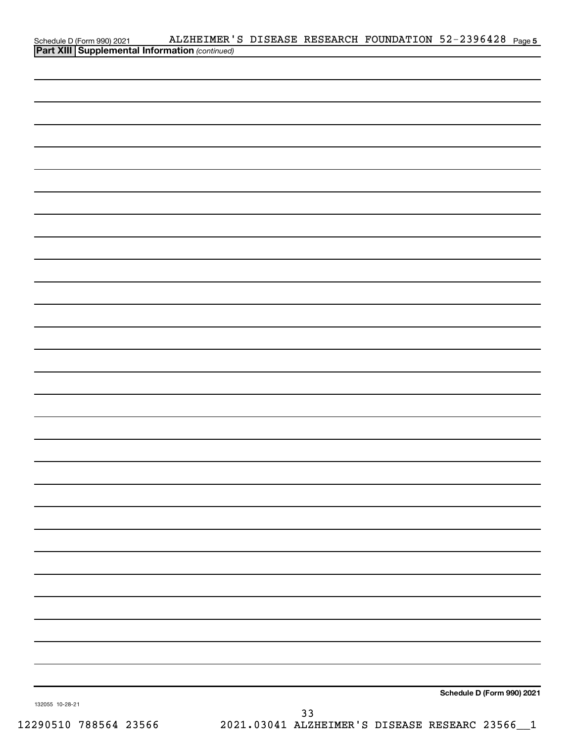|                 | ALZHEIMER'S DISEASE RESEARCH FOUNDATION 52-2396428 Page 5<br>Schedule D (Form 990) 2021 ALZHEIMER'<br>Part XIII Supplemental Information (continued) |  |                            |  |
|-----------------|------------------------------------------------------------------------------------------------------------------------------------------------------|--|----------------------------|--|
|                 |                                                                                                                                                      |  |                            |  |
|                 |                                                                                                                                                      |  |                            |  |
|                 |                                                                                                                                                      |  |                            |  |
|                 |                                                                                                                                                      |  |                            |  |
|                 |                                                                                                                                                      |  |                            |  |
|                 |                                                                                                                                                      |  |                            |  |
|                 |                                                                                                                                                      |  |                            |  |
|                 |                                                                                                                                                      |  |                            |  |
|                 |                                                                                                                                                      |  |                            |  |
|                 |                                                                                                                                                      |  |                            |  |
|                 |                                                                                                                                                      |  |                            |  |
|                 |                                                                                                                                                      |  |                            |  |
|                 |                                                                                                                                                      |  |                            |  |
|                 |                                                                                                                                                      |  |                            |  |
|                 |                                                                                                                                                      |  |                            |  |
|                 |                                                                                                                                                      |  |                            |  |
|                 |                                                                                                                                                      |  |                            |  |
|                 |                                                                                                                                                      |  |                            |  |
|                 |                                                                                                                                                      |  |                            |  |
|                 |                                                                                                                                                      |  |                            |  |
|                 |                                                                                                                                                      |  |                            |  |
|                 |                                                                                                                                                      |  |                            |  |
|                 |                                                                                                                                                      |  |                            |  |
|                 |                                                                                                                                                      |  |                            |  |
|                 |                                                                                                                                                      |  |                            |  |
|                 |                                                                                                                                                      |  |                            |  |
|                 |                                                                                                                                                      |  |                            |  |
|                 |                                                                                                                                                      |  |                            |  |
|                 |                                                                                                                                                      |  |                            |  |
|                 |                                                                                                                                                      |  |                            |  |
|                 |                                                                                                                                                      |  |                            |  |
|                 |                                                                                                                                                      |  |                            |  |
|                 |                                                                                                                                                      |  |                            |  |
|                 |                                                                                                                                                      |  |                            |  |
|                 |                                                                                                                                                      |  |                            |  |
|                 |                                                                                                                                                      |  |                            |  |
|                 |                                                                                                                                                      |  |                            |  |
|                 |                                                                                                                                                      |  |                            |  |
|                 |                                                                                                                                                      |  |                            |  |
|                 |                                                                                                                                                      |  |                            |  |
|                 |                                                                                                                                                      |  |                            |  |
|                 |                                                                                                                                                      |  |                            |  |
| 132055 10-28-21 |                                                                                                                                                      |  | Schedule D (Form 990) 2021 |  |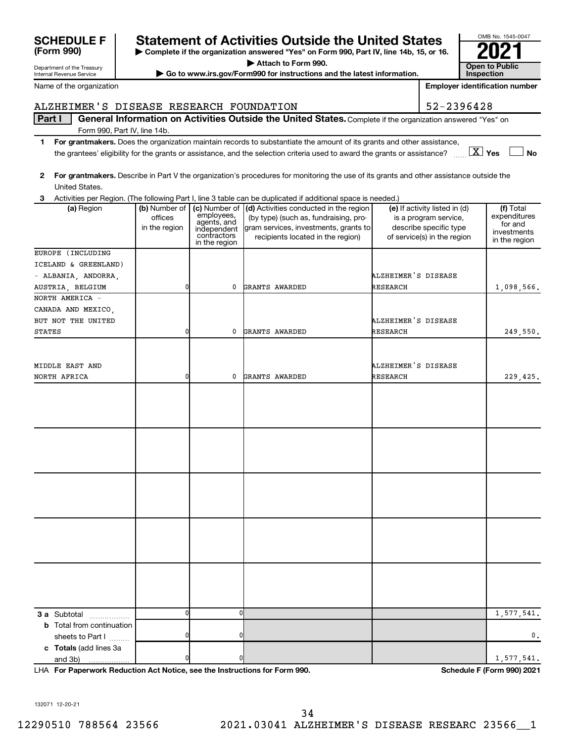Department of the Treasury **(Form 990)**

## **SCHEDULE F Statement of Activities Outside the United States 2021**

**| Complete if the organization answered "Yes" on Form 990, Part IV, line 14b, 15, or 16. | Attach to Form 990.**

**| Go to www.irs.gov/Form990 for instructions and the latest information. Open to Public** 

Name of the organization

Internal Revenue Service

## ALZHEIMER'S DISEASE RESEARCH FOUNDATION | 52-2396428

Part I | General Information on Activities Outside the United States. Complete if the organization answered "Yes" on Form 990, Part IV, line 14b.

- **1 For grantmakers.**  Does the organization maintain records to substantiate the amount of its grants and other assistance, **Yes No** the grantees' eligibility for the grants or assistance, and the selection criteria used to award the grants or assistance? ~~ † † X
- **2 For grantmakers.**  Describe in Part V the organization's procedures for monitoring the use of its grants and other assistance outside the
- **3 (a)** Region **a (b)** Number of **| (c)** Number of **| (d)** Activities conducted in the region **|** (e) If activity listed in (d) **| (f) 3 a** Subtotal .................. **b** Total from continuation **c Totals**  (add lines 3a United States. Activities per Region. (The following Part I, line 3 table can be duplicated if additional space is needed.) (a) Region (b) Number of offices in the region employees, agents, and independent contractors in the region (by type) (such as, fundraising, program services, investments, grants to recipients located in the region) (e) If activity listed in (d) is a program service, describe specific type of service(s) in the region (f) Total expenditures for and investments in the region sheets to Part  $1$   $\ldots$ ... and 3b) EUROPE (INCLUDING ICELAND & GREENLAND) - ALBANIA, ANDORRA, ALZHEIMER'S DISEASE AUSTRIA, BELGIUM 0 0 GRANTS AWARDED RESEARCH 1,098,566. NORTH AMERICA - CANADA AND MEXICO, BUT NOT THE UNITED ALZHEIMER'S DISEASE STATES 0 0 GRANTS AWARDED RESEARCH 249,550. MIDDLE EAST AND ALZHEIMER'S DISEASE NORTH AFRICA 0 0 GRANTS AWARDED RESEARCH 229,425. 0 0 1,577,541. 0 0 0.

**For Paperwork Reduction Act Notice, see the Instructions for Form 990. Schedule F (Form 990) 2021** LHA

132071 12-20-21

0 0 1,577,541.



OMB No. 1545-0047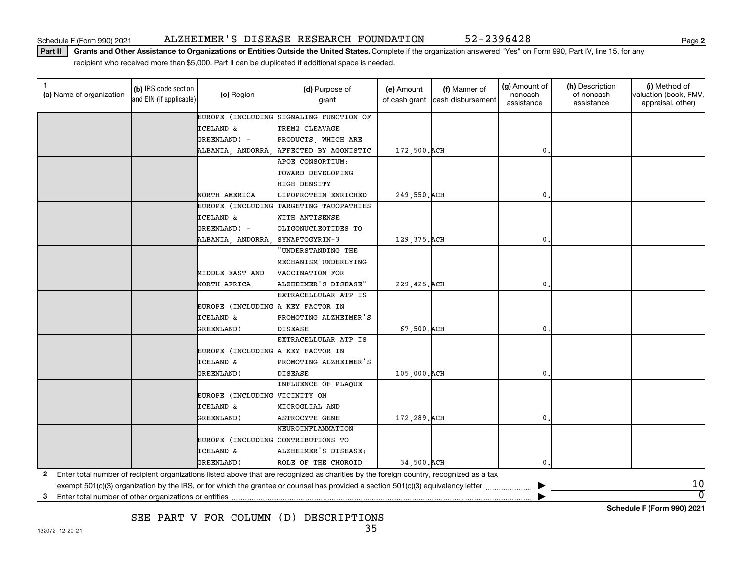Part II | Grants and Other Assistance to Organizations or Entities Outside the United States. Complete if the organization answered "Yes" on Form 990, Part IV, line 15, for any recipient who received more than \$5,000. Part II can be duplicated if additional space is needed.

| (a) Name of organization                                   | (b) IRS code section<br>and EIN (if applicable) | (c) Region                         | (d) Purpose of<br>grant                                                                                                                 | (e) Amount    | (f) Manner of<br>of cash grant cash disbursement | (g) Amount of<br>noncash<br>assistance | (h) Description<br>of noncash<br>assistance | (i) Method of<br>valuation (book, FMV,<br>appraisal, other) |
|------------------------------------------------------------|-------------------------------------------------|------------------------------------|-----------------------------------------------------------------------------------------------------------------------------------------|---------------|--------------------------------------------------|----------------------------------------|---------------------------------------------|-------------------------------------------------------------|
|                                                            |                                                 | EUROPE (INCLUDING                  | SIGNALING FUNCTION OF                                                                                                                   |               |                                                  |                                        |                                             |                                                             |
|                                                            |                                                 | <b>ICELAND &amp;</b>               | TREM2 CLEAVAGE                                                                                                                          |               |                                                  |                                        |                                             |                                                             |
|                                                            |                                                 | GREENLAND) -                       | PRODUCTS, WHICH ARE                                                                                                                     |               |                                                  |                                        |                                             |                                                             |
|                                                            |                                                 | ALBANIA, ANDORRA,                  | AFFECTED BY AGONISTIC                                                                                                                   | 172,500. ACH  |                                                  | 0.                                     |                                             |                                                             |
|                                                            |                                                 |                                    | APOE CONSORTIUM:                                                                                                                        |               |                                                  |                                        |                                             |                                                             |
|                                                            |                                                 |                                    | TOWARD DEVELOPING                                                                                                                       |               |                                                  |                                        |                                             |                                                             |
|                                                            |                                                 |                                    | <b>HIGH DENSITY</b>                                                                                                                     |               |                                                  |                                        |                                             |                                                             |
|                                                            |                                                 | NORTH AMERICA                      | LIPOPROTEIN ENRICHED                                                                                                                    | 249,550. ACH  |                                                  | $\mathbf{0}$ .                         |                                             |                                                             |
|                                                            |                                                 | EUROPE (INCLUDING                  | TARGETING TAUOPATHIES                                                                                                                   |               |                                                  |                                        |                                             |                                                             |
|                                                            |                                                 | <b>ICELAND &amp;</b>               | WITH ANTISENSE                                                                                                                          |               |                                                  |                                        |                                             |                                                             |
|                                                            |                                                 | GREENLAND) -                       | OLIGONUCLEOTIDES TO                                                                                                                     |               |                                                  |                                        |                                             |                                                             |
|                                                            |                                                 | ALBANIA, ANDORRA,                  | SYNAPTOGYRIN-3                                                                                                                          | 129, 375. ACH |                                                  | 0                                      |                                             |                                                             |
|                                                            |                                                 |                                    | UNDERSTANDING THE                                                                                                                       |               |                                                  |                                        |                                             |                                                             |
|                                                            |                                                 |                                    | MECHANISM UNDERLYING                                                                                                                    |               |                                                  |                                        |                                             |                                                             |
|                                                            |                                                 | MIDDLE EAST AND                    | VACCINATION FOR                                                                                                                         |               |                                                  |                                        |                                             |                                                             |
|                                                            |                                                 | NORTH AFRICA                       | ALZHEIMER'S DISEASE"                                                                                                                    | 229, 425. ACH |                                                  | $\mathbf{0}$                           |                                             |                                                             |
|                                                            |                                                 |                                    | EXTRACELLULAR ATP IS                                                                                                                    |               |                                                  |                                        |                                             |                                                             |
|                                                            |                                                 | EUROPE (INCLUDING A KEY FACTOR IN  |                                                                                                                                         |               |                                                  |                                        |                                             |                                                             |
|                                                            |                                                 | <b>ICELAND &amp;</b>               | PROMOTING ALZHEIMER'S                                                                                                                   |               |                                                  |                                        |                                             |                                                             |
|                                                            |                                                 | GREENLAND)                         | <b>DISEASE</b>                                                                                                                          | 67,500. ACH   |                                                  | $\mathbf{0}$                           |                                             |                                                             |
|                                                            |                                                 |                                    | EXTRACELLULAR ATP IS                                                                                                                    |               |                                                  |                                        |                                             |                                                             |
|                                                            |                                                 | EUROPE (INCLUDING A KEY FACTOR IN  |                                                                                                                                         |               |                                                  |                                        |                                             |                                                             |
|                                                            |                                                 | <b>ICELAND &amp;</b>               | PROMOTING ALZHEIMER'S                                                                                                                   |               |                                                  |                                        |                                             |                                                             |
|                                                            |                                                 | <b>GREENLAND)</b>                  | <b>DISEASE</b>                                                                                                                          | 105,000. ACH  |                                                  | $\mathbf 0$ .                          |                                             |                                                             |
|                                                            |                                                 |                                    | INFLUENCE OF PLAQUE                                                                                                                     |               |                                                  |                                        |                                             |                                                             |
|                                                            |                                                 | EUROPE (INCLUDING VICINITY ON      |                                                                                                                                         |               |                                                  |                                        |                                             |                                                             |
|                                                            |                                                 | <b>ICELAND &amp;</b>               | MICROGLIAL AND                                                                                                                          |               |                                                  |                                        |                                             |                                                             |
|                                                            |                                                 | <b>GREENLAND)</b>                  | <b>ASTROCYTE GENE</b>                                                                                                                   | 172,289. ACH  |                                                  | $\mathbf{0}$                           |                                             |                                                             |
|                                                            |                                                 |                                    | NEUROINFLAMMATION                                                                                                                       |               |                                                  |                                        |                                             |                                                             |
|                                                            |                                                 | EUROPE (INCLUDING CONTRIBUTIONS TO |                                                                                                                                         |               |                                                  |                                        |                                             |                                                             |
|                                                            |                                                 | <b>ICELAND &amp;</b>               | ALZHEIMER'S DISEASE:                                                                                                                    |               |                                                  |                                        |                                             |                                                             |
|                                                            |                                                 | GREENLAND)                         | ROLE OF THE CHOROID                                                                                                                     | 34,500. ACH   |                                                  | 0.                                     |                                             |                                                             |
| $\mathbf{2}$                                               |                                                 |                                    | Enter total number of recipient organizations listed above that are recognized as charities by the foreign country, recognized as a tax |               |                                                  |                                        |                                             |                                                             |
|                                                            |                                                 |                                    | exempt 501(c)(3) organization by the IRS, or for which the grantee or counsel has provided a section 501(c)(3) equivalency letter       |               |                                                  |                                        |                                             | 10                                                          |
| Enter total number of other organizations or entities<br>3 |                                                 |                                    |                                                                                                                                         |               |                                                  |                                        |                                             | $\overline{0}$                                              |

SEE PART V FOR COLUMN (D) DESCRIPTIONS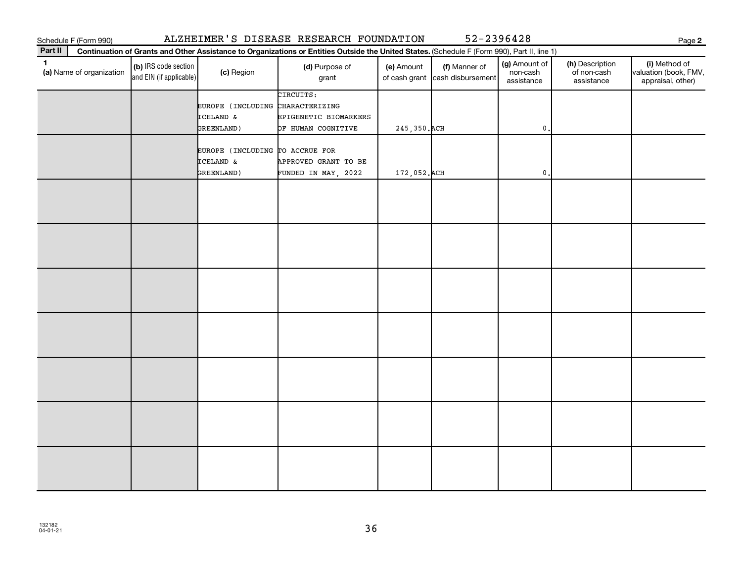| Schedule F (Form 990) |  |
|-----------------------|--|
|                       |  |

Schedule F (Form 990) ALZHEIMER 'S DISEASE RESEARCH FOUNDATION 52-2396428

**2**

| Part II<br>Continuation of Grants and Other Assistance to Organizations or Entities Outside the United States. (Schedule F (Form 990), Part II, line 1) |                                                 |                                  |                         |               |                                                  |                                         |                                              |                                                             |  |
|---------------------------------------------------------------------------------------------------------------------------------------------------------|-------------------------------------------------|----------------------------------|-------------------------|---------------|--------------------------------------------------|-----------------------------------------|----------------------------------------------|-------------------------------------------------------------|--|
| $\mathbf{1}$<br>(a) Name of organization                                                                                                                | (b) IRS code section<br>and EIN (if applicable) | (c) Region                       | (d) Purpose of<br>grant | (e) Amount    | (f) Manner of<br>of cash grant cash disbursement | (g) Amount of<br>non-cash<br>assistance | (h) Description<br>of non-cash<br>assistance | (i) Method of<br>valuation (book, FMV,<br>appraisal, other) |  |
|                                                                                                                                                         |                                                 |                                  | CIRCUITS:               |               |                                                  |                                         |                                              |                                                             |  |
|                                                                                                                                                         |                                                 | EUROPE (INCLUDING CHARACTERIZING |                         |               |                                                  |                                         |                                              |                                                             |  |
|                                                                                                                                                         |                                                 | ICELAND &                        | EPIGENETIC BIOMARKERS   |               |                                                  |                                         |                                              |                                                             |  |
|                                                                                                                                                         |                                                 | GREENLAND)                       | OF HUMAN COGNITIVE      | 245, 350. ACH |                                                  | $\mathbf{0}$                            |                                              |                                                             |  |
|                                                                                                                                                         |                                                 |                                  |                         |               |                                                  |                                         |                                              |                                                             |  |
|                                                                                                                                                         |                                                 | EUROPE (INCLUDING TO ACCRUE FOR  |                         |               |                                                  |                                         |                                              |                                                             |  |
|                                                                                                                                                         |                                                 | ICELAND &                        | APPROVED GRANT TO BE    |               |                                                  |                                         |                                              |                                                             |  |
|                                                                                                                                                         |                                                 | GREENLAND)                       | FUNDED IN MAY, 2022     | 172,052. ACH  |                                                  | $\mathsf{0}$ .                          |                                              |                                                             |  |
|                                                                                                                                                         |                                                 |                                  |                         |               |                                                  |                                         |                                              |                                                             |  |
|                                                                                                                                                         |                                                 |                                  |                         |               |                                                  |                                         |                                              |                                                             |  |
|                                                                                                                                                         |                                                 |                                  |                         |               |                                                  |                                         |                                              |                                                             |  |
|                                                                                                                                                         |                                                 |                                  |                         |               |                                                  |                                         |                                              |                                                             |  |
|                                                                                                                                                         |                                                 |                                  |                         |               |                                                  |                                         |                                              |                                                             |  |
|                                                                                                                                                         |                                                 |                                  |                         |               |                                                  |                                         |                                              |                                                             |  |
|                                                                                                                                                         |                                                 |                                  |                         |               |                                                  |                                         |                                              |                                                             |  |
|                                                                                                                                                         |                                                 |                                  |                         |               |                                                  |                                         |                                              |                                                             |  |
|                                                                                                                                                         |                                                 |                                  |                         |               |                                                  |                                         |                                              |                                                             |  |
|                                                                                                                                                         |                                                 |                                  |                         |               |                                                  |                                         |                                              |                                                             |  |
|                                                                                                                                                         |                                                 |                                  |                         |               |                                                  |                                         |                                              |                                                             |  |
|                                                                                                                                                         |                                                 |                                  |                         |               |                                                  |                                         |                                              |                                                             |  |
|                                                                                                                                                         |                                                 |                                  |                         |               |                                                  |                                         |                                              |                                                             |  |
|                                                                                                                                                         |                                                 |                                  |                         |               |                                                  |                                         |                                              |                                                             |  |
|                                                                                                                                                         |                                                 |                                  |                         |               |                                                  |                                         |                                              |                                                             |  |
|                                                                                                                                                         |                                                 |                                  |                         |               |                                                  |                                         |                                              |                                                             |  |
|                                                                                                                                                         |                                                 |                                  |                         |               |                                                  |                                         |                                              |                                                             |  |
|                                                                                                                                                         |                                                 |                                  |                         |               |                                                  |                                         |                                              |                                                             |  |
|                                                                                                                                                         |                                                 |                                  |                         |               |                                                  |                                         |                                              |                                                             |  |
|                                                                                                                                                         |                                                 |                                  |                         |               |                                                  |                                         |                                              |                                                             |  |
|                                                                                                                                                         |                                                 |                                  |                         |               |                                                  |                                         |                                              |                                                             |  |
|                                                                                                                                                         |                                                 |                                  |                         |               |                                                  |                                         |                                              |                                                             |  |
|                                                                                                                                                         |                                                 |                                  |                         |               |                                                  |                                         |                                              |                                                             |  |
|                                                                                                                                                         |                                                 |                                  |                         |               |                                                  |                                         |                                              |                                                             |  |
|                                                                                                                                                         |                                                 |                                  |                         |               |                                                  |                                         |                                              |                                                             |  |
|                                                                                                                                                         |                                                 |                                  |                         |               |                                                  |                                         |                                              |                                                             |  |
|                                                                                                                                                         |                                                 |                                  |                         |               |                                                  |                                         |                                              |                                                             |  |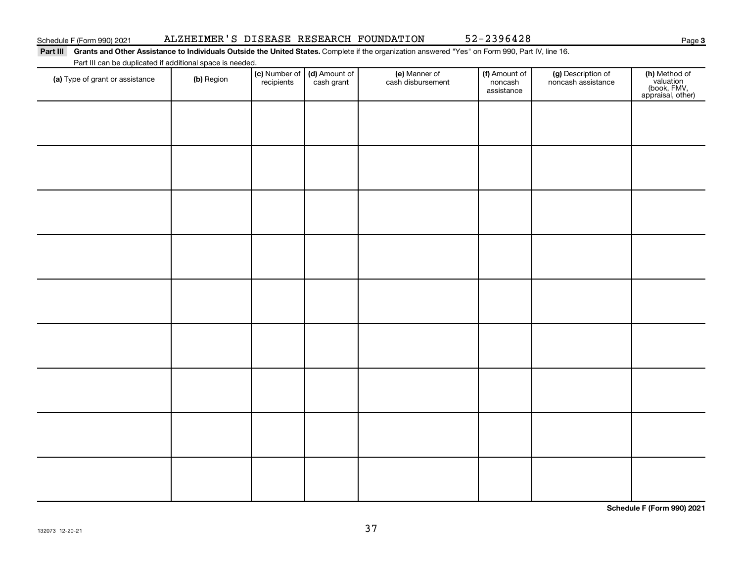| Part III                                                  |            |                             |                             | Grants and Other Assistance to Individuals Outside the United States. Complete if the organization answered "Yes" on Form 990, Part IV, line 16. |                                        |                                          |                                                                |
|-----------------------------------------------------------|------------|-----------------------------|-----------------------------|--------------------------------------------------------------------------------------------------------------------------------------------------|----------------------------------------|------------------------------------------|----------------------------------------------------------------|
| Part III can be duplicated if additional space is needed. |            |                             |                             |                                                                                                                                                  |                                        |                                          |                                                                |
| (a) Type of grant or assistance                           | (b) Region | (c) Number of<br>recipients | (d) Amount of<br>cash grant | (e) Manner of<br>cash disbursement                                                                                                               | (f) Amount of<br>noncash<br>assistance | (g) Description of<br>noncash assistance | (h) Method of<br>valuation<br>(book, FMV,<br>appraisal, other) |
|                                                           |            |                             |                             |                                                                                                                                                  |                                        |                                          |                                                                |
|                                                           |            |                             |                             |                                                                                                                                                  |                                        |                                          |                                                                |
|                                                           |            |                             |                             |                                                                                                                                                  |                                        |                                          |                                                                |

**Schedule F (Form 990) 2021**

**3**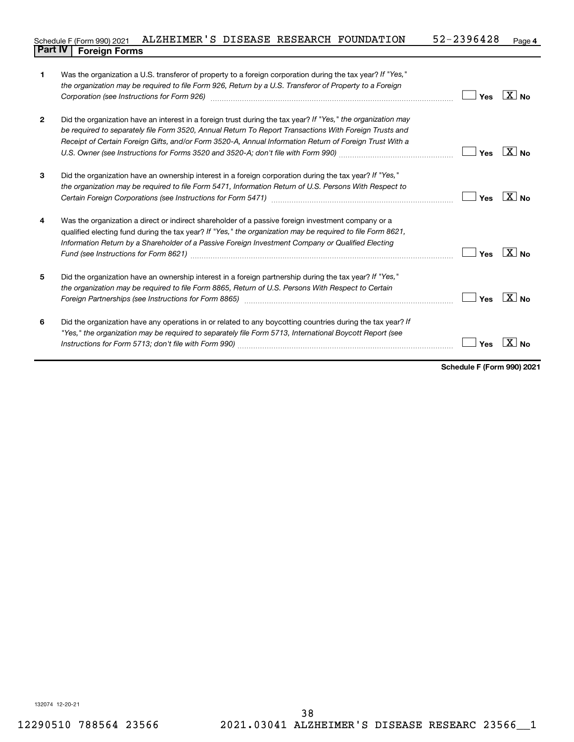### **4** Schedule F (Form 990) 2021 ALZHEIMER'S DISEASE RESEARCH FOUNDATION 52-2396428 Page **Part IV F** (Form 990) 2021

| 1            | Was the organization a U.S. transferor of property to a foreign corporation during the tax year? If "Yes,"<br>the organization may be required to file Form 926, Return by a U.S. Transferor of Property to a Foreign<br>Corporation (see Instructions for Form 926)                                                              | Yes | $\overline{X}$ No   |
|--------------|-----------------------------------------------------------------------------------------------------------------------------------------------------------------------------------------------------------------------------------------------------------------------------------------------------------------------------------|-----|---------------------|
| $\mathbf{2}$ | Did the organization have an interest in a foreign trust during the tax year? If "Yes," the organization may<br>be required to separately file Form 3520, Annual Return To Report Transactions With Foreign Trusts and<br>Receipt of Certain Foreign Gifts, and/or Form 3520-A, Annual Information Return of Foreign Trust With a | Yes | $X _{\mathsf{No}}$  |
| 3            | Did the organization have an ownership interest in a foreign corporation during the tax year? If "Yes,"<br>the organization may be required to file Form 5471, Information Return of U.S. Persons With Respect to                                                                                                                 | Yes | $ X _{\mathsf{No}}$ |
| 4            | Was the organization a direct or indirect shareholder of a passive foreign investment company or a<br>qualified electing fund during the tax year? If "Yes," the organization may be required to file Form 8621,<br>Information Return by a Shareholder of a Passive Foreign Investment Company or Qualified Electing             | Yes | $X _{\mathsf{No}}$  |
| 5            | Did the organization have an ownership interest in a foreign partnership during the tax year? If "Yes,"<br>the organization may be required to file Form 8865, Return of U.S. Persons With Respect to Certain<br>Foreign Partnerships (see Instructions for Form 8865)                                                            | Yes | $X $ No             |
| 6            | Did the organization have any operations in or related to any boycotting countries during the tax year? If<br>"Yes," the organization may be required to separately file Form 5713, International Boycott Report (see                                                                                                             | Yes |                     |

**Schedule F (Form 990) 2021**

132074 12-20-21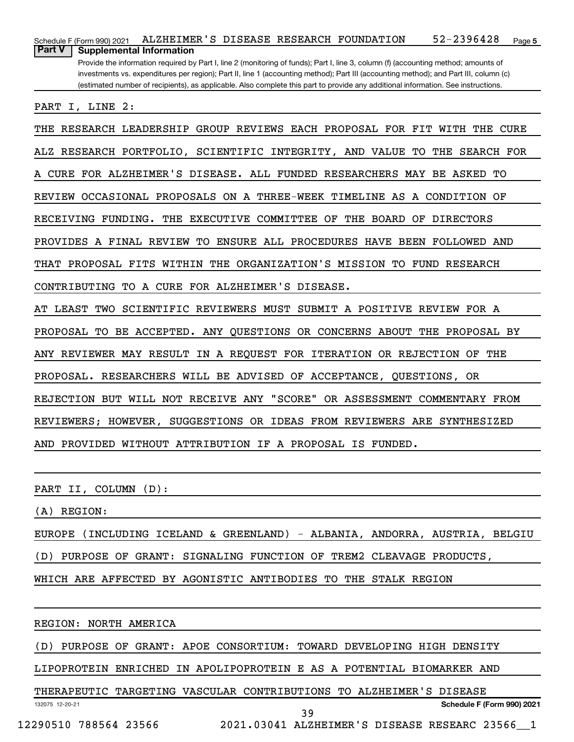**5** Schedule F (Form 990) 2021 ALZHEIMER'S DISEASE RESEARCH FOUNDATION 52-2396428 Page Provide the information required by Part I, line 2 (monitoring of funds); Part I, line 3, column (f) (accounting method; amounts of investments vs. expenditures per region); Part II, line 1 (accounting method); Part III (accounting method); and Part III, column (c) (estimated number of recipients), as applicable. Also complete this part to provide any additional information. See instructions. **Part V Supplemental Information** PART I, LINE 2: THE RESEARCH LEADERSHIP GROUP REVIEWS EACH PROPOSAL FOR FIT WITH THE CURE ALZ RESEARCH PORTFOLIO, SCIENTIFIC INTEGRITY, AND VALUE TO THE SEARCH FOR A CURE FOR ALZHEIMER'S DISEASE. ALL FUNDED RESEARCHERS MAY BE ASKED TO REVIEW OCCASIONAL PROPOSALS ON A THREE-WEEK TIMELINE AS A CONDITION OF RECEIVING FUNDING. THE EXECUTIVE COMMITTEE OF THE BOARD OF DIRECTORS PROVIDES A FINAL REVIEW TO ENSURE ALL PROCEDURES HAVE BEEN FOLLOWED AND THAT PROPOSAL FITS WITHIN THE ORGANIZATION'S MISSION TO FUND RESEARCH CONTRIBUTING TO A CURE FOR ALZHEIMER'S DISEASE. AT LEAST TWO SCIENTIFIC REVIEWERS MUST SUBMIT A POSITIVE REVIEW FOR A PROPOSAL TO BE ACCEPTED. ANY QUESTIONS OR CONCERNS ABOUT THE PROPOSAL BY ANY REVIEWER MAY RESULT IN A REQUEST FOR ITERATION OR REJECTION OF THE PROPOSAL. RESEARCHERS WILL BE ADVISED OF ACCEPTANCE, QUESTIONS, OR REJECTION BUT WILL NOT RECEIVE ANY "SCORE" OR ASSESSMENT COMMENTARY FROM REVIEWERS; HOWEVER, SUGGESTIONS OR IDEAS FROM REVIEWERS ARE SYNTHESIZED AND PROVIDED WITHOUT ATTRIBUTION IF A PROPOSAL IS FUNDED.

PART II, COLUMN (D):

(A) REGION:

EUROPE (INCLUDING ICELAND & GREENLAND) - ALBANIA, ANDORRA, AUSTRIA, BELGIU (D) PURPOSE OF GRANT: SIGNALING FUNCTION OF TREM2 CLEAVAGE PRODUCTS, WHICH ARE AFFECTED BY AGONISTIC ANTIBODIES TO THE STALK REGION

REGION: NORTH AMERICA

(D) PURPOSE OF GRANT: APOE CONSORTIUM: TOWARD DEVELOPING HIGH DENSITY

LIPOPROTEIN ENRICHED IN APOLIPOPROTEIN E AS A POTENTIAL BIOMARKER AND

132075 12-20-21 **Schedule F (Form 990) 2021** THERAPEUTIC TARGETING VASCULAR CONTRIBUTIONS TO ALZHEIMER'S DISEASE 12290510 788564 23566 2021.03041 ALZHEIMER'S DISEASE RESEARC 23566\_\_1 39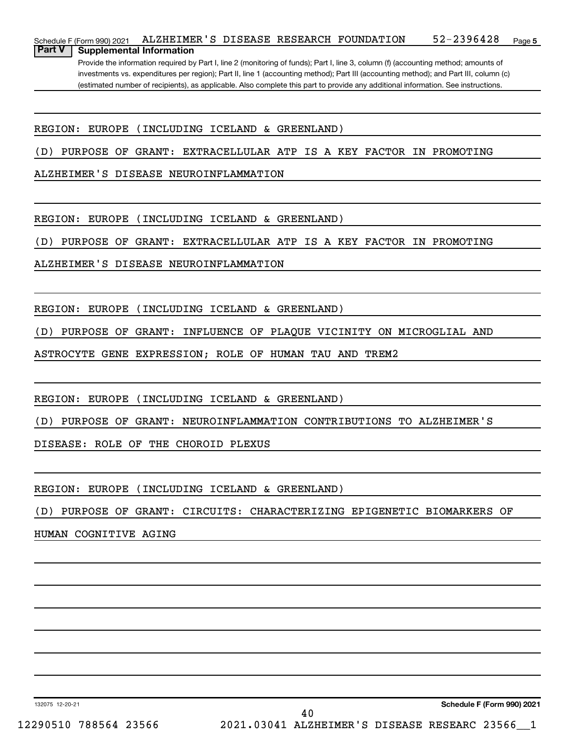**5** Schedule F (Form 990) 2021 ALZHEIMER'S DISEASE RESEARCH FOUNDATION 52-2396428 Page Provide the information required by Part I, line 2 (monitoring of funds); Part I, line 3, column (f) (accounting method; amounts of **Part V Supplemental Information**

investments vs. expenditures per region); Part II, line 1 (accounting method); Part III (accounting method); and Part III, column (c) (estimated number of recipients), as applicable. Also complete this part to provide any additional information. See instructions.

REGION: EUROPE (INCLUDING ICELAND & GREENLAND)

(D) PURPOSE OF GRANT: EXTRACELLULAR ATP IS A KEY FACTOR IN PROMOTING

ALZHEIMER'S DISEASE NEUROINFLAMMATION

REGION: EUROPE (INCLUDING ICELAND & GREENLAND)

(D) PURPOSE OF GRANT: EXTRACELLULAR ATP IS A KEY FACTOR IN PROMOTING

ALZHEIMER'S DISEASE NEUROINFLAMMATION

REGION: EUROPE (INCLUDING ICELAND & GREENLAND)

(D) PURPOSE OF GRANT: INFLUENCE OF PLAQUE VICINITY ON MICROGLIAL AND

ASTROCYTE GENE EXPRESSION; ROLE OF HUMAN TAU AND TREM2

REGION: EUROPE (INCLUDING ICELAND & GREENLAND)

(D) PURPOSE OF GRANT: NEUROINFLAMMATION CONTRIBUTIONS TO ALZHEIMER'S

DISEASE: ROLE OF THE CHOROID PLEXUS

REGION: EUROPE (INCLUDING ICELAND & GREENLAND)

(D) PURPOSE OF GRANT: CIRCUITS: CHARACTERIZING EPIGENETIC BIOMARKERS OF

HUMAN COGNITIVE AGING

132075 12-20-21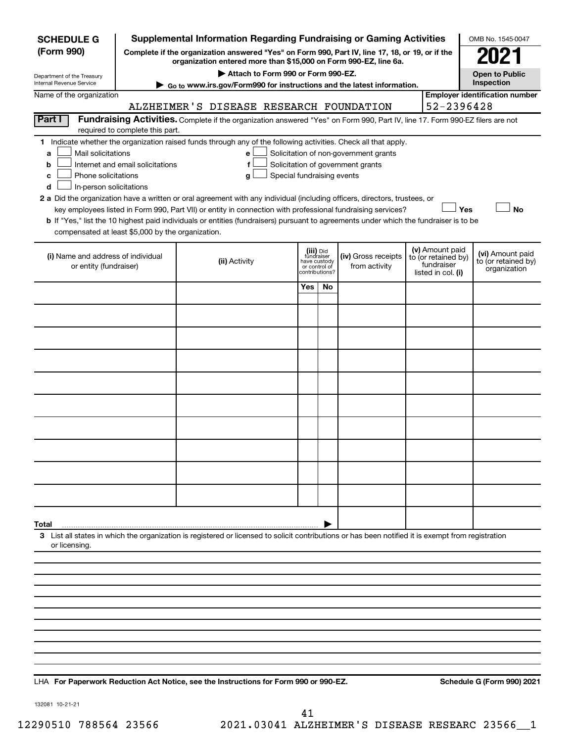| <b>SCHEDULE G</b>                                                                                                                             |                                                                     | <b>Supplemental Information Regarding Fundraising or Gaming Activities</b>                                                                                                                                                                                                                                                                                                                                                                                                                                                                         |                                                               |    |                                                                            |                                                         | OMB No. 1545-0047                                       |
|-----------------------------------------------------------------------------------------------------------------------------------------------|---------------------------------------------------------------------|----------------------------------------------------------------------------------------------------------------------------------------------------------------------------------------------------------------------------------------------------------------------------------------------------------------------------------------------------------------------------------------------------------------------------------------------------------------------------------------------------------------------------------------------------|---------------------------------------------------------------|----|----------------------------------------------------------------------------|---------------------------------------------------------|---------------------------------------------------------|
| (Form 990)                                                                                                                                    |                                                                     | Complete if the organization answered "Yes" on Form 990, Part IV, line 17, 18, or 19, or if the<br>organization entered more than \$15,000 on Form 990-EZ, line 6a.                                                                                                                                                                                                                                                                                                                                                                                |                                                               |    |                                                                            |                                                         |                                                         |
| Department of the Treasury                                                                                                                    |                                                                     | Attach to Form 990 or Form 990-EZ.                                                                                                                                                                                                                                                                                                                                                                                                                                                                                                                 |                                                               |    |                                                                            |                                                         | <b>Open to Public</b>                                   |
| Internal Revenue Service                                                                                                                      |                                                                     | ▶ Go to www.irs.gov/Form990 for instructions and the latest information.                                                                                                                                                                                                                                                                                                                                                                                                                                                                           |                                                               |    |                                                                            |                                                         | Inspection                                              |
| Name of the organization                                                                                                                      |                                                                     | ALZHEIMER'S DISEASE RESEARCH FOUNDATION                                                                                                                                                                                                                                                                                                                                                                                                                                                                                                            |                                                               |    |                                                                            | 52-2396428                                              | <b>Employer identification number</b>                   |
| Part I                                                                                                                                        |                                                                     | Fundraising Activities. Complete if the organization answered "Yes" on Form 990, Part IV, line 17. Form 990-EZ filers are not                                                                                                                                                                                                                                                                                                                                                                                                                      |                                                               |    |                                                                            |                                                         |                                                         |
| Mail solicitations<br>a<br>b<br>Phone solicitations<br>с<br>In-person solicitations<br>d<br>compensated at least \$5,000 by the organization. | required to complete this part.<br>Internet and email solicitations | 1 Indicate whether the organization raised funds through any of the following activities. Check all that apply.<br>е<br>f<br>Special fundraising events<br>g<br>2 a Did the organization have a written or oral agreement with any individual (including officers, directors, trustees, or<br>key employees listed in Form 990, Part VII) or entity in connection with professional fundraising services?<br>b If "Yes," list the 10 highest paid individuals or entities (fundraisers) pursuant to agreements under which the fundraiser is to be | (iii) Did                                                     |    | Solicitation of non-government grants<br>Solicitation of government grants | Yes<br>(v) Amount paid                                  | No                                                      |
| (i) Name and address of individual<br>or entity (fundraiser)                                                                                  |                                                                     | (ii) Activity                                                                                                                                                                                                                                                                                                                                                                                                                                                                                                                                      | fundraiser<br>have custody<br>or control of<br>contributions? |    | (iv) Gross receipts<br>from activity                                       | to (or retained by)<br>fundraiser<br>listed in col. (i) | (vi) Amount paid<br>to (or retained by)<br>organization |
|                                                                                                                                               |                                                                     |                                                                                                                                                                                                                                                                                                                                                                                                                                                                                                                                                    | Yes                                                           | No |                                                                            |                                                         |                                                         |
|                                                                                                                                               |                                                                     |                                                                                                                                                                                                                                                                                                                                                                                                                                                                                                                                                    |                                                               |    |                                                                            |                                                         |                                                         |
|                                                                                                                                               |                                                                     |                                                                                                                                                                                                                                                                                                                                                                                                                                                                                                                                                    |                                                               |    |                                                                            |                                                         |                                                         |
|                                                                                                                                               |                                                                     |                                                                                                                                                                                                                                                                                                                                                                                                                                                                                                                                                    |                                                               |    |                                                                            |                                                         |                                                         |
|                                                                                                                                               |                                                                     |                                                                                                                                                                                                                                                                                                                                                                                                                                                                                                                                                    |                                                               |    |                                                                            |                                                         |                                                         |
|                                                                                                                                               |                                                                     |                                                                                                                                                                                                                                                                                                                                                                                                                                                                                                                                                    |                                                               |    |                                                                            |                                                         |                                                         |
|                                                                                                                                               |                                                                     |                                                                                                                                                                                                                                                                                                                                                                                                                                                                                                                                                    |                                                               |    |                                                                            |                                                         |                                                         |
|                                                                                                                                               |                                                                     |                                                                                                                                                                                                                                                                                                                                                                                                                                                                                                                                                    |                                                               |    |                                                                            |                                                         |                                                         |
|                                                                                                                                               |                                                                     |                                                                                                                                                                                                                                                                                                                                                                                                                                                                                                                                                    |                                                               |    |                                                                            |                                                         |                                                         |
|                                                                                                                                               |                                                                     |                                                                                                                                                                                                                                                                                                                                                                                                                                                                                                                                                    |                                                               |    |                                                                            |                                                         |                                                         |
|                                                                                                                                               |                                                                     |                                                                                                                                                                                                                                                                                                                                                                                                                                                                                                                                                    |                                                               |    |                                                                            |                                                         |                                                         |
| Total<br>or licensing.                                                                                                                        |                                                                     | 3 List all states in which the organization is registered or licensed to solicit contributions or has been notified it is exempt from registration                                                                                                                                                                                                                                                                                                                                                                                                 |                                                               |    |                                                                            |                                                         |                                                         |
|                                                                                                                                               |                                                                     |                                                                                                                                                                                                                                                                                                                                                                                                                                                                                                                                                    |                                                               |    |                                                                            |                                                         |                                                         |
|                                                                                                                                               |                                                                     |                                                                                                                                                                                                                                                                                                                                                                                                                                                                                                                                                    |                                                               |    |                                                                            |                                                         |                                                         |
|                                                                                                                                               |                                                                     |                                                                                                                                                                                                                                                                                                                                                                                                                                                                                                                                                    |                                                               |    |                                                                            |                                                         |                                                         |
|                                                                                                                                               |                                                                     |                                                                                                                                                                                                                                                                                                                                                                                                                                                                                                                                                    |                                                               |    |                                                                            |                                                         |                                                         |
|                                                                                                                                               |                                                                     |                                                                                                                                                                                                                                                                                                                                                                                                                                                                                                                                                    |                                                               |    |                                                                            |                                                         |                                                         |
|                                                                                                                                               |                                                                     |                                                                                                                                                                                                                                                                                                                                                                                                                                                                                                                                                    |                                                               |    |                                                                            |                                                         |                                                         |
|                                                                                                                                               |                                                                     |                                                                                                                                                                                                                                                                                                                                                                                                                                                                                                                                                    |                                                               |    |                                                                            |                                                         |                                                         |

LHA For Paperwork Reduction Act Notice, see the Instructions for Form 990 or 990-EZ. Schedule G (Form 990) 2021

132081 10-21-21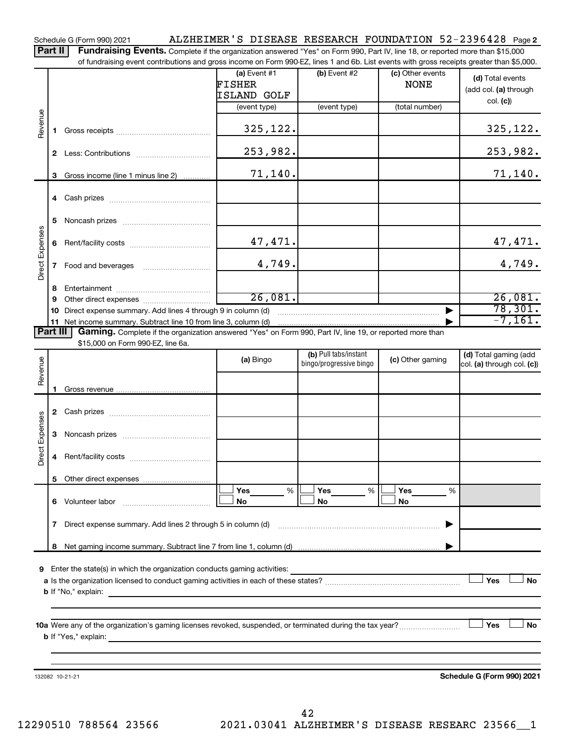**2** Schedule G (Form 990) 2021 Page ALZHEIMER'S DISEASE RESEARCH FOUNDATION 52-2396428

Part II | Fundraising Events. Complete if the organization answered "Yes" on Form 990, Part IV, line 18, or reported more than \$15,000 of fundraising event contributions and gross income on Form 990-EZ, lines 1 and 6b. List events with gross receipts greater than \$5,000.

|                 |   | overn communities and groot income on right occurs as and on and obtained overno with groot receipto groater than $\phi$ ,000.                                              |                                         |                                                  |                                 |                                                     |
|-----------------|---|-----------------------------------------------------------------------------------------------------------------------------------------------------------------------------|-----------------------------------------|--------------------------------------------------|---------------------------------|-----------------------------------------------------|
|                 |   |                                                                                                                                                                             | (a) Event $#1$<br>FISHER<br>ISLAND GOLF | (b) Event #2                                     | (c) Other events<br><b>NONE</b> | (d) Total events<br>(add col. (a) through           |
|                 |   |                                                                                                                                                                             | (event type)                            | (event type)                                     | (total number)                  | col. (c)                                            |
| Revenue         |   |                                                                                                                                                                             | 325,122.                                |                                                  |                                 | 325,122.                                            |
|                 |   |                                                                                                                                                                             | 253,982.                                |                                                  |                                 | 253,982.                                            |
|                 |   | 3 Gross income (line 1 minus line 2)                                                                                                                                        | 71,140.                                 |                                                  |                                 | 71,140.                                             |
|                 |   |                                                                                                                                                                             |                                         |                                                  |                                 |                                                     |
|                 | 5 |                                                                                                                                                                             |                                         |                                                  |                                 |                                                     |
|                 |   |                                                                                                                                                                             | 47,471.                                 |                                                  |                                 | 47,471.                                             |
| Direct Expenses | 7 | Food and beverages                                                                                                                                                          | 4,749.                                  |                                                  |                                 | 4,749.                                              |
|                 | 8 |                                                                                                                                                                             |                                         |                                                  |                                 |                                                     |
|                 | 9 |                                                                                                                                                                             | 26,081.                                 |                                                  |                                 | 26,081.                                             |
|                 |   | 10 Direct expense summary. Add lines 4 through 9 in column (d)                                                                                                              |                                         | 78,301.                                          |                                 |                                                     |
| Part III        |   | 11 Net income summary. Subtract line 10 from line 3, column (d)<br>Gaming. Complete if the organization answered "Yes" on Form 990, Part IV, line 19, or reported more than |                                         |                                                  |                                 | $-7, 161.$                                          |
|                 |   | \$15,000 on Form 990-EZ, line 6a.                                                                                                                                           |                                         |                                                  |                                 |                                                     |
| Revenue         |   |                                                                                                                                                                             | (a) Bingo                               | (b) Pull tabs/instant<br>bingo/progressive bingo | (c) Other gaming                | (d) Total gaming (add<br>col. (a) through col. (c)) |
|                 |   |                                                                                                                                                                             |                                         |                                                  |                                 |                                                     |
|                 |   |                                                                                                                                                                             |                                         |                                                  |                                 |                                                     |
|                 |   |                                                                                                                                                                             |                                         |                                                  |                                 |                                                     |
|                 | 3 |                                                                                                                                                                             |                                         |                                                  |                                 |                                                     |
| Direct Expenses | 4 |                                                                                                                                                                             |                                         |                                                  |                                 |                                                     |
|                 |   |                                                                                                                                                                             |                                         |                                                  |                                 |                                                     |
|                 |   |                                                                                                                                                                             | Yes<br>%                                | Yes<br>%                                         | Yes<br>%                        |                                                     |
|                 |   | 6 Volunteer labor                                                                                                                                                           | No                                      | No                                               | No                              |                                                     |
|                 | 7 | Direct expense summary. Add lines 2 through 5 in column (d)                                                                                                                 |                                         |                                                  |                                 |                                                     |
|                 | 8 |                                                                                                                                                                             |                                         |                                                  |                                 |                                                     |
|                 |   |                                                                                                                                                                             |                                         |                                                  |                                 |                                                     |
| 9               |   | Enter the state(s) in which the organization conducts gaming activities:                                                                                                    |                                         |                                                  |                                 |                                                     |
|                 |   | <b>b</b> If "No," explain:                                                                                                                                                  |                                         |                                                  |                                 | Yes<br>No                                           |
|                 |   |                                                                                                                                                                             |                                         |                                                  |                                 |                                                     |
|                 |   |                                                                                                                                                                             |                                         |                                                  |                                 |                                                     |
|                 |   | 10a Were any of the organization's gaming licenses revoked, suspended, or terminated during the tax year?<br><b>b</b> If "Yes," explain:                                    |                                         |                                                  |                                 | Yes<br>No                                           |
|                 |   |                                                                                                                                                                             |                                         |                                                  |                                 |                                                     |
|                 |   |                                                                                                                                                                             |                                         |                                                  |                                 |                                                     |
|                 |   | 132082 10-21-21                                                                                                                                                             |                                         |                                                  |                                 | Schedule G (Form 990) 2021                          |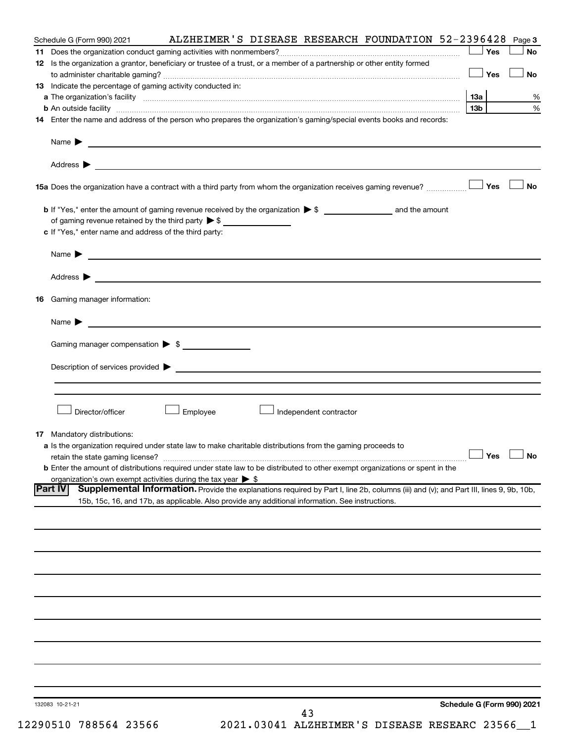| Schedule G (Form 990) 2021                                                                                                                               | ALZHEIMER'S DISEASE RESEARCH FOUNDATION 52-2396428 |                        |                            | Page 3    |
|----------------------------------------------------------------------------------------------------------------------------------------------------------|----------------------------------------------------|------------------------|----------------------------|-----------|
|                                                                                                                                                          |                                                    |                        | Yes                        | <b>No</b> |
| 12 Is the organization a grantor, beneficiary or trustee of a trust, or a member of a partnership or other entity formed                                 |                                                    |                        |                            |           |
|                                                                                                                                                          |                                                    |                        | $\Box$ Yes                 | <b>No</b> |
| 13 Indicate the percentage of gaming activity conducted in:                                                                                              |                                                    |                        |                            |           |
| a The organization's facility www.communication.communications.com/international/communications/state/internations/                                      |                                                    |                        | 13a                        | %         |
|                                                                                                                                                          |                                                    |                        | 13b l                      | $\%$      |
| 14 Enter the name and address of the person who prepares the organization's gaming/special events books and records:                                     |                                                    |                        |                            |           |
|                                                                                                                                                          |                                                    |                        |                            |           |
|                                                                                                                                                          |                                                    |                        |                            |           |
|                                                                                                                                                          |                                                    |                        |                            | ⊥ No      |
|                                                                                                                                                          |                                                    |                        |                            |           |
| of gaming revenue retained by the third party $\triangleright$ \$                                                                                        |                                                    |                        |                            |           |
| c If "Yes," enter name and address of the third party:                                                                                                   |                                                    |                        |                            |           |
|                                                                                                                                                          |                                                    |                        |                            |           |
| Name $\blacktriangleright$ $\lrcorner$                                                                                                                   |                                                    |                        |                            |           |
|                                                                                                                                                          |                                                    |                        |                            |           |
|                                                                                                                                                          |                                                    |                        |                            |           |
| <b>16</b> Gaming manager information:                                                                                                                    |                                                    |                        |                            |           |
|                                                                                                                                                          |                                                    |                        |                            |           |
| Name $\triangleright$                                                                                                                                    |                                                    |                        |                            |           |
| Gaming manager compensation > \$                                                                                                                         |                                                    |                        |                            |           |
|                                                                                                                                                          |                                                    |                        |                            |           |
|                                                                                                                                                          |                                                    |                        |                            |           |
|                                                                                                                                                          |                                                    |                        |                            |           |
|                                                                                                                                                          |                                                    |                        |                            |           |
| Director/officer                                                                                                                                         | Employee                                           | Independent contractor |                            |           |
|                                                                                                                                                          |                                                    |                        |                            |           |
| <b>17</b> Mandatory distributions:                                                                                                                       |                                                    |                        |                            |           |
| a Is the organization required under state law to make charitable distributions from the gaming proceeds to                                              |                                                    |                        |                            |           |
| retain the state gaming license? $\Box$ No                                                                                                               |                                                    |                        |                            |           |
| <b>b</b> Enter the amount of distributions required under state law to be distributed to other exempt organizations or spent in the                      |                                                    |                        |                            |           |
| organization's own exempt activities during the tax year $\triangleright$ \$                                                                             |                                                    |                        |                            |           |
| Supplemental Information. Provide the explanations required by Part I, line 2b, columns (iii) and (v); and Part III, lines 9, 9b, 10b,<br><b>Part IV</b> |                                                    |                        |                            |           |
| 15b, 15c, 16, and 17b, as applicable. Also provide any additional information. See instructions.                                                         |                                                    |                        |                            |           |
|                                                                                                                                                          |                                                    |                        |                            |           |
|                                                                                                                                                          |                                                    |                        |                            |           |
|                                                                                                                                                          |                                                    |                        |                            |           |
|                                                                                                                                                          |                                                    |                        |                            |           |
|                                                                                                                                                          |                                                    |                        |                            |           |
|                                                                                                                                                          |                                                    |                        |                            |           |
|                                                                                                                                                          |                                                    |                        |                            |           |
|                                                                                                                                                          |                                                    |                        |                            |           |
|                                                                                                                                                          |                                                    |                        |                            |           |
|                                                                                                                                                          |                                                    |                        |                            |           |
|                                                                                                                                                          |                                                    |                        |                            |           |
|                                                                                                                                                          |                                                    |                        |                            |           |
|                                                                                                                                                          |                                                    |                        |                            |           |
|                                                                                                                                                          |                                                    |                        |                            |           |
|                                                                                                                                                          |                                                    |                        |                            |           |
| 132083 10-21-21                                                                                                                                          |                                                    | 43                     | Schedule G (Form 990) 2021 |           |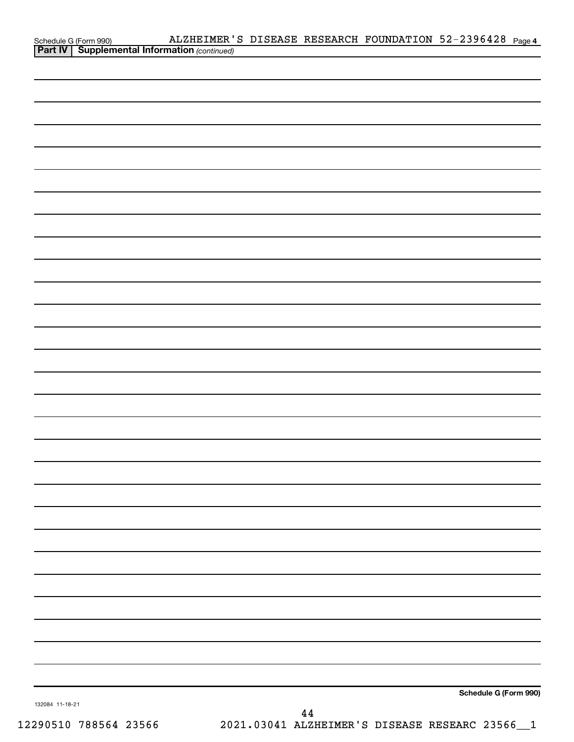|                 | ALZHEIMER'S DISEASE RESEARCH FOUNDATION 52-2396428 Page 4                              |  |                       |  |
|-----------------|----------------------------------------------------------------------------------------|--|-----------------------|--|
|                 | Schedule G (Form 990) ALZHEIMER<br><b>Part IV</b> Supplemental Information (continued) |  |                       |  |
|                 |                                                                                        |  |                       |  |
|                 |                                                                                        |  |                       |  |
|                 |                                                                                        |  |                       |  |
|                 |                                                                                        |  |                       |  |
|                 |                                                                                        |  |                       |  |
|                 |                                                                                        |  |                       |  |
|                 |                                                                                        |  |                       |  |
|                 |                                                                                        |  |                       |  |
|                 |                                                                                        |  |                       |  |
|                 |                                                                                        |  |                       |  |
|                 |                                                                                        |  |                       |  |
|                 |                                                                                        |  |                       |  |
|                 |                                                                                        |  |                       |  |
|                 |                                                                                        |  |                       |  |
|                 |                                                                                        |  |                       |  |
|                 |                                                                                        |  |                       |  |
|                 |                                                                                        |  |                       |  |
|                 |                                                                                        |  |                       |  |
|                 |                                                                                        |  |                       |  |
|                 |                                                                                        |  |                       |  |
|                 |                                                                                        |  |                       |  |
|                 |                                                                                        |  |                       |  |
|                 |                                                                                        |  |                       |  |
|                 |                                                                                        |  |                       |  |
|                 |                                                                                        |  |                       |  |
|                 |                                                                                        |  |                       |  |
|                 |                                                                                        |  |                       |  |
|                 |                                                                                        |  |                       |  |
|                 |                                                                                        |  |                       |  |
|                 |                                                                                        |  |                       |  |
|                 |                                                                                        |  |                       |  |
|                 |                                                                                        |  |                       |  |
|                 |                                                                                        |  |                       |  |
|                 |                                                                                        |  |                       |  |
|                 |                                                                                        |  |                       |  |
|                 |                                                                                        |  |                       |  |
|                 |                                                                                        |  |                       |  |
|                 |                                                                                        |  |                       |  |
|                 |                                                                                        |  |                       |  |
|                 |                                                                                        |  |                       |  |
|                 |                                                                                        |  | Schedule G (Form 990) |  |
| 132084 11-18-21 |                                                                                        |  |                       |  |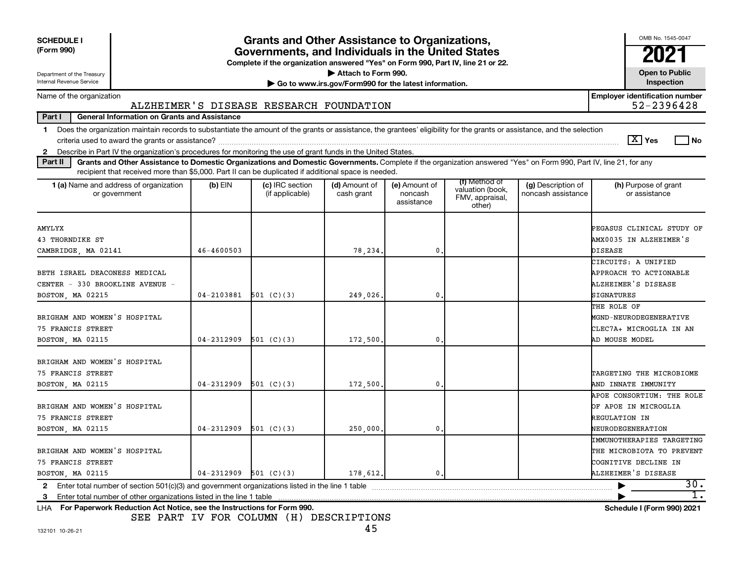| <b>SCHEDULE I</b><br>(Form 990)<br>Department of the Treasury<br>Internal Revenue Service                                                                                                                                                                                                                                                                                       |                | <b>Grants and Other Assistance to Organizations,</b><br>Governments, and Individuals in the United States<br>Complete if the organization answered "Yes" on Form 990, Part IV, line 21 or 22. | Attach to Form 990.<br>Go to www.irs.gov/Form990 for the latest information. |                                        |                                                                |                                          | OMB No. 1545-0047<br>2021<br><b>Open to Public</b><br>Inspection                                             |
|---------------------------------------------------------------------------------------------------------------------------------------------------------------------------------------------------------------------------------------------------------------------------------------------------------------------------------------------------------------------------------|----------------|-----------------------------------------------------------------------------------------------------------------------------------------------------------------------------------------------|------------------------------------------------------------------------------|----------------------------------------|----------------------------------------------------------------|------------------------------------------|--------------------------------------------------------------------------------------------------------------|
| Name of the organization                                                                                                                                                                                                                                                                                                                                                        |                |                                                                                                                                                                                               |                                                                              |                                        |                                                                |                                          | <b>Employer identification number</b>                                                                        |
|                                                                                                                                                                                                                                                                                                                                                                                 |                | ALZHEIMER'S DISEASE RESEARCH FOUNDATION                                                                                                                                                       |                                                                              |                                        |                                                                |                                          | 52-2396428                                                                                                   |
| Part I<br><b>General Information on Grants and Assistance</b><br>Does the organization maintain records to substantiate the amount of the grants or assistance, the grantees' eligibility for the grants or assistance, and the selection<br>1<br>Describe in Part IV the organization's procedures for monitoring the use of grant funds in the United States.<br>$\mathbf{2}$ |                |                                                                                                                                                                                               |                                                                              |                                        |                                                                |                                          | $\boxed{\text{X}}$ Yes<br>l No                                                                               |
| Grants and Other Assistance to Domestic Organizations and Domestic Governments. Complete if the organization answered "Yes" on Form 990, Part IV, line 21, for any<br>Part II<br>recipient that received more than \$5,000. Part II can be duplicated if additional space is needed.                                                                                            |                |                                                                                                                                                                                               |                                                                              |                                        |                                                                |                                          |                                                                                                              |
| 1 (a) Name and address of organization<br>or government                                                                                                                                                                                                                                                                                                                         | $(b)$ EIN      | (c) IRC section<br>(if applicable)                                                                                                                                                            | (d) Amount of<br>cash grant                                                  | (e) Amount of<br>noncash<br>assistance | (f) Method of<br>valuation (book,<br>FMV, appraisal,<br>other) | (g) Description of<br>noncash assistance | (h) Purpose of grant<br>or assistance                                                                        |
| <b>AMYLYX</b><br>43 THORNDIKE ST<br>CAMBRIDGE, MA 02141                                                                                                                                                                                                                                                                                                                         | $46 - 4600503$ |                                                                                                                                                                                               | 78,234                                                                       | 0                                      |                                                                |                                          | PEGASUS CLINICAL STUDY OF<br>AMX0035 IN ALZHEIMER'S<br><b>DISEASE</b>                                        |
| BETH ISRAEL DEACONESS MEDICAL<br>CENTER - 330 BROOKLINE AVENUE -<br>BOSTON, MA 02215                                                                                                                                                                                                                                                                                            | $04 - 2103881$ | 501 $(C)(3)$                                                                                                                                                                                  | 249,026.                                                                     | $\mathbf{0}$                           |                                                                |                                          | CIRCUITS: A UNIFIED<br>APPROACH TO ACTIONABLE<br>ALZHEIMER'S DISEASE<br>SIGNATURES                           |
| BRIGHAM AND WOMEN'S HOSPITAL<br>75 FRANCIS STREET<br>BOSTON, MA 02115                                                                                                                                                                                                                                                                                                           | $04 - 2312909$ | 501 (C)(3)                                                                                                                                                                                    | 172,500                                                                      | 0                                      |                                                                |                                          | THE ROLE OF<br>MGND-NEURODEGENERATIVE<br>CLEC7A+ MICROGLIA IN AN<br>AD MOUSE MODEL                           |
| BRIGHAM AND WOMEN'S HOSPITAL<br>75 FRANCIS STREET<br>BOSTON, MA 02115                                                                                                                                                                                                                                                                                                           | 04-2312909     | 501 (C)(3)                                                                                                                                                                                    | 172,500,                                                                     | $\mathbf 0$                            |                                                                |                                          | TARGETING THE MICROBIOME<br>AND INNATE IMMUNITY                                                              |
| BRIGHAM AND WOMEN'S HOSPITAL<br>75 FRANCIS STREET<br>BOSTON, MA 02115                                                                                                                                                                                                                                                                                                           | 04-2312909     | 501 (C)(3)                                                                                                                                                                                    | 250,000                                                                      | $\mathbf 0$                            |                                                                |                                          | APOE CONSORTIUM: THE ROLE<br>OF APOE IN MICROGLIA<br>REGULATION IN<br>NEURODEGENERATION                      |
| BRIGHAM AND WOMEN'S HOSPITAL<br>75 FRANCIS STREET<br>BOSTON, MA 02115                                                                                                                                                                                                                                                                                                           | 04-2312909     | 501 (C)(3)                                                                                                                                                                                    | 178,612.                                                                     | $\mathbf 0$ .                          |                                                                |                                          | <b>IMMUNOTHERAPIES TARGETING</b><br>THE MICROBIOTA TO PREVENT<br>COGNITIVE DECLINE IN<br>ALZHEIMER'S DISEASE |
| Enter total number of section $501(c)(3)$ and government organizations listed in the line 1 table<br>$\mathbf{2}$                                                                                                                                                                                                                                                               |                |                                                                                                                                                                                               |                                                                              |                                        |                                                                |                                          | 30.<br>1.                                                                                                    |
| 3<br>LHA For Paperwork Reduction Act Notice, see the Instructions for Form 990.                                                                                                                                                                                                                                                                                                 |                |                                                                                                                                                                                               |                                                                              |                                        |                                                                |                                          | <b>Schedule I (Form 990) 2021</b>                                                                            |

SEE PART IV FOR COLUMN (H) DESCRIPTIONS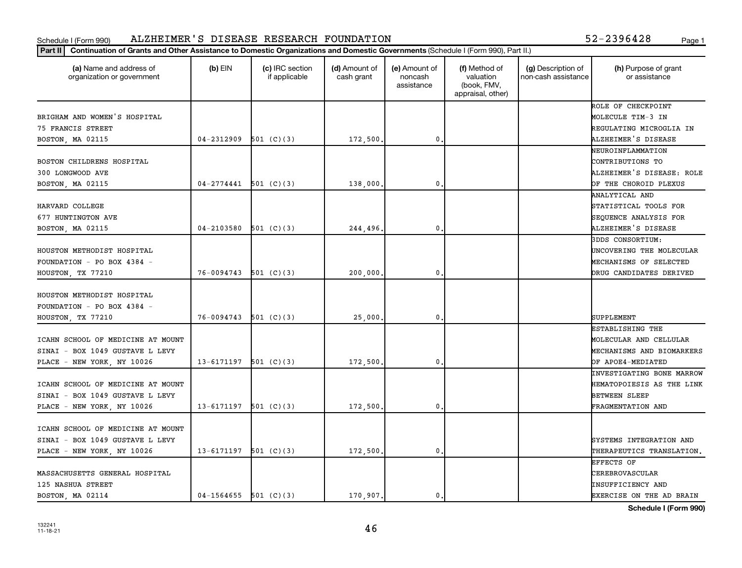|                                                       | Part II   Continuation of Grants and Other Assistance to Domestic Organizations and Domestic Governments (Schedule I (Form 990), Part II.) |                                  |                             |                                        |                                                                |                                           |                                       |  |  |  |  |
|-------------------------------------------------------|--------------------------------------------------------------------------------------------------------------------------------------------|----------------------------------|-----------------------------|----------------------------------------|----------------------------------------------------------------|-------------------------------------------|---------------------------------------|--|--|--|--|
| (a) Name and address of<br>organization or government | $(b)$ EIN                                                                                                                                  | (c) IRC section<br>if applicable | (d) Amount of<br>cash grant | (e) Amount of<br>noncash<br>assistance | (f) Method of<br>valuation<br>(book, FMV,<br>appraisal, other) | (g) Description of<br>non-cash assistance | (h) Purpose of grant<br>or assistance |  |  |  |  |
|                                                       |                                                                                                                                            |                                  |                             |                                        |                                                                |                                           | ROLE OF CHECKPOINT                    |  |  |  |  |
| BRIGHAM AND WOMEN'S HOSPITAL                          |                                                                                                                                            |                                  |                             |                                        |                                                                |                                           | MOLECULE TIM-3 IN                     |  |  |  |  |
| 75 FRANCIS STREET                                     |                                                                                                                                            |                                  |                             |                                        |                                                                |                                           | REGULATING MICROGLIA IN               |  |  |  |  |
| BOSTON, MA 02115                                      | $04 - 2312909$                                                                                                                             | 501 $(C)(3)$                     | 172,500                     | $\mathbf{0}$                           |                                                                |                                           | ALZHEIMER'S DISEASE                   |  |  |  |  |
|                                                       |                                                                                                                                            |                                  |                             |                                        |                                                                |                                           | NEUROINFLAMMATION                     |  |  |  |  |
| BOSTON CHILDRENS HOSPITAL                             |                                                                                                                                            |                                  |                             |                                        |                                                                |                                           | CONTRIBUTIONS TO                      |  |  |  |  |
| 300 LONGWOOD AVE                                      |                                                                                                                                            |                                  |                             |                                        |                                                                |                                           | ALZHEIMER'S DISEASE: ROLE             |  |  |  |  |
| BOSTON, MA 02115                                      | $04 - 2774441$                                                                                                                             | 501 (C)(3)                       | 138,000                     | $\mathbf 0$                            |                                                                |                                           | OF THE CHOROID PLEXUS                 |  |  |  |  |
|                                                       |                                                                                                                                            |                                  |                             |                                        |                                                                |                                           | ANALYTICAL AND                        |  |  |  |  |
| HARVARD COLLEGE                                       |                                                                                                                                            |                                  |                             |                                        |                                                                |                                           | STATISTICAL TOOLS FOR                 |  |  |  |  |
| 677 HUNTINGTON AVE                                    |                                                                                                                                            |                                  |                             |                                        |                                                                |                                           | SEQUENCE ANALYSIS FOR                 |  |  |  |  |
| BOSTON, MA 02115                                      | 04-2103580                                                                                                                                 | 501 (C)(3)                       | 244,496.                    | $\mathbf 0$                            |                                                                |                                           | ALZHEIMER'S DISEASE                   |  |  |  |  |
|                                                       |                                                                                                                                            |                                  |                             |                                        |                                                                |                                           | 3DDS CONSORTIUM:                      |  |  |  |  |
| HOUSTON METHODIST HOSPITAL                            |                                                                                                                                            |                                  |                             |                                        |                                                                |                                           | UNCOVERING THE MOLECULAR              |  |  |  |  |
| FOUNDATION - PO BOX 4384 -                            |                                                                                                                                            |                                  |                             |                                        |                                                                |                                           | MECHANISMS OF SELECTED                |  |  |  |  |
| HOUSTON, TX 77210                                     | 76-0094743                                                                                                                                 | 501 $(C)(3)$                     | 200,000                     | $\mathbf{0}$                           |                                                                |                                           | DRUG CANDIDATES DERIVED               |  |  |  |  |
| HOUSTON METHODIST HOSPITAL                            |                                                                                                                                            |                                  |                             |                                        |                                                                |                                           |                                       |  |  |  |  |
| FOUNDATION - PO BOX 4384 -                            |                                                                                                                                            |                                  |                             |                                        |                                                                |                                           |                                       |  |  |  |  |
| HOUSTON, TX 77210                                     | 76-0094743                                                                                                                                 | 501 (C)(3)                       | 25,000                      | $\mathbf{0}$                           |                                                                |                                           | SUPPLEMENT                            |  |  |  |  |
|                                                       |                                                                                                                                            |                                  |                             |                                        |                                                                |                                           | ESTABLISHING THE                      |  |  |  |  |
| ICAHN SCHOOL OF MEDICINE AT MOUNT                     |                                                                                                                                            |                                  |                             |                                        |                                                                |                                           | MOLECULAR AND CELLULAR                |  |  |  |  |
| SINAI - BOX 1049 GUSTAVE L LEVY                       |                                                                                                                                            |                                  |                             |                                        |                                                                |                                           | MECHANISMS AND BIOMARKERS             |  |  |  |  |
| PLACE - NEW YORK, NY 10026                            | 13-6171197                                                                                                                                 | 501 (C)(3)                       | 172,500                     | $\mathbf 0$                            |                                                                |                                           | OF APOE4-MEDIATED                     |  |  |  |  |
|                                                       |                                                                                                                                            |                                  |                             |                                        |                                                                |                                           | <b>INVESTIGATING BONE MARROW</b>      |  |  |  |  |
| ICAHN SCHOOL OF MEDICINE AT MOUNT                     |                                                                                                                                            |                                  |                             |                                        |                                                                |                                           | HEMATOPOIESIS AS THE LINK             |  |  |  |  |
| SINAI - BOX 1049 GUSTAVE L LEVY                       |                                                                                                                                            |                                  |                             |                                        |                                                                |                                           | <b>BETWEEN SLEEP</b>                  |  |  |  |  |
| PLACE - NEW YORK, NY 10026                            | $13 - 6171197$ 501 (C)(3)                                                                                                                  |                                  | 172,500                     | $\mathbf 0$                            |                                                                |                                           | FRAGMENTATION AND                     |  |  |  |  |
|                                                       |                                                                                                                                            |                                  |                             |                                        |                                                                |                                           |                                       |  |  |  |  |
| ICAHN SCHOOL OF MEDICINE AT MOUNT                     |                                                                                                                                            |                                  |                             |                                        |                                                                |                                           |                                       |  |  |  |  |
| SINAI - BOX 1049 GUSTAVE L LEVY                       |                                                                                                                                            |                                  |                             |                                        |                                                                |                                           | SYSTEMS INTEGRATION AND               |  |  |  |  |
| PLACE - NEW YORK, NY 10026                            | 13-6171197                                                                                                                                 | 501 (C)(3)                       | 172,500                     | $\mathbf 0$                            |                                                                |                                           | THERAPEUTICS TRANSLATION.             |  |  |  |  |
|                                                       |                                                                                                                                            |                                  |                             |                                        |                                                                |                                           | EFFECTS OF                            |  |  |  |  |
| MASSACHUSETTS GENERAL HOSPITAL                        |                                                                                                                                            |                                  |                             |                                        |                                                                |                                           | <b>CEREBROVASCULAR</b>                |  |  |  |  |
| 125 NASHUA STREET                                     |                                                                                                                                            |                                  |                             |                                        |                                                                |                                           | INSUFFICIENCY AND                     |  |  |  |  |
| BOSTON, MA 02114                                      | $04-1564655$ 501 (C)(3)                                                                                                                    |                                  | 170,907.                    | $\mathbf 0$                            |                                                                |                                           | EXERCISE ON THE AD BRAIN              |  |  |  |  |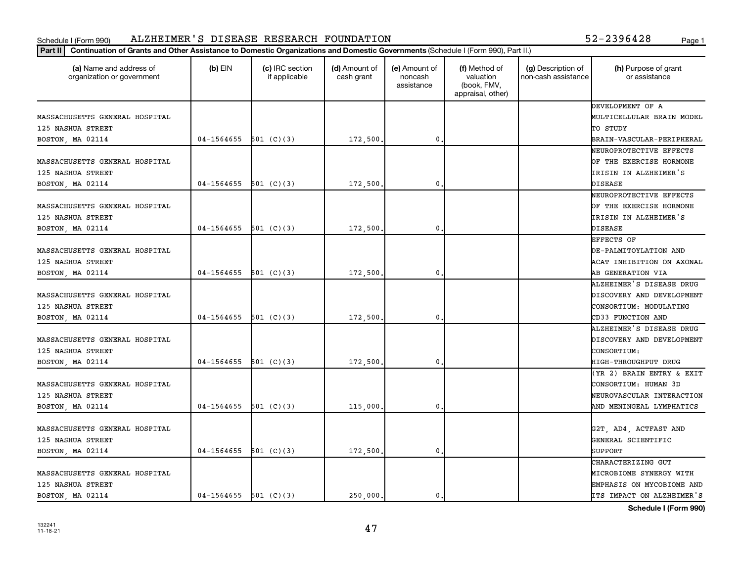| (a) Name and address of<br>organization or government | $(b)$ EIN               | (c) IRC section<br>if applicable | (d) Amount of<br>cash grant | (e) Amount of<br>noncash<br>assistance | (f) Method of<br>valuation<br>(book, FMV,<br>appraisal, other) | (g) Description of<br>non-cash assistance | (h) Purpose of grant<br>or assistance |
|-------------------------------------------------------|-------------------------|----------------------------------|-----------------------------|----------------------------------------|----------------------------------------------------------------|-------------------------------------------|---------------------------------------|
|                                                       |                         |                                  |                             |                                        |                                                                |                                           | DEVELOPMENT OF A                      |
| MASSACHUSETTS GENERAL HOSPITAL                        |                         |                                  |                             |                                        |                                                                |                                           | MULTICELLULAR BRAIN MODEL             |
| 125 NASHUA STREET                                     |                         |                                  |                             |                                        |                                                                |                                           | TO STUDY                              |
| BOSTON, MA 02114                                      | $04-1564655$ 501 (C)(3) |                                  | 172,500.                    | 0                                      |                                                                |                                           | BRAIN-VASCULAR-PERIPHERAL             |
|                                                       |                         |                                  |                             |                                        |                                                                |                                           | NEUROPROTECTIVE EFFECTS               |
| MASSACHUSETTS GENERAL HOSPITAL                        |                         |                                  |                             |                                        |                                                                |                                           | OF THE EXERCISE HORMONE               |
| 125 NASHUA STREET                                     |                         |                                  |                             |                                        |                                                                |                                           | IRISIN IN ALZHEIMER'S                 |
| BOSTON, MA 02114                                      | 04-1564655              | 501 (C)(3)                       | 172,500.                    | 0.                                     |                                                                |                                           | DISEASE                               |
|                                                       |                         |                                  |                             |                                        |                                                                |                                           | NEUROPROTECTIVE EFFECTS               |
| MASSACHUSETTS GENERAL HOSPITAL                        |                         |                                  |                             |                                        |                                                                |                                           | OF THE EXERCISE HORMONE               |
| 125 NASHUA STREET                                     |                         |                                  |                             |                                        |                                                                |                                           | IRISIN IN ALZHEIMER'S                 |
| BOSTON, MA 02114                                      | $04 - 1564655$          | 501 (C)(3)                       | 172,500.                    | 0.                                     |                                                                |                                           | DISEASE                               |
|                                                       |                         |                                  |                             |                                        |                                                                |                                           | EFFECTS OF                            |
| MASSACHUSETTS GENERAL HOSPITAL                        |                         |                                  |                             |                                        |                                                                |                                           | DE-PALMITOYLATION AND                 |
| 125 NASHUA STREET                                     |                         |                                  |                             |                                        |                                                                |                                           | ACAT INHIBITION ON AXONAL             |
| BOSTON, MA 02114                                      | $04-1564655$ 501 (C)(3) |                                  | 172,500.                    | 0.                                     |                                                                |                                           | AB GENERATION VIA                     |
|                                                       |                         |                                  |                             |                                        |                                                                |                                           | ALZHEIMER'S DISEASE DRUG              |
| MASSACHUSETTS GENERAL HOSPITAL                        |                         |                                  |                             |                                        |                                                                |                                           | DISCOVERY AND DEVELOPMENT             |
| 125 NASHUA STREET                                     |                         |                                  |                             |                                        |                                                                |                                           | CONSORTIUM: MODULATING                |
| BOSTON, MA 02114                                      | 04-1564655              | 501 (C)(3)                       | 172,500.                    | 0                                      |                                                                |                                           | CD33 FUNCTION AND                     |
|                                                       |                         |                                  |                             |                                        |                                                                |                                           | ALZHEIMER'S DISEASE DRUG              |
| MASSACHUSETTS GENERAL HOSPITAL                        |                         |                                  |                             |                                        |                                                                |                                           | DISCOVERY AND DEVELOPMENT             |
| 125 NASHUA STREET                                     |                         |                                  |                             |                                        |                                                                |                                           | CONSORTIUM:                           |
| BOSTON, MA 02114                                      | 04-1564655              | 501 $(C)(3)$                     | 172,500.                    | 0.                                     |                                                                |                                           | HIGH-THROUGHPUT DRUG                  |
|                                                       |                         |                                  |                             |                                        |                                                                |                                           | (YR 2) BRAIN ENTRY & EXIT             |
| MASSACHUSETTS GENERAL HOSPITAL                        |                         |                                  |                             |                                        |                                                                |                                           | CONSORTIUM: HUMAN 3D                  |
| 125 NASHUA STREET                                     |                         |                                  |                             |                                        |                                                                |                                           | NEUROVASCULAR INTERACTION             |
| BOSTON, MA 02114                                      | $04-1564655$ 501 (C)(3) |                                  | 115,000.                    | 0.                                     |                                                                |                                           | AND MENINGEAL LYMPHATICS              |
|                                                       |                         |                                  |                             |                                        |                                                                |                                           |                                       |
| MASSACHUSETTS GENERAL HOSPITAL                        |                         |                                  |                             |                                        |                                                                |                                           | G2T, AD4, ACTFAST AND                 |
| 125 NASHUA STREET                                     |                         |                                  |                             |                                        |                                                                |                                           | GENERAL SCIENTIFIC                    |
| BOSTON, MA 02114                                      | $04-1564655$ 501 (C)(3) |                                  | 172,500                     | 0                                      |                                                                |                                           | SUPPORT                               |
|                                                       |                         |                                  |                             |                                        |                                                                |                                           | CHARACTERIZING GUT                    |
| MASSACHUSETTS GENERAL HOSPITAL                        |                         |                                  |                             |                                        |                                                                |                                           | MICROBIOME SYNERGY WITH               |
| 125 NASHUA STREET                                     |                         |                                  |                             |                                        |                                                                |                                           | EMPHASIS ON MYCOBIOME AND             |
| BOSTON, MA 02114                                      | $04-1564655$ 501 (C)(3) |                                  | 250,000.                    | 0.                                     |                                                                |                                           | ITS IMPACT ON ALZHEIMER'S             |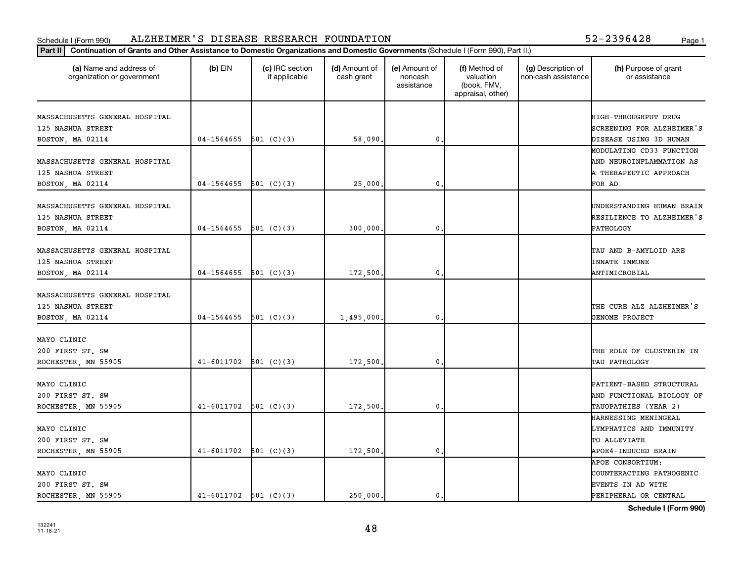|                                                       | Part II   Continuation of Grants and Other Assistance to Domestic Organizations and Domestic Governments (Schedule I (Form 990), Part II.) |                                  |                             |                                        |                                                                |                                           |                                            |  |  |
|-------------------------------------------------------|--------------------------------------------------------------------------------------------------------------------------------------------|----------------------------------|-----------------------------|----------------------------------------|----------------------------------------------------------------|-------------------------------------------|--------------------------------------------|--|--|
| (a) Name and address of<br>organization or government | $(b)$ EIN                                                                                                                                  | (c) IRC section<br>if applicable | (d) Amount of<br>cash grant | (e) Amount of<br>noncash<br>assistance | (f) Method of<br>valuation<br>(book, FMV,<br>appraisal, other) | (g) Description of<br>non-cash assistance | (h) Purpose of grant<br>or assistance      |  |  |
| MASSACHUSETTS GENERAL HOSPITAL                        |                                                                                                                                            |                                  |                             |                                        |                                                                |                                           | HIGH-THROUGHPUT DRUG                       |  |  |
| 125 NASHUA STREET                                     |                                                                                                                                            |                                  |                             |                                        |                                                                |                                           | SCREENING FOR ALZHEIMER'S                  |  |  |
| BOSTON, MA 02114                                      | 04-1564655                                                                                                                                 | 501 (C)(3)                       | 58,090                      | $\mathbf 0$                            |                                                                |                                           | DISEASE USING 3D HUMAN                     |  |  |
|                                                       |                                                                                                                                            |                                  |                             |                                        |                                                                |                                           | MODULATING CD33 FUNCTION                   |  |  |
| MASSACHUSETTS GENERAL HOSPITAL                        |                                                                                                                                            |                                  |                             |                                        |                                                                |                                           | AND NEUROINFLAMMATION AS                   |  |  |
| 125 NASHUA STREET                                     |                                                                                                                                            |                                  |                             |                                        |                                                                |                                           | A THERAPEUTIC APPROACH                     |  |  |
| BOSTON, MA 02114                                      | 04-1564655                                                                                                                                 | 501 (C)(3)                       | 25,000                      | $\mathbf 0$                            |                                                                |                                           | FOR AD                                     |  |  |
| MASSACHUSETTS GENERAL HOSPITAL                        |                                                                                                                                            |                                  |                             |                                        |                                                                |                                           | UNDERSTANDING HUMAN BRAIN                  |  |  |
| 125 NASHUA STREET                                     |                                                                                                                                            |                                  |                             |                                        |                                                                |                                           | RESILIENCE TO ALZHEIMER'S                  |  |  |
| BOSTON, MA 02114                                      | 04-1564655                                                                                                                                 | 501 (C)(3)                       | 300,000                     | $\mathbf 0$                            |                                                                |                                           | PATHOLOGY                                  |  |  |
| MASSACHUSETTS GENERAL HOSPITAL                        |                                                                                                                                            |                                  |                             |                                        |                                                                |                                           | TAU AND B-AMYLOID ARE                      |  |  |
| 125 NASHUA STREET                                     |                                                                                                                                            |                                  |                             |                                        |                                                                |                                           | <b>INNATE IMMUNE</b>                       |  |  |
| BOSTON, MA 02114                                      | 04-1564655                                                                                                                                 | 501 (C)(3)                       | 172,500                     | $\mathbf{0}$                           |                                                                |                                           | ANTIMICROBIAL                              |  |  |
| MASSACHUSETTS GENERAL HOSPITAL<br>125 NASHUA STREET   |                                                                                                                                            |                                  |                             |                                        |                                                                |                                           | THE CURE ALZ ALZHEIMER'S                   |  |  |
| BOSTON, MA 02114                                      | 04-1564655                                                                                                                                 | 501 (C)(3)                       | 1,495,000                   | $\mathbf{0}$                           |                                                                |                                           | GENOME PROJECT                             |  |  |
| MAYO CLINIC                                           |                                                                                                                                            |                                  |                             |                                        |                                                                |                                           |                                            |  |  |
| 200 FIRST ST. SW                                      |                                                                                                                                            |                                  |                             |                                        |                                                                |                                           | THE ROLE OF CLUSTERIN IN                   |  |  |
| ROCHESTER, MN 55905                                   | $41 - 6011702$                                                                                                                             | 501 (C)(3)                       | 172,500                     | $\mathbf 0$                            |                                                                |                                           | TAU PATHOLOGY                              |  |  |
|                                                       |                                                                                                                                            |                                  |                             |                                        |                                                                |                                           |                                            |  |  |
| MAYO CLINIC                                           |                                                                                                                                            |                                  |                             |                                        |                                                                |                                           | PATIENT-BASED STRUCTURAL                   |  |  |
| 200 FIRST ST. SW                                      |                                                                                                                                            |                                  |                             |                                        |                                                                |                                           | AND FUNCTIONAL BIOLOGY OF                  |  |  |
| ROCHESTER, MN 55905                                   | $41-6011702$ 501 (C)(3)                                                                                                                    |                                  | 172,500                     | $\mathbf{0}$                           |                                                                |                                           | TAUOPATHIES (YEAR 2)                       |  |  |
|                                                       |                                                                                                                                            |                                  |                             |                                        |                                                                |                                           | HARNESSING MENINGEAL                       |  |  |
| MAYO CLINIC                                           |                                                                                                                                            |                                  |                             |                                        |                                                                |                                           | LYMPHATICS AND IMMUNITY                    |  |  |
| 200 FIRST ST. SW                                      |                                                                                                                                            |                                  |                             |                                        |                                                                |                                           | TO ALLEVIATE                               |  |  |
| ROCHESTER, MN 55905                                   | 41-6011702                                                                                                                                 | 501 (C)(3)                       | 172,500.                    | $\mathbf 0$                            |                                                                |                                           | APOE4-INDUCED BRAIN                        |  |  |
|                                                       |                                                                                                                                            |                                  |                             |                                        |                                                                |                                           | APOE CONSORTIUM:                           |  |  |
| MAYO CLINIC                                           |                                                                                                                                            |                                  |                             |                                        |                                                                |                                           | COUNTERACTING PATHOGENIC                   |  |  |
| 200 FIRST ST. SW                                      | $41-6011702$ 501 (C)(3)                                                                                                                    |                                  | 250,000.                    | 0.                                     |                                                                |                                           | EVENTS IN AD WITH<br>PERIPHERAL OR CENTRAL |  |  |
| ROCHESTER, MN 55905                                   |                                                                                                                                            |                                  |                             |                                        |                                                                |                                           |                                            |  |  |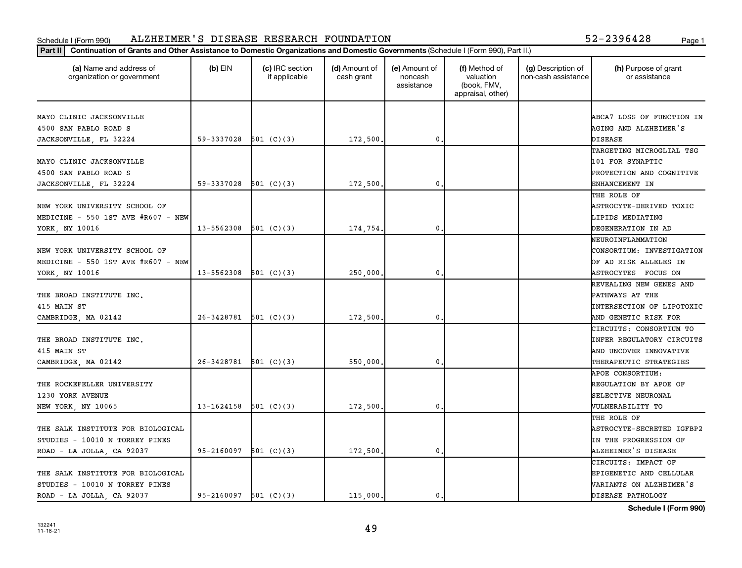| 52-2396428 |  |  |  |      |  |
|------------|--|--|--|------|--|
|            |  |  |  | Page |  |

| (a) Name and address of<br>organization or government | $(b)$ EIN                 | (c) IRC section<br>if applicable | (d) Amount of<br>cash grant | (e) Amount of<br>noncash<br>assistance | (f) Method of<br>valuation<br>(book, FMV,<br>appraisal, other) | (g) Description of<br>non-cash assistance | (h) Purpose of grant<br>or assistance |
|-------------------------------------------------------|---------------------------|----------------------------------|-----------------------------|----------------------------------------|----------------------------------------------------------------|-------------------------------------------|---------------------------------------|
| MAYO CLINIC JACKSONVILLE                              |                           |                                  |                             |                                        |                                                                |                                           | ABCA7 LOSS OF FUNCTION IN             |
| 4500 SAN PABLO ROAD S                                 |                           |                                  |                             |                                        |                                                                |                                           | AGING AND ALZHEIMER'S                 |
| JACKSONVILLE, FL 32224                                | 59-3337028                | 501 (C)(3)                       | 172,500.                    | $\mathbf{0}$                           |                                                                |                                           | <b>DISEASE</b>                        |
|                                                       |                           |                                  |                             |                                        |                                                                |                                           | TARGETING MICROGLIAL TSG              |
| MAYO CLINIC JACKSONVILLE                              |                           |                                  |                             |                                        |                                                                |                                           | 101 FOR SYNAPTIC                      |
| 4500 SAN PABLO ROAD S                                 |                           |                                  |                             |                                        |                                                                |                                           | PROTECTION AND COGNITIVE              |
| JACKSONVILLE, FL 32224                                | 59-3337028                | 501 (C)(3)                       | 172,500.                    | 0.                                     |                                                                |                                           | ENHANCEMENT IN                        |
|                                                       |                           |                                  |                             |                                        |                                                                |                                           | THE ROLE OF                           |
| NEW YORK UNIVERSITY SCHOOL OF                         |                           |                                  |                             |                                        |                                                                |                                           | ASTROCYTE-DERIVED TOXIC               |
| MEDICINE $-550$ 1ST AVE #R607 $-$ NEW                 |                           |                                  |                             |                                        |                                                                |                                           | LIPIDS MEDIATING                      |
| YORK, NY 10016                                        | $13 - 5562308$ 501 (C)(3) |                                  | 174,754.                    | 0.                                     |                                                                |                                           | DEGENERATION IN AD                    |
|                                                       |                           |                                  |                             |                                        |                                                                |                                           | NEUROINFLAMMATION                     |
| NEW YORK UNIVERSITY SCHOOL OF                         |                           |                                  |                             |                                        |                                                                |                                           | CONSORTIUM: INVESTIGATION             |
| MEDICINE $-550$ 1ST AVE #R607 $-$ NEW                 |                           |                                  |                             |                                        |                                                                |                                           | OF AD RISK ALLELES IN                 |
| YORK, NY 10016                                        | $13 - 5562308$ 501 (C)(3) |                                  | 250,000,                    | $\mathbf{0}$                           |                                                                |                                           | ASTROCYTES FOCUS ON                   |
|                                                       |                           |                                  |                             |                                        |                                                                |                                           | <b>REVEALING NEW GENES AND</b>        |
| THE BROAD INSTITUTE INC.                              |                           |                                  |                             |                                        |                                                                |                                           | PATHWAYS AT THE                       |
| 415 MAIN ST                                           |                           |                                  |                             |                                        |                                                                |                                           | <b>INTERSECTION OF LIPOTOXIC</b>      |
| CAMBRIDGE, MA 02142                                   | 26-3428781                | 501 (C)(3)                       | 172,500,                    | 0.                                     |                                                                |                                           | AND GENETIC RISK FOR                  |
|                                                       |                           |                                  |                             |                                        |                                                                |                                           | CIRCUITS: CONSORTIUM TO               |
| THE BROAD INSTITUTE INC.                              |                           |                                  |                             |                                        |                                                                |                                           | INFER REGULATORY CIRCUITS             |
| 415 MAIN ST                                           |                           |                                  |                             |                                        |                                                                |                                           | AND UNCOVER INNOVATIVE                |
| CAMBRIDGE, MA 02142                                   | $26-3428781$ 501 (C)(3)   |                                  | 550,000,                    | 0.                                     |                                                                |                                           | THERAPEUTIC STRATEGIES                |
|                                                       |                           |                                  |                             |                                        |                                                                |                                           | APOE CONSORTIUM:                      |
| THE ROCKEFELLER UNIVERSITY                            |                           |                                  |                             |                                        |                                                                |                                           | <b>REGULATION BY APOE OF</b>          |
| 1230 YORK AVENUE                                      |                           |                                  |                             |                                        |                                                                |                                           | SELECTIVE NEURONAL                    |
| NEW YORK, NY 10065                                    | $13-1624158$ 501 (C)(3)   |                                  | 172,500.                    | $\mathbf{0}$                           |                                                                |                                           | VULNERABILITY TO                      |
|                                                       |                           |                                  |                             |                                        |                                                                |                                           | THE ROLE OF                           |
| THE SALK INSTITUTE FOR BIOLOGICAL                     |                           |                                  |                             |                                        |                                                                |                                           | ASTROCYTE-SECRETED IGFBP2             |
| STUDIES - 10010 N TORREY PINES                        |                           |                                  |                             |                                        |                                                                |                                           | <b>IN THE PROGRESSION OF</b>          |
| ROAD - LA JOLLA, CA 92037                             | 95-2160097                | 501 (C)(3)                       | 172,500.                    | 0.                                     |                                                                |                                           | ALZHEIMER'S DISEASE                   |
|                                                       |                           |                                  |                             |                                        |                                                                |                                           | CIRCUITS: IMPACT OF                   |
| THE SALK INSTITUTE FOR BIOLOGICAL                     |                           |                                  |                             |                                        |                                                                |                                           | EPIGENETIC AND CELLULAR               |
| STUDIES - 10010 N TORREY PINES                        |                           |                                  |                             |                                        |                                                                |                                           | VARIANTS ON ALZHEIMER'S               |
| ROAD - LA JOLLA, CA 92037                             | 95-2160097 501 (C)(3)     |                                  | 115,000.                    | 0.                                     |                                                                |                                           | DISEASE PATHOLOGY                     |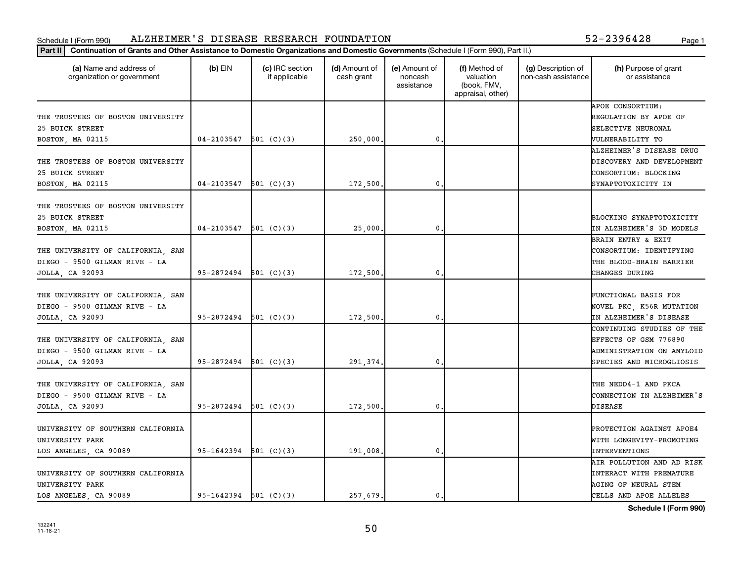## Schedule I (Form 990) ALZHEIMER'S DISEASE RESEARCH FOUNDATION 52-2396428 <sub>Page 1</sub>

|  | 52-2396428 | Page |
|--|------------|------|
|  |            |      |

| Continuation of Grants and Other Assistance to Domestic Organizations and Domestic Governments (Schedule I (Form 990), Part II.)<br>Part II |                         |                                  |                             |                                        |                                                                |                                           |                                                                                                               |
|---------------------------------------------------------------------------------------------------------------------------------------------|-------------------------|----------------------------------|-----------------------------|----------------------------------------|----------------------------------------------------------------|-------------------------------------------|---------------------------------------------------------------------------------------------------------------|
| (a) Name and address of<br>organization or government                                                                                       | $(b)$ EIN               | (c) IRC section<br>if applicable | (d) Amount of<br>cash grant | (e) Amount of<br>noncash<br>assistance | (f) Method of<br>valuation<br>(book, FMV,<br>appraisal, other) | (g) Description of<br>non-cash assistance | (h) Purpose of grant<br>or assistance                                                                         |
| THE TRUSTEES OF BOSTON UNIVERSITY<br>25 BUICK STREET<br>BOSTON, MA 02115                                                                    | 04-2103547              | 501 $(C)(3)$                     | 250,000.                    | 0.                                     |                                                                |                                           | APOE CONSORTIUM:<br>REGULATION BY APOE OF<br>SELECTIVE NEURONAL<br><b><i>NULNERABILITY TO</i></b>             |
| THE TRUSTEES OF BOSTON UNIVERSITY<br>25 BUICK STREET<br>BOSTON, MA 02115                                                                    | 04-2103547              | 501 (C)(3)                       | 172,500.                    | $\mathbf 0$                            |                                                                |                                           | ALZHEIMER'S DISEASE DRUG<br>DISCOVERY AND DEVELOPMENT<br>CONSORTIUM: BLOCKING<br>SYNAPTOTOXICITY IN           |
| THE TRUSTEES OF BOSTON UNIVERSITY<br>25 BUICK STREET<br>BOSTON, MA 02115                                                                    | 04-2103547              | 501 (C)(3)                       | 25,000                      | 0                                      |                                                                |                                           | BLOCKING SYNAPTOTOXICITY<br>IN ALZHEIMER'S 3D MODELS                                                          |
| THE UNIVERSITY OF CALIFORNIA, SAN<br>DIEGO - 9500 GILMAN RIVE - LA<br>JOLLA, CA 92093                                                       | $95-2872494$ 501 (C)(3) |                                  | 172,500.                    | 0.                                     |                                                                |                                           | BRAIN ENTRY & EXIT<br>CONSORTIUM: IDENTIFYING<br>THE BLOOD-BRAIN BARRIER<br>CHANGES DURING                    |
| THE UNIVERSITY OF CALIFORNIA, SAN<br>DIEGO - 9500 GILMAN RIVE - LA<br>JOLLA, CA 92093                                                       | $95-2872494$ 501 (C)(3) |                                  | 172,500.                    | $\mathbf 0$                            |                                                                |                                           | <b>FUNCTIONAL BASIS FOR</b><br>NOVEL PKC, K56R MUTATION<br>IN ALZHEIMER'S DISEASE                             |
| THE UNIVERSITY OF CALIFORNIA, SAN<br>DIEGO - 9500 GILMAN RIVE - LA<br>JOLLA, CA 92093                                                       | 95-2872494              | 501 $(C)(3)$                     | 291,374.                    | $\mathbf 0$                            |                                                                |                                           | CONTINUING STUDIES OF THE<br>EFFECTS OF GSM 776890<br>ADMINISTRATION ON AMYLOID<br>SPECIES AND MICROGLIOSIS   |
| THE UNIVERSITY OF CALIFORNIA, SAN<br>DIEGO - 9500 GILMAN RIVE - LA<br>JOLLA, CA 92093                                                       | 95-2872494              | 501 (C)(3)                       | 172,500.                    | 0.                                     |                                                                |                                           | THE NEDD4-1 AND PKCA<br>CONNECTION IN ALZHEIMER'S<br><b>DISEASE</b>                                           |
| UNIVERSITY OF SOUTHERN CALIFORNIA<br>UNIVERSITY PARK<br>LOS ANGELES, CA 90089                                                               | 95-1642394              | 501 (C)(3)                       | 191,008.                    | $\mathbf 0$                            |                                                                |                                           | PROTECTION AGAINST APOE4<br>WITH LONGEVITY-PROMOTING<br><b>INTERVENTIONS</b>                                  |
| UNIVERSITY OF SOUTHERN CALIFORNIA<br>UNIVERSITY PARK<br>LOS ANGELES, CA 90089                                                               | $95-1642394$ 501 (C)(3) |                                  | 257,679.                    | 0.                                     |                                                                |                                           | AIR POLLUTION AND AD RISK<br><b>INTERACT WITH PREMATURE</b><br>AGING OF NEURAL STEM<br>CELLS AND APOE ALLELES |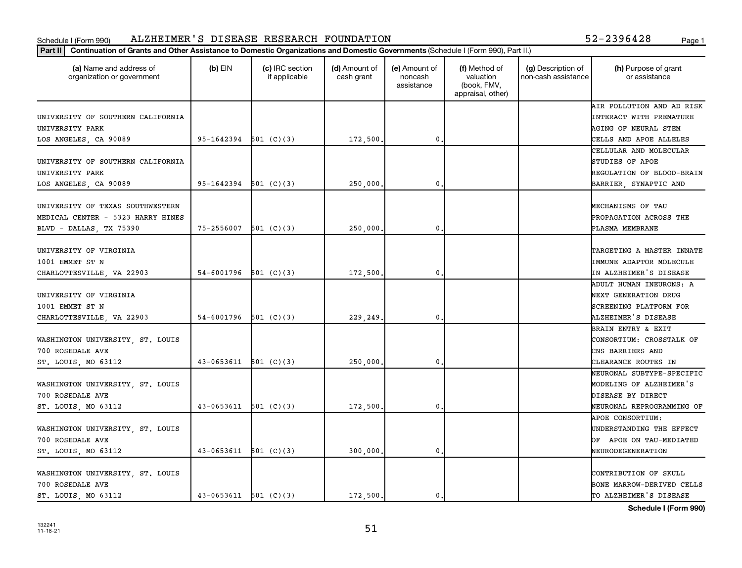| 52-2396428 |  | Page |
|------------|--|------|
|            |  |      |

| (a) Name and address of<br>organization or government | $(b)$ EIN                 | (c) IRC section<br>if applicable | (d) Amount of<br>cash grant | (e) Amount of<br>noncash<br>assistance | (f) Method of<br>valuation<br>(book, FMV,<br>appraisal, other) | (g) Description of<br>non-cash assistance | (h) Purpose of grant<br>or assistance |
|-------------------------------------------------------|---------------------------|----------------------------------|-----------------------------|----------------------------------------|----------------------------------------------------------------|-------------------------------------------|---------------------------------------|
|                                                       |                           |                                  |                             |                                        |                                                                |                                           | AIR POLLUTION AND AD RISK             |
| UNIVERSITY OF SOUTHERN CALIFORNIA                     |                           |                                  |                             |                                        |                                                                |                                           | INTERACT WITH PREMATURE               |
| UNIVERSITY PARK                                       |                           |                                  |                             |                                        |                                                                |                                           | <b>AGING OF NEURAL STEM</b>           |
| LOS ANGELES, CA 90089                                 | $95-1642394$ 501 (C)(3)   |                                  | 172,500.                    | $\mathbf{0}$                           |                                                                |                                           | CELLS AND APOE ALLELES                |
|                                                       |                           |                                  |                             |                                        |                                                                |                                           | CELLULAR AND MOLECULAR                |
| UNIVERSITY OF SOUTHERN CALIFORNIA                     |                           |                                  |                             |                                        |                                                                |                                           | STUDIES OF APOE                       |
| UNIVERSITY PARK                                       |                           |                                  |                             |                                        |                                                                |                                           | REGULATION OF BLOOD-BRAIN             |
| LOS ANGELES, CA 90089                                 | $95-1642394$ 501 (C)(3)   |                                  | 250,000,                    | 0.                                     |                                                                |                                           | BARRIER, SYNAPTIC AND                 |
| UNIVERSITY OF TEXAS SOUTHWESTERN                      |                           |                                  |                             |                                        |                                                                |                                           | MECHANISMS OF TAU                     |
| MEDICAL CENTER - 5323 HARRY HINES                     |                           |                                  |                             |                                        |                                                                |                                           | PROPAGATION ACROSS THE                |
| BLVD - DALLAS, TX 75390                               | $75 - 2556007$ 501 (C)(3) |                                  | 250,000,                    | $\mathbf{0}$                           |                                                                |                                           | PLASMA MEMBRANE                       |
|                                                       |                           |                                  |                             |                                        |                                                                |                                           |                                       |
| UNIVERSITY OF VIRGINIA                                |                           |                                  |                             |                                        |                                                                |                                           | TARGETING A MASTER INNATE             |
| 1001 EMMET ST N                                       |                           |                                  |                             |                                        |                                                                |                                           | IMMUNE ADAPTOR MOLECULE               |
| CHARLOTTESVILLE, VA 22903                             | $54-6001796$ $501$ (C)(3) |                                  | 172,500.                    | 0                                      |                                                                |                                           | IN ALZHEIMER'S DISEASE                |
|                                                       |                           |                                  |                             |                                        |                                                                |                                           | ADULT HUMAN INEURONS: A               |
| UNIVERSITY OF VIRGINIA                                |                           |                                  |                             |                                        |                                                                |                                           | <b>NEXT GENERATION DRUG</b>           |
| 1001 EMMET ST N                                       |                           |                                  |                             |                                        |                                                                |                                           | SCREENING PLATFORM FOR                |
| CHARLOTTESVILLE, VA 22903                             | 54-6001796                | 501 (C)(3)                       | 229,249                     | $\mathbf{0}$                           |                                                                |                                           | ALZHEIMER'S DISEASE                   |
|                                                       |                           |                                  |                             |                                        |                                                                |                                           | <b>BRAIN ENTRY &amp; EXIT</b>         |
| WASHINGTON UNIVERSITY, ST. LOUIS                      |                           |                                  |                             |                                        |                                                                |                                           | CONSORTIUM: CROSSTALK OF              |
| 700 ROSEDALE AVE                                      |                           |                                  |                             |                                        |                                                                |                                           | CNS BARRIERS AND                      |
| ST. LOUIS, MO 63112                                   | $43-0653611$ 501 (C)(3)   |                                  | 250,000,                    | 0.                                     |                                                                |                                           | CLEARANCE ROUTES IN                   |
|                                                       |                           |                                  |                             |                                        |                                                                |                                           | NEURONAL SUBTYPE-SPECIFIC             |
| WASHINGTON UNIVERSITY, ST. LOUIS                      |                           |                                  |                             |                                        |                                                                |                                           | MODELING OF ALZHEIMER'S               |
| 700 ROSEDALE AVE                                      |                           |                                  |                             |                                        |                                                                |                                           | DISEASE BY DIRECT                     |
| ST. LOUIS, MO 63112                                   | $43-0653611$ 501 (C)(3)   |                                  | 172,500.                    | $\mathbf{0}$                           |                                                                |                                           | NEURONAL REPROGRAMMING OF             |
|                                                       |                           |                                  |                             |                                        |                                                                |                                           | APOE CONSORTIUM:                      |
| WASHINGTON UNIVERSITY, ST. LOUIS                      |                           |                                  |                             |                                        |                                                                |                                           | UNDERSTANDING THE EFFECT              |
| 700 ROSEDALE AVE                                      |                           |                                  |                             |                                        |                                                                |                                           | OF APOE ON TAU-MEDIATED               |
| ST. LOUIS, MO 63112                                   | $43-0653611$ 501 (C)(3)   |                                  | 300,000,                    | 0.                                     |                                                                |                                           | NEURODEGENERATION                     |
|                                                       |                           |                                  |                             |                                        |                                                                |                                           |                                       |
| WASHINGTON UNIVERSITY, ST. LOUIS                      |                           |                                  |                             |                                        |                                                                |                                           | CONTRIBUTION OF SKULL                 |
| 700 ROSEDALE AVE                                      |                           |                                  |                             |                                        |                                                                |                                           | BONE MARROW-DERIVED CELLS             |
| ST. LOUIS, MO 63112                                   | $43-0653611$ $501$ (C)(3) |                                  | 172,500.                    | 0.                                     |                                                                |                                           | TO ALZHEIMER'S DISEASE                |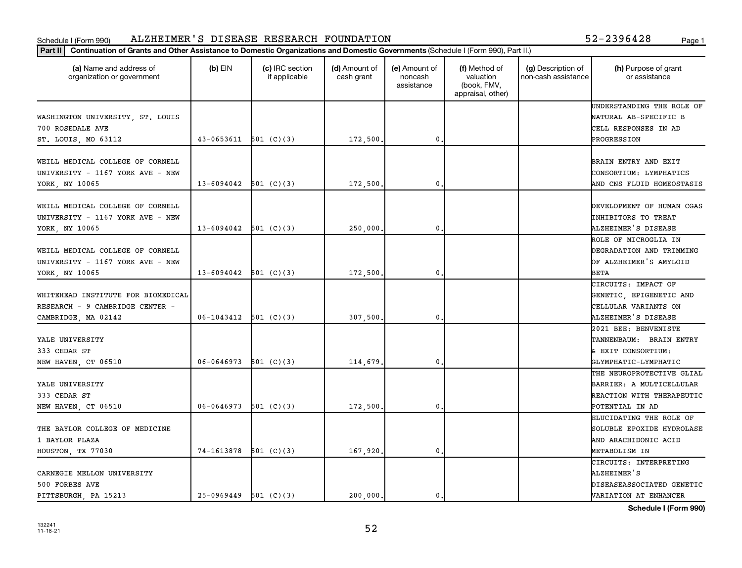|  | 52-2396428 | Page |
|--|------------|------|
|  |            |      |

| (a) Name and address of<br>organization or government                                        | $(b)$ EIN                 | (c) IRC section<br>if applicable | (d) Amount of<br>cash grant | (e) Amount of<br>noncash<br>assistance | (f) Method of<br>valuation<br>(book, FMV,<br>appraisal, other) | (g) Description of<br>non-cash assistance | (h) Purpose of grant<br>or assistance                                                                 |
|----------------------------------------------------------------------------------------------|---------------------------|----------------------------------|-----------------------------|----------------------------------------|----------------------------------------------------------------|-------------------------------------------|-------------------------------------------------------------------------------------------------------|
| WASHINGTON UNIVERSITY, ST. LOUIS<br>700 ROSEDALE AVE<br>ST. LOUIS, MO 63112                  | $43 - 0653611$ 501 (C)(3) |                                  | 172,500.                    | $\mathbf{0}$                           |                                                                |                                           | UNDERSTANDING THE ROLE OF<br>NATURAL AB-SPECIFIC B<br>CELL RESPONSES IN AD<br>PROGRESSION             |
| WEILL MEDICAL COLLEGE OF CORNELL<br>UNIVERSITY - 1167 YORK AVE - NEW<br>YORK, NY 10065       | $13 - 6094042$ 501 (C)(3) |                                  | 172,500,                    | $\mathbf{0}$                           |                                                                |                                           | BRAIN ENTRY AND EXIT<br>CONSORTIUM: LYMPHATICS<br>AND CNS FLUID HOMEOSTASIS                           |
| WEILL MEDICAL COLLEGE OF CORNELL<br>UNIVERSITY - 1167 YORK AVE - NEW<br>YORK, NY 10065       | $13-6094042$ 501 (C)(3)   |                                  | 250,000.                    | $\mathbf{0}$ .                         |                                                                |                                           | DEVELOPMENT OF HUMAN CGAS<br><b>INHIBITORS TO TREAT</b><br>ALZHEIMER'S DISEASE                        |
| WEILL MEDICAL COLLEGE OF CORNELL<br>UNIVERSITY - 1167 YORK AVE - NEW<br>YORK, NY 10065       | $13 - 6094042$ 501 (C)(3) |                                  | 172,500.                    | 0                                      |                                                                |                                           | ROLE OF MICROGLIA IN<br>DEGRADATION AND TRIMMING<br>OF ALZHEIMER'S AMYLOID<br><b>BETA</b>             |
| WHITEHEAD INSTITUTE FOR BIOMEDICAL<br>RESEARCH - 9 CAMBRIDGE CENTER -<br>CAMBRIDGE, MA 02142 | $06-1043412$ 501 (C)(3)   |                                  | 307,500                     | 0.                                     |                                                                |                                           | CIRCUITS: IMPACT OF<br>GENETIC, EPIGENETIC AND<br>CELLULAR VARIANTS ON<br>ALZHEIMER'S DISEASE         |
| YALE UNIVERSITY<br>333 CEDAR ST<br>NEW HAVEN, CT 06510                                       | $06-0646973$ 501 (C)(3)   |                                  | 114,679                     | 0.                                     |                                                                |                                           | 2021 BEE: BENVENISTE<br>TANNENBAUM: BRAIN ENTRY<br>& EXIT CONSORTIUM:<br>GLYMPHATIC-LYMPHATIC         |
| YALE UNIVERSITY<br>333 CEDAR ST<br>NEW HAVEN, CT 06510                                       | $06 - 0646973$            | 501 (C)(3)                       | 172,500                     | 0                                      |                                                                |                                           | THE NEUROPROTECTIVE GLIAL<br>BARRIER: A MULTICELLULAR<br>REACTION WITH THERAPEUTIC<br>POTENTIAL IN AD |
| THE BAYLOR COLLEGE OF MEDICINE<br>1 BAYLOR PLAZA<br>HOUSTON, TX 77030                        | 74-1613878                | 501 (C)(3)                       | 167,920.                    | 0.                                     |                                                                |                                           | ELUCIDATING THE ROLE OF<br>SOLUBLE EPOXIDE HYDROLASE<br>AND ARACHIDONIC ACID<br>METABOLISM IN         |
| CARNEGIE MELLON UNIVERSITY<br>500 FORBES AVE<br>PITTSBURGH, PA 15213                         | $25-0969449$ 501 (C)(3)   |                                  | 200.000.                    | 0.                                     |                                                                |                                           | CIRCUITS: INTERPRETING<br>ALZHEIMER'S<br>DISEASEASSOCIATED GENETIC<br>VARIATION AT ENHANCER           |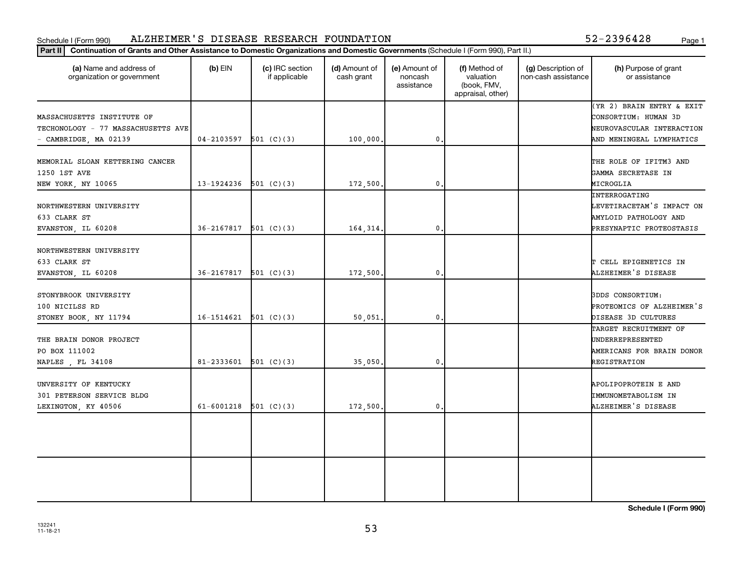## Schedule I (Form 990) ALZHEIMER'S DISEASE RESEARCH FOUNDATION 52-2396428 <sub>Page 1</sub>

| 52-2396428 |  | Page |
|------------|--|------|
|            |  |      |

| Continuation of Grants and Other Assistance to Domestic Organizations and Domestic Governments (Schedule I (Form 990), Part II.)<br>Part II |                                    |                                  |                             |                                        |                                                                |                                           |                                                                                                            |
|---------------------------------------------------------------------------------------------------------------------------------------------|------------------------------------|----------------------------------|-----------------------------|----------------------------------------|----------------------------------------------------------------|-------------------------------------------|------------------------------------------------------------------------------------------------------------|
| (a) Name and address of<br>organization or government                                                                                       | $(b)$ EIN                          | (c) IRC section<br>if applicable | (d) Amount of<br>cash grant | (e) Amount of<br>noncash<br>assistance | (f) Method of<br>valuation<br>(book, FMV,<br>appraisal, other) | (g) Description of<br>non-cash assistance | (h) Purpose of grant<br>or assistance                                                                      |
| MASSACHUSETTS INSTITUTE OF<br>TECHONOLOGY - 77 MASSACHUSETTS AVE<br>- CAMBRIDGE, MA 02139                                                   | 04-2103597                         | 501 (C)(3)                       | 100,000                     | 0.                                     |                                                                |                                           | (YR 2) BRAIN ENTRY & EXIT<br>CONSORTIUM: HUMAN 3D<br>NEUROVASCULAR INTERACTION<br>AND MENINGEAL LYMPHATICS |
| MEMORIAL SLOAN KETTERING CANCER<br>1250 1ST AVE<br>NEW YORK, NY 10065                                                                       | 13-1924236                         | 501 (C)(3)                       | 172,500                     | $\mathbf{0}$ .                         |                                                                |                                           | THE ROLE OF IFITM3 AND<br>GAMMA SECRETASE IN<br>MICROGLIA                                                  |
| NORTHWESTERN UNIVERSITY<br>633 CLARK ST<br>EVANSTON, IL 60208                                                                               | 36-2167817                         | 501 $(C)(3)$                     | 164,314                     | $\mathbf{0}$ .                         |                                                                |                                           | INTERROGATING<br>LEVETIRACETAM'S IMPACT ON<br>AMYLOID PATHOLOGY AND<br>PRESYNAPTIC PROTEOSTASIS            |
| NORTHWESTERN UNIVERSITY<br>633 CLARK ST<br>EVANSTON, IL 60208                                                                               | 36-2167817                         | 501 $(C)(3)$                     | 172,500                     | $\mathsf{0}$ .                         |                                                                |                                           | T CELL EPIGENETICS IN<br>ALZHEIMER'S DISEASE                                                               |
| STONYBROOK UNIVERSITY<br>100 NICILSS RD<br>STONEY BOOK, NY 11794                                                                            | 16-1514621                         | 501 (C)(3)                       | 50,051                      | $\mathbf{0}$ .                         |                                                                |                                           | <b>3DDS CONSORTIUM:</b><br>PROTEOMICS OF ALZHEIMER'S<br>DISEASE 3D CULTURES                                |
| THE BRAIN DONOR PROJECT<br>PO BOX 111002<br>NAPLES , FL 34108                                                                               | 81-2333601                         | 501 (C)(3)                       | 35,050                      | $\mathbf{0}$ .                         |                                                                |                                           | TARGET RECRUITMENT OF<br>UNDERREPRESENTED<br>AMERICANS FOR BRAIN DONOR<br>REGISTRATION                     |
| UNVERSITY OF KENTUCKY<br>301 PETERSON SERVICE BLDG<br>LEXINGTON, KY 40506                                                                   | 61-6001218 $\overline{501}$ (C)(3) |                                  | 172,500                     | $\mathbf{0}$ .                         |                                                                |                                           | APOLIPOPROTEIN E AND<br>IMMUNOMETABOLISM IN<br>ALZHEIMER'S DISEASE                                         |
|                                                                                                                                             |                                    |                                  |                             |                                        |                                                                |                                           |                                                                                                            |
|                                                                                                                                             |                                    |                                  |                             |                                        |                                                                |                                           |                                                                                                            |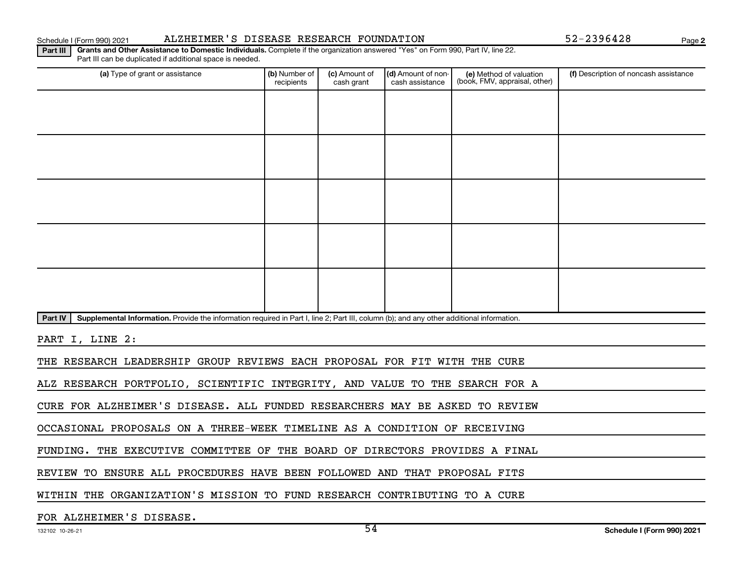## Schedule I (Form 990) 2021 ALZHEIMER'S DISEASE RESEARCH FOUNDATION 52-2396428 Page

**2**

**Part III | Grants and Other Assistance to Domestic Individuals.** Complete if the organization answered "Yes" on Form 990, Part IV, line 22. Part III can be duplicated if additional space is needed.

| (a) Type of grant or assistance                                                                                                                      | (b) Number of<br>recipients | (c) Amount of<br>cash grant | (d) Amount of non-<br>cash assistance | (e) Method of valuation<br>(book, FMV, appraisal, other) | (f) Description of noncash assistance |
|------------------------------------------------------------------------------------------------------------------------------------------------------|-----------------------------|-----------------------------|---------------------------------------|----------------------------------------------------------|---------------------------------------|
|                                                                                                                                                      |                             |                             |                                       |                                                          |                                       |
|                                                                                                                                                      |                             |                             |                                       |                                                          |                                       |
|                                                                                                                                                      |                             |                             |                                       |                                                          |                                       |
|                                                                                                                                                      |                             |                             |                                       |                                                          |                                       |
|                                                                                                                                                      |                             |                             |                                       |                                                          |                                       |
|                                                                                                                                                      |                             |                             |                                       |                                                          |                                       |
|                                                                                                                                                      |                             |                             |                                       |                                                          |                                       |
|                                                                                                                                                      |                             |                             |                                       |                                                          |                                       |
|                                                                                                                                                      |                             |                             |                                       |                                                          |                                       |
|                                                                                                                                                      |                             |                             |                                       |                                                          |                                       |
| Supplemental Information. Provide the information required in Part I, line 2; Part III, column (b); and any other additional information.<br>Part IV |                             |                             |                                       |                                                          |                                       |
| PART I, LINE 2:                                                                                                                                      |                             |                             |                                       |                                                          |                                       |
| THE RESEARCH LEADERSHIP GROUP REVIEWS EACH PROPOSAL FOR FIT WITH THE CURE                                                                            |                             |                             |                                       |                                                          |                                       |
| ALZ RESEARCH PORTFOLIO, SCIENTIFIC INTEGRITY, AND VALUE TO THE SEARCH FOR A                                                                          |                             |                             |                                       |                                                          |                                       |
| CURE FOR ALZHEIMER'S DISEASE. ALL FUNDED RESEARCHERS MAY BE ASKED TO REVIEW                                                                          |                             |                             |                                       |                                                          |                                       |
| OCCASIONAL PROPOSALS ON A THREE-WEEK TIMELINE AS A CONDITION OF RECEIVING                                                                            |                             |                             |                                       |                                                          |                                       |
| FUNDING. THE EXECUTIVE COMMITTEE OF THE BOARD OF DIRECTORS PROVIDES A FINAL                                                                          |                             |                             |                                       |                                                          |                                       |

REVIEW TO ENSURE ALL PROCEDURES HAVE BEEN FOLLOWED AND THAT PROPOSAL FITS

WITHIN THE ORGANIZATION'S MISSION TO FUND RESEARCH CONTRIBUTING TO A CURE

## FOR ALZHEIMER'S DISEASE.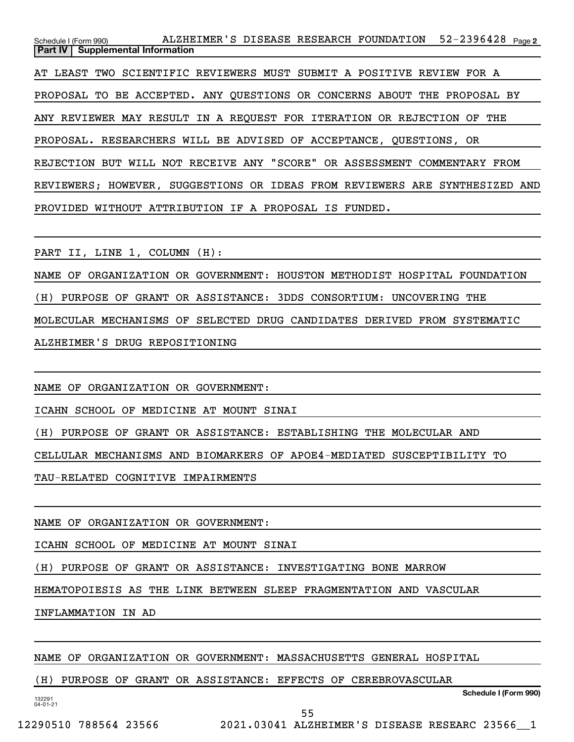52-2396428 Page 2 Schedule I (Form 990) ALZHEIMER'S DISEASE RESEARCH FOUNDATION 52-2396428 <sub>Page</sub> **Part IV Supplemental Information** AT LEAST TWO SCIENTIFIC REVIEWERS MUST SUBMIT A POSITIVE REVIEW FOR A PROPOSAL TO BE ACCEPTED. ANY QUESTIONS OR CONCERNS ABOUT THE PROPOSAL BY ANY REVIEWER MAY RESULT IN A REQUEST FOR ITERATION OR REJECTION OF THE PROPOSAL. RESEARCHERS WILL BE ADVISED OF ACCEPTANCE, QUESTIONS, OR REJECTION BUT WILL NOT RECEIVE ANY "SCORE" OR ASSESSMENT COMMENTARY FROM REVIEWERS; HOWEVER, SUGGESTIONS OR IDEAS FROM REVIEWERS ARE SYNTHESIZED AND PROVIDED WITHOUT ATTRIBUTION IF A PROPOSAL IS FUNDED.

PART II, LINE 1, COLUMN (H):

NAME OF ORGANIZATION OR GOVERNMENT: HOUSTON METHODIST HOSPITAL FOUNDATION (H) PURPOSE OF GRANT OR ASSISTANCE: 3DDS CONSORTIUM: UNCOVERING THE MOLECULAR MECHANISMS OF SELECTED DRUG CANDIDATES DERIVED FROM SYSTEMATIC ALZHEIMER'S DRUG REPOSITIONING

NAME OF ORGANIZATION OR GOVERNMENT:

ICAHN SCHOOL OF MEDICINE AT MOUNT SINAI

(H) PURPOSE OF GRANT OR ASSISTANCE: ESTABLISHING THE MOLECULAR AND

CELLULAR MECHANISMS AND BIOMARKERS OF APOE4-MEDIATED SUSCEPTIBILITY TO

TAU-RELATED COGNITIVE IMPAIRMENTS

NAME OF ORGANIZATION OR GOVERNMENT:

ICAHN SCHOOL OF MEDICINE AT MOUNT SINAI

(H) PURPOSE OF GRANT OR ASSISTANCE: INVESTIGATING BONE MARROW

HEMATOPOIESIS AS THE LINK BETWEEN SLEEP FRAGMENTATION AND VASCULAR

INFLAMMATION IN AD

## NAME OF ORGANIZATION OR GOVERNMENT: MASSACHUSETTS GENERAL HOSPITAL

## (H) PURPOSE OF GRANT OR ASSISTANCE: EFFECTS OF CEREBROVASCULAR

**Schedule I (Form 990)**

132291 04-01-21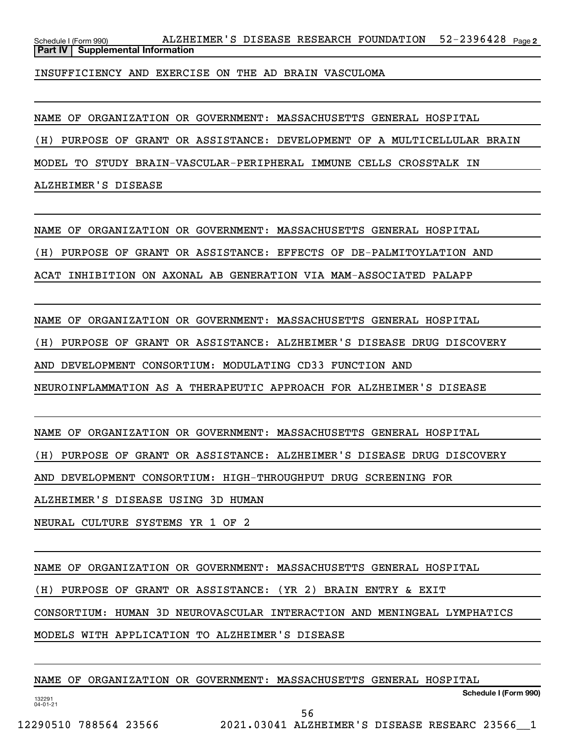52-2396428 Page 2 Schedule I (Form 990) ALZHEIMER'S DISEASE RESEARCH FOUNDATION 52-2396428 <sub>Page</sub> **Part IV Supplemental Information**

INSUFFICIENCY AND EXERCISE ON THE AD BRAIN VASCULOMA

NAME OF ORGANIZATION OR GOVERNMENT: MASSACHUSETTS GENERAL HOSPITAL

(H) PURPOSE OF GRANT OR ASSISTANCE: DEVELOPMENT OF A MULTICELLULAR BRAIN

MODEL TO STUDY BRAIN-VASCULAR-PERIPHERAL IMMUNE CELLS CROSSTALK IN

ALZHEIMER'S DISEASE

NAME OF ORGANIZATION OR GOVERNMENT: MASSACHUSETTS GENERAL HOSPITAL

(H) PURPOSE OF GRANT OR ASSISTANCE: EFFECTS OF DE-PALMITOYLATION AND

ACAT INHIBITION ON AXONAL AB GENERATION VIA MAM-ASSOCIATED PALAPP

NAME OF ORGANIZATION OR GOVERNMENT: MASSACHUSETTS GENERAL HOSPITAL

(H) PURPOSE OF GRANT OR ASSISTANCE: ALZHEIMER'S DISEASE DRUG DISCOVERY

AND DEVELOPMENT CONSORTIUM: MODULATING CD33 FUNCTION AND

NEUROINFLAMMATION AS A THERAPEUTIC APPROACH FOR ALZHEIMER'S DISEASE

NAME OF ORGANIZATION OR GOVERNMENT: MASSACHUSETTS GENERAL HOSPITAL

(H) PURPOSE OF GRANT OR ASSISTANCE: ALZHEIMER'S DISEASE DRUG DISCOVERY

AND DEVELOPMENT CONSORTIUM: HIGH-THROUGHPUT DRUG SCREENING FOR

ALZHEIMER'S DISEASE USING 3D HUMAN

NEURAL CULTURE SYSTEMS YR 1 OF 2

NAME OF ORGANIZATION OR GOVERNMENT: MASSACHUSETTS GENERAL HOSPITAL

(H) PURPOSE OF GRANT OR ASSISTANCE: (YR 2) BRAIN ENTRY & EXIT

CONSORTIUM: HUMAN 3D NEUROVASCULAR INTERACTION AND MENINGEAL LYMPHATICS

MODELS WITH APPLICATION TO ALZHEIMER'S DISEASE

NAME OF ORGANIZATION OR GOVERNMENT: MASSACHUSETTS GENERAL HOSPITAL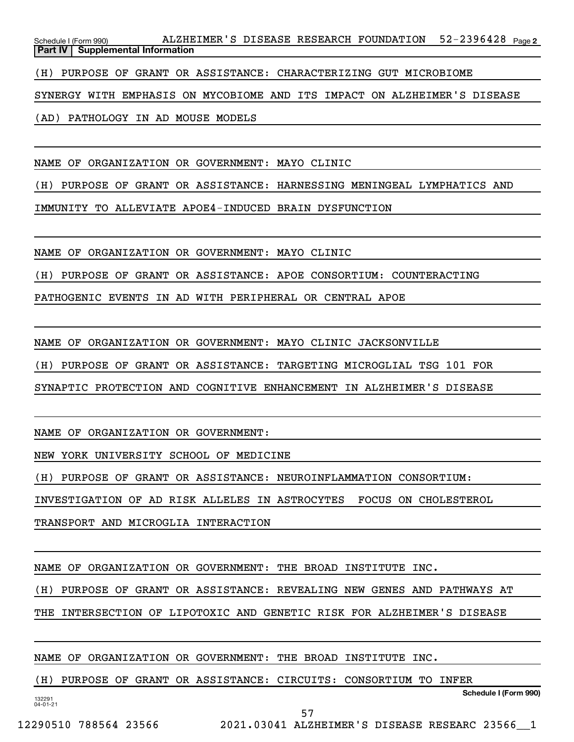52-2396428 Page 2 Schedule I (Form 990) ALZHEIMER'S DISEASE RESEARCH FOUNDATION 52-2396428 <sub>Page</sub> **Part IV Supplemental Information**

(H) PURPOSE OF GRANT OR ASSISTANCE: CHARACTERIZING GUT MICROBIOME

SYNERGY WITH EMPHASIS ON MYCOBIOME AND ITS IMPACT ON ALZHEIMER'S DISEASE

(AD) PATHOLOGY IN AD MOUSE MODELS

NAME OF ORGANIZATION OR GOVERNMENT: MAYO CLINIC

(H) PURPOSE OF GRANT OR ASSISTANCE: HARNESSING MENINGEAL LYMPHATICS AND

IMMUNITY TO ALLEVIATE APOE4-INDUCED BRAIN DYSFUNCTION

NAME OF ORGANIZATION OR GOVERNMENT: MAYO CLINIC

(H) PURPOSE OF GRANT OR ASSISTANCE: APOE CONSORTIUM: COUNTERACTING

PATHOGENIC EVENTS IN AD WITH PERIPHERAL OR CENTRAL APOE

NAME OF ORGANIZATION OR GOVERNMENT: MAYO CLINIC JACKSONVILLE

(H) PURPOSE OF GRANT OR ASSISTANCE: TARGETING MICROGLIAL TSG 101 FOR

SYNAPTIC PROTECTION AND COGNITIVE ENHANCEMENT IN ALZHEIMER'S DISEASE

NAME OF ORGANIZATION OR GOVERNMENT:

NEW YORK UNIVERSITY SCHOOL OF MEDICINE

(H) PURPOSE OF GRANT OR ASSISTANCE: NEUROINFLAMMATION CONSORTIUM:

INVESTIGATION OF AD RISK ALLELES IN ASTROCYTES FOCUS ON CHOLESTEROL

TRANSPORT AND MICROGLIA INTERACTION

NAME OF ORGANIZATION OR GOVERNMENT: THE BROAD INSTITUTE INC.

(H) PURPOSE OF GRANT OR ASSISTANCE: REVEALING NEW GENES AND PATHWAYS AT

THE INTERSECTION OF LIPOTOXIC AND GENETIC RISK FOR ALZHEIMER'S DISEASE

57

NAME OF ORGANIZATION OR GOVERNMENT: THE BROAD INSTITUTE INC.

(H) PURPOSE OF GRANT OR ASSISTANCE: CIRCUITS: CONSORTIUM TO INFER

**Schedule I (Form 990)**

132291 04-01-21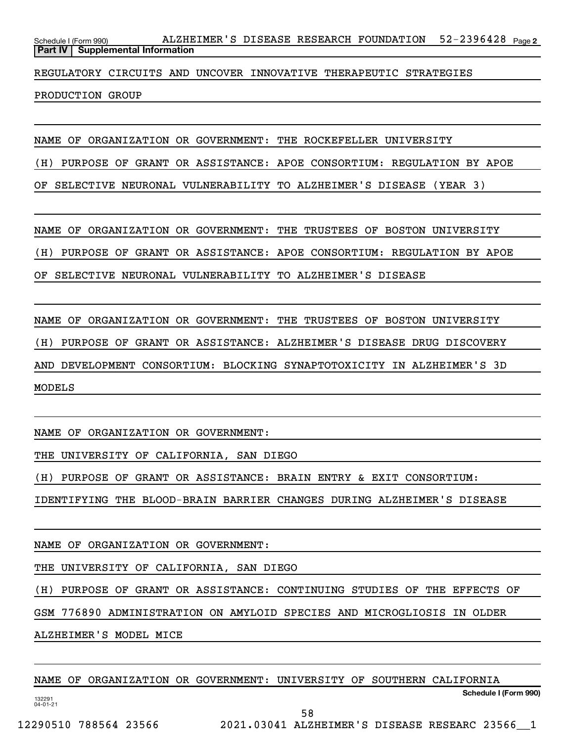52-2396428 Page 2 Schedule I (Form 990) ALZHEIMER'S DISEASE RESEARCH FOUNDATION 52-2396428 <sub>Page</sub> **Part IV Supplemental Information**

REGULATORY CIRCUITS AND UNCOVER INNOVATIVE THERAPEUTIC STRATEGIES

PRODUCTION GROUP

NAME OF ORGANIZATION OR GOVERNMENT: THE ROCKEFELLER UNIVERSITY

(H) PURPOSE OF GRANT OR ASSISTANCE: APOE CONSORTIUM: REGULATION BY APOE

OF SELECTIVE NEURONAL VULNERABILITY TO ALZHEIMER'S DISEASE (YEAR 3)

NAME OF ORGANIZATION OR GOVERNMENT: THE TRUSTEES OF BOSTON UNIVERSITY

(H) PURPOSE OF GRANT OR ASSISTANCE: APOE CONSORTIUM: REGULATION BY APOE

OF SELECTIVE NEURONAL VULNERABILITY TO ALZHEIMER'S DISEASE

NAME OF ORGANIZATION OR GOVERNMENT: THE TRUSTEES OF BOSTON UNIVERSITY

(H) PURPOSE OF GRANT OR ASSISTANCE: ALZHEIMER'S DISEASE DRUG DISCOVERY

AND DEVELOPMENT CONSORTIUM: BLOCKING SYNAPTOTOXICITY IN ALZHEIMER'S 3D

MODELS

NAME OF ORGANIZATION OR GOVERNMENT:

THE UNIVERSITY OF CALIFORNIA, SAN DIEGO

(H) PURPOSE OF GRANT OR ASSISTANCE: BRAIN ENTRY & EXIT CONSORTIUM:

IDENTIFYING THE BLOOD-BRAIN BARRIER CHANGES DURING ALZHEIMER'S DISEASE

NAME OF ORGANIZATION OR GOVERNMENT:

THE UNIVERSITY OF CALIFORNIA, SAN DIEGO

(H) PURPOSE OF GRANT OR ASSISTANCE: CONTINUING STUDIES OF THE EFFECTS OF

GSM 776890 ADMINISTRATION ON AMYLOID SPECIES AND MICROGLIOSIS IN OLDER

ALZHEIMER'S MODEL MICE

NAME OF ORGANIZATION OR GOVERNMENT: UNIVERSITY OF SOUTHERN CALIFORNIA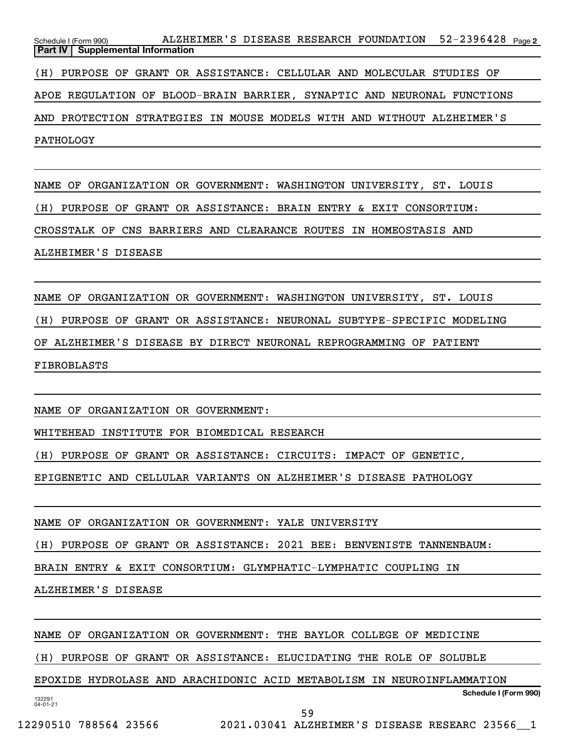52-2396428 Page 2 Schedule I (Form 990) ALZHEIMER'S DISEASE RESEARCH FOUNDATION 52-2396428 <sub>Page</sub> **Part IV** | Supplemental Information (H) PURPOSE OF GRANT OR ASSISTANCE: CELLULAR AND MOLECULAR STUDIES OF APOE REGULATION OF BLOOD-BRAIN BARRIER, SYNAPTIC AND NEURONAL FUNCTIONS AND PROTECTION STRATEGIES IN MOUSE MODELS WITH AND WITHOUT ALZHEIMER'S PATHOLOGY

NAME OF ORGANIZATION OR GOVERNMENT: WASHINGTON UNIVERSITY, ST. LOUIS (H) PURPOSE OF GRANT OR ASSISTANCE: BRAIN ENTRY & EXIT CONSORTIUM: CROSSTALK OF CNS BARRIERS AND CLEARANCE ROUTES IN HOMEOSTASIS AND ALZHEIMER'S DISEASE

NAME OF ORGANIZATION OR GOVERNMENT: WASHINGTON UNIVERSITY, ST. LOUIS (H) PURPOSE OF GRANT OR ASSISTANCE: NEURONAL SUBTYPE-SPECIFIC MODELING OF ALZHEIMER'S DISEASE BY DIRECT NEURONAL REPROGRAMMING OF PATIENT FIBROBLASTS

NAME OF ORGANIZATION OR GOVERNMENT:

WHITEHEAD INSTITUTE FOR BIOMEDICAL RESEARCH

(H) PURPOSE OF GRANT OR ASSISTANCE: CIRCUITS: IMPACT OF GENETIC,

EPIGENETIC AND CELLULAR VARIANTS ON ALZHEIMER'S DISEASE PATHOLOGY

NAME OF ORGANIZATION OR GOVERNMENT: YALE UNIVERSITY

(H) PURPOSE OF GRANT OR ASSISTANCE: 2021 BEE: BENVENISTE TANNENBAUM:

BRAIN ENTRY & EXIT CONSORTIUM: GLYMPHATIC-LYMPHATIC COUPLING IN

ALZHEIMER'S DISEASE

NAME OF ORGANIZATION OR GOVERNMENT: THE BAYLOR COLLEGE OF MEDICINE

(H) PURPOSE OF GRANT OR ASSISTANCE: ELUCIDATING THE ROLE OF SOLUBLE

132291 04-01-21 **Schedule I (Form 990)** EPOXIDE HYDROLASE AND ARACHIDONIC ACID METABOLISM IN NEUROINFLAMMATION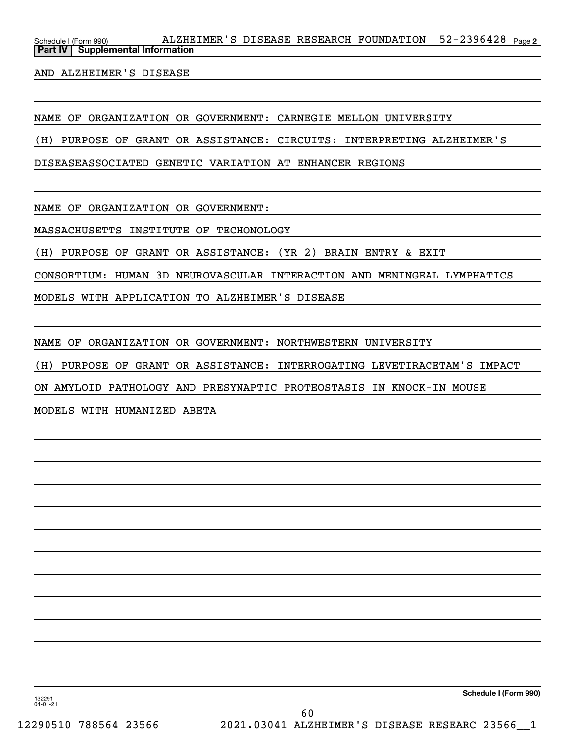AND ALZHEIMER'S DISEASE

NAME OF ORGANIZATION OR GOVERNMENT: CARNEGIE MELLON UNIVERSITY

(H) PURPOSE OF GRANT OR ASSISTANCE: CIRCUITS: INTERPRETING ALZHEIMER'S

DISEASEASSOCIATED GENETIC VARIATION AT ENHANCER REGIONS

NAME OF ORGANIZATION OR GOVERNMENT:

MASSACHUSETTS INSTITUTE OF TECHONOLOGY

(H) PURPOSE OF GRANT OR ASSISTANCE: (YR 2) BRAIN ENTRY & EXIT

CONSORTIUM: HUMAN 3D NEUROVASCULAR INTERACTION AND MENINGEAL LYMPHATICS

MODELS WITH APPLICATION TO ALZHEIMER'S DISEASE

NAME OF ORGANIZATION OR GOVERNMENT: NORTHWESTERN UNIVERSITY

(H) PURPOSE OF GRANT OR ASSISTANCE: INTERROGATING LEVETIRACETAM'S IMPACT

ON AMYLOID PATHOLOGY AND PRESYNAPTIC PROTEOSTASIS IN KNOCK-IN MOUSE

MODELS WITH HUMANIZED ABETA

132291 04-01-21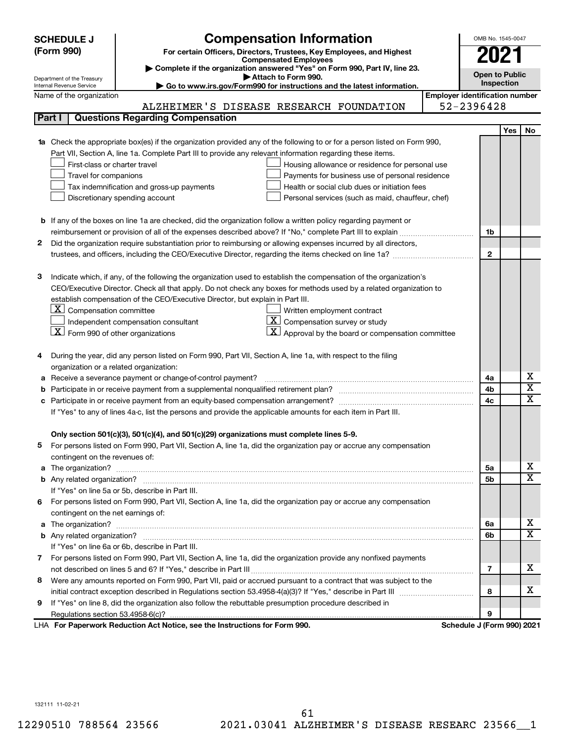| <b>SCHEDULE J</b>                                               | <b>Compensation Information</b>                                                                                        |                                       | OMB No. 1545-0047          |            |                         |  |
|-----------------------------------------------------------------|------------------------------------------------------------------------------------------------------------------------|---------------------------------------|----------------------------|------------|-------------------------|--|
| (Form 990)                                                      | For certain Officers, Directors, Trustees, Key Employees, and Highest                                                  |                                       | 2021                       |            |                         |  |
|                                                                 | <b>Compensated Employees</b>                                                                                           |                                       |                            |            |                         |  |
|                                                                 | Complete if the organization answered "Yes" on Form 990, Part IV, line 23.<br>Attach to Form 990.                      |                                       | <b>Open to Public</b>      |            |                         |  |
| Department of the Treasury<br>Internal Revenue Service          | Go to www.irs.gov/Form990 for instructions and the latest information.                                                 |                                       | Inspection                 |            |                         |  |
| Name of the organization                                        |                                                                                                                        | <b>Employer identification number</b> |                            |            |                         |  |
|                                                                 | ALZHEIMER'S DISEASE RESEARCH FOUNDATION                                                                                |                                       | 52-2396428                 |            |                         |  |
| Part I                                                          | <b>Questions Regarding Compensation</b>                                                                                |                                       |                            |            |                         |  |
|                                                                 |                                                                                                                        |                                       |                            | <b>Yes</b> | No                      |  |
|                                                                 | Check the appropriate box(es) if the organization provided any of the following to or for a person listed on Form 990, |                                       |                            |            |                         |  |
|                                                                 | Part VII, Section A, line 1a. Complete Part III to provide any relevant information regarding these items.             |                                       |                            |            |                         |  |
| First-class or charter travel                                   | Housing allowance or residence for personal use                                                                        |                                       |                            |            |                         |  |
| Travel for companions                                           | Payments for business use of personal residence                                                                        |                                       |                            |            |                         |  |
|                                                                 | Health or social club dues or initiation fees<br>Tax indemnification and gross-up payments                             |                                       |                            |            |                         |  |
|                                                                 | Discretionary spending account<br>Personal services (such as maid, chauffeur, chef)                                    |                                       |                            |            |                         |  |
|                                                                 |                                                                                                                        |                                       |                            |            |                         |  |
|                                                                 | <b>b</b> If any of the boxes on line 1a are checked, did the organization follow a written policy regarding payment or |                                       |                            |            |                         |  |
|                                                                 |                                                                                                                        |                                       | 1b                         |            |                         |  |
| 2                                                               | Did the organization require substantiation prior to reimbursing or allowing expenses incurred by all directors,       |                                       |                            |            |                         |  |
|                                                                 |                                                                                                                        |                                       | $\mathbf{2}$               |            |                         |  |
|                                                                 |                                                                                                                        |                                       |                            |            |                         |  |
| з                                                               | Indicate which, if any, of the following the organization used to establish the compensation of the organization's     |                                       |                            |            |                         |  |
|                                                                 | CEO/Executive Director. Check all that apply. Do not check any boxes for methods used by a related organization to     |                                       |                            |            |                         |  |
|                                                                 | establish compensation of the CEO/Executive Director, but explain in Part III.                                         |                                       |                            |            |                         |  |
| $\lfloor \underline{\textbf{X}} \rfloor$ Compensation committee | Written employment contract                                                                                            |                                       |                            |            |                         |  |
|                                                                 | $ \mathbf{X} $ Compensation survey or study<br>Independent compensation consultant                                     |                                       |                            |            |                         |  |
| $ \mathbf{X} $ Form 990 of other organizations                  | $ \mathbf{X} $ Approval by the board or compensation committee                                                         |                                       |                            |            |                         |  |
|                                                                 |                                                                                                                        |                                       |                            |            |                         |  |
|                                                                 | During the year, did any person listed on Form 990, Part VII, Section A, line 1a, with respect to the filing           |                                       |                            |            |                         |  |
| organization or a related organization:                         |                                                                                                                        |                                       |                            |            |                         |  |
| а                                                               | Receive a severance payment or change-of-control payment?                                                              |                                       | 4a                         |            | х                       |  |
| b                                                               |                                                                                                                        |                                       | 4b                         |            | $\overline{\textbf{x}}$ |  |
| c                                                               |                                                                                                                        |                                       | 4c                         |            | $\mathbf x$             |  |
|                                                                 | If "Yes" to any of lines 4a-c, list the persons and provide the applicable amounts for each item in Part III.          |                                       |                            |            |                         |  |
|                                                                 |                                                                                                                        |                                       |                            |            |                         |  |
|                                                                 | Only section 501(c)(3), 501(c)(4), and 501(c)(29) organizations must complete lines 5-9.                               |                                       |                            |            |                         |  |
| b.                                                              | For persons listed on Form 990, Part VII, Section A, line 1a, did the organization pay or accrue any compensation      |                                       |                            |            |                         |  |
| contingent on the revenues of:                                  |                                                                                                                        |                                       |                            |            |                         |  |
| a                                                               |                                                                                                                        |                                       | 5a                         |            | х                       |  |
|                                                                 |                                                                                                                        |                                       | 5b                         |            | X                       |  |
|                                                                 | If "Yes" on line 5a or 5b, describe in Part III.                                                                       |                                       |                            |            |                         |  |
|                                                                 | 6 For persons listed on Form 990, Part VII, Section A, line 1a, did the organization pay or accrue any compensation    |                                       |                            |            |                         |  |
| contingent on the net earnings of:                              |                                                                                                                        |                                       |                            |            |                         |  |
| а                                                               |                                                                                                                        |                                       | 6а                         |            | х                       |  |
|                                                                 |                                                                                                                        |                                       | 6b                         |            | X                       |  |
|                                                                 | If "Yes" on line 6a or 6b, describe in Part III.                                                                       |                                       |                            |            |                         |  |
|                                                                 | 7 For persons listed on Form 990, Part VII, Section A, line 1a, did the organization provide any nonfixed payments     |                                       |                            |            |                         |  |
|                                                                 |                                                                                                                        |                                       | 7                          |            | x                       |  |
| 8                                                               | Were any amounts reported on Form 990, Part VII, paid or accrued pursuant to a contract that was subject to the        |                                       |                            |            |                         |  |
|                                                                 |                                                                                                                        |                                       | 8                          |            | x                       |  |
| 9                                                               | If "Yes" on line 8, did the organization also follow the rebuttable presumption procedure described in                 |                                       |                            |            |                         |  |
|                                                                 |                                                                                                                        |                                       | 9                          |            |                         |  |
|                                                                 | LHA For Paperwork Reduction Act Notice, see the Instructions for Form 990.                                             |                                       | Schedule J (Form 990) 2021 |            |                         |  |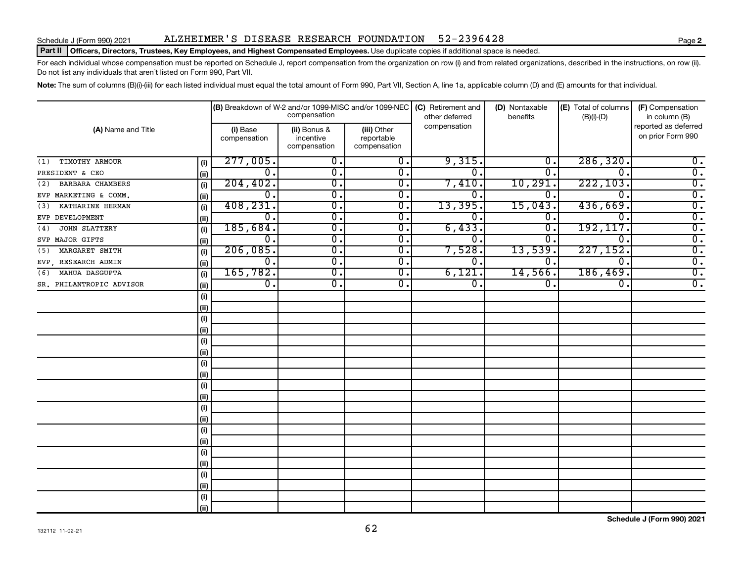## Schedule J (Form 990) 2021 ALZHEIMER 'S DISEASE RESEARCH FOUNDATION 52-2396428

### Part II | Officers, Directors, Trustees, Key Employees, and Highest Compensated Employees. Use duplicate copies if additional space is needed.

For each individual whose compensation must be reported on Schedule J, report compensation from the organization on row (i) and from related organizations, described in the instructions, on row (ii). Do not list any individuals that aren't listed on Form 990, Part VII.

Note: The sum of columns (B)(i)-(iii) for each listed individual must equal the total amount of Form 990, Part VII, Section A, line 1a, applicable column (D) and (E) amounts for that individual.

|                          |      |                          | (B) Breakdown of W-2 and/or 1099-MISC and/or 1099-NEC<br>compensation |                                           | (C) Retirement and<br>other deferred | (D) Nontaxable<br>benefits | (E) Total of columns<br>$(B)(i)-(D)$ | (F) Compensation<br>in column (B)         |
|--------------------------|------|--------------------------|-----------------------------------------------------------------------|-------------------------------------------|--------------------------------------|----------------------------|--------------------------------------|-------------------------------------------|
| (A) Name and Title       |      | (i) Base<br>compensation | (ii) Bonus &<br>incentive<br>compensation                             | (iii) Other<br>reportable<br>compensation | compensation                         |                            |                                      | reported as deferred<br>on prior Form 990 |
| TIMOTHY ARMOUR<br>(1)    | (i)  | 277,005.                 | $\overline{0}$ .                                                      | $\overline{0}$ .                          | 9,315.                               | $\overline{0}$ .           | 286, 320.                            | $\overline{0}$ .                          |
| PRESIDENT & CEO          | (ii) | $\overline{0}$ .         | $\overline{0}$ .                                                      | $\overline{\mathfrak{o}}$ .               | σ.                                   | σ.                         | 0.                                   | $\overline{0}$ .                          |
| BARBARA CHAMBERS<br>(2)  | (i)  | 204, 402.                | $\overline{\mathfrak{o}}$ .                                           | $\overline{\mathfrak{o}}$ .               | 7,410.                               | 10, 291.                   | 222, 103.                            | $\overline{0}$ .                          |
| EVP MARKETING & COMM.    | (ii) | $0$ .                    | σ.                                                                    | 0.                                        | 0.                                   | 0.                         | $\Omega$ .                           | $\overline{0}$ .                          |
| KATHARINE HERMAN<br>(3)  | (i)  | 408, 231.                | σ.                                                                    | σ.                                        | 13,395.                              | 15,043.                    | 436,669.                             | $\overline{0}$ .                          |
| EVP DEVELOPMENT          | (i)  | $0$ .                    | σ.                                                                    | 0.                                        | 0.                                   | 0.                         | 0                                    | $\overline{0}$ .                          |
| JOHN SLATTERY<br>(4)     | (i)  | 185,684.                 | $\overline{\mathfrak{o}}$ .                                           | 0.                                        | 6,433.                               | $\overline{0}$ .           | 192, 117.                            | $\overline{0}$ .                          |
| SVP MAJOR GIFTS          | (i)  | 0.                       | σ.                                                                    | 0.                                        | 0.                                   | 0                          | $\Omega$                             | $\overline{0}$ .                          |
| MARGARET SMITH<br>(5)    | (i)  | 206,085.                 | σ.                                                                    | 0.                                        | 7,528.                               | 13,539                     | 227, 152.                            | $\overline{0}$ .                          |
| EVP , RESEARCH ADMIN     | (ii) | $\overline{0}$ .         | σ.                                                                    | $\overline{0}$ .                          | О.                                   | 0.                         | $\mathbf 0$ .                        | $\overline{0}$ .                          |
| MAHUA DASGUPTA<br>(6)    | (i)  | 165,782.                 | σ.                                                                    | $\overline{0}$ .                          | 6,121.                               | 14,566.                    | 186,469.                             | $\overline{0}$ .                          |
| SR. PHILANTROPIC ADVISOR | (i)  | $\overline{0}$ .         | σ.                                                                    | 0.                                        | 0.                                   | 0.                         | 0.                                   | $\overline{0}$ .                          |
|                          | (i)  |                          |                                                                       |                                           |                                      |                            |                                      |                                           |
|                          | (ii) |                          |                                                                       |                                           |                                      |                            |                                      |                                           |
|                          | (i)  |                          |                                                                       |                                           |                                      |                            |                                      |                                           |
|                          | (i)  |                          |                                                                       |                                           |                                      |                            |                                      |                                           |
|                          | (i)  |                          |                                                                       |                                           |                                      |                            |                                      |                                           |
|                          | (i)  |                          |                                                                       |                                           |                                      |                            |                                      |                                           |
|                          | (i)  |                          |                                                                       |                                           |                                      |                            |                                      |                                           |
|                          | (i)  |                          |                                                                       |                                           |                                      |                            |                                      |                                           |
|                          | (i)  |                          |                                                                       |                                           |                                      |                            |                                      |                                           |
|                          | (ii) |                          |                                                                       |                                           |                                      |                            |                                      |                                           |
|                          | (i)  |                          |                                                                       |                                           |                                      |                            |                                      |                                           |
|                          | (ii) |                          |                                                                       |                                           |                                      |                            |                                      |                                           |
|                          | (i)  |                          |                                                                       |                                           |                                      |                            |                                      |                                           |
|                          | (i)  |                          |                                                                       |                                           |                                      |                            |                                      |                                           |
|                          | (i)  |                          |                                                                       |                                           |                                      |                            |                                      |                                           |
|                          | (ii) |                          |                                                                       |                                           |                                      |                            |                                      |                                           |
|                          | (i)  |                          |                                                                       |                                           |                                      |                            |                                      |                                           |
|                          | (ii) |                          |                                                                       |                                           |                                      |                            |                                      |                                           |
|                          | (i)  |                          |                                                                       |                                           |                                      |                            |                                      |                                           |
|                          | (ii) |                          |                                                                       |                                           |                                      |                            |                                      |                                           |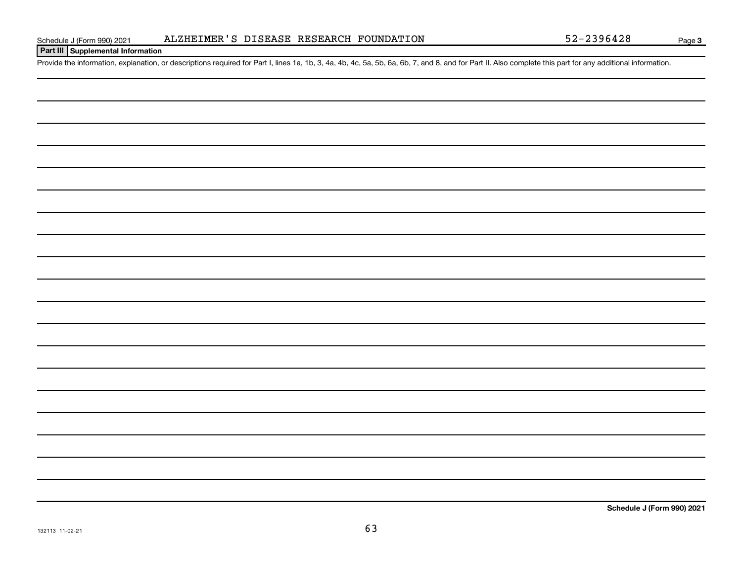## **Part III Supplemental Information**

Provide the information, explanation, or descriptions required for Part I, lines 1a, 1b, 3, 4a, 4b, 4c, 5a, 5b, 6a, 6b, 7, and 8, and for Part II. Also complete this part for any additional information.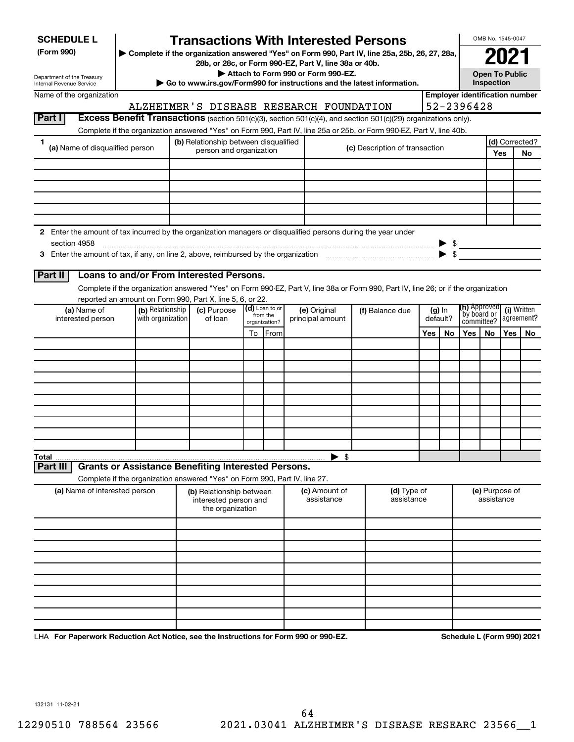| <b>SCHEDULE L</b> |
|-------------------|
|-------------------|

Department of the Treasury Internal Revenue Service

**Part I** 

## **Transactions With Interested Persons**

**(Form 990) | Complete if the organization answered "Yes" on Form 990, Part IV, line 25a, 25b, 26, 27, 28a,**

**28b, or 28c, or Form 990-EZ, Part V, line 38a or 40b. | Attach to Form 990 or Form 990-EZ.**

**| Go to www.irs.gov/Form990 for instructions and the latest information.**

| o to www.irs.gov/Form990 for instructions and the latest informati |
|--------------------------------------------------------------------|
|--------------------------------------------------------------------|

**Open To Public Inspection 2021**

OMB No. 1545-0047

## **Employer identification number** ALZHEIMER'S DISEASE RESEARCH FOUNDATION 52-2396428

| <b>Excess Benefit Transactions</b> (section 501(c)(3), section 501(c)(4), and section 501(c)(29) organizations only). |
|-----------------------------------------------------------------------------------------------------------------------|
|-----------------------------------------------------------------------------------------------------------------------|

Complete if the organization answered "Yes" on Form 990, Part IV, line 25a or 25b, or Form 990-EZ, Part V, line 40b.

| (a) Name of disqualified person |              | (b) Relationship between disqualified                                                                         |  | (d) Corrected?                 |  |  |
|---------------------------------|--------------|---------------------------------------------------------------------------------------------------------------|--|--------------------------------|--|--|
|                                 |              | person and organization                                                                                       |  | (c) Description of transaction |  |  |
|                                 |              |                                                                                                               |  |                                |  |  |
|                                 |              |                                                                                                               |  |                                |  |  |
|                                 |              |                                                                                                               |  |                                |  |  |
|                                 |              |                                                                                                               |  |                                |  |  |
|                                 |              |                                                                                                               |  |                                |  |  |
|                                 |              |                                                                                                               |  |                                |  |  |
|                                 |              | 2 Enter the amount of tax incurred by the organization managers or disqualified persons during the year under |  |                                |  |  |
|                                 | section 4958 |                                                                                                               |  | \$                             |  |  |
|                                 |              | 3 Enter the amount of tax, if any, on line 2, above, reimbursed by the organization                           |  |                                |  |  |

**3** Enter the amount of tax, if any, on line 2, above, reimbursed by the organization  $\ldots$   $\ldots$   $\ldots$   $\ldots$   $\ldots$   $\ldots$ 

## **Part II Loans to and/or From Interested Persons.**

Complete if the organization answered "Yes" on Form 990-EZ, Part V, line 38a or Form 990, Part IV, line 26; or if the organization reported an amount on Form 990, Part X, line 5, 6, or 22.

| (a) Name of<br>interested person | (b) Relationship<br>with organization | (c) Purpose<br>of loan |    | (d) Loan to or<br>from the<br>organization? | (e) Original<br>principal amount | (f) Balance due | (h) Approved<br>by board or<br>committee?<br>(g) In<br>default? |    | (i) Written<br>agreement? |    |     |    |
|----------------------------------|---------------------------------------|------------------------|----|---------------------------------------------|----------------------------------|-----------------|-----------------------------------------------------------------|----|---------------------------|----|-----|----|
|                                  |                                       |                        | To | <b>From</b>                                 |                                  |                 | <b>Yes</b>                                                      | No | Yes                       | No | Yes | No |
|                                  |                                       |                        |    |                                             |                                  |                 |                                                                 |    |                           |    |     |    |
|                                  |                                       |                        |    |                                             |                                  |                 |                                                                 |    |                           |    |     |    |
|                                  |                                       |                        |    |                                             |                                  |                 |                                                                 |    |                           |    |     |    |
|                                  |                                       |                        |    |                                             |                                  |                 |                                                                 |    |                           |    |     |    |
|                                  |                                       |                        |    |                                             |                                  |                 |                                                                 |    |                           |    |     |    |
|                                  |                                       |                        |    |                                             |                                  |                 |                                                                 |    |                           |    |     |    |
|                                  |                                       |                        |    |                                             |                                  |                 |                                                                 |    |                           |    |     |    |
|                                  |                                       |                        |    |                                             |                                  |                 |                                                                 |    |                           |    |     |    |
|                                  |                                       |                        |    |                                             |                                  |                 |                                                                 |    |                           |    |     |    |
|                                  |                                       |                        |    |                                             |                                  |                 |                                                                 |    |                           |    |     |    |
|                                  |                                       |                        |    |                                             | ▶ \$                             |                 |                                                                 |    |                           |    |     |    |

**Part III Grants or Assistance Benefiting Interested Persons.**

Complete if the organization answered "Yes" on Form 990, Part IV, line 27.

| (a) Name of interested person | (b) Relationship between<br>interested person and<br>the organization | (c) Amount of<br>assistance | (d) Type of<br>assistance | (e) Purpose of<br>assistance |
|-------------------------------|-----------------------------------------------------------------------|-----------------------------|---------------------------|------------------------------|
|                               |                                                                       |                             |                           |                              |
|                               |                                                                       |                             |                           |                              |
|                               |                                                                       |                             |                           |                              |
|                               |                                                                       |                             |                           |                              |
|                               |                                                                       |                             |                           |                              |
|                               |                                                                       |                             |                           |                              |
|                               |                                                                       |                             |                           |                              |
|                               |                                                                       |                             |                           |                              |
|                               |                                                                       |                             |                           |                              |
|                               |                                                                       |                             |                           |                              |

**For Paperwork Reduction Act Notice, see the Instructions for Form 990 or 990-EZ. Schedule L (Form 990) 2021** LHA

132131 11-02-21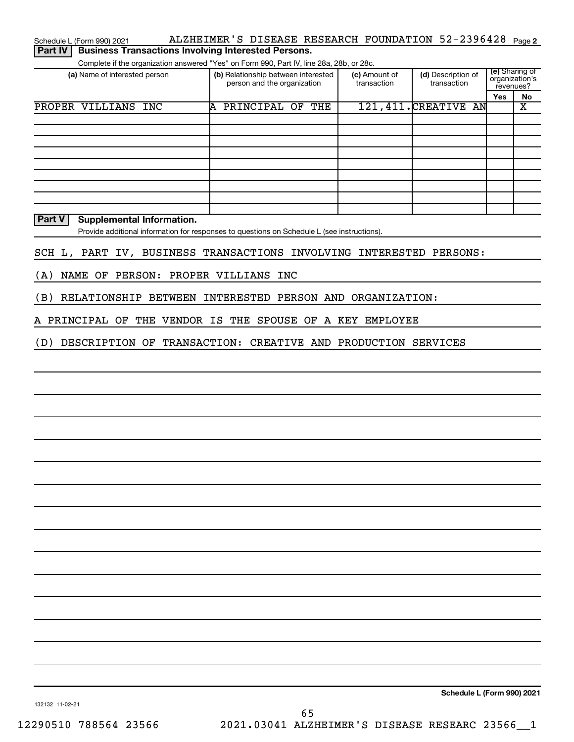| Schedule L (Form 990) 2021 | ALZHEIMER'S DISEASE RESEARCH FOUNDATION 52-2396428 Page2 |  |  |
|----------------------------|----------------------------------------------------------|--|--|
|                            |                                                          |  |  |

**Part IV Business Transactions Involving Interested Persons.** 

Complete if the organization answered "Yes" on Form 990, Part IV, line 28a, 28b, or 28c.

| (a) Name of interested person | (d) Description of<br>(b) Relationship between interested<br>(c) Amount of<br>person and the organization<br>transaction<br>transaction |  |                       |            | (e) Sharing of<br>organization's<br>revenues? |  |
|-------------------------------|-----------------------------------------------------------------------------------------------------------------------------------------|--|-----------------------|------------|-----------------------------------------------|--|
|                               |                                                                                                                                         |  |                       | <b>Yes</b> | No                                            |  |
| PROPER VILLIANS INC           | PRINCIPAL OF<br>THE<br>A                                                                                                                |  | 121, 411. CREATIVE AN |            | х                                             |  |
|                               |                                                                                                                                         |  |                       |            |                                               |  |
|                               |                                                                                                                                         |  |                       |            |                                               |  |
|                               |                                                                                                                                         |  |                       |            |                                               |  |
|                               |                                                                                                                                         |  |                       |            |                                               |  |
|                               |                                                                                                                                         |  |                       |            |                                               |  |
|                               |                                                                                                                                         |  |                       |            |                                               |  |
|                               |                                                                                                                                         |  |                       |            |                                               |  |
|                               |                                                                                                                                         |  |                       |            |                                               |  |
|                               |                                                                                                                                         |  |                       |            |                                               |  |

**Part V** Supplemental Information.

Provide additional information for responses to questions on Schedule L (see instructions).

## SCH L, PART IV, BUSINESS TRANSACTIONS INVOLVING INTERESTED PERSONS:

(A) NAME OF PERSON: PROPER VILLIANS INC

(B) RELATIONSHIP BETWEEN INTERESTED PERSON AND ORGANIZATION:

A PRINCIPAL OF THE VENDOR IS THE SPOUSE OF A KEY EMPLOYEE

(D) DESCRIPTION OF TRANSACTION: CREATIVE AND PRODUCTION SERVICES

**Schedule L (Form 990) 2021**

132132 11-02-21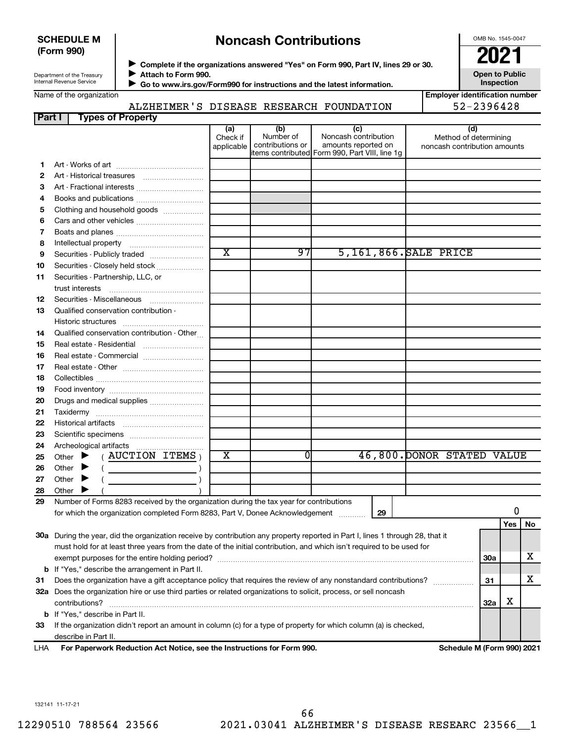## **SCHEDULE M (Form 990)**

## **Noncash Contributions**

OMB No. 1545-0047

| Department of the Treasury |
|----------------------------|
| Internal Revenue Service   |

◆ Complete if the organizations answered "Yes" on Form 990, Part IV, lines 29 or 30.<br>▶ Complete if the organizations answered "Yes" on Form 990, Part IV, lines 29 or 30. **Attach to Form 990.**  $\blacktriangleright$ 

**Open to Public Inspection**

| Name of the organization |  |
|--------------------------|--|
|--------------------------|--|

ALZHEIMER'S DISEASE RESEARCH FOUNDATION

 **Go to www.irs.gov/Form990 for instructions and the latest information.** J

| <b>Employer identification number</b> |
|---------------------------------------|
| 52-2396428                            |

| Part I | <b>Types of Property</b>                                                                                                       |                               |                                      |                                                    |    |                                                              |            |     |    |
|--------|--------------------------------------------------------------------------------------------------------------------------------|-------------------------------|--------------------------------------|----------------------------------------------------|----|--------------------------------------------------------------|------------|-----|----|
|        |                                                                                                                                | (a)<br>Check if<br>applicable | (b)<br>Number of<br>contributions or | (c)<br>Noncash contribution<br>amounts reported on |    | (d)<br>Method of determining<br>noncash contribution amounts |            |     |    |
|        |                                                                                                                                |                               |                                      | litems contributed Form 990, Part VIII, line 1g    |    |                                                              |            |     |    |
| 1.     |                                                                                                                                |                               |                                      |                                                    |    |                                                              |            |     |    |
| 2      |                                                                                                                                |                               |                                      |                                                    |    |                                                              |            |     |    |
| З      | Art - Fractional interests                                                                                                     |                               |                                      |                                                    |    |                                                              |            |     |    |
| 4      | Books and publications                                                                                                         |                               |                                      |                                                    |    |                                                              |            |     |    |
| 5      | Clothing and household goods                                                                                                   |                               |                                      |                                                    |    |                                                              |            |     |    |
| 6      | Cars and other vehicles                                                                                                        |                               |                                      |                                                    |    |                                                              |            |     |    |
| 7      |                                                                                                                                |                               |                                      |                                                    |    |                                                              |            |     |    |
| 8      |                                                                                                                                | $\overline{\textbf{x}}$       | 97                                   |                                                    |    | 5,161,866. SALE PRICE                                        |            |     |    |
| 9      | Securities - Publicly traded                                                                                                   |                               |                                      |                                                    |    |                                                              |            |     |    |
| 10     | Securities - Closely held stock                                                                                                |                               |                                      |                                                    |    |                                                              |            |     |    |
| 11     | Securities - Partnership, LLC, or                                                                                              |                               |                                      |                                                    |    |                                                              |            |     |    |
|        | trust interests                                                                                                                |                               |                                      |                                                    |    |                                                              |            |     |    |
| 12     | Securities - Miscellaneous                                                                                                     |                               |                                      |                                                    |    |                                                              |            |     |    |
| 13     | Qualified conservation contribution -                                                                                          |                               |                                      |                                                    |    |                                                              |            |     |    |
|        |                                                                                                                                |                               |                                      |                                                    |    |                                                              |            |     |    |
| 14     | Qualified conservation contribution - Other                                                                                    |                               |                                      |                                                    |    |                                                              |            |     |    |
| 15     | Real estate - Residential                                                                                                      |                               |                                      |                                                    |    |                                                              |            |     |    |
| 16     | Real estate - Commercial                                                                                                       |                               |                                      |                                                    |    |                                                              |            |     |    |
| 17     |                                                                                                                                |                               |                                      |                                                    |    |                                                              |            |     |    |
| 18     |                                                                                                                                |                               |                                      |                                                    |    |                                                              |            |     |    |
| 19     |                                                                                                                                |                               |                                      |                                                    |    |                                                              |            |     |    |
| 20     | Drugs and medical supplies                                                                                                     |                               |                                      |                                                    |    |                                                              |            |     |    |
| 21     |                                                                                                                                |                               |                                      |                                                    |    |                                                              |            |     |    |
| 22     |                                                                                                                                |                               |                                      |                                                    |    |                                                              |            |     |    |
| 23     |                                                                                                                                |                               |                                      |                                                    |    |                                                              |            |     |    |
| 24     |                                                                                                                                | X                             | $\Omega$                             |                                                    |    |                                                              |            |     |    |
| 25     | $($ AUCTION ITEMS $)$<br>Other $\blacktriangleright$                                                                           |                               |                                      |                                                    |    | 46,800. DONOR STATED VALUE                                   |            |     |    |
| 26     | Other $\blacktriangleright$                                                                                                    |                               |                                      |                                                    |    |                                                              |            |     |    |
| 27     | Other $\blacktriangleright$                                                                                                    |                               |                                      |                                                    |    |                                                              |            |     |    |
| 28     | Other $\blacktriangleright$                                                                                                    |                               |                                      |                                                    |    |                                                              |            |     |    |
| 29     | Number of Forms 8283 received by the organization during the tax year for contributions                                        |                               |                                      |                                                    |    |                                                              |            | 0   |    |
|        | for which the organization completed Form 8283, Part V, Donee Acknowledgement [Community]                                      |                               |                                      |                                                    | 29 |                                                              |            |     |    |
|        |                                                                                                                                |                               |                                      |                                                    |    |                                                              |            | Yes | No |
|        | 30a During the year, did the organization receive by contribution any property reported in Part I, lines 1 through 28, that it |                               |                                      |                                                    |    |                                                              |            |     |    |
|        | must hold for at least three years from the date of the initial contribution, and which isn't required to be used for          |                               |                                      |                                                    |    |                                                              |            |     | x  |
|        |                                                                                                                                |                               |                                      |                                                    |    |                                                              | <b>30a</b> |     |    |
|        | <b>b</b> If "Yes," describe the arrangement in Part II.                                                                        |                               |                                      |                                                    |    |                                                              |            |     | х  |
| 31     | Does the organization have a gift acceptance policy that requires the review of any nonstandard contributions?                 |                               |                                      |                                                    |    |                                                              | 31         |     |    |
|        | 32a Does the organization hire or use third parties or related organizations to solicit, process, or sell noncash              |                               |                                      |                                                    |    |                                                              |            | х   |    |
|        | contributions?                                                                                                                 |                               |                                      |                                                    |    |                                                              | 32a        |     |    |
|        | <b>b</b> If "Yes," describe in Part II.                                                                                        |                               |                                      |                                                    |    |                                                              |            |     |    |
| 33     | If the organization didn't report an amount in column (c) for a type of property for which column (a) is checked,              |                               |                                      |                                                    |    |                                                              |            |     |    |
|        | describe in Part II.<br>For Paperwork Reduction Act Notice, see the Instructions for Form 990.                                 |                               |                                      |                                                    |    |                                                              |            |     |    |
| LHA    |                                                                                                                                |                               |                                      |                                                    |    | Schedule M (Form 990) 2021                                   |            |     |    |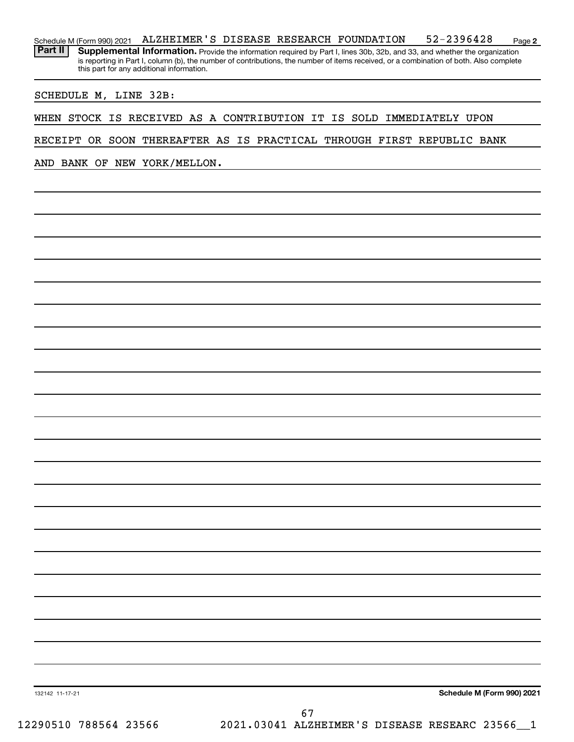**2** Schedule M (Form 990) 2021 ALZHEIMER 'S DISEASE RESEARCH FOUNDATION 52-2396428 <sub>Page</sub> Part II | Supplemental Information. Provide the information required by Part I, lines 30b, 32b, and 33, and whether the organization is reporting in Part I, column (b), the number of contributions, the number of items received, or a combination of both. Also complete this part for any additional information.

SCHEDULE M, LINE 32B:

WHEN STOCK IS RECEIVED AS A CONTRIBUTION IT IS SOLD IMMEDIATELY UPON

RECEIPT OR SOON THEREAFTER AS IS PRACTICAL THROUGH FIRST REPUBLIC BANK

AND BANK OF NEW YORK/MELLON.

**Schedule M (Form 990) 2021**

132142 11-17-21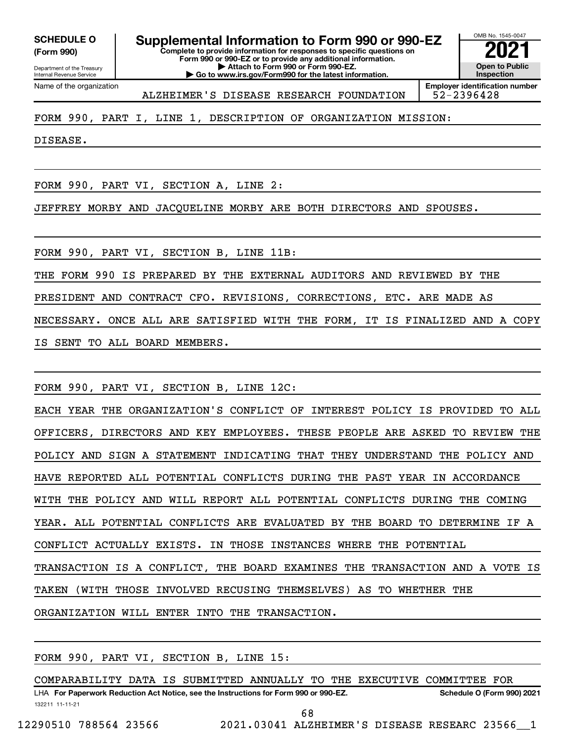**(Form 990)**

Department of the Treasury Internal Revenue Service

**Complete to provide information for responses to specific questions on Form 990 or 990-EZ or to provide any additional information. | Attach to Form 990 or Form 990-EZ. | Go to www.irs.gov/Form990 for the latest information. SCHEDULE O Supplemental Information to Form 990 or 990-EZ**  $\frac{10008060000}{202}$ 

OMB No. 1545-0047 **Open to Public Inspection Employer identification number**

Name of the organization

ALZHEIMER'S DISEASE RESEARCH FOUNDATION | 52-2396428

## FORM 990, PART I, LINE 1, DESCRIPTION OF ORGANIZATION MISSION:

DISEASE.

FORM 990, PART VI, SECTION A, LINE 2:

JEFFREY MORBY AND JACQUELINE MORBY ARE BOTH DIRECTORS AND SPOUSES.

FORM 990, PART VI, SECTION B, LINE 11B:

THE FORM 990 IS PREPARED BY THE EXTERNAL AUDITORS AND REVIEWED BY THE

PRESIDENT AND CONTRACT CFO. REVISIONS, CORRECTIONS, ETC. ARE MADE AS

NECESSARY. ONCE ALL ARE SATISFIED WITH THE FORM, IT IS FINALIZED AND A COPY

IS SENT TO ALL BOARD MEMBERS.

FORM 990, PART VI, SECTION B, LINE 12C:

EACH YEAR THE ORGANIZATION'S CONFLICT OF INTEREST POLICY IS PROVIDED TO ALL OFFICERS, DIRECTORS AND KEY EMPLOYEES. THESE PEOPLE ARE ASKED TO REVIEW THE POLICY AND SIGN A STATEMENT INDICATING THAT THEY UNDERSTAND THE POLICY AND HAVE REPORTED ALL POTENTIAL CONFLICTS DURING THE PAST YEAR IN ACCORDANCE WITH THE POLICY AND WILL REPORT ALL POTENTIAL CONFLICTS DURING THE COMING YEAR. ALL POTENTIAL CONFLICTS ARE EVALUATED BY THE BOARD TO DETERMINE IF A CONFLICT ACTUALLY EXISTS. IN THOSE INSTANCES WHERE THE POTENTIAL TRANSACTION IS A CONFLICT, THE BOARD EXAMINES THE TRANSACTION AND A VOTE IS TAKEN (WITH THOSE INVOLVED RECUSING THEMSELVES) AS TO WHETHER THE ORGANIZATION WILL ENTER INTO THE TRANSACTION.

FORM 990, PART VI, SECTION B, LINE 15:

132211 11-11-21 LHA For Paperwork Reduction Act Notice, see the Instructions for Form 990 or 990-EZ. Schedule O (Form 990) 2021 COMPARABILITY DATA IS SUBMITTED ANNUALLY TO THE EXECUTIVE COMMITTEE FOR

68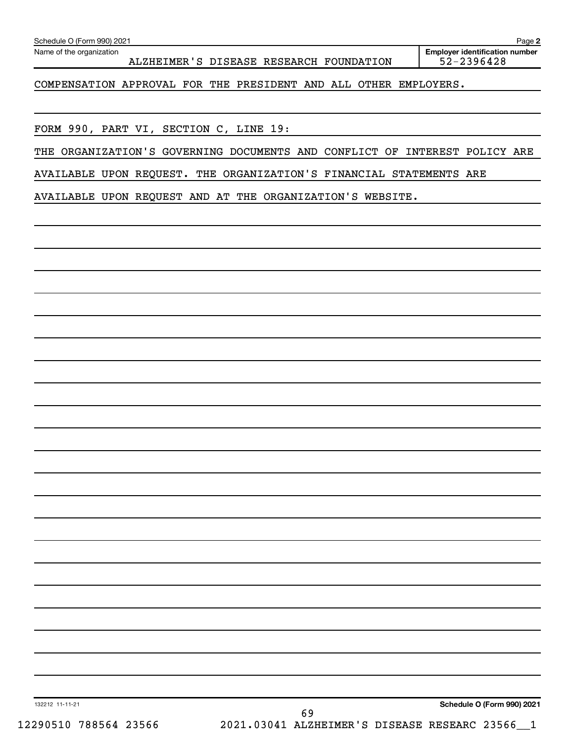| FORM 990, PART VI, SECTION C, LINE 19:<br>THE ORGANIZATION'S GOVERNING DOCUMENTS AND CONFLICT OF INTEREST POLICY ARE |
|----------------------------------------------------------------------------------------------------------------------|
| AVAILABLE UPON REQUEST. THE ORGANIZATION'S FINANCIAL STATEMENTS ARE                                                  |
| AVAILABLE UPON REQUEST AND AT THE ORGANIZATION'S WEBSITE.                                                            |
|                                                                                                                      |
|                                                                                                                      |
|                                                                                                                      |
|                                                                                                                      |
|                                                                                                                      |
|                                                                                                                      |
|                                                                                                                      |
|                                                                                                                      |
|                                                                                                                      |
|                                                                                                                      |
|                                                                                                                      |
|                                                                                                                      |
|                                                                                                                      |
|                                                                                                                      |
|                                                                                                                      |
|                                                                                                                      |
|                                                                                                                      |
|                                                                                                                      |
|                                                                                                                      |
|                                                                                                                      |
|                                                                                                                      |
|                                                                                                                      |
|                                                                                                                      |
|                                                                                                                      |

Name of the organization

ALZHEIMER'S DISEASE RESEARCH FOUNDATION

COMPENSATION APPROVAL FOR THE PRESIDENT AND ALL OTHER EMPLOYERS.

**Employer identification number**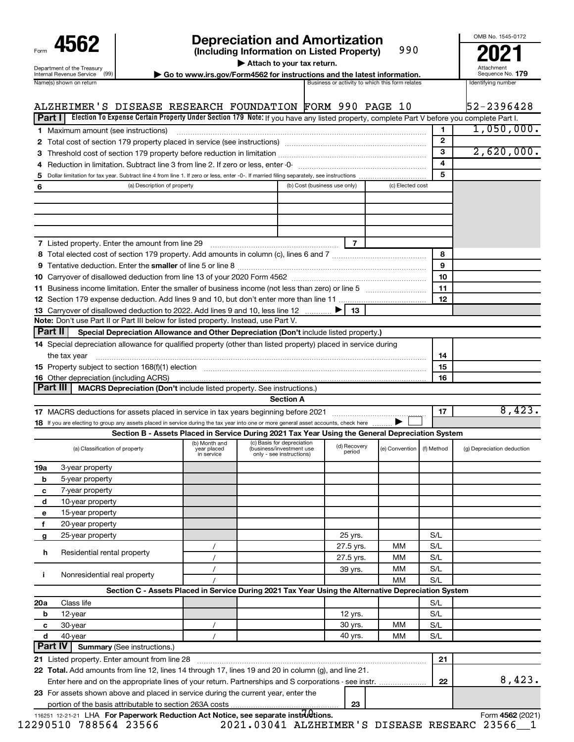| Form                                                          |
|---------------------------------------------------------------|
| Department of the Treasury<br><b>Internal Revenue Service</b> |

# **4562 Depreciation and Amortization**<br>(Including Information on Listed Property) 990 **2021**

**(Including Information on Listed Property)** 990

**| Attach to your tax return.**

**nternal Revenue Service**  $\left(99\right)$  **Go to www.irs.gov/Form4562 for instructions and the latest information.** Sequence No. 179<br>Name(s) shown on return and the lates and the lates are activity to which this form relates and

Attachment Sequence No.

OMB No. 1545-0172

|     | ALZHEIMER'S DISEASE RESEARCH FOUNDATION FORM 990 PAGE 10                                                                                                                                                                       |                                            |                                                                                    |                              |                        |                  |                              | 52-2396428                 |
|-----|--------------------------------------------------------------------------------------------------------------------------------------------------------------------------------------------------------------------------------|--------------------------------------------|------------------------------------------------------------------------------------|------------------------------|------------------------|------------------|------------------------------|----------------------------|
|     | Election To Expense Certain Property Under Section 179 Note: If you have any listed property, complete Part V before you complete Part I.<br>Part I                                                                            |                                            |                                                                                    |                              |                        |                  |                              |                            |
|     | 1 Maximum amount (see instructions)                                                                                                                                                                                            |                                            |                                                                                    |                              |                        |                  | 1                            | 1,050,000.                 |
|     | 2 Total cost of section 179 property placed in service (see instructions) manufactured cost of section 179 property placed in service (see instructions)                                                                       |                                            |                                                                                    |                              |                        |                  | $\mathbf{2}$                 |                            |
|     |                                                                                                                                                                                                                                |                                            |                                                                                    |                              |                        |                  | 3<br>$\overline{\mathbf{4}}$ | 2,620,000.                 |
|     |                                                                                                                                                                                                                                |                                            |                                                                                    |                              |                        |                  | 5                            |                            |
|     |                                                                                                                                                                                                                                |                                            |                                                                                    | (b) Cost (business use only) |                        | (c) Elected cost |                              |                            |
| 6   | (a) Description of property                                                                                                                                                                                                    |                                            |                                                                                    |                              |                        |                  |                              |                            |
|     |                                                                                                                                                                                                                                |                                            |                                                                                    |                              |                        |                  |                              |                            |
|     |                                                                                                                                                                                                                                |                                            |                                                                                    |                              |                        |                  |                              |                            |
|     |                                                                                                                                                                                                                                |                                            |                                                                                    |                              |                        |                  |                              |                            |
|     | <b>7</b> Listed property. Enter the amount from line 29                                                                                                                                                                        |                                            |                                                                                    |                              | 7                      |                  |                              |                            |
|     |                                                                                                                                                                                                                                |                                            |                                                                                    |                              |                        |                  | 8                            |                            |
|     |                                                                                                                                                                                                                                |                                            |                                                                                    |                              |                        |                  | 9                            |                            |
|     |                                                                                                                                                                                                                                |                                            |                                                                                    |                              |                        |                  | 10                           |                            |
|     | 11 Business income limitation. Enter the smaller of business income (not less than zero) or line 5                                                                                                                             |                                            |                                                                                    |                              |                        |                  | 11                           |                            |
|     |                                                                                                                                                                                                                                |                                            |                                                                                    |                              |                        |                  | 12                           |                            |
|     | 13 Carryover of disallowed deduction to 2022. Add lines 9 and 10, less line 12                                                                                                                                                 |                                            |                                                                                    |                              | - 13                   |                  |                              |                            |
|     | Note: Don't use Part II or Part III below for listed property. Instead, use Part V.                                                                                                                                            |                                            |                                                                                    |                              |                        |                  |                              |                            |
|     | Part II<br>Special Depreciation Allowance and Other Depreciation (Don't include listed property.)                                                                                                                              |                                            |                                                                                    |                              |                        |                  |                              |                            |
|     | 14 Special depreciation allowance for qualified property (other than listed property) placed in service during                                                                                                                 |                                            |                                                                                    |                              |                        |                  |                              |                            |
|     | the tax year                                                                                                                                                                                                                   |                                            |                                                                                    |                              |                        |                  | 14                           |                            |
|     | 15 Property subject to section 168(f)(1) election manufactured content to the content of the content of the content of the content of the content of the content of the content of the content of the content of the content o |                                            |                                                                                    |                              |                        |                  | 15                           |                            |
|     | <b>16</b> Other depreciation (including ACRS)                                                                                                                                                                                  |                                            |                                                                                    |                              |                        |                  | 16                           |                            |
|     | Part III<br>MACRS Depreciation (Don't include listed property. See instructions.)                                                                                                                                              |                                            |                                                                                    |                              |                        |                  |                              |                            |
|     |                                                                                                                                                                                                                                |                                            | <b>Section A</b>                                                                   |                              |                        |                  |                              |                            |
|     |                                                                                                                                                                                                                                |                                            |                                                                                    |                              |                        |                  | 17                           | 8,423.                     |
|     | 18 If you are electing to group any assets placed in service during the tax year into one or more general asset accounts, check here                                                                                           |                                            |                                                                                    |                              |                        |                  |                              |                            |
|     | Section B - Assets Placed in Service During 2021 Tax Year Using the General Depreciation System                                                                                                                                |                                            |                                                                                    |                              |                        |                  |                              |                            |
|     | (a) Classification of property                                                                                                                                                                                                 | (b) Month and<br>year placed<br>in service | (c) Basis for depreciation<br>(business/investment use<br>only - see instructions) |                              | (d) Recovery<br>period | (e) Convention   | (f) Method                   | (g) Depreciation deduction |
| 19a | 3-year property                                                                                                                                                                                                                |                                            |                                                                                    |                              |                        |                  |                              |                            |
| b   | 5-year property                                                                                                                                                                                                                |                                            |                                                                                    |                              |                        |                  |                              |                            |
| с   | 7-year property                                                                                                                                                                                                                |                                            |                                                                                    |                              |                        |                  |                              |                            |
| d   | 10-year property                                                                                                                                                                                                               |                                            |                                                                                    |                              |                        |                  |                              |                            |
| е   | 15-year property                                                                                                                                                                                                               |                                            |                                                                                    |                              |                        |                  |                              |                            |
| f   | 20-year property                                                                                                                                                                                                               |                                            |                                                                                    |                              |                        |                  |                              |                            |
| g   | 25-year property                                                                                                                                                                                                               |                                            |                                                                                    |                              | 25 yrs.                |                  | S/L                          |                            |
|     |                                                                                                                                                                                                                                | $\prime$                                   |                                                                                    |                              | 27.5 yrs.              | MМ               | S/L                          |                            |
|     | Residential rental property<br>h                                                                                                                                                                                               | $\prime$                                   |                                                                                    |                              | 27.5 yrs.              | MМ               | S/L                          |                            |
|     |                                                                                                                                                                                                                                |                                            |                                                                                    |                              | 39 yrs.                | MМ               | S/L                          |                            |
| j.  | Nonresidential real property                                                                                                                                                                                                   |                                            |                                                                                    |                              |                        | МM               | S/L                          |                            |
|     | Section C - Assets Placed in Service During 2021 Tax Year Using the Alternative Depreciation System                                                                                                                            |                                            |                                                                                    |                              |                        |                  |                              |                            |
| 20a | Class life                                                                                                                                                                                                                     |                                            |                                                                                    |                              |                        |                  | S/L                          |                            |
|     | b<br>12-year                                                                                                                                                                                                                   |                                            |                                                                                    |                              | 12 yrs.                |                  | S/L                          |                            |
|     | 30-year<br>с                                                                                                                                                                                                                   |                                            |                                                                                    |                              | 30 yrs.                | MМ               | S/L                          |                            |
|     | d<br>40-year                                                                                                                                                                                                                   | $\prime$                                   |                                                                                    |                              | 40 yrs.                | MМ               | S/L                          |                            |
|     | Part IV<br><b>Summary (See instructions.)</b>                                                                                                                                                                                  |                                            |                                                                                    |                              |                        |                  |                              |                            |
|     | 21 Listed property. Enter amount from line 28                                                                                                                                                                                  |                                            |                                                                                    |                              |                        |                  | 21                           |                            |
|     | 22 Total. Add amounts from line 12, lines 14 through 17, lines 19 and 20 in column (g), and line 21.                                                                                                                           |                                            |                                                                                    |                              |                        |                  |                              |                            |
|     |                                                                                                                                                                                                                                |                                            |                                                                                    |                              |                        |                  | 22                           | 8,423.                     |
|     | 23 For assets shown above and placed in service during the current year, enter the                                                                                                                                             |                                            |                                                                                    |                              | 23                     |                  |                              |                            |
|     |                                                                                                                                                                                                                                |                                            |                                                                                    |                              |                        |                  |                              |                            |

12290510 788564 23566 2021.03041 ALZHEIMER'S DISEASE RESEARC 23566\_\_1

116251 12-21-21 LHA **For Paperwork Reduction Act Notice, see separate instructions.**